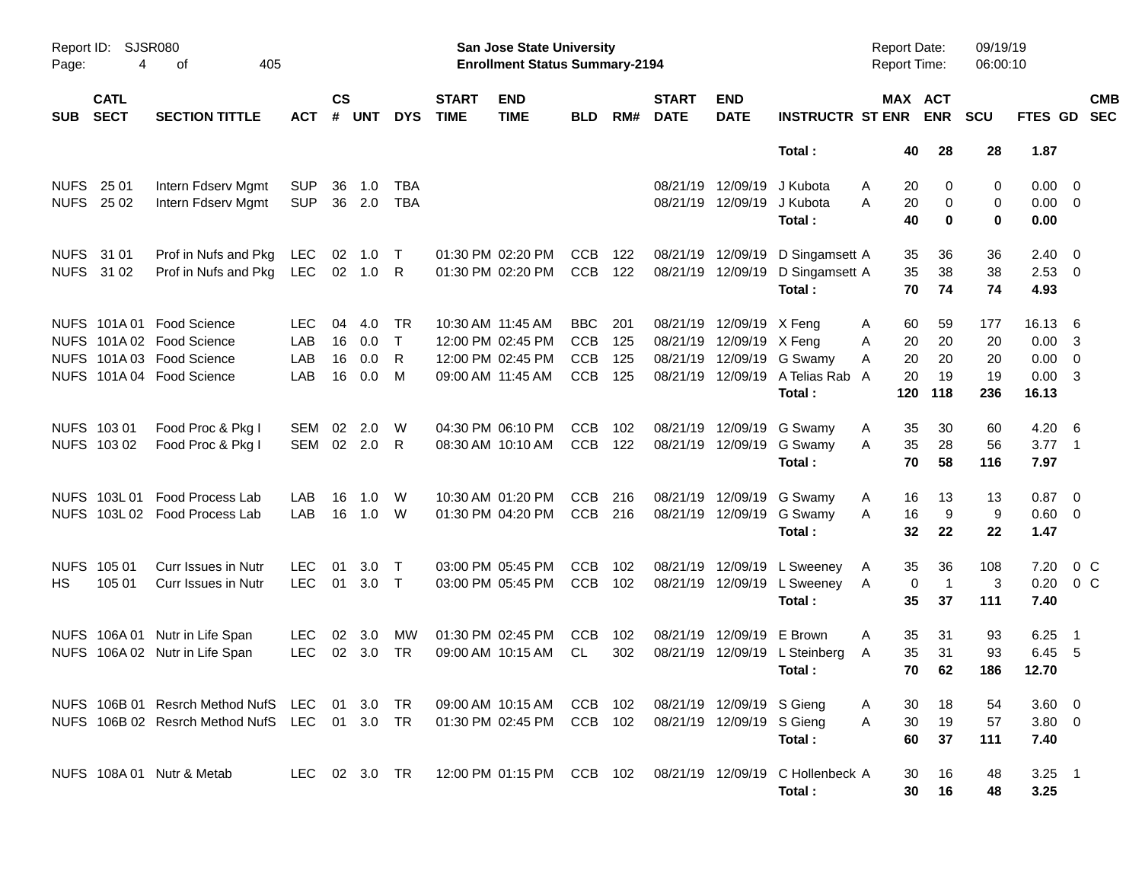|             |                            |                                               |                          |                    |                  |            |                             | <b>Preliminary Census</b>                                          |            |            |                                        |                                        |                                  |                                            |          |                  |                      |                            |                          |                          |
|-------------|----------------------------|-----------------------------------------------|--------------------------|--------------------|------------------|------------|-----------------------------|--------------------------------------------------------------------|------------|------------|----------------------------------------|----------------------------------------|----------------------------------|--------------------------------------------|----------|------------------|----------------------|----------------------------|--------------------------|--------------------------|
| Page:       | Report ID: SJSR080<br>4    | 405<br>оf                                     |                          |                    |                  |            |                             | San Jose State University<br><b>Enrollment Status Summary-2194</b> |            |            |                                        |                                        |                                  | <b>Report Date:</b><br><b>Report Time:</b> |          |                  | 09/19/19<br>06:00:10 |                            |                          |                          |
| <b>SUB</b>  | <b>CATL</b><br><b>SECT</b> | <b>SECTION TITTLE</b>                         | <b>ACT</b>               | $\mathsf{cs}$<br># | <b>UNT</b>       | <b>DYS</b> | <b>START</b><br><b>TIME</b> | <b>END</b><br><b>TIME</b>                                          | <b>BLD</b> | RM#        | <b>START</b><br><b>DATE</b>            | <b>END</b><br><b>DATE</b>              | <b>INSTRUCTR ST ENR</b>          | <b>MAX ACT</b>                             |          | <b>ENR</b>       | <b>SCU</b>           | <b>FTES GD</b>             |                          | <b>CMB</b><br><b>SEC</b> |
|             |                            |                                               |                          |                    |                  |            |                             |                                                                    |            |            |                                        |                                        | Total:                           |                                            | 40       | 28               | 28                   | 1.87                       |                          |                          |
|             | NUFS 25 01<br>NUFS 25 02   | Intern Fdserv Mgmt<br>Intern Fdserv Mgmt      | <b>SUP</b><br><b>SUP</b> | 36<br>36           | 1.0<br>2.0       | TBA<br>TBA |                             |                                                                    |            |            |                                        | 08/21/19 12/09/19<br>08/21/19 12/09/19 | J Kubota<br>J Kubota             | Α<br>A                                     | 20<br>20 | 0<br>$\mathbf 0$ | 0<br>0               | $0.00 \t 0$<br>$0.00 \t 0$ |                          |                          |
|             |                            |                                               |                          |                    |                  |            |                             |                                                                    |            |            |                                        |                                        | Total:                           |                                            | 40       | $\bf{0}$         | 0                    | 0.00                       |                          |                          |
|             | NUFS 31 01<br>NUFS 31 02   | Prof in Nufs and Pkg<br>Prof in Nufs and Pkg  | LEC<br><b>LEC</b>        | 02<br>02           | 1.0<br>1.0 R     | $\top$     |                             | 01:30 PM 02:20 PM<br>01:30 PM 02:20 PM                             | CCB<br>CCB | 122<br>122 | 08/21/19 12/09/19<br>08/21/19 12/09/19 |                                        | D Singamsett A<br>D Singamsett A |                                            | 35<br>35 | 36<br>38         | 36<br>38             | $2.40 \ 0$<br>$2.53$ 0     |                          |                          |
|             |                            |                                               |                          |                    |                  |            |                             |                                                                    |            |            |                                        |                                        | Total:                           |                                            | 70       | 74               | 74                   | 4.93                       |                          |                          |
|             |                            | NUFS 101A 01 Food Science                     | <b>LEC</b>               | 04                 | 4.0              | <b>TR</b>  |                             | 10:30 AM 11:45 AM                                                  | BBC        | 201        |                                        | 08/21/19 12/09/19 X Feng               |                                  | A                                          | 60       | 59               | 177                  | 16.13 6                    |                          |                          |
|             |                            | NUFS 101A 02 Food Science                     | LAB                      | 16                 | 0.0              | $\top$     |                             | 12:00 PM 02:45 PM                                                  | <b>CCB</b> | 125        | 08/21/19                               | 12/09/19 X Feng                        |                                  | A                                          | 20       | 20               | 20                   | $0.00 \quad 3$             |                          |                          |
|             |                            | NUFS 101A 03 Food Science                     | LAB                      | 16                 | 0.0              | R          |                             | 12:00 PM 02:45 PM                                                  | <b>CCB</b> | 125        | 08/21/19                               | 12/09/19                               | G Swamy                          | A                                          | 20       | 20               | 20                   | $0.00 \t 0$                |                          |                          |
|             |                            | NUFS 101A 04 Food Science                     | LAB                      | 16                 | 0.0              | M          |                             | 09:00 AM 11:45 AM                                                  | <b>CCB</b> | 125        |                                        | 08/21/19 12/09/19                      | A Telias Rab A                   |                                            | 20       | 19               | 19                   | $0.00 \quad 3$             |                          |                          |
|             |                            |                                               |                          |                    |                  |            |                             |                                                                    |            |            |                                        |                                        | Total:                           |                                            | 120      | 118              | 236                  | 16.13                      |                          |                          |
|             | NUFS 103 01                | Food Proc & Pkg I                             | SEM                      | 02                 | 2.0              | W          |                             | 04:30 PM 06:10 PM                                                  | <b>CCB</b> | 102        |                                        | 08/21/19 12/09/19                      | G Swamy                          | A                                          | 35       | 30               | 60                   | $4.20\ 6$                  |                          |                          |
|             | NUFS 103 02                | Food Proc & Pkg I                             | <b>SEM</b>               | 02                 | 2.0              | -R         |                             | 08:30 AM 10:10 AM                                                  | <b>CCB</b> | 122        |                                        | 08/21/19 12/09/19                      | G Swamy                          | A                                          | 35       | 28               | 56                   | $3.77$ 1                   |                          |                          |
|             |                            |                                               |                          |                    |                  |            |                             |                                                                    |            |            |                                        |                                        | Total:                           |                                            | 70       | 58               | 116                  | 7.97                       |                          |                          |
|             | NUFS 103L01                | <b>Food Process Lab</b>                       | LAB                      | 16                 | 1.0              | W          |                             | 10:30 AM 01:20 PM                                                  | <b>CCB</b> | 216        |                                        | 08/21/19 12/09/19                      | G Swamy                          | A                                          | 16       | 13               | 13                   | $0.87$ 0                   |                          |                          |
|             |                            | NUFS 103L 02 Food Process Lab                 | LAB                      | 16                 | 1.0              | - W        |                             | 01:30 PM 04:20 PM                                                  | <b>CCB</b> | 216        |                                        | 08/21/19 12/09/19                      | G Swamy                          | A                                          | 16       | 9                | 9                    | $0.60 \quad 0$             |                          |                          |
|             |                            |                                               |                          |                    |                  |            |                             |                                                                    |            |            |                                        |                                        | Total:                           |                                            | 32       | 22               | 22                   | 1.47                       |                          |                          |
| <b>NUFS</b> | 105 01                     | <b>Curr Issues in Nutr</b>                    | LEC.                     | 01                 | 3.0 <sub>1</sub> | $\top$     |                             | 03:00 PM 05:45 PM                                                  | <b>CCB</b> | 102        |                                        | 08/21/19 12/09/19                      | L Sweeney                        | A                                          | 35       | 36               | 108                  | 7.20                       | $0\,$ C                  |                          |
| HS          | 105 01                     | <b>Curr Issues in Nutr</b>                    | <b>LEC</b>               | 01                 | $3.0$ T          |            |                             | 03:00 PM 05:45 PM                                                  | <b>CCB</b> | 102        |                                        | 08/21/19 12/09/19                      | L Sweeney                        | A                                          | 0        | $\mathbf{1}$     | 3                    | 0.20                       | 0 <sup>o</sup>           |                          |
|             |                            |                                               |                          |                    |                  |            |                             |                                                                    |            |            |                                        |                                        | Total:                           |                                            | 35       | 37               | 111                  | 7.40                       |                          |                          |
|             |                            | NUFS 106A 01 Nutr in Life Span                | LEC.                     | 02                 | 3.0              | MW         |                             | 01:30 PM 02:45 PM                                                  | <b>CCB</b> | 102        | 08/21/19                               | 12/09/19                               | E Brown                          | A                                          | 35       | 31               | 93                   | 6.25                       | $\overline{\phantom{0}}$ |                          |
|             |                            | NUFS 106A 02 Nutr in Life Span                | <b>LEC</b>               | 02                 | 3.0              | TR         |                             | 09:00 AM 10:15 AM                                                  | CL         | 302        |                                        |                                        | 08/21/19 12/09/19 L Steinberg    | Α                                          | 35       | 31               | 93                   | 6.45 5                     |                          |                          |
|             |                            |                                               |                          |                    |                  |            |                             |                                                                    |            |            |                                        |                                        | Total:                           |                                            | 70 62    |                  | 186                  | 12.70                      |                          |                          |
|             |                            | NUFS 106B 01 Resrch Method NufS LEC 01 3.0 TR |                          |                    |                  |            |                             | 09:00 AM 10:15 AM                                                  | CCB 102    |            |                                        | 08/21/19 12/09/19 S Gieng              |                                  | Α                                          | 30       | 18               | 54                   | 3.60 0                     |                          |                          |
|             |                            | NUFS 106B 02 Resrch Method NufS LEC 01 3.0 TR |                          |                    |                  |            |                             | 01:30 PM 02:45 PM                                                  | CCB 102    |            |                                        | 08/21/19 12/09/19 S Gieng              |                                  | A                                          | 30       | 19               | 57                   | $3.80\ 0$                  |                          |                          |
|             |                            |                                               |                          |                    |                  |            |                             |                                                                    |            |            |                                        |                                        | Total:                           |                                            | 60       | 37               | 111                  | 7.40                       |                          |                          |
|             |                            | NUFS 108A 01 Nutr & Metab                     | LEC 02 3.0 TR            |                    |                  |            |                             | 12:00 PM 01:15 PM CCB 102                                          |            |            |                                        | 08/21/19 12/09/19                      | C Hollenbeck A                   |                                            | 30       | 16               | 48                   | $3.25$ 1                   |                          |                          |
|             |                            |                                               |                          |                    |                  |            |                             |                                                                    |            |            |                                        |                                        | Total:                           |                                            | 30       | 16               | 48                   | 3.25                       |                          |                          |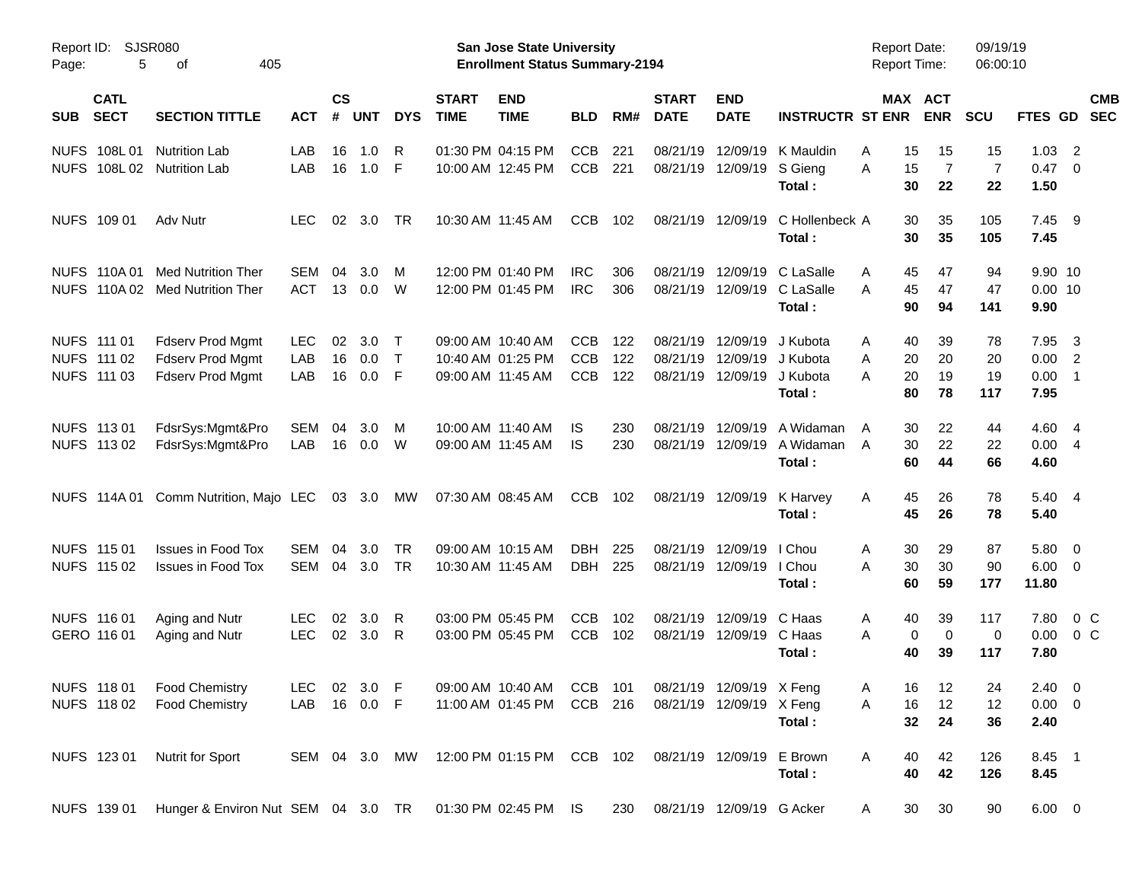|                                          |                                    |               |                    |            |            |                             |                                                                           | <b>Preliminary Census</b> |     |                             |                           |                             |                                            |                       |                      |                   |                          |            |
|------------------------------------------|------------------------------------|---------------|--------------------|------------|------------|-----------------------------|---------------------------------------------------------------------------|---------------------------|-----|-----------------------------|---------------------------|-----------------------------|--------------------------------------------|-----------------------|----------------------|-------------------|--------------------------|------------|
| Report ID: SJSR080<br>5<br>Page:         | 405<br>οf                          |               |                    |            |            |                             | <b>San Jose State University</b><br><b>Enrollment Status Summary-2194</b> |                           |     |                             |                           |                             | <b>Report Date:</b><br><b>Report Time:</b> |                       | 09/19/19<br>06:00:10 |                   |                          |            |
| <b>CATL</b><br><b>SECT</b><br><b>SUB</b> | <b>SECTION TITTLE</b>              | <b>ACT</b>    | $\mathsf{cs}$<br># | <b>UNT</b> | <b>DYS</b> | <b>START</b><br><b>TIME</b> | <b>END</b><br><b>TIME</b>                                                 | <b>BLD</b>                | RM# | <b>START</b><br><b>DATE</b> | <b>END</b><br><b>DATE</b> | <b>INSTRUCTR ST ENR</b>     |                                            | MAX ACT<br><b>ENR</b> | <b>SCU</b>           | FTES GD SEC       |                          | <b>CMB</b> |
| NUFS 108L01                              | <b>Nutrition Lab</b>               | LAB           | 16                 | 1.0        | R          |                             | 01:30 PM 04:15 PM                                                         | <b>CCB</b>                | 221 |                             | 08/21/19 12/09/19         | K Mauldin                   | 15<br>Α                                    | 15                    | 15                   | 1.03              | $\overline{2}$           |            |
| NUFS 108L 02 Nutrition Lab               |                                    | <b>LAB</b>    | 16                 | 1.0        | - F        |                             | 10:00 AM 12:45 PM                                                         | CCB                       | 221 |                             | 08/21/19 12/09/19         | S Gieng<br>Total:           | A<br>15<br>30                              | $\overline{7}$<br>22  | $\overline{7}$<br>22 | 0.47<br>1.50      | $\overline{0}$           |            |
| NUFS 109 01                              | Adv Nutr                           | <b>LEC</b>    | 02                 | 3.0        | TR         |                             | 10:30 AM 11:45 AM                                                         | <b>CCB</b>                | 102 |                             | 08/21/19 12/09/19         | C Hollenbeck A<br>Total:    | 30<br>30                                   | 35<br>35              | 105<br>105           | 7.45<br>7.45      | - 9                      |            |
| NUFS 110A 01                             | Med Nutrition Ther                 | SEM           | 04                 | 3.0        | м          |                             | 12:00 PM 01:40 PM                                                         | <b>IRC</b>                | 306 |                             |                           | 08/21/19 12/09/19 C LaSalle | 45<br>A                                    | 47                    | 94                   | 9.90 10           |                          |            |
|                                          | NUFS 110A 02 Med Nutrition Ther    | <b>ACT</b>    | 13                 | 0.0        | W          |                             | 12:00 PM 01:45 PM                                                         | <b>IRC</b>                | 306 |                             | 08/21/19 12/09/19         | C LaSalle<br>Total:         | A<br>45<br>90                              | 47<br>94              | 47<br>141            | $0.00$ 10<br>9.90 |                          |            |
| NUFS 111 01                              | <b>Fdserv Prod Mgmt</b>            | <b>LEC</b>    | 02                 | 3.0        | $\top$     |                             | 09:00 AM 10:40 AM                                                         | <b>CCB</b>                | 122 |                             | 08/21/19 12/09/19         | J Kubota                    | 40<br>Α                                    | 39                    | 78                   | 7.95              | $\overline{\mathbf{3}}$  |            |
| NUFS 111 02                              | Fdserv Prod Mgmt                   | LAB           | 16                 | 0.0        | ா          |                             | 10:40 AM 01:25 PM                                                         | <b>CCB</b>                | 122 | 08/21/19                    | 12/09/19                  | J Kubota                    | 20<br>A                                    | 20                    | 20                   | 0.00              | $\overline{2}$           |            |
| NUFS 111 03                              | <b>Fdserv Prod Mgmt</b>            | LAB           | 16                 | 0.0        | - F        |                             | 09:00 AM 11:45 AM                                                         | <b>CCB</b>                | 122 |                             | 08/21/19 12/09/19         | J Kubota<br>Total:          | A<br>20<br>80                              | 19<br>78              | 19<br>117            | 0.00<br>7.95      | $\overline{\phantom{1}}$ |            |
| NUFS 113 01                              | FdsrSys:Mgmt&Pro                   | <b>SEM</b>    | 04                 | 3.0        | M          |                             | 10:00 AM 11:40 AM                                                         | IS                        | 230 |                             | 08/21/19 12/09/19         | A Widaman                   | 30<br>A                                    | 22                    | 44                   | 4.60 4            |                          |            |
| NUFS 113 02                              | FdsrSys:Mgmt&Pro                   | LAB           | 16                 | 0.0        | W          |                             | 09:00 AM 11:45 AM                                                         | IS                        | 230 |                             | 08/21/19 12/09/19         | A Widaman                   | 30<br>A                                    | 22                    | 22                   | 0.004             |                          |            |
|                                          |                                    |               |                    |            |            |                             |                                                                           |                           |     |                             |                           | Total:                      | 60                                         | 44                    | 66                   | 4.60              |                          |            |
| NUFS 114A 01                             | Comm Nutrition, Majo LEC           |               |                    | 03 3.0     | <b>MW</b>  |                             | 07:30 AM 08:45 AM                                                         | <b>CCB</b>                | 102 |                             | 08/21/19 12/09/19         | K Harvey                    | 45<br>A                                    | 26                    | 78                   | 5.40 4            |                          |            |
|                                          |                                    |               |                    |            |            |                             |                                                                           |                           |     |                             |                           | Total:                      | 45                                         | 26                    | 78                   | 5.40              |                          |            |
| NUFS 115 01                              | <b>Issues in Food Tox</b>          | SEM           | 04                 | 3.0        | <b>TR</b>  |                             | 09:00 AM 10:15 AM                                                         | DBH.                      | 225 |                             | 08/21/19 12/09/19 I Chou  |                             | 30<br>Α                                    | 29                    | 87                   | 5.80 0            |                          |            |
| NUFS 115 02                              | <b>Issues in Food Tox</b>          | SEM           | 04                 | 3.0        | TR         |                             | 10:30 AM 11:45 AM                                                         | <b>DBH</b>                | 225 |                             | 08/21/19 12/09/19         | I Chou                      | A<br>30                                    | 30                    | 90                   | $6.00 \quad 0$    |                          |            |
|                                          |                                    |               |                    |            |            |                             |                                                                           |                           |     |                             |                           | Total:                      | 60                                         | 59                    | 177                  | 11.80             |                          |            |
| NUFS 116 01                              | Aging and Nutr                     | <b>LEC</b>    | 02                 | 3.0        | R          |                             | 03:00 PM 05:45 PM                                                         | <b>CCB</b>                | 102 | 08/21/19                    | 12/09/19 C Haas           |                             | 40<br>A                                    | 39                    | 117                  | 7.80              | $0\,$ C                  |            |
| GERO 116 01                              | Aging and Nutr                     | <b>LEC</b>    | 02                 | 3.0        | R          |                             | 03:00 PM 05:45 PM                                                         | <b>CCB</b>                | 102 |                             | 08/21/19 12/09/19         | C Haas                      | 0<br>A<br>40                               | $\mathbf 0$<br>39     | 0<br>117             | 0.00<br>7.80      | $0\,$ C                  |            |
|                                          |                                    |               |                    |            |            |                             |                                                                           |                           |     |                             |                           | Total :                     |                                            |                       |                      |                   |                          |            |
| NUFS 118 01                              | <b>Food Chemistry</b>              | LEC.          |                    | 02 3.0 F   |            |                             | 09:00 AM 10:40 AM                                                         | CCB 101                   |     |                             | 08/21/19 12/09/19 X Feng  |                             | A<br>16                                    | 12                    | 24                   | $2.40 \ 0$        |                          |            |
| NUFS 11802                               | <b>Food Chemistry</b>              | LAB 16 0.0 F  |                    |            |            |                             | 11:00 AM 01:45 PM                                                         | CCB 216                   |     |                             | 08/21/19 12/09/19 X Feng  |                             | 16<br>A<br>32                              | 12<br>24              | 12<br>36             | $0.00 \t 0$       |                          |            |
|                                          |                                    |               |                    |            |            |                             |                                                                           |                           |     |                             |                           | Total:                      |                                            |                       |                      | 2.40              |                          |            |
| NUFS 123 01                              | Nutrit for Sport                   | SEM 04 3.0 MW |                    |            |            |                             | 12:00 PM 01:15 PM CCB 102                                                 |                           |     |                             | 08/21/19 12/09/19         | E Brown                     | 40<br>Α                                    | 42                    | 126                  | 8.45 1            |                          |            |
|                                          |                                    |               |                    |            |            |                             |                                                                           |                           |     |                             |                           | Total:                      | 40                                         | 42                    | 126                  | 8.45              |                          |            |
| NUFS 139 01                              | Hunger & Environ Nut SEM 04 3.0 TR |               |                    |            |            |                             | 01:30 PM 02:45 PM IS                                                      |                           | 230 |                             | 08/21/19 12/09/19 G Acker |                             | 30<br>A                                    | 30                    | 90                   | $6.00 \t 0$       |                          |            |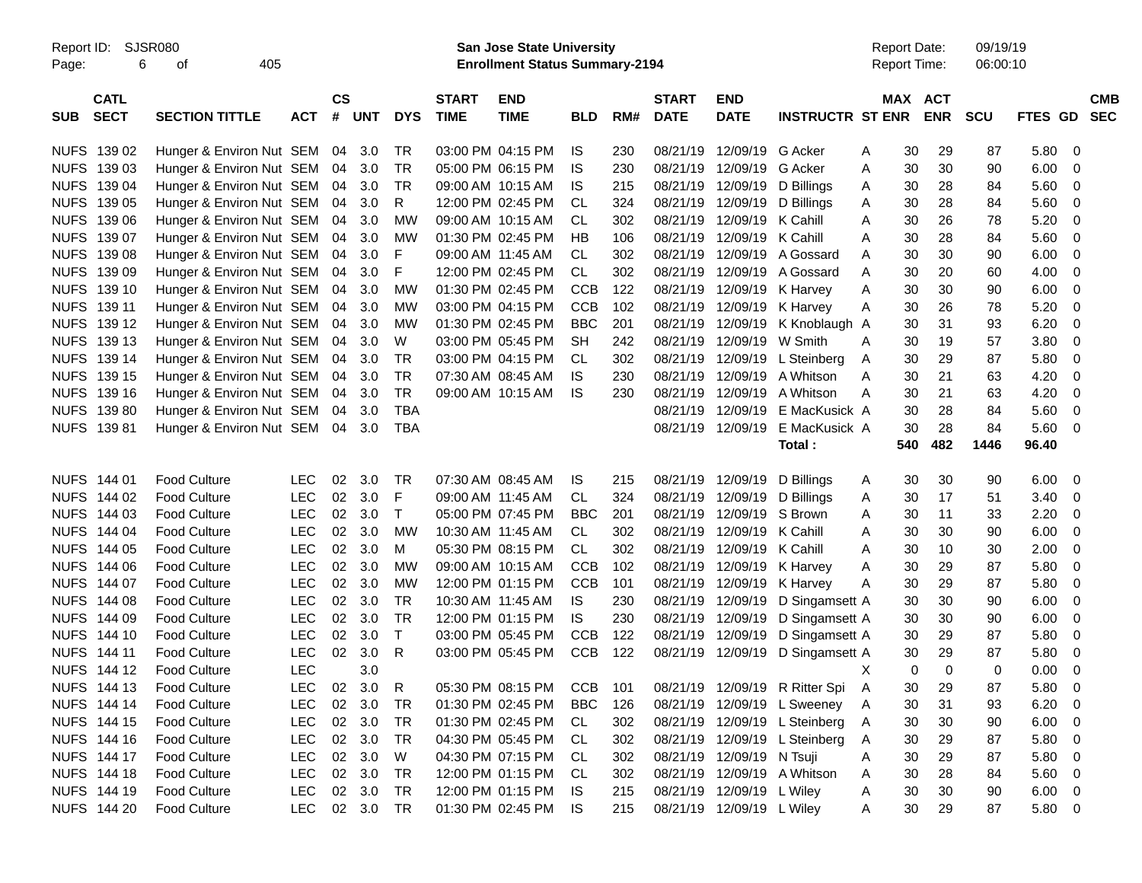|                     |                            |                                 |            |                    |            |              |                             | <b>Preliminary Census</b>                                                 |            |       |                             |                           |                                  |   |     |                                            |                      |             |                          |
|---------------------|----------------------------|---------------------------------|------------|--------------------|------------|--------------|-----------------------------|---------------------------------------------------------------------------|------------|-------|-----------------------------|---------------------------|----------------------------------|---|-----|--------------------------------------------|----------------------|-------------|--------------------------|
| Report ID:<br>Page: | SJSR080<br>6               | 405<br>οf                       |            |                    |            |              |                             | <b>San Jose State University</b><br><b>Enrollment Status Summary-2194</b> |            |       |                             |                           |                                  |   |     | <b>Report Date:</b><br><b>Report Time:</b> | 09/19/19<br>06:00:10 |             |                          |
| <b>SUB</b>          | <b>CATL</b><br><b>SECT</b> | <b>SECTION TITTLE</b>           | <b>ACT</b> | $\mathsf{cs}$<br># | <b>UNT</b> | <b>DYS</b>   | <b>START</b><br><b>TIME</b> | <b>END</b><br><b>TIME</b>                                                 | <b>BLD</b> | RM#   | <b>START</b><br><b>DATE</b> | <b>END</b><br><b>DATE</b> | <b>INSTRUCTR ST ENR</b>          |   |     | MAX ACT<br><b>ENR</b>                      | <b>SCU</b>           | FTES GD     | <b>CMB</b><br><b>SEC</b> |
| <b>NUFS</b>         | 139 02                     | Hunger & Environ Nut SEM        |            | 04                 | 3.0        | TR           |                             | 03:00 PM 04:15 PM                                                         | IS.        | 230   | 08/21/19                    | 12/09/19                  | G Acker                          | A | 30  | 29                                         | 87                   | 5.80        | - 0                      |
| <b>NUFS</b>         | 139 03                     | Hunger & Environ Nut SEM        |            | 04                 | 3.0        | TR           |                             | 05:00 PM 06:15 PM                                                         | IS.        | 230   | 08/21/19                    | 12/09/19                  | G Acker                          | A | 30  | 30                                         | 90                   | 6.00        | $\overline{0}$           |
| <b>NUFS</b>         | 139 04                     | Hunger & Environ Nut SEM        |            | 04                 | 3.0        | TR           |                             | 09:00 AM 10:15 AM                                                         | IS.        | 215   | 08/21/19                    | 12/09/19                  | D Billings                       | A | 30  | 28                                         | 84                   | 5.60        | 0                        |
| <b>NUFS</b>         | 139 05                     | Hunger & Environ Nut SEM        |            | 04                 | 3.0        | R            |                             | 12:00 PM 02:45 PM                                                         | CL         | 324   | 08/21/19                    | 12/09/19                  | D Billings                       | A | 30  | 28                                         | 84                   | 5.60        | 0                        |
| <b>NUFS</b>         | 139 06                     | Hunger & Environ Nut SEM        |            | 04                 | 3.0        | MW           |                             | 09:00 AM 10:15 AM                                                         | CL.        | 302   | 08/21/19                    | 12/09/19 K Cahill         |                                  | A | 30  | 26                                         | 78                   | 5.20        | -0                       |
| <b>NUFS</b>         | 139 07                     | Hunger & Environ Nut SEM        |            | 04                 | 3.0        | <b>MW</b>    | 01:30 PM 02:45 PM           |                                                                           | HB         | 106   | 08/21/19                    | 12/09/19 K Cahill         |                                  | A | 30  | 28                                         | 84                   | 5.60        | -0                       |
| <b>NUFS</b>         | 139 08                     | Hunger & Environ Nut SEM        |            | 04                 | 3.0        | F            | 09:00 AM 11:45 AM           |                                                                           | CL         | 302   | 08/21/19                    | 12/09/19                  | A Gossard                        | A | 30  | 30                                         | 90                   | 6.00        | - 0                      |
| <b>NUFS</b>         | 139 09                     | Hunger & Environ Nut SEM        |            | 04                 | 3.0        | F            |                             | 12:00 PM 02:45 PM                                                         | CL         | 302   | 08/21/19                    | 12/09/19                  | A Gossard                        | Α | 30  | 20                                         | 60                   | 4.00        | -0                       |
| <b>NUFS</b>         | 139 10                     | Hunger & Environ Nut SEM        |            | 04                 | 3.0        | MW           |                             | 01:30 PM 02:45 PM                                                         | <b>CCB</b> | 122   | 08/21/19                    | 12/09/19                  | K Harvey                         | A | 30  | 30                                         | 90                   | 6.00        | - 0                      |
| <b>NUFS</b>         | 139 11                     | Hunger & Environ Nut SEM        |            | 04                 | 3.0        | MW           |                             | 03:00 PM 04:15 PM                                                         | <b>CCB</b> | 102   | 08/21/19                    | 12/09/19                  | K Harvey                         | A | 30  | 26                                         | 78                   | 5.20        | - 0                      |
| <b>NUFS</b>         | 139 12                     | Hunger & Environ Nut SEM        |            | 04                 | 3.0        | МW           |                             | 01:30 PM 02:45 PM                                                         | <b>BBC</b> | 201   | 08/21/19                    | 12/09/19                  | K Knoblaugh A                    |   | 30  | 31                                         | 93                   | 6.20        | -0                       |
| <b>NUFS</b>         | 139 13                     | Hunger & Environ Nut SEM        |            | 04                 | 3.0        | W            |                             | 03:00 PM 05:45 PM                                                         | <b>SH</b>  | 242   | 08/21/19                    | 12/09/19                  | W Smith                          | Α | 30  | 19                                         | 57                   | 3.80        | -0                       |
| <b>NUFS</b>         | 139 14                     | Hunger & Environ Nut SEM        |            | 04                 | 3.0        | TR           |                             | 03:00 PM 04:15 PM                                                         | CL         | 302   | 08/21/19                    | 12/09/19                  | L Steinberg                      | A | 30  | 29                                         | 87                   | 5.80        | -0                       |
| <b>NUFS</b>         | 139 15                     | Hunger & Environ Nut SEM        |            | 04                 | 3.0        | TR           |                             | 07:30 AM 08:45 AM                                                         | IS.        | 230   | 08/21/19                    | 12/09/19                  | A Whitson                        | A | 30  | 21                                         | 63                   | 4.20        | -0                       |
| <b>NUFS</b>         | 139 16                     | Hunger & Environ Nut SEM        |            | 04                 | 3.0        | TR           |                             | 09:00 AM 10:15 AM                                                         | IS.        | 230   | 08/21/19                    | 12/09/19                  | A Whitson                        | A | 30  | 21                                         | 63                   | 4.20        | -0                       |
| <b>NUFS</b>         | 13980                      | Hunger & Environ Nut SEM        |            | 04                 | 3.0        | <b>TBA</b>   |                             |                                                                           |            |       | 08/21/19                    | 12/09/19                  | E MacKusick A                    |   | 30  | 28                                         | 84                   | 5.60        | 0                        |
|                     | NUFS 13981                 | Hunger & Environ Nut SEM 04 3.0 |            |                    |            | <b>TBA</b>   |                             |                                                                           |            |       | 08/21/19                    | 12/09/19                  | E MacKusick A                    |   | 30  | 28                                         | 84                   | 5.60        | - 0                      |
|                     |                            |                                 |            |                    |            |              |                             |                                                                           |            |       |                             |                           | Total:                           |   | 540 | 482                                        | 1446                 | 96.40       |                          |
|                     | NUFS 144 01                | <b>Food Culture</b>             | <b>LEC</b> | 02                 | 3.0        | TR           | 07:30 AM 08:45 AM           |                                                                           | IS.        | 215   | 08/21/19                    | 12/09/19                  | D Billings                       | A | 30  | 30                                         | 90                   | 6.00        | $\overline{\mathbf{0}}$  |
|                     | NUFS 144 02                | <b>Food Culture</b>             | <b>LEC</b> | 02                 | 3.0        | F            | 09:00 AM 11:45 AM           |                                                                           | CL         | 324   | 08/21/19                    | 12/09/19                  | D Billings                       | A | 30  | 17                                         | 51                   | 3.40        | 0                        |
| <b>NUFS</b>         | 144 03                     | <b>Food Culture</b>             | <b>LEC</b> | 02                 | 3.0        | $\mathsf{T}$ |                             | 05:00 PM 07:45 PM                                                         | <b>BBC</b> | 201   | 08/21/19                    | 12/09/19                  | S Brown                          | A | 30  | 11                                         | 33                   | 2.20        | $\overline{0}$           |
| <b>NUFS</b>         | 144 04                     | <b>Food Culture</b>             | LEC        | 02                 | 3.0        | МW           | 10:30 AM 11:45 AM           |                                                                           | CL.        | 302   | 08/21/19                    | 12/09/19                  | K Cahill                         | A | 30  | 30                                         | 90                   | 6.00        | - 0                      |
| <b>NUFS</b>         | 144 05                     | <b>Food Culture</b>             | LEC        | 02                 | 3.0        | м            |                             | 05:30 PM 08:15 PM                                                         | CL         | 302   | 08/21/19                    | 12/09/19                  | K Cahill                         | A | 30  | 10                                         | 30                   | 2.00        | -0                       |
| <b>NUFS</b>         | 144 06                     | <b>Food Culture</b>             | <b>LEC</b> | 02                 | 3.0        | МW           |                             | 09:00 AM 10:15 AM                                                         | <b>CCB</b> | 102   | 08/21/19                    | 12/09/19                  | K Harvey                         | A | 30  | 29                                         | 87                   | 5.80        | -0                       |
| <b>NUFS</b>         | 144 07                     | <b>Food Culture</b>             | LEC        | 02                 | 3.0        | MW           |                             | 12:00 PM 01:15 PM                                                         | <b>CCB</b> | 101   | 08/21/19                    | 12/09/19                  | K Harvey                         | A | 30  | 29                                         | 87                   | 5.80        | 0                        |
| <b>NUFS</b>         | 144 08                     | <b>Food Culture</b>             | LEC        | 02                 | 3.0        | TR           | 10:30 AM 11:45 AM           |                                                                           | IS.        | 230   | 08/21/19                    | 12/09/19                  | D Singamsett A                   |   | 30  | 30                                         | 90                   | 6.00        | 0                        |
| <b>NUFS</b>         | 144 09                     | <b>Food Culture</b>             | LEC        | 02                 | 3.0        | TR           |                             | 12:00 PM 01:15 PM                                                         | <b>IS</b>  | 230   | 08/21/19                    | 12/09/19                  | D Singamsett A                   |   | 30  | 30                                         | 90                   | 6.00        | 0                        |
| <b>NUFS</b>         | 144 10                     | <b>Food Culture</b>             | LEC        | 02                 | 3.0        | $\mathsf{T}$ |                             | 03:00 PM 05:45 PM                                                         | <b>CCB</b> | 122   | 08/21/19                    | 12/09/19                  | D Singamsett A                   |   | 30  | 29                                         | 87                   | 5.80        | 0                        |
|                     | NUFS 144 11                | <b>Food Culture</b>             | <b>LEC</b> |                    | 02 3.0     | R            |                             | 03:00 PM 05:45 PM                                                         | <b>CCB</b> | 122   |                             |                           | 08/21/19 12/09/19 D Singamsett A |   | 30  | 29                                         | 87                   | 5.80        | 0                        |
|                     | NUFS 144 12                | Food Culture                    | LEC        |                    | 3.0        |              |                             |                                                                           |            |       |                             |                           |                                  | Χ | 0   | $\pmb{0}$                                  | 0                    | 0.00        | $\overline{\mathbf{0}}$  |
|                     | NUFS 144 13                | <b>Food Culture</b>             | LEC        |                    | 02 3.0     | $\mathsf{R}$ |                             | 05:30 PM 08:15 PM                                                         | CCB        | - 101 |                             |                           | 08/21/19 12/09/19 R Ritter Spi   | A | 30  | 29                                         | 87                   | 5.80        | $\overline{\mathbf{0}}$  |
|                     | NUFS 144 14                | <b>Food Culture</b>             | LEC        |                    | 02 3.0     | TR           |                             | 01:30 PM 02:45 PM                                                         | BBC        | 126   |                             |                           | 08/21/19 12/09/19 L Sweeney      | A | 30  | 31                                         | 93                   | 6.20        | $\overline{\mathbf{0}}$  |
|                     | NUFS 144 15                | <b>Food Culture</b>             | <b>LEC</b> |                    | 02 3.0     | TR           |                             | 01:30 PM 02:45 PM CL                                                      |            | 302   |                             |                           | 08/21/19 12/09/19 L Steinberg    | A | 30  | 30                                         | 90                   | 6.00        | $\overline{\mathbf{0}}$  |
|                     | NUFS 144 16                | Food Culture                    | LEC        |                    | 02 3.0     | TR           |                             | 04:30 PM 05:45 PM                                                         | CL.        | 302   |                             |                           | 08/21/19 12/09/19 L Steinberg    | Α | 30  | 29                                         | 87                   | 5.80        | $\overline{\mathbf{0}}$  |
|                     | NUFS 144 17                | Food Culture                    | LEC        |                    | 02 3.0     | W            |                             | 04:30 PM 07:15 PM                                                         | CL         | 302   |                             | 08/21/19 12/09/19 N Tsuji |                                  | Α | 30  | 29                                         | 87                   | 5.80        | $\overline{\mathbf{0}}$  |
|                     | NUFS 144 18                | Food Culture                    | <b>LEC</b> |                    | 02 3.0     | TR           |                             | 12:00 PM 01:15 PM CL                                                      |            | 302   |                             |                           | 08/21/19 12/09/19 A Whitson      | Α | 30  | 28                                         | 84                   | 5.60        | $\overline{\phantom{0}}$ |
|                     | NUFS 144 19                | Food Culture                    | <b>LEC</b> |                    | 02 3.0     | <b>TR</b>    |                             | 12:00 PM 01:15 PM IS                                                      |            | 215   |                             | 08/21/19 12/09/19 L Wiley |                                  | Α | 30  | 30                                         | 90                   | $6.00 \t 0$ |                          |
|                     | NUFS 144 20                | Food Culture                    | <b>LEC</b> |                    | 02 3.0 TR  |              |                             | 01:30 PM 02:45 PM                                                         | IS         | 215   |                             | 08/21/19 12/09/19 L Wiley |                                  | A | 30  | 29                                         | 87                   | 5.80 0      |                          |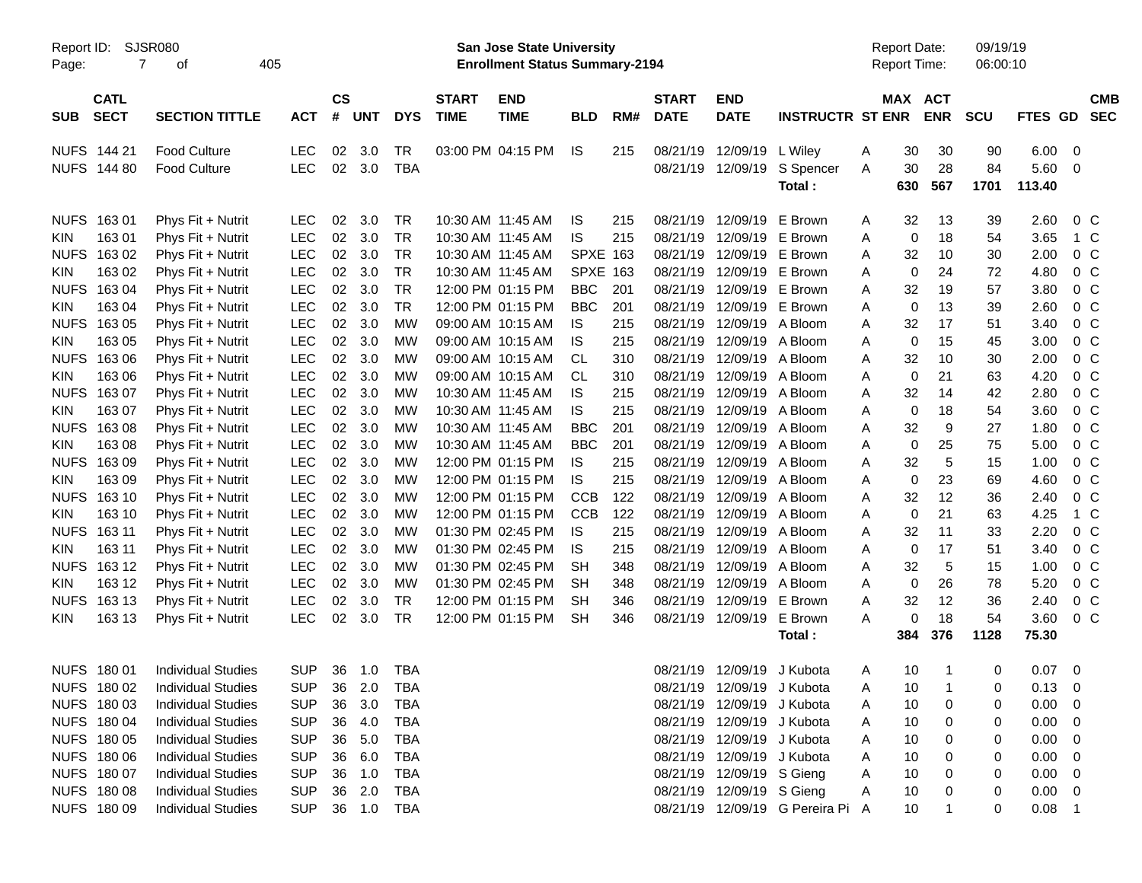|                     |                            |                             |            |                    |            |            |                             |                                                                    | <b>Preliminary Census</b> |     |                             |                            |                                  |   |                                     |            |                      |             |                |            |
|---------------------|----------------------------|-----------------------------|------------|--------------------|------------|------------|-----------------------------|--------------------------------------------------------------------|---------------------------|-----|-----------------------------|----------------------------|----------------------------------|---|-------------------------------------|------------|----------------------|-------------|----------------|------------|
| Report ID:<br>Page: | 7                          | <b>SJSR080</b><br>405<br>οf |            |                    |            |            |                             | San Jose State University<br><b>Enrollment Status Summary-2194</b> |                           |     |                             |                            |                                  |   | <b>Report Date:</b><br>Report Time: |            | 09/19/19<br>06:00:10 |             |                |            |
| <b>SUB</b>          | <b>CATL</b><br><b>SECT</b> | <b>SECTION TITTLE</b>       | <b>ACT</b> | $\mathsf{cs}$<br># | <b>UNT</b> | <b>DYS</b> | <b>START</b><br><b>TIME</b> | <b>END</b><br><b>TIME</b>                                          | <b>BLD</b>                | RM# | <b>START</b><br><b>DATE</b> | <b>END</b><br><b>DATE</b>  | <b>INSTRUCTR ST ENR</b>          |   | <b>MAX ACT</b>                      | <b>ENR</b> | <b>SCU</b>           | FTES GD SEC |                | <b>CMB</b> |
|                     | NUFS 144 21                | <b>Food Culture</b>         | <b>LEC</b> | 02                 | 3.0        | <b>TR</b>  |                             | 03:00 PM 04:15 PM                                                  | <b>IS</b>                 | 215 | 08/21/19                    | 12/09/19                   | L Wiley                          | Α | 30                                  | 30         | 90                   | 6.00        | - 0            |            |
|                     | NUFS 144 80                | <b>Food Culture</b>         | <b>LEC</b> | 02                 | 3.0        | <b>TBA</b> |                             |                                                                    |                           |     |                             | 08/21/19 12/09/19          | S Spencer                        | Α | 30                                  | 28         | 84                   | 5.60        | - 0            |            |
|                     |                            |                             |            |                    |            |            |                             |                                                                    |                           |     |                             |                            | Total:                           |   | 630                                 | 567        | 1701                 | 113.40      |                |            |
|                     | NUFS 163 01                | Phys Fit + Nutrit           | <b>LEC</b> | 02                 | 3.0        | <b>TR</b>  |                             | 10:30 AM 11:45 AM                                                  | IS.                       | 215 |                             | 08/21/19 12/09/19          | E Brown                          | A | 32                                  | 13         | 39                   | 2.60        | $0\,C$         |            |
| <b>KIN</b>          | 16301                      | Phys Fit + Nutrit           | <b>LEC</b> | 02                 | 3.0        | <b>TR</b>  |                             | 10:30 AM 11:45 AM                                                  | IS                        | 215 | 08/21/19                    | 12/09/19                   | E Brown                          | Α | 0                                   | 18         | 54                   | 3.65        | 1 C            |            |
| <b>NUFS</b>         | 163 02                     | Phys Fit + Nutrit           | <b>LEC</b> | 02                 | 3.0        | <b>TR</b>  |                             | 10:30 AM 11:45 AM                                                  | <b>SPXE 163</b>           |     | 08/21/19                    | 12/09/19                   | E Brown                          | A | 32                                  | 10         | 30                   | 2.00        | 0 <sup>C</sup> |            |
| <b>KIN</b>          | 163 02                     | Phys Fit + Nutrit           | <b>LEC</b> | 02                 | 3.0        | <b>TR</b>  |                             | 10:30 AM 11:45 AM                                                  | <b>SPXE 163</b>           |     | 08/21/19                    | 12/09/19                   | E Brown                          | A | 0                                   | 24         | 72                   | 4.80        | 0 <sup>C</sup> |            |
| <b>NUFS</b>         | 163 04                     | Phys Fit + Nutrit           | <b>LEC</b> | 02                 | 3.0        | <b>TR</b>  |                             | 12:00 PM 01:15 PM                                                  | <b>BBC</b>                | 201 | 08/21/19                    | 12/09/19                   | E Brown                          | Α | 32                                  | 19         | 57                   | 3.80        | 0 <sup>C</sup> |            |
| <b>KIN</b>          | 163 04                     | Phys Fit + Nutrit           | <b>LEC</b> | 02                 | 3.0        | <b>TR</b>  |                             | 12:00 PM 01:15 PM                                                  | <b>BBC</b>                | 201 | 08/21/19                    | 12/09/19                   | E Brown                          | Α | 0                                   | 13         | 39                   | 2.60        | 0 <sup>C</sup> |            |
| <b>NUFS</b>         | 16305                      | Phys Fit + Nutrit           | <b>LEC</b> | 02                 | 3.0        | <b>MW</b>  |                             | 09:00 AM 10:15 AM                                                  | IS                        | 215 | 08/21/19                    | 12/09/19                   | A Bloom                          | A | 32                                  | 17         | 51                   | 3.40        | 0 <sup>C</sup> |            |
| <b>KIN</b>          | 163 05                     | Phys Fit + Nutrit           | LEC        | 02                 | 3.0        | MW         |                             | 09:00 AM 10:15 AM                                                  | IS                        | 215 | 08/21/19                    | 12/09/19                   | A Bloom                          | Α | 0                                   | 15         | 45                   | 3.00        | 0 <sup>C</sup> |            |
| <b>NUFS</b>         | 163 06                     | Phys Fit + Nutrit           | <b>LEC</b> | 02                 | 3.0        | MW         |                             | 09:00 AM 10:15 AM                                                  | CL.                       | 310 | 08/21/19                    | 12/09/19                   | A Bloom                          | Α | 32                                  | 10         | 30                   | 2.00        | 0 <sup>C</sup> |            |
| <b>KIN</b>          | 163 06                     | Phys Fit + Nutrit           | <b>LEC</b> | 02                 | 3.0        | MW         |                             | 09:00 AM 10:15 AM                                                  | <b>CL</b>                 | 310 | 08/21/19                    | 12/09/19                   | A Bloom                          | Α | 0                                   | 21         | 63                   | 4.20        | 0 <sup>C</sup> |            |
| <b>NUFS</b>         | 16307                      | Phys Fit + Nutrit           | <b>LEC</b> | 02                 | 3.0        | MW         |                             | 10:30 AM 11:45 AM                                                  | <b>IS</b>                 | 215 | 08/21/19                    | 12/09/19                   | A Bloom                          | A | 32                                  | 14         | 42                   | 2.80        | 0 <sup>C</sup> |            |
| <b>KIN</b>          | 163 07                     | Phys Fit + Nutrit           | <b>LEC</b> | 02                 | 3.0        | MW         |                             | 10:30 AM 11:45 AM                                                  | IS.                       | 215 | 08/21/19                    | 12/09/19                   | A Bloom                          | Α | 0                                   | 18         | 54                   | 3.60        | 0 <sup>C</sup> |            |
| <b>NUFS</b>         | 16308                      | Phys Fit + Nutrit           | <b>LEC</b> | 02                 | 3.0        | МW         |                             | 10:30 AM 11:45 AM                                                  | <b>BBC</b>                | 201 | 08/21/19                    | 12/09/19                   | A Bloom                          | Α | 32                                  | 9          | 27                   | 1.80        | 0 <sup>C</sup> |            |
| <b>KIN</b>          | 163 08                     | Phys Fit + Nutrit           | <b>LEC</b> | 02                 | 3.0        | МW         |                             | 10:30 AM 11:45 AM                                                  | <b>BBC</b>                | 201 | 08/21/19                    | 12/09/19                   | A Bloom                          | Α | 0                                   | 25         | 75                   | 5.00        | 0 <sup>C</sup> |            |
| <b>NUFS</b>         | 16309                      | Phys Fit + Nutrit           | <b>LEC</b> | 02                 | 3.0        | MW         |                             | 12:00 PM 01:15 PM                                                  | IS.                       | 215 | 08/21/19                    | 12/09/19                   | A Bloom                          | Α | 32                                  | 5          | 15                   | 1.00        | 0 <sup>C</sup> |            |
| <b>KIN</b>          | 16309                      | Phys Fit + Nutrit           | <b>LEC</b> | 02                 | 3.0        | МW         |                             | 12:00 PM 01:15 PM                                                  | IS                        | 215 | 08/21/19                    | 12/09/19                   | A Bloom                          | Α | $\mathbf 0$                         | 23         | 69                   | 4.60        | 0 <sup>C</sup> |            |
| <b>NUFS</b>         | 163 10                     | Phys Fit + Nutrit           | <b>LEC</b> | 02                 | 3.0        | МW         |                             | 12:00 PM 01:15 PM                                                  | <b>CCB</b>                | 122 | 08/21/19                    | 12/09/19                   | A Bloom                          | Α | 32                                  | 12         | 36                   | 2.40        | 0 <sup>C</sup> |            |
| <b>KIN</b>          | 163 10                     | Phys Fit + Nutrit           | <b>LEC</b> | 02                 | 3.0        | МW         |                             | 12:00 PM 01:15 PM                                                  | <b>CCB</b>                | 122 | 08/21/19                    | 12/09/19                   | A Bloom                          | Α | 0                                   | 21         | 63                   | 4.25        | 1 C            |            |
| <b>NUFS</b>         | 163 11                     | Phys Fit + Nutrit           | <b>LEC</b> | 02                 | 3.0        | MW         |                             | 01:30 PM 02:45 PM                                                  | IS                        | 215 | 08/21/19                    | 12/09/19                   | A Bloom                          | A | 32                                  | 11         | 33                   | 2.20        | 0 <sup>C</sup> |            |
| <b>KIN</b>          | 163 11                     | Phys Fit + Nutrit           | <b>LEC</b> | 02                 | 3.0        | MW         |                             | 01:30 PM 02:45 PM                                                  | IS                        | 215 | 08/21/19                    | 12/09/19                   | A Bloom                          | Α | 0                                   | 17         | 51                   | 3.40        | 0 <sup>C</sup> |            |
| <b>NUFS</b>         | 163 12                     | Phys Fit + Nutrit           | <b>LEC</b> | 02                 | 3.0        | MW         |                             | 01:30 PM 02:45 PM                                                  | <b>SH</b>                 | 348 | 08/21/19                    | 12/09/19                   | A Bloom                          | Α | 32                                  | 5          | 15                   | 1.00        | 0 <sup>C</sup> |            |
| KIN.                | 163 12                     | Phys Fit + Nutrit           | <b>LEC</b> | 02                 | 3.0        | MW         |                             | 01:30 PM 02:45 PM                                                  | SН                        | 348 | 08/21/19                    | 12/09/19                   | A Bloom                          | A | 0                                   | 26         | 78                   | 5.20        | 0 <sup>C</sup> |            |
| <b>NUFS</b>         | 163 13                     | Phys Fit + Nutrit           | <b>LEC</b> | 02                 | 3.0        | <b>TR</b>  |                             | 12:00 PM 01:15 PM                                                  | <b>SH</b>                 | 346 | 08/21/19                    | 12/09/19                   | E Brown                          | Α | 32                                  | 12         | 36                   | 2.40        | 0 <sup>C</sup> |            |
| <b>KIN</b>          | 163 13                     | Phys Fit + Nutrit           | <b>LEC</b> | 02                 | 3.0        | <b>TR</b>  |                             | 12:00 PM 01:15 PM                                                  | <b>SH</b>                 | 346 |                             | 08/21/19 12/09/19          | E Brown                          | A | 0                                   | 18         | 54                   | 3.60        | 0 <sup>C</sup> |            |
|                     |                            |                             |            |                    |            |            |                             |                                                                    |                           |     |                             |                            | Total:                           |   | 384                                 | 376        | 1128                 | 75.30       |                |            |
|                     |                            |                             |            |                    |            |            |                             |                                                                    |                           |     |                             |                            |                                  |   |                                     |            |                      |             |                |            |
|                     | NUFS 180 01                | <b>Individual Studies</b>   | <b>SUP</b> | 36                 | 1.0        | <b>TBA</b> |                             |                                                                    |                           |     |                             | 08/21/19 12/09/19 J Kubota |                                  | Α | 10                                  |            | 0                    | 0.07        | - 0            |            |
|                     | NUFS 180 02                | <b>Individual Studies</b>   | <b>SUP</b> | 36                 | 2.0        | <b>TBA</b> |                             |                                                                    |                           |     |                             | 08/21/19 12/09/19 J Kubota |                                  | Α | 10                                  |            | 0                    | 0.13        | - 0            |            |
|                     | NUFS 180 03                | <b>Individual Studies</b>   | <b>SUP</b> | 36                 | 3.0        | TBA        |                             |                                                                    |                           |     |                             | 08/21/19 12/09/19 J Kubota |                                  | A | 10                                  | 0          | 0                    | 0.00        | - 0            |            |
|                     | NUFS 180 04                | <b>Individual Studies</b>   | <b>SUP</b> | 36                 | 4.0        | TBA        |                             |                                                                    |                           |     |                             | 08/21/19 12/09/19 J Kubota |                                  | Α | 10                                  | 0          | 0                    | 0.00        | - 0            |            |
|                     | NUFS 180 05                | <b>Individual Studies</b>   | <b>SUP</b> | 36                 | 5.0        | TBA        |                             |                                                                    |                           |     |                             | 08/21/19 12/09/19 J Kubota |                                  | Α | 10                                  | 0          | 0                    | 0.00        | - 0            |            |
|                     | NUFS 180 06                | <b>Individual Studies</b>   | <b>SUP</b> | 36                 | 6.0        | TBA        |                             |                                                                    |                           |     |                             | 08/21/19 12/09/19 J Kubota |                                  | Α | 10                                  | 0          | 0                    | 0.00        | - 0            |            |
|                     | NUFS 180 07                | <b>Individual Studies</b>   | <b>SUP</b> | 36                 | 1.0        | TBA        |                             |                                                                    |                           |     |                             | 08/21/19 12/09/19 S Gieng  |                                  | Α | 10                                  | 0          | 0                    | 0.00        | - 0            |            |
|                     | NUFS 180 08                | <b>Individual Studies</b>   | <b>SUP</b> | 36                 | 2.0        | TBA        |                             |                                                                    |                           |     |                             | 08/21/19 12/09/19 S Gieng  |                                  | Α | 10                                  |            | 0                    | $0.00 \t 0$ |                |            |
|                     | NUFS 180 09                | <b>Individual Studies</b>   | <b>SUP</b> |                    |            | 36 1.0 TBA |                             |                                                                    |                           |     |                             |                            | 08/21/19 12/09/19 G Pereira Pi A |   | 10                                  | 1          | 0                    | $0.08$ 1    |                |            |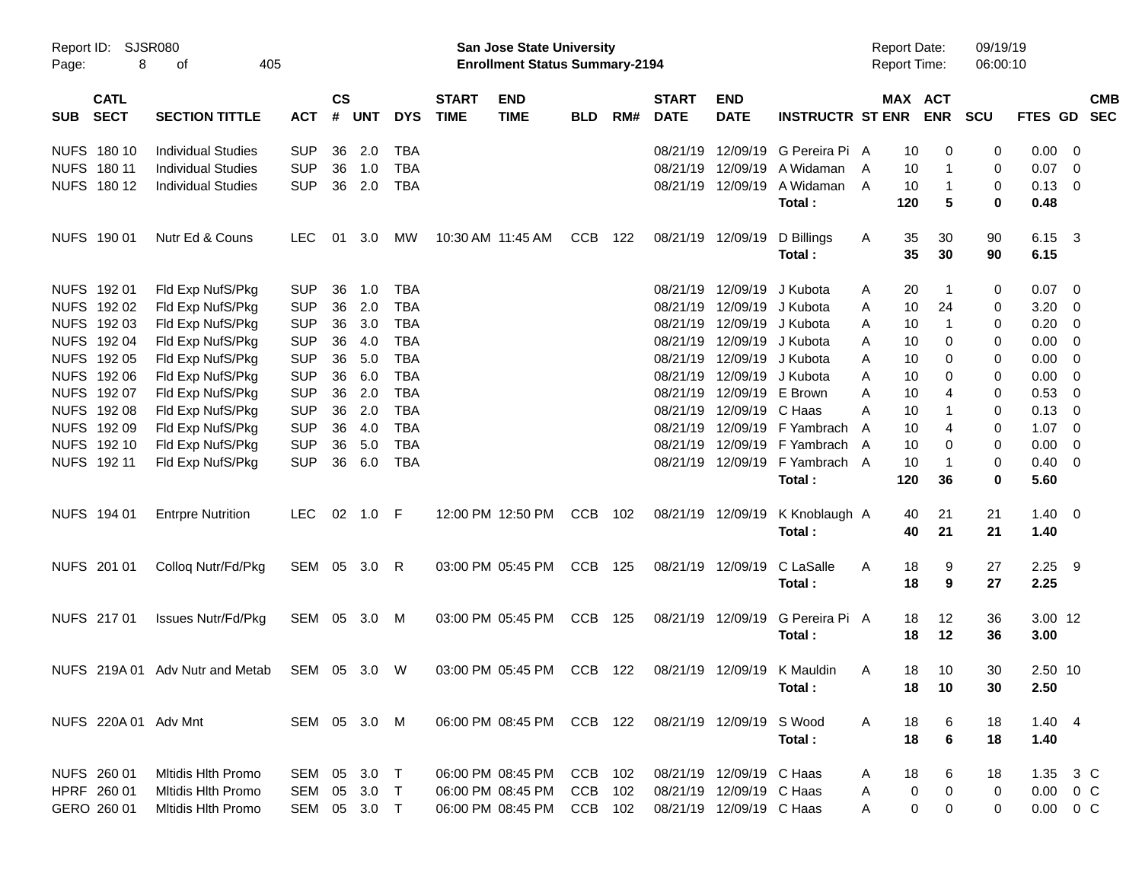|            |                            |                                              |              |                    |            |            |                             | <b>Preliminary Census</b>                                          |            |     |                             |                           |                             |                                            |                       |                      |                |                          |            |
|------------|----------------------------|----------------------------------------------|--------------|--------------------|------------|------------|-----------------------------|--------------------------------------------------------------------|------------|-----|-----------------------------|---------------------------|-----------------------------|--------------------------------------------|-----------------------|----------------------|----------------|--------------------------|------------|
| Page:      | Report ID: SJSR080<br>8    | 405<br>οf                                    |              |                    |            |            |                             | San Jose State University<br><b>Enrollment Status Summary-2194</b> |            |     |                             |                           |                             | <b>Report Date:</b><br><b>Report Time:</b> |                       | 09/19/19<br>06:00:10 |                |                          |            |
| <b>SUB</b> | <b>CATL</b><br><b>SECT</b> | <b>SECTION TITTLE</b>                        | <b>ACT</b>   | $\mathsf{cs}$<br># | <b>UNT</b> | <b>DYS</b> | <b>START</b><br><b>TIME</b> | <b>END</b><br><b>TIME</b>                                          | <b>BLD</b> | RM# | <b>START</b><br><b>DATE</b> | <b>END</b><br><b>DATE</b> | <b>INSTRUCTR ST ENR</b>     |                                            | MAX ACT<br><b>ENR</b> | <b>SCU</b>           | FTES GD SEC    |                          | <b>CMB</b> |
|            | NUFS 180 10                | <b>Individual Studies</b>                    | <b>SUP</b>   | 36                 | 2.0        | TBA        |                             |                                                                    |            |     | 08/21/19                    | 12/09/19                  | G Pereira Pi A              |                                            | 10<br>$\Omega$        | 0                    | $0.00 \t 0$    |                          |            |
|            | NUFS 180 11                | <b>Individual Studies</b>                    | <b>SUP</b>   | 36                 | 1.0        | <b>TBA</b> |                             |                                                                    |            |     | 08/21/19                    | 12/09/19                  | A Widaman                   | A                                          | 10<br>1               | 0                    | 0.07           | $\overline{\phantom{0}}$ |            |
|            | NUFS 180 12                | <b>Individual Studies</b>                    | <b>SUP</b>   | 36                 | 2.0        | TBA        |                             |                                                                    |            |     |                             | 08/21/19 12/09/19         | A Widaman                   | A<br>10                                    | $\mathbf{1}$          | 0                    | $0.13 \quad 0$ |                          |            |
|            |                            |                                              |              |                    |            |            |                             |                                                                    |            |     |                             |                           | Total:                      | 120                                        | 5                     | 0                    | 0.48           |                          |            |
|            | NUFS 190 01                | Nutr Ed & Couns                              | <b>LEC</b>   | 01                 | 3.0        | MW         |                             | 10:30 AM 11:45 AM                                                  | CCB        | 122 |                             | 08/21/19 12/09/19         | D Billings                  | Α<br>35                                    | 30                    | 90                   | 6.15 3         |                          |            |
|            |                            |                                              |              |                    |            |            |                             |                                                                    |            |     |                             |                           | Total:                      | 35                                         | 30                    | 90                   | 6.15           |                          |            |
|            | NUFS 192 01                | Fld Exp NufS/Pkg                             | <b>SUP</b>   | 36                 | 1.0        | TBA        |                             |                                                                    |            |     | 08/21/19                    | 12/09/19                  | J Kubota                    | 20<br>Α                                    | -1                    | 0                    | $0.07$ 0       |                          |            |
|            | NUFS 192 02                | Fld Exp NufS/Pkg                             | <b>SUP</b>   | 36                 | 2.0        | TBA        |                             |                                                                    |            |     | 08/21/19                    |                           | 12/09/19 J Kubota           | 10<br>Α                                    | 24                    | 0                    | 3.20           | $\overline{\phantom{0}}$ |            |
|            | NUFS 192 03                | Fld Exp NufS/Pkg                             | <b>SUP</b>   | 36                 | 3.0        | <b>TBA</b> |                             |                                                                    |            |     | 08/21/19                    |                           | 12/09/19 J Kubota           | A                                          | 10<br>$\mathbf{1}$    | 0                    | $0.20 \ 0$     |                          |            |
|            | NUFS 192 04                | Fld Exp NufS/Pkg                             | <b>SUP</b>   | 36                 | 4.0        | <b>TBA</b> |                             |                                                                    |            |     | 08/21/19                    |                           | 12/09/19 J Kubota           | A                                          | 10<br>$\Omega$        | 0                    | $0.00 \t 0$    |                          |            |
|            | NUFS 192 05                | Fld Exp NufS/Pkg                             | <b>SUP</b>   | 36                 | 5.0        | <b>TBA</b> |                             |                                                                    |            |     | 08/21/19                    |                           | 12/09/19 J Kubota           | Α                                          | 10<br>$\Omega$        | 0                    | $0.00 \t 0$    |                          |            |
|            | NUFS 192 06                | Fld Exp NufS/Pkg                             | <b>SUP</b>   | 36                 | 6.0        | <b>TBA</b> |                             |                                                                    |            |     | 08/21/19                    |                           | 12/09/19 J Kubota           | А                                          | 10<br>$\Omega$        | 0                    | $0.00 \t 0$    |                          |            |
|            | NUFS 192 07                | Fld Exp NufS/Pkg                             | <b>SUP</b>   | 36                 | 2.0        | <b>TBA</b> |                             |                                                                    |            |     | 08/21/19                    |                           | 12/09/19 E Brown            | А                                          | 10<br>4               | 0                    | 0.53           | $\overline{\phantom{0}}$ |            |
|            | NUFS 192 08                | Fld Exp NufS/Pkg                             | <b>SUP</b>   | 36                 | 2.0        | <b>TBA</b> |                             |                                                                    |            |     | 08/21/19                    | 12/09/19 C Haas           |                             | 10<br>А                                    | 1                     | 0                    | $0.13 \quad 0$ |                          |            |
|            | NUFS 192 09                | Fld Exp NufS/Pkg                             | <b>SUP</b>   | 36                 | 4.0        | <b>TBA</b> |                             |                                                                    |            |     | 08/21/19                    |                           | 12/09/19 F Yambrach         | A                                          | 10<br>4               | 0                    | 1.07           | $\overline{\phantom{0}}$ |            |
|            | NUFS 192 10                | Fld Exp NufS/Pkg                             | <b>SUP</b>   | 36                 | 5.0        | <b>TBA</b> |                             |                                                                    |            |     | 08/21/19                    |                           | 12/09/19 F Yambrach         | A                                          | 10<br>$\Omega$        | 0                    | $0.00 \t 0$    |                          |            |
|            | NUFS 192 11                | Fld Exp NufS/Pkg                             | <b>SUP</b>   | 36                 | 6.0        | <b>TBA</b> |                             |                                                                    |            |     |                             | 08/21/19 12/09/19         | F Yambrach A                | 10                                         | $\mathbf 1$           | 0                    | $0.40 \quad 0$ |                          |            |
|            |                            |                                              |              |                    |            |            |                             |                                                                    |            |     |                             |                           | Total:                      | 120                                        | 36                    | 0                    | 5.60           |                          |            |
|            |                            |                                              |              |                    |            |            |                             |                                                                    |            |     |                             |                           |                             |                                            |                       |                      |                |                          |            |
|            | NUFS 194 01                | <b>Entrpre Nutrition</b>                     | <b>LEC</b>   |                    | 02 1.0 F   |            |                             | 12:00 PM 12:50 PM                                                  | <b>CCB</b> | 102 |                             | 08/21/19 12/09/19         | K Knoblaugh A               |                                            | 40<br>21              | 21                   | $1.40 \ 0$     |                          |            |
|            |                            |                                              |              |                    |            |            |                             |                                                                    |            |     |                             |                           | Total:                      | 40                                         | 21                    | 21                   | 1.40           |                          |            |
|            | NUFS 201 01                | Colloq Nutr/Fd/Pkg                           | SEM 05 3.0 R |                    |            |            |                             | 03:00 PM 05:45 PM                                                  | <b>CCB</b> | 125 |                             | 08/21/19 12/09/19         | C LaSalle                   | Α<br>18                                    | 9                     | 27                   | $2.25$ 9       |                          |            |
|            |                            |                                              |              |                    |            |            |                             |                                                                    |            |     |                             |                           | Total:                      | 18                                         | 9                     | 27                   | 2.25           |                          |            |
|            | NUFS 217 01                | <b>Issues Nutr/Fd/Pkg</b>                    | SEM          |                    | 05 3.0     | M          |                             | 03:00 PM 05:45 PM                                                  | <b>CCB</b> | 125 |                             | 08/21/19 12/09/19         | G Pereira Pi A              |                                            | 12<br>18              | 36                   | 3.00 12        |                          |            |
|            |                            |                                              |              |                    |            |            |                             |                                                                    |            |     |                             |                           | Total:                      | 18                                         | 12                    | 36                   | 3.00           |                          |            |
|            |                            | NUFS 219A 01 Adv Nutr and Metab SEM 05 3.0 W |              |                    |            |            |                             | 03:00 PM 05:45 PM CCB 122                                          |            |     |                             |                           | 08/21/19 12/09/19 K Mauldin | Α                                          | 10<br>18              | 30                   | 2.50 10        |                          |            |
|            |                            |                                              |              |                    |            |            |                             |                                                                    |            |     |                             |                           | Total:                      |                                            | 18<br>10              | 30                   | 2.50           |                          |            |
|            | NUFS 220A 01 Adv Mnt       |                                              | SEM 05 3.0 M |                    |            |            |                             | 06:00 PM 08:45 PM CCB 122                                          |            |     |                             | 08/21/19 12/09/19         | S Wood                      | A                                          | 18<br>6               | 18                   | $1.40 \quad 4$ |                          |            |
|            |                            |                                              |              |                    |            |            |                             |                                                                    |            |     |                             |                           | Total:                      |                                            | 18<br>6               | 18                   | 1.40           |                          |            |
|            | NUFS 260 01                | <b>Mitidis Hith Promo</b>                    | SEM          |                    | 05 3.0 T   |            |                             | 06:00 PM 08:45 PM                                                  | CCB 102    |     |                             | 08/21/19 12/09/19 C Haas  |                             | Α                                          | 18<br>6               | 18                   | 1.35 3 C       |                          |            |
|            | HPRF 260 01                | <b>Mitidis Hith Promo</b>                    | SEM          |                    | 05 3.0 T   |            |                             | 06:00 PM 08:45 PM                                                  | CCB        | 102 |                             | 08/21/19 12/09/19 C Haas  |                             | Α                                          | 0<br>0                | 0                    | $0.00 \t 0 C$  |                          |            |
|            | GERO 260 01                | <b>Mitidis Hith Promo</b>                    | SEM 05 3.0 T |                    |            |            |                             | 06:00 PM 08:45 PM                                                  | CCB 102    |     |                             | 08/21/19 12/09/19 C Haas  |                             | Α                                          | 0<br>0                | 0                    | $0.00 \t 0 C$  |                          |            |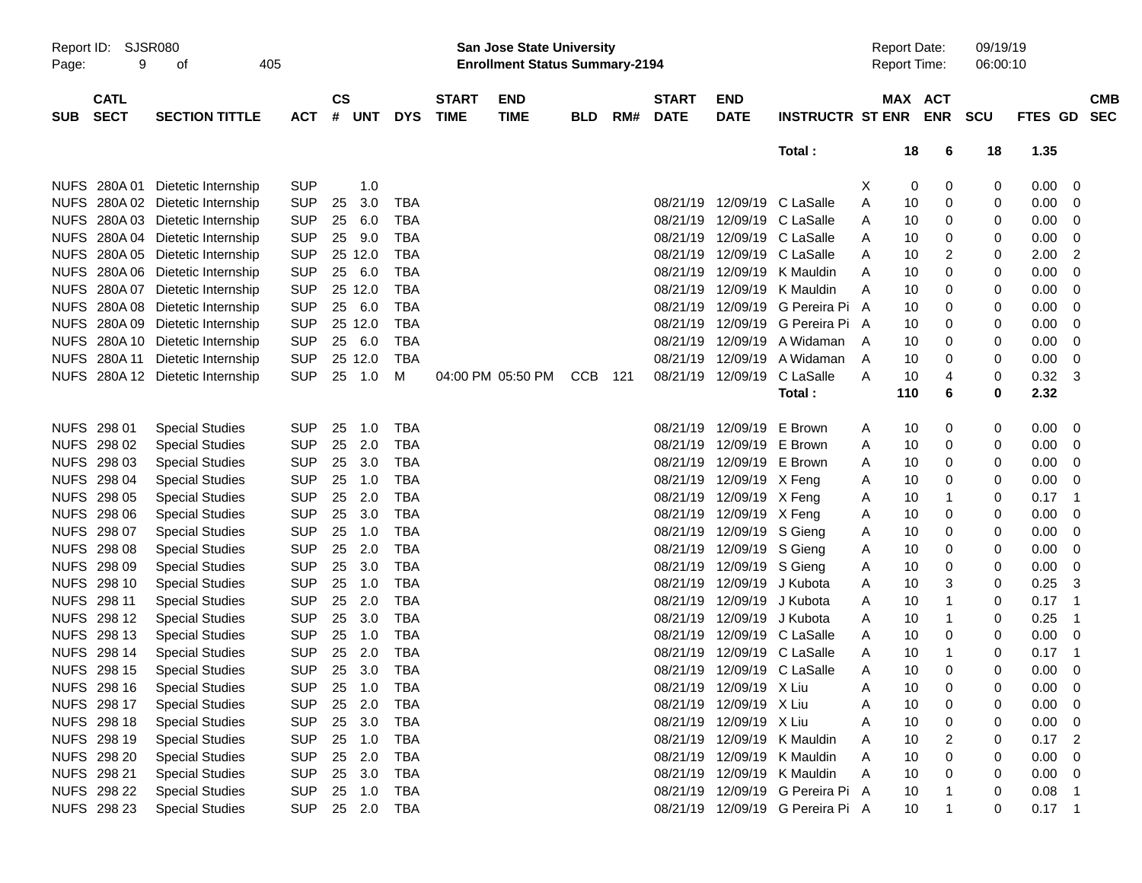|                     |                            |                                  |            |                           |            |                             |                                                                           | <b>Preliminary Census</b> |     |                             |                           |                                  |   |                     |                       |                      |                |                            |                          |
|---------------------|----------------------------|----------------------------------|------------|---------------------------|------------|-----------------------------|---------------------------------------------------------------------------|---------------------------|-----|-----------------------------|---------------------------|----------------------------------|---|---------------------|-----------------------|----------------------|----------------|----------------------------|--------------------------|
| Report ID:<br>Page: | <b>SJSR080</b><br>9        | 405<br>οf                        |            |                           |            |                             | <b>San Jose State University</b><br><b>Enrollment Status Summary-2194</b> |                           |     |                             |                           |                                  |   | <b>Report Date:</b> | Report Time:          | 09/19/19<br>06:00:10 |                |                            |                          |
| <b>SUB</b>          | <b>CATL</b><br><b>SECT</b> | <b>SECTION TITTLE</b>            | <b>ACT</b> | $\mathsf{cs}$<br>#<br>UNT | <b>DYS</b> | <b>START</b><br><b>TIME</b> | <b>END</b><br><b>TIME</b>                                                 | <b>BLD</b>                | RM# | <b>START</b><br><b>DATE</b> | <b>END</b><br><b>DATE</b> | <b>INSTRUCTR ST ENR</b>          |   |                     | MAX ACT<br><b>ENR</b> | <b>SCU</b>           | <b>FTES GD</b> |                            | <b>CMB</b><br><b>SEC</b> |
|                     |                            |                                  |            |                           |            |                             |                                                                           |                           |     |                             |                           | Total:                           |   | 18                  | 6                     | 18                   | 1.35           |                            |                          |
|                     | NUFS 280A 01               | Dietetic Internship              | <b>SUP</b> | 1.0                       |            |                             |                                                                           |                           |     |                             |                           |                                  | X | 0                   | 0                     | 0                    | 0.00           | 0                          |                          |
| <b>NUFS</b>         | 280A 02                    | Dietetic Internship              | <b>SUP</b> | 3.0<br>25                 | <b>TBA</b> |                             |                                                                           |                           |     | 08/21/19                    | 12/09/19                  | C LaSalle                        | A | 10                  | 0                     | 0                    | 0.00           | 0                          |                          |
| <b>NUFS</b>         | 280A03                     | Dietetic Internship              | <b>SUP</b> | 6.0<br>25                 | TBA        |                             |                                                                           |                           |     | 08/21/19                    | 12/09/19                  | C LaSalle                        | A | 10                  | 0                     | 0                    | 0.00           | 0                          |                          |
| <b>NUFS</b>         | 280A 04                    | Dietetic Internship              | <b>SUP</b> | 9.0<br>25                 | <b>TBA</b> |                             |                                                                           |                           |     | 08/21/19                    | 12/09/19                  | C LaSalle                        | A | 10                  | 0                     | 0                    | 0.00           | 0                          |                          |
| <b>NUFS</b>         | 280A 05                    | Dietetic Internship              | <b>SUP</b> | 25 12.0                   | <b>TBA</b> |                             |                                                                           |                           |     | 08/21/19                    | 12/09/19                  | C LaSalle                        | A | 10                  | 2                     | 0                    | 2.00           | 2                          |                          |
| <b>NUFS</b>         | 280A 06                    | Dietetic Internship              | <b>SUP</b> | 6.0<br>25                 | <b>TBA</b> |                             |                                                                           |                           |     | 08/21/19                    | 12/09/19                  | K Mauldin                        | A | 10                  | 0                     | 0                    | 0.00           | 0                          |                          |
| <b>NUFS</b>         | 280A 07                    | Dietetic Internship              | <b>SUP</b> | 25 12.0                   | TBA        |                             |                                                                           |                           |     | 08/21/19                    | 12/09/19                  | K Mauldin                        | A | 10                  | 0                     | 0                    | 0.00           | 0                          |                          |
| <b>NUFS</b>         | 280A 08                    | Dietetic Internship              | <b>SUP</b> | 6.0<br>25                 | <b>TBA</b> |                             |                                                                           |                           |     | 08/21/19                    | 12/09/19                  | G Pereira Pi                     | A | 10                  | 0                     | 0                    | 0.00           | 0                          |                          |
| <b>NUFS</b>         | 280A 09                    | Dietetic Internship              | <b>SUP</b> | 25 12.0                   | <b>TBA</b> |                             |                                                                           |                           |     | 08/21/19                    | 12/09/19                  | G Pereira Pi A                   |   | 10                  | 0                     | 0                    | 0.00           | 0                          |                          |
| <b>NUFS</b>         | 280A 10                    | Dietetic Internship              | <b>SUP</b> | 6.0<br>25                 | <b>TBA</b> |                             |                                                                           |                           |     | 08/21/19                    | 12/09/19                  | A Widaman                        | A | 10                  | 0                     | 0                    | 0.00           | 0                          |                          |
| <b>NUFS</b>         | 280A 11                    | Dietetic Internship              | <b>SUP</b> | 25 12.0                   | <b>TBA</b> |                             |                                                                           |                           |     | 08/21/19                    | 12/09/19                  | A Widaman                        | A | 10                  | 0                     | 0                    | 0.00           | 0                          |                          |
|                     |                            | NUFS 280A 12 Dietetic Internship | <b>SUP</b> | 25<br>1.0                 | м          |                             | 04:00 PM 05:50 PM                                                         | <b>CCB</b>                | 121 | 08/21/19                    | 12/09/19                  | C LaSalle                        | A | 10                  | 4                     | 0                    | 0.32           | -3                         |                          |
|                     |                            |                                  |            |                           |            |                             |                                                                           |                           |     |                             |                           | Total:                           |   | 110                 | 6                     | 0                    | 2.32           |                            |                          |
|                     |                            |                                  |            |                           |            |                             |                                                                           |                           |     |                             |                           |                                  |   |                     |                       |                      |                |                            |                          |
|                     | NUFS 298 01                | <b>Special Studies</b>           | <b>SUP</b> | 25<br>1.0                 | <b>TBA</b> |                             |                                                                           |                           |     | 08/21/19                    | 12/09/19                  | E Brown                          | A | 10                  | 0                     | 0                    | 0.00           | 0                          |                          |
|                     | NUFS 298 02                | <b>Special Studies</b>           | <b>SUP</b> | 25<br>2.0                 | <b>TBA</b> |                             |                                                                           |                           |     | 08/21/19                    | 12/09/19                  | E Brown                          | A | 10                  | 0                     | 0                    | 0.00           | 0                          |                          |
|                     | NUFS 298 03                | <b>Special Studies</b>           | <b>SUP</b> | 3.0<br>25                 | <b>TBA</b> |                             |                                                                           |                           |     | 08/21/19                    | 12/09/19                  | E Brown                          | A | 10                  | 0                     | 0                    | 0.00           | 0                          |                          |
|                     | NUFS 298 04                | <b>Special Studies</b>           | <b>SUP</b> | 25<br>1.0                 | <b>TBA</b> |                             |                                                                           |                           |     | 08/21/19                    | 12/09/19                  | X Feng                           | A | 10                  | 0                     | 0                    | 0.00           | 0                          |                          |
|                     | NUFS 298 05                | <b>Special Studies</b>           | <b>SUP</b> | 2.0<br>25                 | <b>TBA</b> |                             |                                                                           |                           |     | 08/21/19                    | 12/09/19 X Feng           |                                  | A | 10                  | 1                     | 0                    | 0.17           | -1                         |                          |
|                     | NUFS 298 06                | <b>Special Studies</b>           | <b>SUP</b> | 3.0<br>25                 | <b>TBA</b> |                             |                                                                           |                           |     | 08/21/19                    | 12/09/19 X Feng           |                                  | A | 10                  | 0                     | 0                    | 0.00           | 0                          |                          |
|                     | NUFS 298 07                | <b>Special Studies</b>           | <b>SUP</b> | 25<br>1.0                 | <b>TBA</b> |                             |                                                                           |                           |     | 08/21/19                    | 12/09/19                  | S Gieng                          | A | 10                  | 0                     | 0                    | 0.00           | 0                          |                          |
|                     | <b>NUFS 298 08</b>         | <b>Special Studies</b>           | <b>SUP</b> | 2.0<br>25                 | <b>TBA</b> |                             |                                                                           |                           |     | 08/21/19                    | 12/09/19                  | S Gieng                          | A | 10                  | 0                     | 0                    | 0.00           | 0                          |                          |
|                     | <b>NUFS 298 09</b>         | <b>Special Studies</b>           | <b>SUP</b> | 3.0<br>25                 | <b>TBA</b> |                             |                                                                           |                           |     | 08/21/19                    | 12/09/19                  | S Gieng                          | A | 10                  | 0                     | 0                    | 0.00           | 0                          |                          |
|                     | NUFS 298 10                | <b>Special Studies</b>           | <b>SUP</b> | 25<br>1.0                 | <b>TBA</b> |                             |                                                                           |                           |     | 08/21/19                    | 12/09/19                  | J Kubota                         | A | 10                  | 3                     | 0                    | 0.25           | 3                          |                          |
|                     | NUFS 298 11                | <b>Special Studies</b>           | <b>SUP</b> | 2.0<br>25                 | <b>TBA</b> |                             |                                                                           |                           |     | 08/21/19                    | 12/09/19                  | J Kubota                         | A | 10                  | 1                     | 0                    | 0.17           | -1                         |                          |
|                     | NUFS 298 12                | <b>Special Studies</b>           | <b>SUP</b> | 3.0<br>25                 | <b>TBA</b> |                             |                                                                           |                           |     | 08/21/19                    | 12/09/19                  | J Kubota                         | A | 10                  | 1                     | 0                    | 0.25           | -1                         |                          |
|                     | NUFS 298 13                | <b>Special Studies</b>           | <b>SUP</b> | 25<br>1.0                 | <b>TBA</b> |                             |                                                                           |                           |     | 08/21/19                    | 12/09/19                  | C LaSalle                        | A | 10                  | 0                     | 0                    | 0.00           | 0                          |                          |
|                     | NUFS 298 14                | <b>Special Studies</b>           | <b>SUP</b> | 2.0<br>25                 | <b>TBA</b> |                             |                                                                           |                           |     |                             |                           | 08/21/19 12/09/19 C LaSalle      | A | 10                  |                       | 0                    | 0.17           | $\overline{1}$             |                          |
|                     | NUFS 298 15                | <b>Special Studies</b>           | <b>SUP</b> | 25<br>3.0                 | <b>TBA</b> |                             |                                                                           |                           |     |                             |                           | 08/21/19 12/09/19 C LaSalle      | A | 10                  | 0                     | 0                    | 0.00           | 0                          |                          |
|                     | NUFS 298 16                | <b>Special Studies</b>           | <b>SUP</b> | 25<br>1.0                 | <b>TBA</b> |                             |                                                                           |                           |     |                             | 08/21/19 12/09/19 X Liu   |                                  | A | 10                  | 0                     | 0                    | 0.00           | 0                          |                          |
|                     | NUFS 298 17                | <b>Special Studies</b>           | <b>SUP</b> | 2.0<br>25                 | <b>TBA</b> |                             |                                                                           |                           |     |                             | 08/21/19 12/09/19 X Liu   |                                  | A | 10                  | 0                     | 0                    | 0.00           | -0                         |                          |
|                     | NUFS 298 18                | <b>Special Studies</b>           | <b>SUP</b> | 3.0<br>25                 | TBA        |                             |                                                                           |                           |     |                             | 08/21/19 12/09/19 X Liu   |                                  | A | 10                  | 0                     | 0                    | 0.00           | 0                          |                          |
|                     | NUFS 298 19                | <b>Special Studies</b>           | <b>SUP</b> | 25<br>1.0                 | TBA        |                             |                                                                           |                           |     |                             | 08/21/19 12/09/19         | K Mauldin                        | Α | 10                  | 2                     | 0                    | 0.17           | $\overline{\phantom{0}}^2$ |                          |
|                     | NUFS 298 20                | <b>Special Studies</b>           | <b>SUP</b> | 2.0<br>25                 | TBA        |                             |                                                                           |                           |     |                             | 08/21/19 12/09/19         | K Mauldin                        | A | 10                  | 0                     | 0                    | 0.00           | 0                          |                          |
|                     | NUFS 298 21                | <b>Special Studies</b>           | <b>SUP</b> | 3.0<br>25                 | TBA        |                             |                                                                           |                           |     |                             | 08/21/19 12/09/19         | K Mauldin                        | A | 10                  | 0                     | 0                    | 0.00           | -0                         |                          |
|                     | <b>NUFS 298 22</b>         | <b>Special Studies</b>           | <b>SUP</b> | 25<br>1.0                 | TBA        |                             |                                                                           |                           |     |                             |                           | 08/21/19 12/09/19 G Pereira Pi A |   | 10                  |                       | 0                    | 0.08           | $\overline{1}$             |                          |
|                     | NUFS 298 23                | <b>Special Studies</b>           | <b>SUP</b> | 25 2.0                    | <b>TBA</b> |                             |                                                                           |                           |     |                             |                           | 08/21/19 12/09/19 G Pereira Pi A |   | 10                  |                       | 0                    | $0.17$ 1       |                            |                          |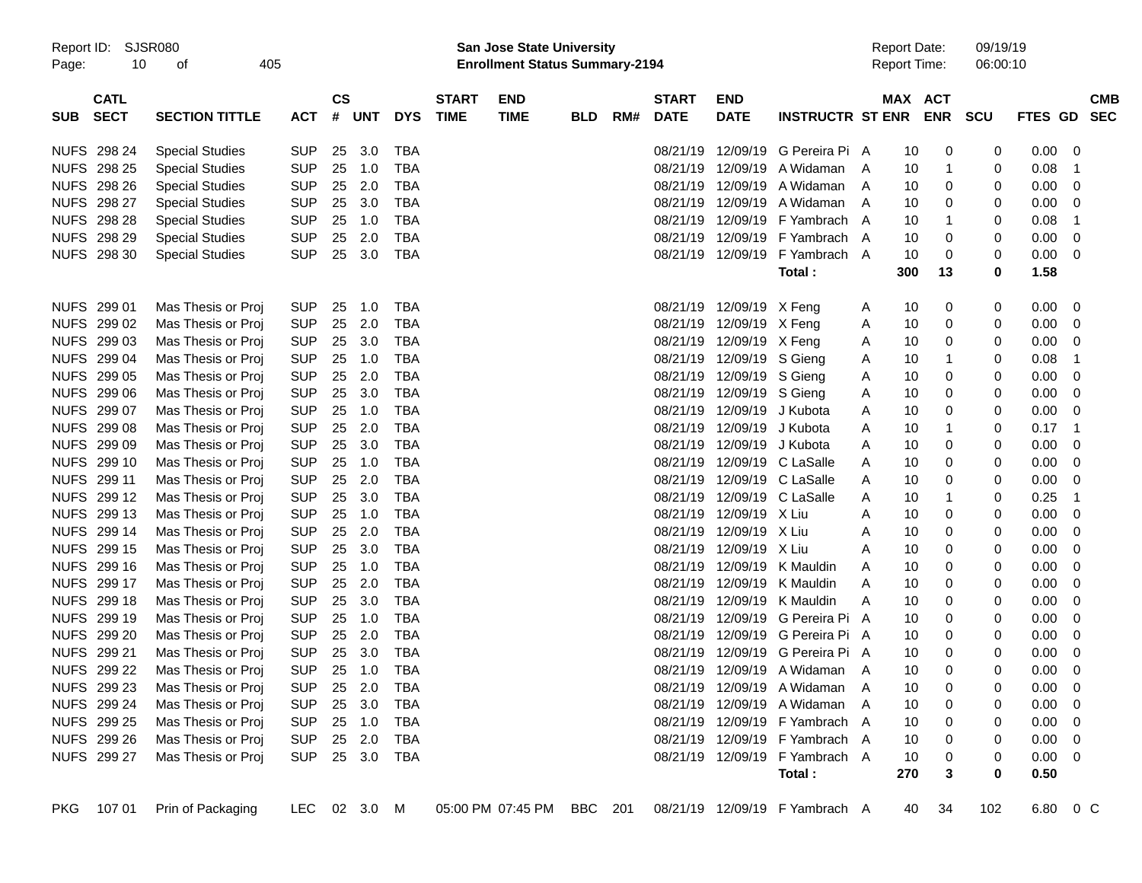|  | <b>Preliminary Census</b> |
|--|---------------------------|
|  |                           |

| Page:      | Report ID: SJSR080<br>10   | 405                                                                                                      |                |                             |            |                | <u>i ieiliiliilai yveit</u> sus<br>San Jose State University<br><b>Enrollment Status Summary-2194</b> |                           |            |     |                             |                           |                                | <b>Report Date:</b><br><b>Report Time:</b> |         | 09/19/19<br>06:00:10    |            |                |                         |                          |
|------------|----------------------------|----------------------------------------------------------------------------------------------------------|----------------|-----------------------------|------------|----------------|-------------------------------------------------------------------------------------------------------|---------------------------|------------|-----|-----------------------------|---------------------------|--------------------------------|--------------------------------------------|---------|-------------------------|------------|----------------|-------------------------|--------------------------|
| <b>SUB</b> | <b>CATL</b><br><b>SECT</b> | <b>SECTION TITTLE</b>                                                                                    | ACT            | $\mathbf{c}\mathbf{s}$<br># | <b>UNT</b> | <b>DYS</b>     | <b>START</b><br><b>TIME</b>                                                                           | <b>END</b><br><b>TIME</b> | <b>BLD</b> | RM# | <b>START</b><br><b>DATE</b> | <b>END</b><br><b>DATE</b> | <b>INSTRUCTR ST ENR</b>        |                                            | MAX ACT | <b>ENR</b>              | <b>SCU</b> | FTES GD        |                         | <b>CMB</b><br><b>SEC</b> |
|            | <b>NUFS 298 24</b>         | <b>Special Studies</b>                                                                                   | <b>SUP</b>     | 25                          | 3.0        | TBA            |                                                                                                       |                           |            |     | 08/21/19                    | 12/09/19                  | G Pereira Pi A                 |                                            | 10      | 0                       | 0          | 0.00           | $\overline{\mathbf{0}}$ |                          |
|            | NUFS 298 25                | <b>Special Studies</b>                                                                                   | <b>SUP</b>     | 25                          | 1.0        | TBA            |                                                                                                       |                           |            |     | 08/21/19                    | 12/09/19                  | A Widaman                      | A                                          | 10      | -1                      | 0          | 0.08           | -1                      |                          |
|            | NUFS 298 26                | <b>Special Studies</b>                                                                                   | <b>SUP</b>     | 25                          | 2.0        | TBA            |                                                                                                       |                           |            |     | 08/21/19                    | 12/09/19                  | A Widaman                      | A                                          | 10      | 0                       | 0          | 0.00           | - 0                     |                          |
|            | NUFS 298 27                | <b>Special Studies</b>                                                                                   | <b>SUP</b>     | 25                          | 3.0        | TBA            |                                                                                                       |                           |            |     | 08/21/19                    | 12/09/19                  | A Widaman                      | A                                          | 10      | 0                       | 0          | 0.00           | - 0                     |                          |
|            | NUFS 298 28                | <b>Special Studies</b>                                                                                   | <b>SUP</b>     | 25                          | 1.0        | TBA            |                                                                                                       |                           |            |     | 08/21/19                    | 12/09/19                  | F Yambrach                     | $\overline{A}$                             | 10      |                         | 0          | 0.08           | -1                      |                          |
|            | NUFS 298 29                | <b>Special Studies</b>                                                                                   | <b>SUP</b>     | 25                          | 2.0        | TBA            |                                                                                                       |                           |            |     | 08/21/19                    | 12/09/19                  | F Yambrach                     | A                                          | 10      | 0                       | 0          | 0.00           | - 0                     |                          |
|            | NUFS 298 30                | <b>Special Studies</b>                                                                                   | <b>SUP</b>     | 25                          | 3.0        | TBA            |                                                                                                       |                           |            |     | 08/21/19                    | 12/09/19                  | F Yambrach A                   |                                            | 10      | 0                       | 0          | 0.00           | - 0                     |                          |
|            |                            |                                                                                                          |                |                             |            |                |                                                                                                       |                           |            |     |                             |                           | Total:                         |                                            | 300     | 13                      | 0          | 1.58           |                         |                          |
|            | NUFS 299 01                | Mas Thesis or Proj                                                                                       | <b>SUP</b>     | 25                          | 1.0        | TBA            |                                                                                                       |                           |            |     | 08/21/19                    | 12/09/19 X Feng           |                                | A                                          | 10      | 0                       | 0          | 0.00           | $\overline{\mathbf{0}}$ |                          |
|            | NUFS 299 02                | Mas Thesis or Proj                                                                                       | <b>SUP</b>     | 25                          | 2.0        | TBA            |                                                                                                       |                           |            |     | 08/21/19                    | 12/09/19 X Feng           |                                | Α                                          | 10      | 0                       | 0          | 0.00           | - 0                     |                          |
|            | NUFS 299 03                | Mas Thesis or Proj                                                                                       | <b>SUP</b>     | 25                          | 3.0        | TBA            |                                                                                                       |                           |            |     | 08/21/19                    | 12/09/19 X Feng           |                                | Α                                          | 10      | 0                       | 0          | 0.00           | - 0                     |                          |
|            | NUFS 299 04                | Mas Thesis or Proj                                                                                       | <b>SUP</b>     | 25                          | 1.0        | TBA            |                                                                                                       |                           |            |     | 08/21/19                    | 12/09/19 S Gieng          |                                | Α                                          | 10      |                         | 0          | 0.08           | -1                      |                          |
|            | NUFS 299 05                | Mas Thesis or Proj                                                                                       | <b>SUP</b>     | 25                          | 2.0        | TBA            |                                                                                                       |                           |            |     | 08/21/19                    | 12/09/19 S Gieng          |                                |                                            | 10      | 0                       | 0          | 0.00           | - 0                     |                          |
|            | NUFS 299 06                | Mas Thesis or Proj                                                                                       | <b>SUP</b>     | 25                          | 3.0        | TBA            |                                                                                                       |                           |            |     | 08/21/19                    | 12/09/19 S Gieng          |                                | Α                                          | 10      | 0                       | 0          | 0.00           | - 0                     |                          |
|            | NUFS 299 07                | Mas Thesis or Proj                                                                                       | <b>SUP</b>     | 25                          | 1.0        | TBA            |                                                                                                       |                           |            |     | 08/21/19                    | 12/09/19                  | J Kubota                       | Α                                          | 10      | 0                       | 0          | 0.00           | - 0                     |                          |
|            | NUFS 299 08                | Mas Thesis or Proj                                                                                       | <b>SUP</b>     | 25                          | 2.0        | TBA            |                                                                                                       |                           |            |     | 08/21/19                    | 12/09/19                  | J Kubota                       | Α                                          | 10      |                         | 0          | 0.17           | - 1                     |                          |
|            | NUFS 299 09                | Mas Thesis or Proj                                                                                       | <b>SUP</b>     | 25                          | 3.0        | TBA            |                                                                                                       |                           |            |     | 08/21/19                    | 12/09/19 J Kubota         |                                | Α                                          | 10      | 0                       | 0          | 0.00           | - 0                     |                          |
|            | NUFS 299 10                |                                                                                                          | <b>SUP</b>     |                             | 1.0        | TBA            |                                                                                                       |                           |            |     | 08/21/19                    |                           | 12/09/19 C LaSalle             | Α                                          |         |                         | 0          | 0.00           |                         |                          |
|            | NUFS 299 11                | Mas Thesis or Proj                                                                                       | <b>SUP</b>     | 25                          |            | TBA            |                                                                                                       |                           |            |     | 08/21/19                    |                           | 12/09/19 C LaSalle             | A                                          | 10      | 0                       |            | 0.00           | - 0                     |                          |
|            |                            | Mas Thesis or Proj                                                                                       |                | 25                          | 2.0        |                |                                                                                                       |                           |            |     |                             |                           |                                | Α                                          | 10      | 0                       | 0          |                | - 0                     |                          |
|            | NUFS 299 12                | Mas Thesis or Proj                                                                                       | <b>SUP</b>     | 25                          | 3.0        | TBA            |                                                                                                       |                           |            |     | 08/21/19                    |                           | 12/09/19 C LaSalle             | Α                                          | 10      |                         | 0          | 0.25           | -1                      |                          |
|            | NUFS 299 13                | Mas Thesis or Proj                                                                                       | <b>SUP</b>     | 25                          | 1.0        | TBA            |                                                                                                       |                           |            |     | 08/21/19                    | 12/09/19 X Liu            |                                | A                                          | 10      | 0                       | 0          | 0.00           | - 0                     |                          |
|            | NUFS 299 14                | Mas Thesis or Proj                                                                                       | <b>SUP</b>     | 25                          | 2.0        | TBA            |                                                                                                       |                           |            |     | 08/21/19                    | 12/09/19 X Liu            |                                | Α                                          | 10      | 0                       | 0          | 0.00           | - 0                     |                          |
|            | NUFS 299 15                | Mas Thesis or Proj                                                                                       | <b>SUP</b>     | 25                          | 3.0        | TBA            |                                                                                                       |                           |            |     | 08/21/19                    | 12/09/19 X Liu            |                                | A                                          | 10      | 0                       | 0          | 0.00           | - 0                     |                          |
|            | NUFS 299 16                | Mas Thesis or Proj                                                                                       | <b>SUP</b>     | 25                          | 1.0        | TBA            |                                                                                                       |                           |            |     | 08/21/19                    | 12/09/19                  | K Mauldin                      | A                                          | 10      | 0                       | 0          | 0.00           | 0                       |                          |
|            | NUFS 299 17                | Mas Thesis or Proj                                                                                       | <b>SUP</b>     | 25                          | 2.0        | TBA            |                                                                                                       |                           |            |     | 08/21/19                    | 12/09/19                  | K Mauldin                      | A                                          | 10      | 0                       | 0          | 0.00           | - 0                     |                          |
|            | NUFS 299 18                | Mas Thesis or Proj                                                                                       | <b>SUP</b>     | 25                          | 3.0        | TBA            |                                                                                                       |                           |            |     | 08/21/19                    | 12/09/19                  | K Mauldin                      | Α                                          | 10      | 0                       | 0          | 0.00           | 0                       |                          |
|            | NUFS 299 19                | Mas Thesis or Proj                                                                                       | <b>SUP</b>     | 25                          | 1.0        | TBA            |                                                                                                       |                           |            |     | 08/21/19                    | 12/09/19                  | G Pereira Pi                   | A                                          | 10      | 0                       | 0          | 0.00           | 0                       |                          |
|            | NUFS 299 20                | Mas Thesis or Proj                                                                                       | <b>SUP</b>     | 25                          | 2.0        | TBA            |                                                                                                       |                           |            |     | 08/21/19                    | 12/09/19                  | G Pereira Pi A                 |                                            | 10      | 0                       | 0          | 0.00           | 0                       |                          |
|            | NUFS 299 21                | Mas Thesis or Proj                                                                                       | <b>SUP</b>     | 25                          | 3.0        | TBA            |                                                                                                       |                           |            |     | 08/21/19                    | 12/09/19                  | G Pereira Pi A                 |                                            | 10      | 0                       | 0          | 0.00           | 0                       |                          |
|            | NUFS 299 22                | Mas Thesis or Proj                                                                                       | <b>SUP</b>     |                             | 25 1.0     | TBA            |                                                                                                       |                           |            |     |                             |                           | 08/21/19 12/09/19 A Widaman A  |                                            | 10      | 0                       | 0          | 0.00           | -0                      |                          |
|            | NUFS 299 23                | Mas Thesis or Proj                                                                                       | SUP 25 2.0 TBA |                             |            |                |                                                                                                       |                           |            |     |                             |                           | 08/21/19 12/09/19 A Widaman A  |                                            | 10      | 0                       | 0          | $0.00 \quad 0$ |                         |                          |
|            | NUFS 299 24                | Mas Thesis or Proj                                                                                       | SUP 25 3.0 TBA |                             |            |                |                                                                                                       |                           |            |     |                             |                           | 08/21/19 12/09/19 A Widaman A  |                                            | 10      | $\overline{0}$          | 0          | $0.00 \t 0$    |                         |                          |
|            | NUFS 299 25                | Mas Thesis or Proj                                                                                       | SUP 25 1.0 TBA |                             |            |                |                                                                                                       |                           |            |     |                             |                           | 08/21/19 12/09/19 F Yambrach A |                                            | 10      | $\overline{\mathbf{0}}$ | 0          | $0.00 \t 0$    |                         |                          |
|            | NUFS 299 26                | Mas Thesis or Proj                                                                                       | SUP 25 2.0 TBA |                             |            |                |                                                                                                       |                           |            |     |                             |                           | 08/21/19 12/09/19 F Yambrach A |                                            | 10      | $\overline{\mathbf{0}}$ | 0          | $0.00 \t 0$    |                         |                          |
|            | NUFS 299 27                | Mas Thesis or Proj                                                                                       |                |                             |            | SUP 25 3.0 TBA |                                                                                                       |                           |            |     |                             |                           | 08/21/19 12/09/19 F Yambrach A |                                            | 10      | $\overline{\mathbf{0}}$ | 0          | $0.00 \quad 0$ |                         |                          |
|            |                            |                                                                                                          |                |                             |            |                |                                                                                                       |                           |            |     |                             |                           | Total:                         |                                            | 270     | 3                       | 0          | 0.50           |                         |                          |
|            |                            | PKG 107 01 Prin of Packaging LEC 02 3.0 M 05:00 PM 07:45 PM BBC 201 08/21/19 12/09/19 F Yambrach A 40 34 |                |                             |            |                |                                                                                                       |                           |            |     |                             |                           |                                |                                            |         |                         | 102        | 6.80 0 C       |                         |                          |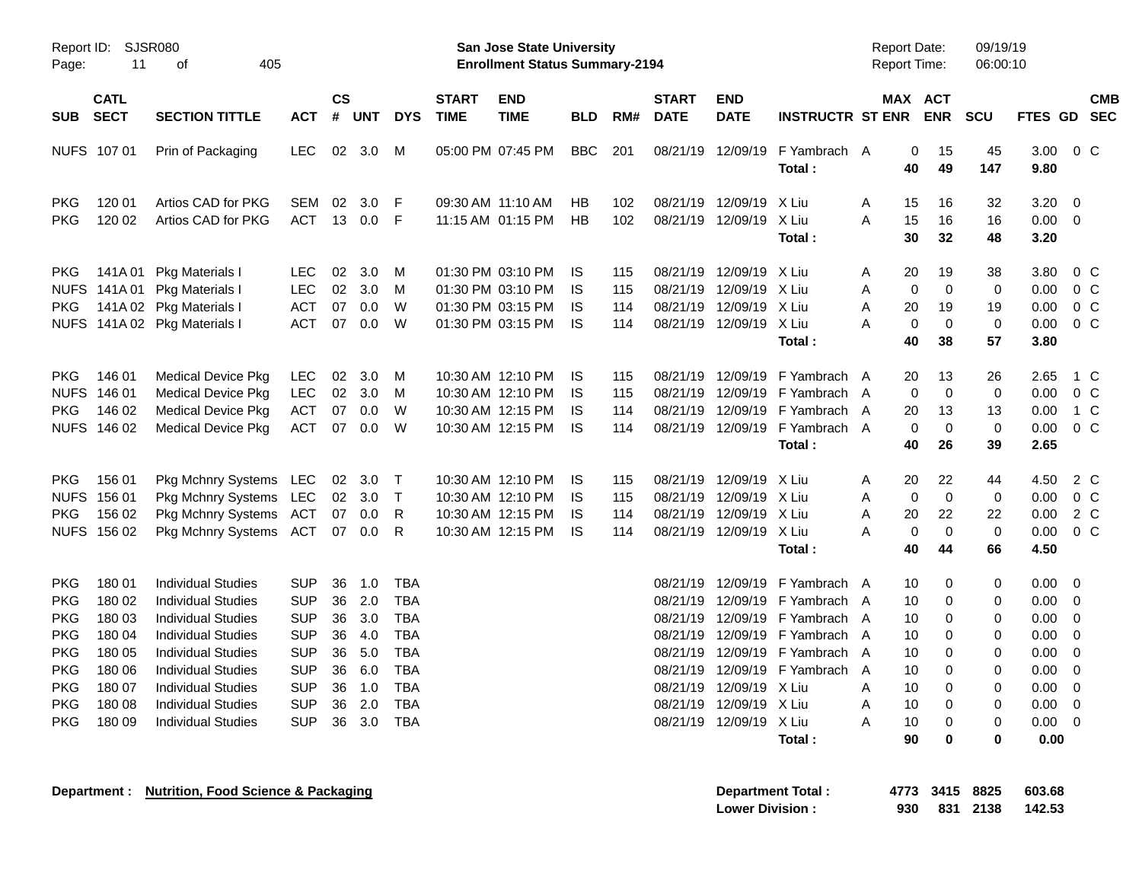|                                                                                                                            |                                                                                        |                                                                                                                                                                                                                                                                   |                                                                                                                            |                                                |                                                         |                                                                                                       |                             | <b>Preliminary Census</b>                                                        |                        |                          |                                              |                                                                                                 |                                                                                                                                                                      |                                                                                                             |                                                                            |                                              |                                                                                                                 |                                                                                       |            |
|----------------------------------------------------------------------------------------------------------------------------|----------------------------------------------------------------------------------------|-------------------------------------------------------------------------------------------------------------------------------------------------------------------------------------------------------------------------------------------------------------------|----------------------------------------------------------------------------------------------------------------------------|------------------------------------------------|---------------------------------------------------------|-------------------------------------------------------------------------------------------------------|-----------------------------|----------------------------------------------------------------------------------|------------------------|--------------------------|----------------------------------------------|-------------------------------------------------------------------------------------------------|----------------------------------------------------------------------------------------------------------------------------------------------------------------------|-------------------------------------------------------------------------------------------------------------|----------------------------------------------------------------------------|----------------------------------------------|-----------------------------------------------------------------------------------------------------------------|---------------------------------------------------------------------------------------|------------|
| Report ID:<br>Page:                                                                                                        | 11                                                                                     | SJSR080<br>405<br>οf                                                                                                                                                                                                                                              |                                                                                                                            |                                                |                                                         |                                                                                                       |                             | <b>San Jose State University</b><br><b>Enrollment Status Summary-2194</b>        |                        |                          |                                              |                                                                                                 |                                                                                                                                                                      | <b>Report Date:</b><br><b>Report Time:</b>                                                                  |                                                                            | 09/19/19<br>06:00:10                         |                                                                                                                 |                                                                                       |            |
| <b>SUB</b>                                                                                                                 | <b>CATL</b><br><b>SECT</b>                                                             | <b>SECTION TITTLE</b>                                                                                                                                                                                                                                             | <b>ACT</b>                                                                                                                 | $\mathsf{cs}$<br>#                             | UNT                                                     | <b>DYS</b>                                                                                            | <b>START</b><br><b>TIME</b> | <b>END</b><br><b>TIME</b>                                                        | <b>BLD</b>             | RM#                      | <b>START</b><br><b>DATE</b>                  | <b>END</b><br><b>DATE</b>                                                                       | <b>INSTRUCTR ST ENR</b>                                                                                                                                              |                                                                                                             | MAX ACT<br><b>ENR</b>                                                      | <b>SCU</b>                                   | FTES GD SEC                                                                                                     |                                                                                       | <b>CMB</b> |
| NUFS 107 01                                                                                                                |                                                                                        | Prin of Packaging                                                                                                                                                                                                                                                 | <b>LEC</b>                                                                                                                 | 02 <sub>o</sub>                                | 3.0                                                     | M                                                                                                     |                             | 05:00 PM 07:45 PM                                                                | <b>BBC</b>             | 201                      |                                              | 08/21/19 12/09/19                                                                               | F Yambrach A<br>Total:                                                                                                                                               | 40                                                                                                          | 15<br>0<br>49                                                              | 45<br>147                                    | 3.00<br>9.80                                                                                                    | $0\,$ C                                                                               |            |
| <b>PKG</b><br><b>PKG</b>                                                                                                   | 120 01<br>120 02                                                                       | Artios CAD for PKG<br>Artios CAD for PKG                                                                                                                                                                                                                          | SEM<br><b>ACT</b>                                                                                                          | 02<br>13                                       | 3.0<br>0.0                                              | - F<br>$-F$                                                                                           |                             | 09:30 AM 11:10 AM<br>11:15 AM 01:15 PM                                           | <b>HB</b><br><b>HB</b> | 102<br>102               |                                              | 08/21/19 12/09/19 X Liu<br>08/21/19 12/09/19 X Liu                                              | Total:                                                                                                                                                               | 15<br>A<br>15<br>A<br>30                                                                                    | 16<br>16<br>32                                                             | 32<br>16<br>48                               | $3.20 \ 0$<br>$0.00 \t 0$<br>3.20                                                                               |                                                                                       |            |
| <b>PKG</b><br><b>NUFS</b><br><b>PKG</b>                                                                                    | 141A 01<br>141A 01<br>141A 02<br>NUFS 141A02                                           | Pkg Materials I<br>Pkg Materials I<br>Pkg Materials I<br><b>Pkg Materials I</b>                                                                                                                                                                                   | <b>LEC</b><br><b>LEC</b><br><b>ACT</b><br><b>ACT</b>                                                                       | 02<br>02<br>07<br>07                           | 3.0<br>3.0<br>0.0<br>0.0                                | M<br>M<br>W<br>W                                                                                      |                             | 01:30 PM 03:10 PM<br>01:30 PM 03:10 PM<br>01:30 PM 03:15 PM<br>01:30 PM 03:15 PM | IS<br>IS<br>IS<br>IS   | 115<br>115<br>114<br>114 | 08/21/19                                     | 08/21/19 12/09/19 X Liu<br>12/09/19 X Liu<br>08/21/19 12/09/19 X Liu<br>08/21/19 12/09/19 X Liu | Total:                                                                                                                                                               | 20<br>A<br>Α<br>A<br>20<br>A<br>40                                                                          | 19<br>$\mathbf 0$<br>$\mathbf 0$<br>19<br>$\mathbf 0$<br>$\mathbf 0$<br>38 | 38<br>0<br>19<br>$\mathbf 0$<br>57           | 3.80<br>0.00<br>0.00<br>0.00<br>3.80                                                                            | $0\,$ C<br>$0\,$ C<br>0 <sup>o</sup><br>0 <sup>o</sup>                                |            |
| <b>PKG</b><br><b>NUFS</b><br><b>PKG</b>                                                                                    | 146 01<br>146 01<br>146 02<br>NUFS 146 02                                              | <b>Medical Device Pkg</b><br><b>Medical Device Pkg</b><br><b>Medical Device Pkg</b><br><b>Medical Device Pkg</b>                                                                                                                                                  | <b>LEC</b><br><b>LEC</b><br><b>ACT</b><br><b>ACT</b>                                                                       | 02<br>02<br>07<br>07                           | 3.0<br>3.0<br>0.0<br>0.0                                | M<br>М<br>W<br>W                                                                                      |                             | 10:30 AM 12:10 PM<br>10:30 AM 12:10 PM<br>10:30 AM 12:15 PM<br>10:30 AM 12:15 PM | IS<br>IS<br>IS<br>IS   | 115<br>115<br>114<br>114 | 08/21/19                                     |                                                                                                 | 08/21/19 12/09/19 F Yambrach<br>12/09/19 F Yambrach<br>08/21/19 12/09/19 F Yambrach<br>08/21/19 12/09/19 F Yambrach A<br>Total:                                      | 20<br>A<br>A<br>20<br>A<br>40                                                                               | 13<br>$\Omega$<br>$\mathbf 0$<br>13<br>$\mathbf 0$<br>$\mathbf 0$<br>26    | 26<br>$\mathbf 0$<br>13<br>$\mathbf 0$<br>39 | 2.65<br>0.00<br>0.00<br>0.00<br>2.65                                                                            | 1 C<br>$0\,$ C<br>1 C<br>0 <sup>o</sup>                                               |            |
| <b>PKG</b><br><b>NUFS</b><br><b>PKG</b>                                                                                    | 156 01<br>156 01<br>156 02<br>NUFS 156 02                                              | Pkg Mchnry Systems LEC<br>Pkg Mchnry Systems LEC<br>Pkg Mchnry Systems ACT<br>Pkg Mchnry Systems ACT                                                                                                                                                              |                                                                                                                            | 02 <sub>o</sub><br>02 <sub>2</sub><br>07<br>07 | 3.0<br>3.0<br>0.0<br>0.0                                | $\top$<br>$\top$<br>R<br>R                                                                            |                             | 10:30 AM 12:10 PM<br>10:30 AM 12:10 PM<br>10:30 AM 12:15 PM<br>10:30 AM 12:15 PM | IS.<br>IS<br>IS<br>IS. | 115<br>115<br>114<br>114 | 08/21/19<br>08/21/19                         | 08/21/19 12/09/19 X Liu<br>12/09/19 X Liu<br>12/09/19 X Liu<br>08/21/19 12/09/19 X Liu          | Total:                                                                                                                                                               | 20<br>A<br>Α<br>20<br>Α<br>A<br>40                                                                          | 22<br>$\mathbf 0$<br>$\mathbf 0$<br>22<br>$\mathbf 0$<br>$\mathbf 0$<br>44 | 44<br>0<br>22<br>$\mathbf 0$<br>66           | 4.50<br>0.00<br>0.00<br>0.00<br>4.50                                                                            | 2 C<br>$0\,$ C<br>2 C<br>$0\,$ C                                                      |            |
| <b>PKG</b><br><b>PKG</b><br><b>PKG</b><br><b>PKG</b><br><b>PKG</b><br><b>PKG</b><br><b>PKG</b><br><b>PKG</b><br><b>PKG</b> | 180 01<br>180 02<br>180 03<br>180 04<br>180 05<br>180 06<br>180 07<br>180 08<br>180 09 | <b>Individual Studies</b><br><b>Individual Studies</b><br><b>Individual Studies</b><br><b>Individual Studies</b><br><b>Individual Studies</b><br><b>Individual Studies</b><br><b>Individual Studies</b><br><b>Individual Studies</b><br><b>Individual Studies</b> | <b>SUP</b><br><b>SUP</b><br><b>SUP</b><br><b>SUP</b><br><b>SUP</b><br><b>SUP</b><br><b>SUP</b><br><b>SUP</b><br><b>SUP</b> | 36<br>36<br>36<br>36<br>36                     | 1.0<br>2.0<br>3.0<br>4.0<br>5.0<br>36 6.0 TBA<br>36 1.0 | <b>TBA</b><br><b>TBA</b><br><b>TBA</b><br><b>TBA</b><br><b>TBA</b><br>TBA<br>36 2.0 TBA<br>36 3.0 TBA |                             |                                                                                  |                        |                          | 08/21/19<br>08/21/19<br>08/21/19<br>08/21/19 | 08/21/19 12/09/19 X Liu<br>08/21/19 12/09/19 X Liu<br>08/21/19 12/09/19 X Liu                   | 12/09/19 F Yambrach<br>12/09/19 F Yambrach<br>12/09/19 F Yambrach<br>12/09/19 F Yambrach<br>08/21/19 12/09/19 F Yambrach A<br>08/21/19 12/09/19 F Yambrach<br>Total: | 10<br>A<br>10<br>A<br>10<br>A<br>10<br>A<br>10<br>$\mathsf{A}$<br>10<br>10<br>A<br>10<br>A<br>A<br>10<br>90 | 0<br>0<br>0<br>0<br>$\Omega$<br>0<br>0<br>0<br>0<br>0                      | 0<br>0<br>0<br>0<br>0<br>0<br>0<br>0         | $0.00 \t 0$<br>0.00<br>0.00<br>0.00<br>0.00<br>$0.00 \t 0$<br>$0.00 \t 0$<br>$0.00 \t 0$<br>$0.00 \t 0$<br>0.00 | $\overline{\mathbf{0}}$<br>$\overline{\phantom{0}}$<br>- 0<br>$\overline{\mathbf{0}}$ |            |
|                                                                                                                            |                                                                                        |                                                                                                                                                                                                                                                                   |                                                                                                                            |                                                |                                                         |                                                                                                       |                             |                                                                                  |                        |                          |                                              |                                                                                                 |                                                                                                                                                                      |                                                                                                             |                                                                            |                                              |                                                                                                                 |                                                                                       |            |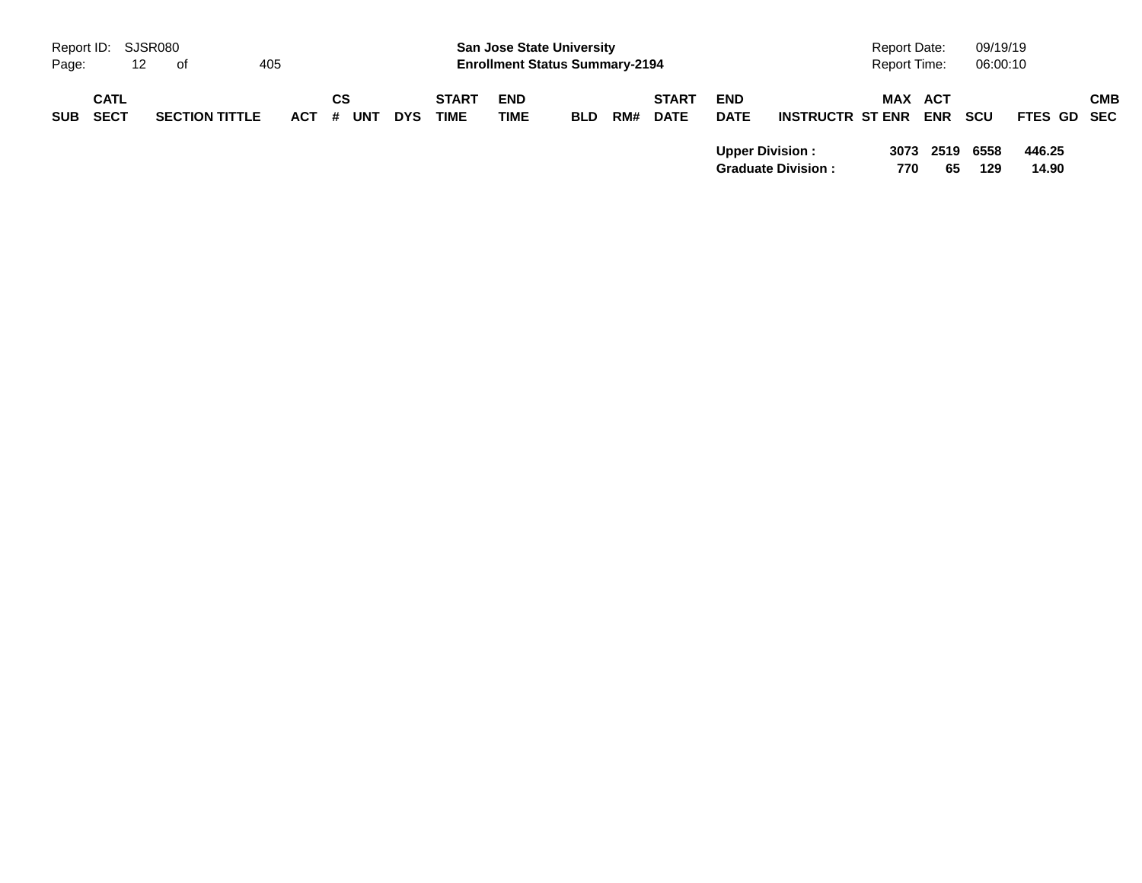|            |                            |                       |         |                  |            |                             |                                                                           | <b>Preliminary Census</b> |     |                             |                           |                                                     |                              |            |                      |                 |            |  |
|------------|----------------------------|-----------------------|---------|------------------|------------|-----------------------------|---------------------------------------------------------------------------|---------------------------|-----|-----------------------------|---------------------------|-----------------------------------------------------|------------------------------|------------|----------------------|-----------------|------------|--|
| Page:      | Report ID: SJSR080<br>12   | of                    | 405     |                  |            |                             | <b>San Jose State University</b><br><b>Enrollment Status Summary-2194</b> |                           |     |                             |                           |                                                     | Report Date:<br>Report Time: |            | 09/19/19<br>06:00:10 |                 |            |  |
| <b>SUB</b> | <b>CATL</b><br><b>SECT</b> | <b>SECTION TITTLE</b> | $ACT$ # | СS<br><b>UNT</b> | <b>DYS</b> | <b>START</b><br><b>TIME</b> | <b>END</b><br><b>TIME</b>                                                 | <b>BLD</b>                | RM# | <b>START</b><br><b>DATE</b> | <b>END</b><br><b>DATE</b> | <b>INSTRUCTR ST ENR</b>                             | <b>MAX ACT</b>               | <b>ENR</b> | scu                  | FTES GD SEC     | <b>CMB</b> |  |
|            |                            |                       |         |                  |            |                             |                                                                           |                           |     |                             |                           | <b>Upper Division:</b><br><b>Graduate Division:</b> | 3073<br>770                  | 2519<br>65 | 6558<br>129          | 446.25<br>14.90 |            |  |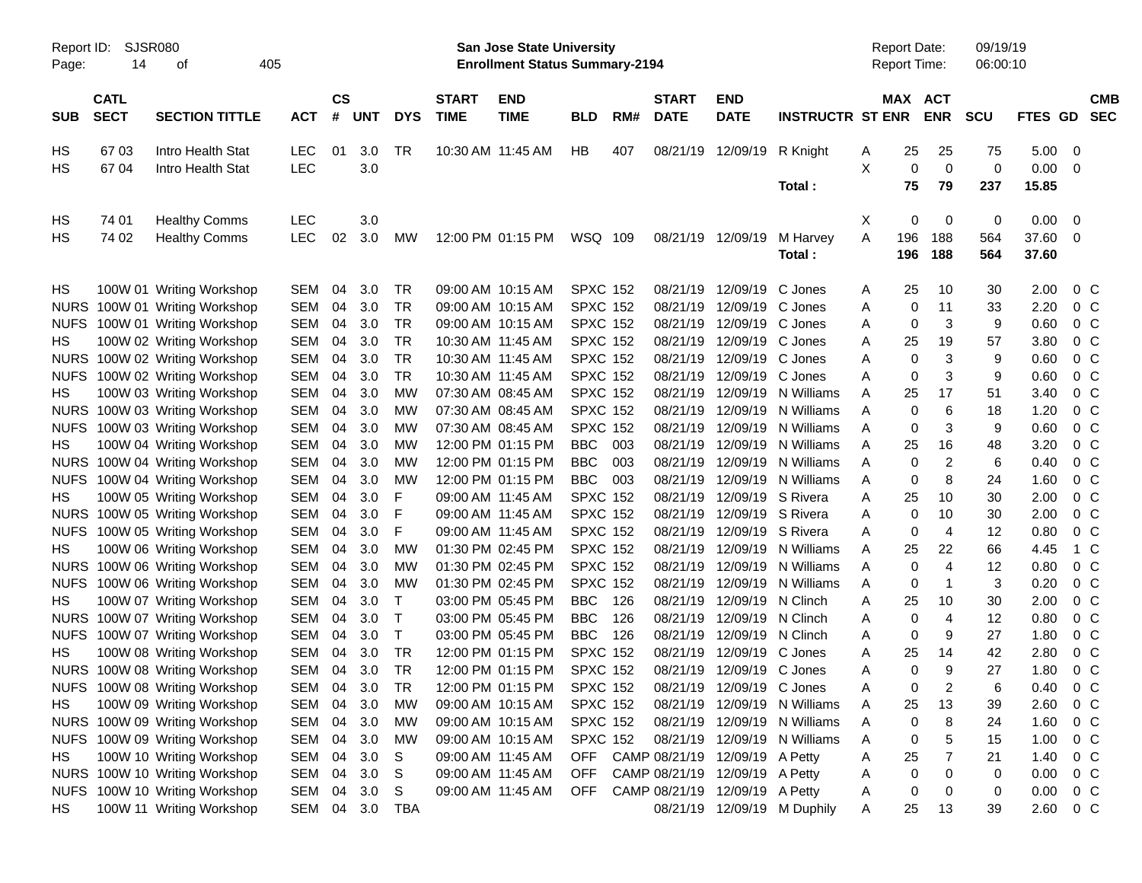|                     |                            |                               |            |                    |            |            |                             | <b>Preliminary Census</b>                                                 |                 |     |                             |                                |                              |   |                                     |                |                      |         |                |                          |
|---------------------|----------------------------|-------------------------------|------------|--------------------|------------|------------|-----------------------------|---------------------------------------------------------------------------|-----------------|-----|-----------------------------|--------------------------------|------------------------------|---|-------------------------------------|----------------|----------------------|---------|----------------|--------------------------|
| Report ID:<br>Page: | SJSR080<br>14              | of                            | 405        |                    |            |            |                             | <b>San Jose State University</b><br><b>Enrollment Status Summary-2194</b> |                 |     |                             |                                |                              |   | <b>Report Date:</b><br>Report Time: |                | 09/19/19<br>06:00:10 |         |                |                          |
| <b>SUB</b>          | <b>CATL</b><br><b>SECT</b> | <b>SECTION TITTLE</b>         | <b>ACT</b> | $\mathsf{cs}$<br># | <b>UNT</b> | <b>DYS</b> | <b>START</b><br><b>TIME</b> | <b>END</b><br><b>TIME</b>                                                 | <b>BLD</b>      | RM# | <b>START</b><br><b>DATE</b> | <b>END</b><br><b>DATE</b>      | <b>INSTRUCTR ST ENR</b>      |   | MAX ACT                             | <b>ENR</b>     | <b>SCU</b>           | FTES GD |                | <b>CMB</b><br><b>SEC</b> |
| HS                  | 6703                       | Intro Health Stat             | <b>LEC</b> | 01                 | 3.0        | TR         |                             | 10:30 AM 11:45 AM                                                         | HB              | 407 | 08/21/19                    | 12/09/19                       | R Knight                     | A | 25                                  | 25             | 75                   | 5.00    | 0              |                          |
| HS.                 | 67 04                      | Intro Health Stat             | LEC        |                    | 3.0        |            |                             |                                                                           |                 |     |                             |                                |                              | X | 0                                   | $\mathbf 0$    | 0                    | 0.00    | - 0            |                          |
|                     |                            |                               |            |                    |            |            |                             |                                                                           |                 |     |                             |                                | Total:                       |   | 75                                  | 79             | 237                  | 15.85   |                |                          |
| HS                  | 74 01                      | <b>Healthy Comms</b>          | <b>LEC</b> |                    | 3.0        |            |                             |                                                                           |                 |     |                             |                                |                              | Х | 0                                   | 0              | 0                    | 0.00    | - 0            |                          |
| HS.                 | 74 02                      | <b>Healthy Comms</b>          | LEC        | 02                 | 3.0        | <b>MW</b>  |                             | 12:00 PM 01:15 PM                                                         | WSQ 109         |     | 08/21/19                    | 12/09/19                       | M Harvey                     | Α | 196                                 | 188            | 564                  | 37.60   | - 0            |                          |
|                     |                            |                               |            |                    |            |            |                             |                                                                           |                 |     |                             |                                | Total:                       |   | 196                                 | 188            | 564                  | 37.60   |                |                          |
| HS                  |                            | 100W 01 Writing Workshop      | <b>SEM</b> | 04                 | 3.0        | TR         |                             | 09:00 AM 10:15 AM                                                         | <b>SPXC 152</b> |     | 08/21/19                    | 12/09/19                       | C Jones                      | A | 25                                  | 10             | 30                   | 2.00    | 0 <sup>o</sup> |                          |
| <b>NURS</b>         |                            | 100W 01 Writing Workshop      | <b>SEM</b> | 04                 | 3.0        | <b>TR</b>  |                             | 09:00 AM 10:15 AM                                                         | <b>SPXC 152</b> |     | 08/21/19                    | 12/09/19                       | C Jones                      | A | 0                                   | 11             | 33                   | 2.20    | 0 <sup>o</sup> |                          |
| <b>NUFS</b>         |                            | 100W 01 Writing Workshop      | <b>SEM</b> | 04                 | 3.0        | <b>TR</b>  |                             | 09:00 AM 10:15 AM                                                         | <b>SPXC 152</b> |     | 08/21/19                    | 12/09/19                       | C Jones                      | A | 0                                   | 3              | 9                    | 0.60    | 0 <sup>o</sup> |                          |
| HS                  |                            | 100W 02 Writing Workshop      | <b>SEM</b> | 04                 | 3.0        | <b>TR</b>  |                             | 10:30 AM 11:45 AM                                                         | <b>SPXC 152</b> |     | 08/21/19                    | 12/09/19                       | C Jones                      | A | 25                                  | 19             | 57                   | 3.80    | 0 <sup>o</sup> |                          |
|                     |                            | NURS 100W 02 Writing Workshop | <b>SEM</b> | 04                 | 3.0        | <b>TR</b>  |                             | 10:30 AM 11:45 AM                                                         | <b>SPXC 152</b> |     | 08/21/19                    | 12/09/19                       | C Jones                      | Α | 0                                   | 3              | 9                    | 0.60    | 0 <sup>o</sup> |                          |
| <b>NUFS</b>         |                            | 100W 02 Writing Workshop      | <b>SEM</b> | 04                 | 3.0        | <b>TR</b>  |                             | 10:30 AM 11:45 AM                                                         | <b>SPXC 152</b> |     | 08/21/19                    | 12/09/19                       | C Jones                      | A | 0                                   | 3              | 9                    | 0.60    | 0 <sup>o</sup> |                          |
| HS.                 |                            | 100W 03 Writing Workshop      | <b>SEM</b> | 04                 | 3.0        | <b>MW</b>  |                             | 07:30 AM 08:45 AM                                                         | <b>SPXC 152</b> |     | 08/21/19                    | 12/09/19                       | N Williams                   | A | 25                                  | 17             | 51                   | 3.40    | 0 <sup>o</sup> |                          |
|                     |                            | NURS 100W 03 Writing Workshop | <b>SEM</b> | 04                 | 3.0        | МW         |                             | 07:30 AM 08:45 AM                                                         | <b>SPXC 152</b> |     | 08/21/19                    | 12/09/19                       | N Williams                   | A | 0                                   | 6              | 18                   | 1.20    | 0 <sup>o</sup> |                          |
| <b>NUFS</b>         |                            | 100W 03 Writing Workshop      | <b>SEM</b> | 04                 | 3.0        | МW         |                             | 07:30 AM 08:45 AM                                                         | <b>SPXC 152</b> |     | 08/21/19                    | 12/09/19                       | N Williams                   | A | 0                                   | 3              | 9                    | 0.60    | 0 <sup>o</sup> |                          |
| HS                  |                            | 100W 04 Writing Workshop      | <b>SEM</b> | 04                 | 3.0        | MW         |                             | 12:00 PM 01:15 PM                                                         | <b>BBC</b>      | 003 | 08/21/19                    | 12/09/19                       | N Williams                   | A | 25                                  | 16             | 48                   | 3.20    | 0 <sup>o</sup> |                          |
|                     |                            | NURS 100W 04 Writing Workshop | <b>SEM</b> | 04                 | 3.0        | МW         |                             | 12:00 PM 01:15 PM                                                         | <b>BBC</b>      | 003 | 08/21/19                    | 12/09/19                       | N Williams                   | A | 0                                   | $\overline{c}$ | 6                    | 0.40    | 0 <sup>o</sup> |                          |
| <b>NUFS</b>         |                            | 100W 04 Writing Workshop      | <b>SEM</b> | 04                 | 3.0        | МW         |                             | 12:00 PM 01:15 PM                                                         | <b>BBC</b>      | 003 | 08/21/19                    | 12/09/19                       | N Williams                   | Α | 0                                   | 8              | 24                   | 1.60    | 0 <sup>o</sup> |                          |
| HS                  |                            | 100W 05 Writing Workshop      | <b>SEM</b> | 04                 | 3.0        | F          |                             | 09:00 AM 11:45 AM                                                         | <b>SPXC 152</b> |     | 08/21/19                    | 12/09/19                       | S Rivera                     | A | 25                                  | 10             | 30                   | 2.00    | 0 <sup>o</sup> |                          |
|                     |                            | NURS 100W 05 Writing Workshop | <b>SEM</b> | 04                 | 3.0        | F          |                             | 09:00 AM 11:45 AM                                                         | <b>SPXC 152</b> |     | 08/21/19                    | 12/09/19                       | S Rivera                     | A | 0                                   | 10             | 30                   | 2.00    | 0 <sup>o</sup> |                          |
| <b>NUFS</b>         |                            | 100W 05 Writing Workshop      | <b>SEM</b> | 04                 | 3.0        | F          |                             | 09:00 AM 11:45 AM                                                         | <b>SPXC 152</b> |     | 08/21/19                    | 12/09/19                       | S Rivera                     | Α | 0                                   | $\overline{4}$ | 12                   | 0.80    | 0 <sup>o</sup> |                          |
| HS.                 |                            | 100W 06 Writing Workshop      | <b>SEM</b> | 04                 | 3.0        | <b>MW</b>  |                             | 01:30 PM 02:45 PM                                                         | <b>SPXC 152</b> |     | 08/21/19                    | 12/09/19                       | N Williams                   | A | 25                                  | 22             | 66                   | 4.45    | $1\,C$         |                          |
|                     |                            | NURS 100W 06 Writing Workshop | <b>SEM</b> | 04                 | 3.0        | МW         |                             | 01:30 PM 02:45 PM                                                         | <b>SPXC 152</b> |     | 08/21/19                    | 12/09/19                       | N Williams                   | A | 0                                   | 4              | 12                   | 0.80    | 0 <sup>o</sup> |                          |
| <b>NUFS</b>         |                            | 100W 06 Writing Workshop      | <b>SEM</b> | 04                 | 3.0        | МW         |                             | 01:30 PM 02:45 PM                                                         | <b>SPXC 152</b> |     | 08/21/19                    | 12/09/19                       | N Williams                   | Α | 0                                   | $\mathbf 1$    | 3                    | 0.20    | 0 <sup>o</sup> |                          |
| HS.                 |                            | 100W 07 Writing Workshop      | <b>SEM</b> | 04                 | 3.0        | т          |                             | 03:00 PM 05:45 PM                                                         | <b>BBC</b>      | 126 | 08/21/19                    | 12/09/19                       | N Clinch                     | Α | 25                                  | 10             | 30                   | 2.00    | 0 <sup>o</sup> |                          |
|                     |                            | NURS 100W 07 Writing Workshop | <b>SEM</b> | 04                 | 3.0        | Т          |                             | 03:00 PM 05:45 PM                                                         | <b>BBC</b>      | 126 | 08/21/19                    | 12/09/19                       | N Clinch                     | A | 0                                   | $\overline{4}$ | 12                   | 0.80    | 0 <sup>o</sup> |                          |
| <b>NUFS</b>         |                            | 100W 07 Writing Workshop      | <b>SEM</b> | 04                 | 3.0        | Т          |                             | 03:00 PM 05:45 PM                                                         | <b>BBC</b>      | 126 | 08/21/19                    | 12/09/19                       | N Clinch                     | A | 0                                   | 9              | 27                   | 1.80    | 0 <sub>C</sub> |                          |
| HS.                 |                            | 100W 08 Writing Workshop      | <b>SEM</b> | 04                 | 3.0        | TR         |                             | 12:00 PM 01:15 PM                                                         | <b>SPXC 152</b> |     | 08/21/19                    | 12/09/19 C Jones               |                              | A | 25                                  | 14             | 42                   | 2.80    | 0 <sup>o</sup> |                          |
|                     |                            | NURS 100W 08 Writing Workshop | SEM        | 04                 | 3.0        | TR         |                             | 12:00 PM 01:15 PM                                                         | <b>SPXC 152</b> |     |                             | 08/21/19 12/09/19 C Jones      |                              | A | 0                                   | 9              | 27                   | 1.80    | 0 <sup>o</sup> |                          |
|                     |                            | NUFS 100W 08 Writing Workshop | SEM        | 04                 | 3.0        | TR         |                             | 12:00 PM 01:15 PM                                                         | <b>SPXC 152</b> |     |                             | 08/21/19 12/09/19 C Jones      |                              | A | 0                                   | 2              | 6                    | 0.40    | 0 <sup>o</sup> |                          |
| HS                  |                            | 100W 09 Writing Workshop      | SEM        | 04                 | 3.0        | MW         |                             | 09:00 AM 10:15 AM                                                         | <b>SPXC 152</b> |     |                             |                                | 08/21/19 12/09/19 N Williams | Α | 25                                  | 13             | 39                   | 2.60    | 0 <sup>C</sup> |                          |
|                     |                            | NURS 100W 09 Writing Workshop | SEM        | 04                 | 3.0        | <b>MW</b>  |                             | 09:00 AM 10:15 AM                                                         | <b>SPXC 152</b> |     |                             |                                | 08/21/19 12/09/19 N Williams | Α | 0                                   | 8              | 24                   | 1.60    | 0 <sup>o</sup> |                          |
|                     |                            | NUFS 100W 09 Writing Workshop | SEM        | 04                 | 3.0        | MW         |                             | 09:00 AM 10:15 AM                                                         | <b>SPXC 152</b> |     | 08/21/19                    |                                | 12/09/19 N Williams          | A | 0                                   | 5              | 15                   | 1.00    | 0 <sup>o</sup> |                          |
| HS                  |                            | 100W 10 Writing Workshop      | SEM        | 04                 | 3.0        | S          |                             | 09:00 AM 11:45 AM                                                         | OFF             |     |                             | CAMP 08/21/19 12/09/19 A Petty |                              | Α | 25                                  | 7              | 21                   | 1.40    | 0 <sub>c</sub> |                          |
|                     |                            | NURS 100W 10 Writing Workshop | SEM        | 04                 | 3.0        | S          |                             | 09:00 AM 11:45 AM                                                         | <b>OFF</b>      |     |                             | CAMP 08/21/19 12/09/19 A Petty |                              | Α | 0                                   | 0              | 0                    | 0.00    | 0 <sub>c</sub> |                          |
|                     |                            | NUFS 100W 10 Writing Workshop | SEM 04     |                    | 3.0        | S          |                             | 09:00 AM 11:45 AM                                                         | OFF             |     |                             | CAMP 08/21/19 12/09/19 A Petty |                              | A | 0                                   | 0              | 0                    | 0.00    | 0 <sub>C</sub> |                          |
| HS                  |                            | 100W 11 Writing Workshop      | SEM 04     |                    | 3.0        | TBA        |                             |                                                                           |                 |     |                             |                                | 08/21/19 12/09/19 M Duphily  | A | 25                                  | 13             | 39                   | 2.60    | $0\,C$         |                          |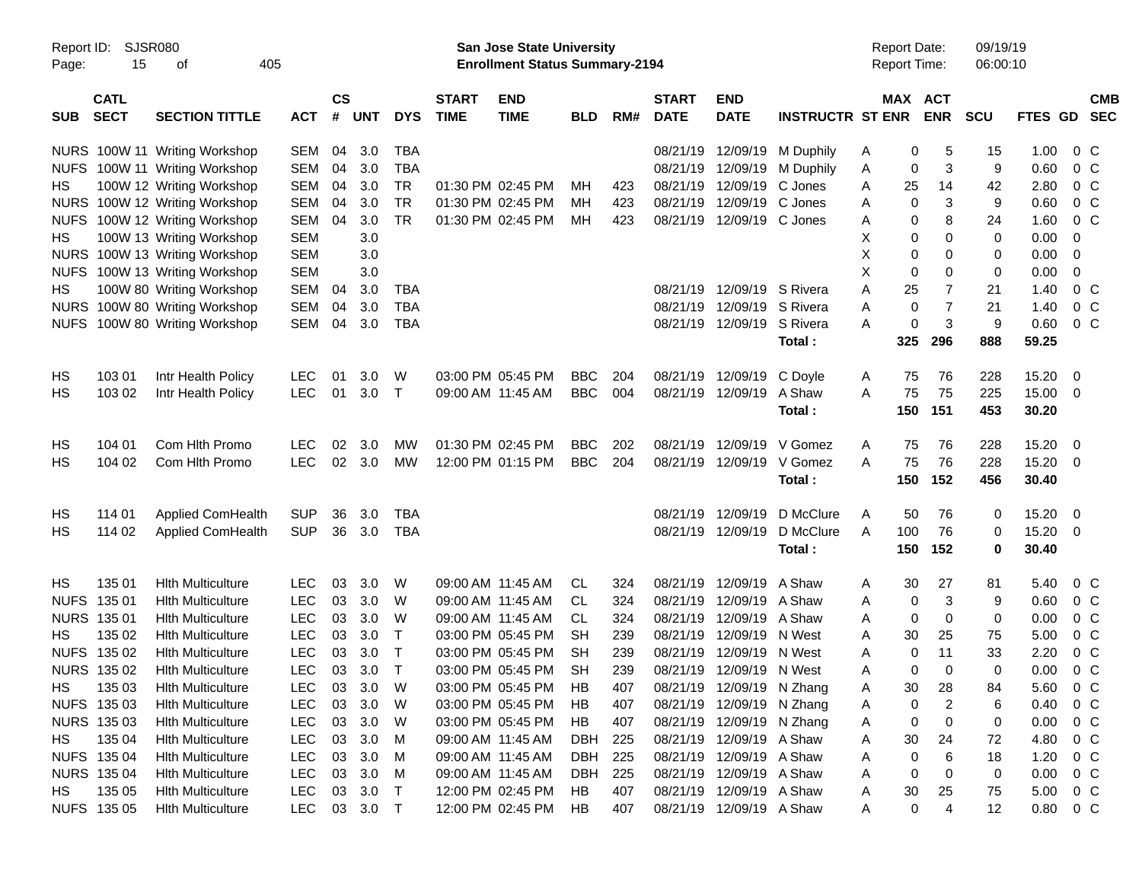|                     |                            |                               |            |                    |            |              |                             |                                                                           | <b>Preliminary Census</b> |     |                             |                           |                         |   |        |                                     |                      |         |                         |                          |
|---------------------|----------------------------|-------------------------------|------------|--------------------|------------|--------------|-----------------------------|---------------------------------------------------------------------------|---------------------------|-----|-----------------------------|---------------------------|-------------------------|---|--------|-------------------------------------|----------------------|---------|-------------------------|--------------------------|
| Report ID:<br>Page: | SJSR080<br>15              | 405<br>οf                     |            |                    |            |              |                             | <b>San Jose State University</b><br><b>Enrollment Status Summary-2194</b> |                           |     |                             |                           |                         |   |        | <b>Report Date:</b><br>Report Time: | 09/19/19<br>06:00:10 |         |                         |                          |
| <b>SUB</b>          | <b>CATL</b><br><b>SECT</b> | <b>SECTION TITTLE</b>         | <b>ACT</b> | $\mathsf{cs}$<br># | <b>UNT</b> | <b>DYS</b>   | <b>START</b><br><b>TIME</b> | <b>END</b><br><b>TIME</b>                                                 | <b>BLD</b>                | RM# | <b>START</b><br><b>DATE</b> | <b>END</b><br><b>DATE</b> | <b>INSTRUCTR ST ENR</b> |   |        | MAX ACT<br><b>ENR</b>               | <b>SCU</b>           | FTES GD |                         | <b>CMB</b><br><b>SEC</b> |
|                     |                            | NURS 100W 11 Writing Workshop | SEM        | 04                 | 3.0        | <b>TBA</b>   |                             |                                                                           |                           |     | 08/21/19                    | 12/09/19                  | M Duphily               | Α | 0      | 5                                   | 15                   | 1.00    | $0\,$ C                 |                          |
|                     |                            | NUFS 100W 11 Writing Workshop | <b>SEM</b> | 04                 | 3.0        | <b>TBA</b>   |                             |                                                                           |                           |     | 08/21/19                    | 12/09/19                  | M Duphily               | Α | 0      | 3                                   | 9                    | 0.60    | 0 <sup>C</sup>          |                          |
| HS.                 |                            | 100W 12 Writing Workshop      | <b>SEM</b> | 04                 | 3.0        | <b>TR</b>    |                             | 01:30 PM 02:45 PM                                                         | <b>MH</b>                 | 423 | 08/21/19                    | 12/09/19                  | C Jones                 | Α | 25     | 14                                  | 42                   | 2.80    | 0 <sup>o</sup>          |                          |
|                     |                            | NURS 100W 12 Writing Workshop | <b>SEM</b> | 04                 | 3.0        | <b>TR</b>    |                             | 01:30 PM 02:45 PM                                                         | <b>MH</b>                 | 423 | 08/21/19                    | 12/09/19                  | C Jones                 | A | 0      | 3                                   | 9                    | 0.60    | 0 <sup>o</sup>          |                          |
|                     |                            | NUFS 100W 12 Writing Workshop | SEM        | 04                 | 3.0        | <b>TR</b>    |                             | 01:30 PM 02:45 PM                                                         | MН                        | 423 | 08/21/19                    | 12/09/19                  | C Jones                 | A | 0      | 8                                   | 24                   | 1.60    | $0\,C$                  |                          |
| HS.                 |                            | 100W 13 Writing Workshop      | <b>SEM</b> |                    | 3.0        |              |                             |                                                                           |                           |     |                             |                           |                         | X | 0      | 0                                   | 0                    | 0.00    | 0                       |                          |
|                     |                            | NURS 100W 13 Writing Workshop | <b>SEM</b> |                    | 3.0        |              |                             |                                                                           |                           |     |                             |                           |                         | X | 0      | 0                                   | 0                    | 0.00    | 0                       |                          |
|                     |                            | NUFS 100W 13 Writing Workshop | <b>SEM</b> |                    | 3.0        |              |                             |                                                                           |                           |     |                             |                           |                         | X | 0      | 0                                   | $\mathbf 0$          | 0.00    | 0                       |                          |
| HS.                 |                            | 100W 80 Writing Workshop      | <b>SEM</b> | 04                 | 3.0        | <b>TBA</b>   |                             |                                                                           |                           |     | 08/21/19                    | 12/09/19                  | S Rivera                | Α | 25     | 7                                   | 21                   | 1.40    | $0\,C$                  |                          |
|                     |                            | NURS 100W 80 Writing Workshop | <b>SEM</b> | 04                 | 3.0        | <b>TBA</b>   |                             |                                                                           |                           |     | 08/21/19                    | 12/09/19                  | S Rivera                | Α | 0      | $\overline{7}$                      | 21                   | 1.40    | 0 <sup>C</sup>          |                          |
| <b>NUFS</b>         |                            | 100W 80 Writing Workshop      | SEM        | 04                 | 3.0        | <b>TBA</b>   |                             |                                                                           |                           |     | 08/21/19                    | 12/09/19                  | S Rivera                | A | 0      | 3                                   | 9                    | 0.60    | 0 <sup>o</sup>          |                          |
|                     |                            |                               |            |                    |            |              |                             |                                                                           |                           |     |                             |                           | Total:                  |   | 325    | 296                                 | 888                  | 59.25   |                         |                          |
| HS                  | 103 01                     | Intr Health Policy            | <b>LEC</b> | 01                 | 3.0        | W            |                             | 03:00 PM 05:45 PM                                                         | <b>BBC</b>                | 204 | 08/21/19                    | 12/09/19                  | C Doyle                 | Α | 75     | 76                                  | 228                  | 15.20   | 0                       |                          |
| НS                  | 103 02                     | Intr Health Policy            | <b>LEC</b> | 01                 | 3.0        | $\top$       |                             | 09:00 AM 11:45 AM                                                         | <b>BBC</b>                | 004 | 08/21/19                    | 12/09/19                  | A Shaw                  | A | 75     | 75                                  | 225                  | 15.00   | 0                       |                          |
|                     |                            |                               |            |                    |            |              |                             |                                                                           |                           |     |                             |                           | Total:                  |   | 150    | 151                                 | 453                  | 30.20   |                         |                          |
| HS                  | 104 01                     | Com Hith Promo                | <b>LEC</b> | 02                 | 3.0        | МW           |                             | 01:30 PM 02:45 PM                                                         | <b>BBC</b>                | 202 | 08/21/19                    | 12/09/19                  | V Gomez                 | Α | 75     | 76                                  | 228                  | 15.20   | $\overline{\mathbf{0}}$ |                          |
| НS                  | 104 02                     | Com Hlth Promo                | <b>LEC</b> | 02                 | 3.0        | MW           |                             | 12:00 PM 01:15 PM                                                         | <b>BBC</b>                | 204 | 08/21/19                    | 12/09/19                  | V Gomez                 | A | 75     | 76                                  | 228                  | 15.20   | 0                       |                          |
|                     |                            |                               |            |                    |            |              |                             |                                                                           |                           |     |                             |                           | Total:                  |   | 150    | 152                                 | 456                  | 30.40   |                         |                          |
|                     |                            |                               |            |                    |            |              |                             |                                                                           |                           |     |                             |                           |                         |   |        |                                     |                      |         |                         |                          |
| HS                  | 114 01                     | Applied ComHealth             | <b>SUP</b> | 36                 | 3.0        | <b>TBA</b>   |                             |                                                                           |                           |     | 08/21/19                    | 12/09/19                  | D McClure               | Α | 50     | 76                                  | 0                    | 15.20   | $\overline{\mathbf{0}}$ |                          |
| НS                  | 114 02                     | Applied ComHealth             | <b>SUP</b> | 36                 | 3.0        | <b>TBA</b>   |                             |                                                                           |                           |     | 08/21/19                    | 12/09/19                  | D McClure               | A | 100    | 76                                  | 0                    | 15.20   | 0                       |                          |
|                     |                            |                               |            |                    |            |              |                             |                                                                           |                           |     |                             |                           | Total:                  |   | 150    | 152                                 | $\mathbf 0$          | 30.40   |                         |                          |
| <b>HS</b>           | 135 01                     | <b>Hith Multiculture</b>      | <b>LEC</b> | 03                 | 3.0        | W            |                             | 09:00 AM 11:45 AM                                                         | CL.                       | 324 | 08/21/19                    | 12/09/19                  | A Shaw                  | Α | 30     | 27                                  | 81                   | 5.40    | $0\,$ C                 |                          |
| <b>NUFS</b>         | 135 01                     | <b>Hith Multiculture</b>      | <b>LEC</b> | 03                 | 3.0        | W            |                             | 09:00 AM 11:45 AM                                                         | CL.                       | 324 | 08/21/19                    | 12/09/19                  | A Shaw                  | A | 0      | 3                                   | 9                    | 0.60    | 0 <sup>o</sup>          |                          |
| NURS 135 01         |                            | <b>Hith Multiculture</b>      | <b>LEC</b> | 03                 | 3.0        | W            |                             | 09:00 AM 11:45 AM                                                         | <b>CL</b>                 | 324 | 08/21/19                    | 12/09/19                  | A Shaw                  | A | 0      | 0                                   | 0                    | 0.00    | 0 <sup>o</sup>          |                          |
| НS                  | 135 02                     | <b>Hith Multiculture</b>      | <b>LEC</b> | 03                 | 3.0        | $\mathsf{T}$ |                             | 03:00 PM 05:45 PM                                                         | <b>SH</b>                 | 239 | 08/21/19                    | 12/09/19                  | N West                  | A | 30     | 25                                  | 75                   | 5.00    | 0 <sup>o</sup>          |                          |
|                     | NUFS 135 02                | <b>Hith Multiculture</b>      | <b>LEC</b> | 03                 | 3.0        | $\mathsf{T}$ |                             | 03:00 PM 05:45 PM                                                         | <b>SH</b>                 | 239 | 08/21/19                    | 12/09/19                  | N West                  | A | 0      | 11                                  | 33                   | 2.20    | $0\,C$                  |                          |
|                     | NURS 135 02                | <b>Hith Multiculture</b>      | LEC        | 03                 | 3.0        | $\top$       |                             | 03:00 PM 05:45 PM                                                         | <b>SH</b>                 | 239 |                             | 08/21/19 12/09/19 N West  |                         | Α | 0      | 0                                   | 0                    | 0.00    | 0 <sup>o</sup>          |                          |
| HS.                 | 135 03                     | <b>Hlth Multiculture</b>      | <b>LEC</b> | 03                 | 3.0        | W            |                             | 03:00 PM 05:45 PM                                                         | HB                        | 407 | 08/21/19                    |                           | 12/09/19 N Zhang        | A | $30\,$ | 28                                  | 84                   | 5.60    | $0\,C$                  |                          |
|                     | NUFS 135 03                | <b>Hlth Multiculture</b>      | <b>LEC</b> | 03                 | 3.0        | W            |                             | 03:00 PM 05:45 PM                                                         | HB                        | 407 |                             | 08/21/19 12/09/19 N Zhang |                         | Α | 0      | 2                                   | 6                    | 0.40    | $0\,C$                  |                          |
|                     | NURS 135 03                | <b>Hith Multiculture</b>      | <b>LEC</b> | 03                 | 3.0        | W            |                             | 03:00 PM 05:45 PM                                                         | HB                        | 407 |                             | 08/21/19 12/09/19 N Zhang |                         | Α | 0      | 0                                   | 0                    | 0.00    | 0 <sup>o</sup>          |                          |
| HS.                 | 135 04                     | <b>Hith Multiculture</b>      | <b>LEC</b> | 03                 | 3.0        | M            |                             | 09:00 AM 11:45 AM                                                         | DBH                       | 225 | 08/21/19                    | 12/09/19 A Shaw           |                         | Α | 30     | 24                                  | 72                   | 4.80    | $0\,C$                  |                          |
|                     | NUFS 135 04                | <b>Hith Multiculture</b>      | <b>LEC</b> | 03                 | 3.0        | M            |                             | 09:00 AM 11:45 AM                                                         | <b>DBH</b>                | 225 | 08/21/19                    | 12/09/19 A Shaw           |                         | Α | 0      | 6                                   | 18                   | 1.20    | 0 <sup>o</sup>          |                          |
|                     | NURS 135 04                | <b>Hith Multiculture</b>      | <b>LEC</b> | 03                 | 3.0        | M            |                             | 09:00 AM 11:45 AM                                                         | DBH                       | 225 | 08/21/19                    | 12/09/19 A Shaw           |                         | Α | 0      | 0                                   | 0                    | 0.00    | 0 <sup>o</sup>          |                          |
| HS.                 | 135 05                     | <b>Hith Multiculture</b>      | <b>LEC</b> | 03                 | 3.0        | $\top$       |                             | 12:00 PM 02:45 PM                                                         | HB                        | 407 | 08/21/19                    | 12/09/19 A Shaw           |                         | Α | 30     | 25                                  | 75                   | 5.00    | 0 <sup>o</sup>          |                          |
|                     | NUFS 135 05                | <b>Hith Multiculture</b>      | LEC        |                    | 03 3.0 T   |              |                             | 12:00 PM 02:45 PM                                                         | HB                        | 407 |                             | 08/21/19 12/09/19 A Shaw  |                         | A | 0      | 4                                   | 12                   | 0.80    | $0\,C$                  |                          |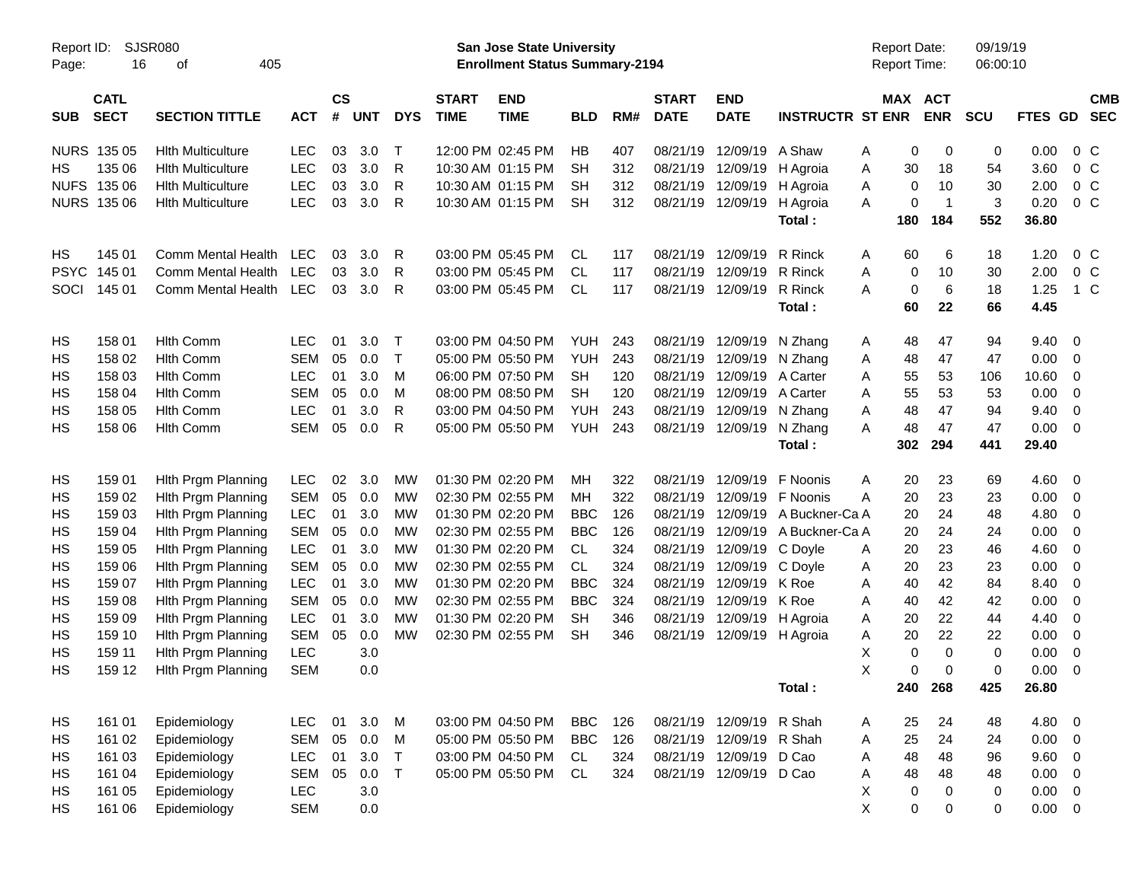|                     |                            |                             |            |                |         |              |                             | <b>Preliminary Census</b>                                                 |            |     |                             |                            |                                  |                                     |              |                      |             |                          |                          |
|---------------------|----------------------------|-----------------------------|------------|----------------|---------|--------------|-----------------------------|---------------------------------------------------------------------------|------------|-----|-----------------------------|----------------------------|----------------------------------|-------------------------------------|--------------|----------------------|-------------|--------------------------|--------------------------|
| Report ID:<br>Page: | 16                         | <b>SJSR080</b><br>405<br>of |            |                |         |              |                             | <b>San Jose State University</b><br><b>Enrollment Status Summary-2194</b> |            |     |                             |                            |                                  | <b>Report Date:</b><br>Report Time: |              | 09/19/19<br>06:00:10 |             |                          |                          |
| <b>SUB</b>          | <b>CATL</b><br><b>SECT</b> | <b>SECTION TITTLE</b>       | <b>ACT</b> | <b>CS</b><br># | UNT     | <b>DYS</b>   | <b>START</b><br><b>TIME</b> | <b>END</b><br><b>TIME</b>                                                 | <b>BLD</b> | RM# | <b>START</b><br><b>DATE</b> | <b>END</b><br><b>DATE</b>  | <b>INSTRUCTR ST ENR</b>          | <b>MAX ACT</b>                      | <b>ENR</b>   | <b>SCU</b>           | FTES GD     |                          | <b>CMB</b><br><b>SEC</b> |
|                     | NURS 135 05                | <b>Hith Multiculture</b>    | <b>LEC</b> | 03             | 3.0     | $\top$       |                             | 12:00 PM 02:45 PM                                                         | <b>HB</b>  | 407 | 08/21/19                    | 12/09/19 A Shaw            |                                  | 0<br>Α                              | 0            | 0                    | 0.00        | $0\,$ C                  |                          |
| HS                  | 135 06                     | <b>Hith Multiculture</b>    | <b>LEC</b> | 03             | 3.0     | R            |                             | 10:30 AM 01:15 PM                                                         | SН         | 312 | 08/21/19                    | 12/09/19                   | H Agroia                         | Α<br>30                             | 18           | 54                   | 3.60        | $0\,C$                   |                          |
|                     | NUFS 135 06                | <b>Hith Multiculture</b>    | <b>LEC</b> | 03             | 3.0     | R            |                             | 10:30 AM 01:15 PM                                                         | SН         | 312 |                             | 08/21/19 12/09/19          | H Agroia                         | Α<br>0                              | 10           | 30                   | 2.00        | $0\,C$                   |                          |
|                     | <b>NURS 135 06</b>         | <b>Hith Multiculture</b>    | <b>LEC</b> | 03             | 3.0     | R            |                             | 10:30 AM 01:15 PM                                                         | <b>SH</b>  | 312 |                             | 08/21/19 12/09/19          | H Agroia                         | 0<br>A                              | $\mathbf{1}$ | 3                    | 0.20        | $0\,C$                   |                          |
|                     |                            |                             |            |                |         |              |                             |                                                                           |            |     |                             |                            | Total:                           | 180                                 | 184          | 552                  | 36.80       |                          |                          |
| HS                  | 145 01                     | Comm Mental Health          | <b>LEC</b> | 03             | 3.0     | R            |                             | 03:00 PM 05:45 PM                                                         | <b>CL</b>  | 117 |                             | 08/21/19 12/09/19          | R Rinck                          | 60<br>A                             | 6            | 18                   | 1.20        | $0\,$ C                  |                          |
| <b>PSYC</b>         | 145 01                     | Comm Mental Health          | <b>LEC</b> | 03             | 3.0     | R            |                             | 03:00 PM 05:45 PM                                                         | <b>CL</b>  | 117 | 08/21/19                    | 12/09/19                   | R Rinck                          | Α<br>0                              | 10           | 30                   | 2.00        | $0\,C$                   |                          |
| SOCI                | 145 01                     | Comm Mental Health LEC      |            | 03             | 3.0     | R            |                             | 03:00 PM 05:45 PM                                                         | CL.        | 117 |                             | 08/21/19 12/09/19          | R Rinck                          | 0<br>A                              | 6            | 18                   | 1.25        | 1 C                      |                          |
|                     |                            |                             |            |                |         |              |                             |                                                                           |            |     |                             |                            | Total:                           | 60                                  | 22           | 66                   | 4.45        |                          |                          |
| HS                  | 158 01                     | <b>Hlth Comm</b>            | <b>LEC</b> | 01             | 3.0     | $\top$       |                             | 03:00 PM 04:50 PM                                                         | <b>YUH</b> | 243 | 08/21/19                    | 12/09/19                   | N Zhang                          | 48<br>A                             | 47           | 94                   | 9.40        | $\overline{\phantom{0}}$ |                          |
| HS                  | 158 02                     | <b>Hlth Comm</b>            | <b>SEM</b> | 05             | 0.0     | $\top$       |                             | 05:00 PM 05:50 PM                                                         | <b>YUH</b> | 243 | 08/21/19                    | 12/09/19 N Zhang           |                                  | 48<br>Α                             | 47           | 47                   | 0.00        | $\overline{0}$           |                          |
| HS                  | 158 03                     | <b>Hlth Comm</b>            | <b>LEC</b> | 01             | 3.0     | M            |                             | 06:00 PM 07:50 PM                                                         | <b>SH</b>  | 120 | 08/21/19                    | 12/09/19 A Carter          |                                  | 55<br>A                             | 53           | 106                  | 10.60       | - 0                      |                          |
| HS                  | 158 04                     | <b>Hlth Comm</b>            | <b>SEM</b> | 05             | 0.0     | M            |                             | 08:00 PM 08:50 PM                                                         | <b>SH</b>  | 120 |                             | 08/21/19 12/09/19 A Carter |                                  | 55<br>A                             | 53           | 53                   | 0.00        | $\overline{0}$           |                          |
| HS                  | 158 05                     | <b>Hlth Comm</b>            | <b>LEC</b> | 01             | 3.0     | R            |                             | 03:00 PM 04:50 PM                                                         | <b>YUH</b> | 243 | 08/21/19                    | 12/09/19 N Zhang           |                                  | 48<br>Α                             | 47           | 94                   | 9.40        | $\overline{0}$           |                          |
| HS                  | 158 06                     | <b>Hith Comm</b>            | <b>SEM</b> | 05             | 0.0     | $\mathsf{R}$ |                             | 05:00 PM 05:50 PM                                                         | <b>YUH</b> | 243 |                             | 08/21/19 12/09/19          | N Zhang                          | A<br>48                             | 47           | 47                   | 0.00        | $\overline{\phantom{0}}$ |                          |
|                     |                            |                             |            |                |         |              |                             |                                                                           |            |     |                             |                            | Total:                           | 302                                 | 294          | 441                  | 29.40       |                          |                          |
| HS                  | 159 01                     | Hith Prgm Planning          | <b>LEC</b> | 02             | 3.0     | МW           |                             | 01:30 PM 02:20 PM                                                         | MН         | 322 |                             | 08/21/19 12/09/19          | F Noonis                         | 20<br>A                             | 23           | 69                   | $4.60$ 0    |                          |                          |
| HS                  | 159 02                     | Hith Prgm Planning          | <b>SEM</b> | 05             | 0.0     | МW           |                             | 02:30 PM 02:55 PM                                                         | MН         | 322 |                             | 08/21/19 12/09/19 F Noonis |                                  | A<br>20                             | 23           | 23                   | 0.00        | $\overline{0}$           |                          |
| HS                  | 159 03                     | Hith Prgm Planning          | LEC        | 01             | 3.0     | МW           |                             | 01:30 PM 02:20 PM                                                         | <b>BBC</b> | 126 |                             |                            | 08/21/19 12/09/19 A Buckner-Ca A | 20                                  | 24           | 48                   | 4.80        | - 0                      |                          |
| HS                  | 159 04                     | Hith Prgm Planning          | <b>SEM</b> | 05             | 0.0     | МW           |                             | 02:30 PM 02:55 PM                                                         | <b>BBC</b> | 126 | 08/21/19                    |                            | 12/09/19 A Buckner-Ca A          | 20                                  | 24           | 24                   | 0.00        | $\overline{0}$           |                          |
| HS                  | 159 05                     | Hith Prgm Planning          | LEC        | 01             | 3.0     | МW           |                             | 01:30 PM 02:20 PM                                                         | CL         | 324 |                             | 08/21/19 12/09/19 C Doyle  |                                  | 20<br>A                             | 23           | 46                   | 4.60        | $\overline{0}$           |                          |
| HS                  | 159 06                     | Hith Prgm Planning          | <b>SEM</b> | 05             | 0.0     | МW           |                             | 02:30 PM 02:55 PM                                                         | <b>CL</b>  | 324 |                             | 08/21/19 12/09/19 C Doyle  |                                  | 20<br>A                             | 23           | 23                   | 0.00        | $\overline{0}$           |                          |
| HS                  | 159 07                     | Hith Prgm Planning          | LEC        | 01             | 3.0     | МW           |                             | 01:30 PM 02:20 PM                                                         | <b>BBC</b> | 324 |                             | 08/21/19 12/09/19 K Roe    |                                  | 40<br>Α                             | 42           | 84                   | 8.40        | 0                        |                          |
| HS                  | 159 08                     | Hith Prgm Planning          | <b>SEM</b> | 05             | 0.0     | МW           |                             | 02:30 PM 02:55 PM                                                         | <b>BBC</b> | 324 |                             | 08/21/19 12/09/19 K Roe    |                                  | 40<br>Α                             | 42           | 42                   | 0.00        | $\overline{0}$           |                          |
| HS                  | 159 09                     | Hith Prgm Planning          | <b>LEC</b> | 01             | 3.0     | МW           |                             | 01:30 PM 02:20 PM                                                         | <b>SH</b>  | 346 |                             | 08/21/19 12/09/19 H Agroia |                                  | 20<br>Α                             | 22           | 44                   | 4.40        | 0                        |                          |
| HS                  | 159 10                     | Hith Prgm Planning          | <b>SEM</b> | 05             | 0.0     | <b>MW</b>    |                             | 02:30 PM 02:55 PM                                                         | <b>SH</b>  | 346 |                             | 08/21/19 12/09/19 H Agroia |                                  | 20<br>Α                             | 22           | 22                   | 0.00        | $\overline{0}$           |                          |
| HS                  | 159 11                     | Hith Prgm Planning          | <b>LEC</b> |                | 3.0     |              |                             |                                                                           |            |     |                             |                            |                                  | X<br>0                              | $\Omega$     | 0                    | 0.00        | $\overline{\mathbf{0}}$  |                          |
| <b>HS</b>           | 159 12                     | Hlth Prgm Planning          | <b>SEM</b> |                | 0.0     |              |                             |                                                                           |            |     |                             |                            |                                  | X<br>0                              | 0            | 0                    | $0.00 \t 0$ |                          |                          |
|                     |                            |                             |            |                |         |              |                             |                                                                           |            |     |                             |                            | Total:                           | 240                                 | 268          | 425                  | 26.80       |                          |                          |
| HS                  | 161 01                     | Epidemiology                | <b>LEC</b> | 01             | 3.0     | M            |                             | 03:00 PM 04:50 PM                                                         | <b>BBC</b> | 126 |                             | 08/21/19 12/09/19 R Shah   |                                  | 25<br>A                             | 24           | 48                   | 4.80 0      |                          |                          |
| HS                  | 161 02                     | Epidemiology                | <b>SEM</b> | 05             | 0.0     | M            |                             | 05:00 PM 05:50 PM                                                         | <b>BBC</b> | 126 |                             | 08/21/19 12/09/19 R Shah   |                                  | 25<br>Α                             | 24           | 24                   | $0.00 \t 0$ |                          |                          |
| HS                  | 161 03                     | Epidemiology                | LEC        | 01             | 3.0     | $\top$       |                             | 03:00 PM 04:50 PM                                                         | CL.        | 324 |                             | 08/21/19 12/09/19 D Cao    |                                  | 48<br>Α                             | 48           | 96                   | 9.60 0      |                          |                          |
| HS                  | 161 04                     | Epidemiology                | <b>SEM</b> | 05             | $0.0$ T |              |                             | 05:00 PM 05:50 PM                                                         | CL.        | 324 |                             | 08/21/19 12/09/19 D Cao    |                                  | 48<br>Α                             | 48           | 48                   | $0.00 \t 0$ |                          |                          |
| HS                  | 161 05                     | Epidemiology                | <b>LEC</b> |                | 3.0     |              |                             |                                                                           |            |     |                             |                            |                                  | Χ<br>0                              | 0            | 0                    | $0.00 \t 0$ |                          |                          |
| <b>HS</b>           | 161 06                     | Epidemiology                | <b>SEM</b> |                | 0.0     |              |                             |                                                                           |            |     |                             |                            |                                  | X<br>0                              | 0            | 0                    | $0.00 \t 0$ |                          |                          |
|                     |                            |                             |            |                |         |              |                             |                                                                           |            |     |                             |                            |                                  |                                     |              |                      |             |                          |                          |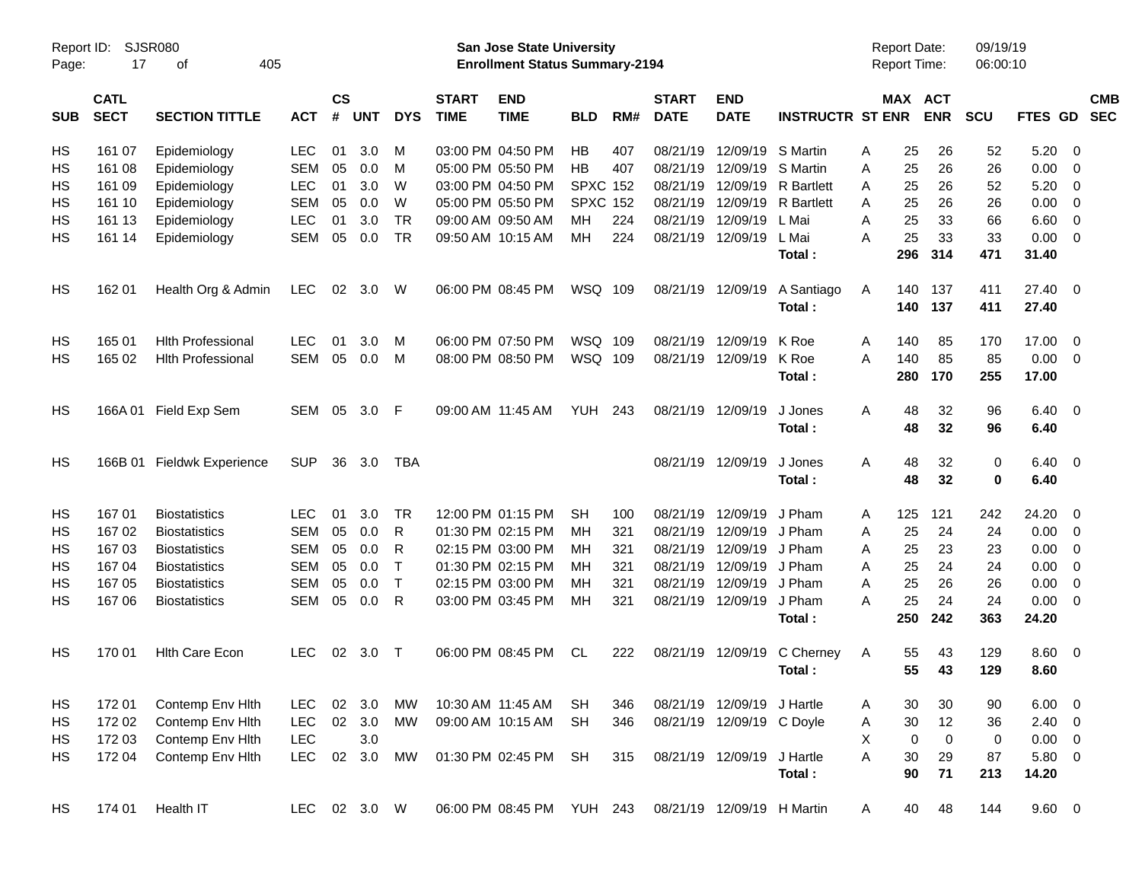|                     |                            |                            |              |                |            |              |                             |                                                                           | <b>Preliminary Census</b> |     |                             |                            |                                       |                                            |                              |                      |                        |                          |                          |
|---------------------|----------------------------|----------------------------|--------------|----------------|------------|--------------|-----------------------------|---------------------------------------------------------------------------|---------------------------|-----|-----------------------------|----------------------------|---------------------------------------|--------------------------------------------|------------------------------|----------------------|------------------------|--------------------------|--------------------------|
| Report ID:<br>Page: | 17                         | SJSR080<br>405<br>оf       |              |                |            |              |                             | <b>San Jose State University</b><br><b>Enrollment Status Summary-2194</b> |                           |     |                             |                            |                                       | <b>Report Date:</b><br><b>Report Time:</b> |                              | 09/19/19<br>06:00:10 |                        |                          |                          |
| <b>SUB</b>          | <b>CATL</b><br><b>SECT</b> | <b>SECTION TITTLE</b>      | <b>ACT</b>   | <b>CS</b><br># | <b>UNT</b> | <b>DYS</b>   | <b>START</b><br><b>TIME</b> | <b>END</b><br><b>TIME</b>                                                 | <b>BLD</b>                | RM# | <b>START</b><br><b>DATE</b> | <b>END</b><br><b>DATE</b>  | <b>INSTRUCTR ST ENR</b>               |                                            | <b>MAX ACT</b><br><b>ENR</b> | <b>SCU</b>           | FTES GD                |                          | <b>CMB</b><br><b>SEC</b> |
| НS                  | 161 07                     | Epidemiology               | <b>LEC</b>   | 01             | 3.0        | M            |                             | 03:00 PM 04:50 PM                                                         | HB                        | 407 | 08/21/19                    | 12/09/19 S Martin          |                                       | Α                                          | 25<br>26                     | 52                   | $5.20 \ 0$             |                          |                          |
| HS                  | 161 08                     | Epidemiology               | <b>SEM</b>   | 05             | 0.0        | M            |                             | 05:00 PM 05:50 PM                                                         | <b>HB</b>                 | 407 | 08/21/19                    |                            | 12/09/19 S Martin                     | A                                          | 25<br>26                     | 26                   | 0.00                   | $\overline{\phantom{0}}$ |                          |
| НS                  | 161 09                     | Epidemiology               | <b>LEC</b>   | 01             | 3.0        | W            |                             | 03:00 PM 04:50 PM                                                         | <b>SPXC 152</b>           |     | 08/21/19                    |                            | 12/09/19 R Bartlett                   | A                                          | 25<br>26                     | 52                   | 5.20                   | $\overline{\phantom{0}}$ |                          |
| НS                  | 161 10                     | Epidemiology               | <b>SEM</b>   | 05             | 0.0        | W            |                             | 05:00 PM 05:50 PM                                                         | <b>SPXC 152</b>           |     | 08/21/19                    |                            | 12/09/19 R Bartlett                   | A                                          | 25<br>26                     | 26                   | 0.00                   | $\overline{\phantom{0}}$ |                          |
| НS                  | 161 13                     | Epidemiology               | <b>LEC</b>   | 01             | 3.0        | TR           |                             | 09:00 AM 09:50 AM                                                         | MH                        | 224 | 08/21/19                    | 12/09/19                   | L Mai                                 | A                                          | 25<br>33                     | 66                   | 6.60                   | $\overline{\phantom{0}}$ |                          |
| НS                  | 161 14                     | Epidemiology               | <b>SEM</b>   | 05             | 0.0        | TR           |                             | 09:50 AM 10:15 AM                                                         | MH                        | 224 | 08/21/19                    | 12/09/19                   | L Mai                                 | A                                          | 25<br>33                     | 33                   | $0.00 \t 0$            |                          |                          |
|                     |                            |                            |              |                |            |              |                             |                                                                           |                           |     |                             |                            | Total :                               | 296                                        | 314                          | 471                  | 31.40                  |                          |                          |
| HS                  | 162 01                     | Health Org & Admin         | LEC          |                | 02 3.0     | W            |                             | 06:00 PM 08:45 PM                                                         | WSQ 109                   |     |                             | 08/21/19 12/09/19          | A Santiago<br>Total:                  | 140<br>A<br>140                            | 137<br>137                   | 411<br>411           | 27.40 0<br>27.40       |                          |                          |
| HS                  | 165 01                     | <b>Hith Professional</b>   | <b>LEC</b>   | 01             | 3.0        | M            |                             | 06:00 PM 07:50 PM                                                         | WSQ 109                   |     | 08/21/19                    | 12/09/19                   | K Roe                                 | 140<br>A                                   | 85                           | 170                  | 17.00 0                |                          |                          |
| HS                  | 165 02                     | <b>Hith Professional</b>   | SEM          | 05             | 0.0        | M            |                             | 08:00 PM 08:50 PM                                                         | WSQ 109                   |     | 08/21/19                    | 12/09/19                   | K Roe<br>Total:                       | 140<br>A<br>280                            | 85<br>170                    | 85<br>255            | $0.00 \t 0$<br>17.00   |                          |                          |
| HS                  |                            | 166A 01 Field Exp Sem      | SEM 05       |                | 3.0        | -F           |                             | 09:00 AM 11:45 AM                                                         | <b>YUH 243</b>            |     |                             | 08/21/19 12/09/19          | J Jones<br>Total:                     | Α<br>48<br>48                              | 32<br>32                     | 96<br>96             | $6.40 \quad 0$<br>6.40 |                          |                          |
| HS                  |                            | 166B 01 Fieldwk Experience | <b>SUP</b>   | 36             | 3.0        | TBA          |                             |                                                                           |                           |     |                             | 08/21/19 12/09/19          | J Jones                               | Α<br>48<br>48                              | 32<br>32                     | 0                    | $6.40 \quad 0$         |                          |                          |
|                     |                            |                            |              |                |            |              |                             |                                                                           |                           |     |                             |                            | Total:                                |                                            |                              | 0                    | 6.40                   |                          |                          |
| HS                  | 16701                      | <b>Biostatistics</b>       | <b>LEC</b>   | 01             | 3.0        | <b>TR</b>    |                             | 12:00 PM 01:15 PM                                                         | SН                        | 100 | 08/21/19                    | 12/09/19                   | J Pham                                | 125<br>A                                   | 121                          | 242                  | 24.20 0                |                          |                          |
| НS                  | 167 02                     | <b>Biostatistics</b>       | <b>SEM</b>   | 05             | 0.0        | R            |                             | 01:30 PM 02:15 PM                                                         | MН                        | 321 | 08/21/19                    | 12/09/19                   | J Pham                                | A                                          | 25<br>24                     | 24                   | 0.00                   | $\overline{\mathbf{0}}$  |                          |
| НS                  | 167 03                     | <b>Biostatistics</b>       | SEM          | 05             | 0.0        | R            |                             | 02:15 PM 03:00 PM                                                         | MН                        | 321 | 08/21/19                    | 12/09/19                   | J Pham                                | A                                          | 25<br>23                     | 23                   | 0.00                   | $\overline{\phantom{0}}$ |                          |
| НS                  | 167 04                     | <b>Biostatistics</b>       | SEM          | 05             | 0.0        | $\mathsf{T}$ |                             | 01:30 PM 02:15 PM                                                         | MН                        | 321 | 08/21/19                    | 12/09/19 J Pham            |                                       | A                                          | 25<br>24                     | 24                   | 0.00                   | $\overline{\mathbf{0}}$  |                          |
| НS                  | 167 05                     | <b>Biostatistics</b>       | SEM          | 05             | 0.0        | $\top$       |                             | 02:15 PM 03:00 PM                                                         | MН                        | 321 | 08/21/19                    | 12/09/19 J Pham            |                                       | A                                          | 25<br>26                     | 26                   | 0.00                   | $\overline{\phantom{0}}$ |                          |
| НS                  | 167 06                     | <b>Biostatistics</b>       | <b>SEM</b>   | 05             | 0.0        | R            |                             | 03:00 PM 03:45 PM                                                         | MH                        | 321 | 08/21/19                    | 12/09/19                   | J Pham<br>Total:                      | A<br>250                                   | 25<br>24<br>242              | 24<br>363            | 0.00<br>24.20          | $\overline{\phantom{0}}$ |                          |
| HS                  | 170 01                     | Hith Care Econ             | <b>LEC</b>   |                | 02 3.0     | $\top$       |                             | 06:00 PM 08:45 PM                                                         | CL                        | 222 |                             |                            | 08/21/19 12/09/19 C Cherney<br>Total: | A                                          | 55<br>43<br>55<br>43         | 129<br>129           | 8.60 0<br>8.60         |                          |                          |
| HS                  | 172 01                     | Contemp Env Hith           | <b>LEC</b>   |                | 02 3.0     | МW           |                             | 10:30 AM 11:45 AM                                                         | <b>SH</b>                 | 346 |                             | 08/21/19 12/09/19 J Hartle |                                       | A                                          | 30<br>30                     | 90                   | $6.00 \t 0$            |                          |                          |
| HS                  | 172 02                     | Contemp Env Hith           | <b>LEC</b>   |                | 02 3.0     | MW           |                             | 09:00 AM 10:15 AM                                                         | <b>SH</b>                 | 346 |                             | 08/21/19 12/09/19 C Doyle  |                                       | Α                                          | 30<br>12                     | 36                   | $2.40 \ 0$             |                          |                          |
| HS                  | 172 03                     | Contemp Env Hlth           | LEC          |                | 3.0        |              |                             |                                                                           |                           |     |                             |                            |                                       | X                                          | 0<br>0                       | 0                    | $0.00 \t 0$            |                          |                          |
| HS                  | 172 04                     | Contemp Env Hith           | <b>LEC</b>   |                | 02 3.0     | <b>MW</b>    |                             | 01:30 PM 02:45 PM                                                         | <b>SH</b>                 | 315 |                             | 08/21/19 12/09/19          | J Hartle<br>Total:                    | A                                          | $30\,$<br>29<br>90<br>71     | 87<br>213            | 5.80 0<br>14.20        |                          |                          |
| HS                  | 174 01                     | Health IT                  | LEC 02 3.0 W |                |            |              |                             | 06:00 PM 08:45 PM YUH 243                                                 |                           |     |                             | 08/21/19 12/09/19 H Martin |                                       | A                                          | 40<br>48                     | 144                  | $9.60$ 0               |                          |                          |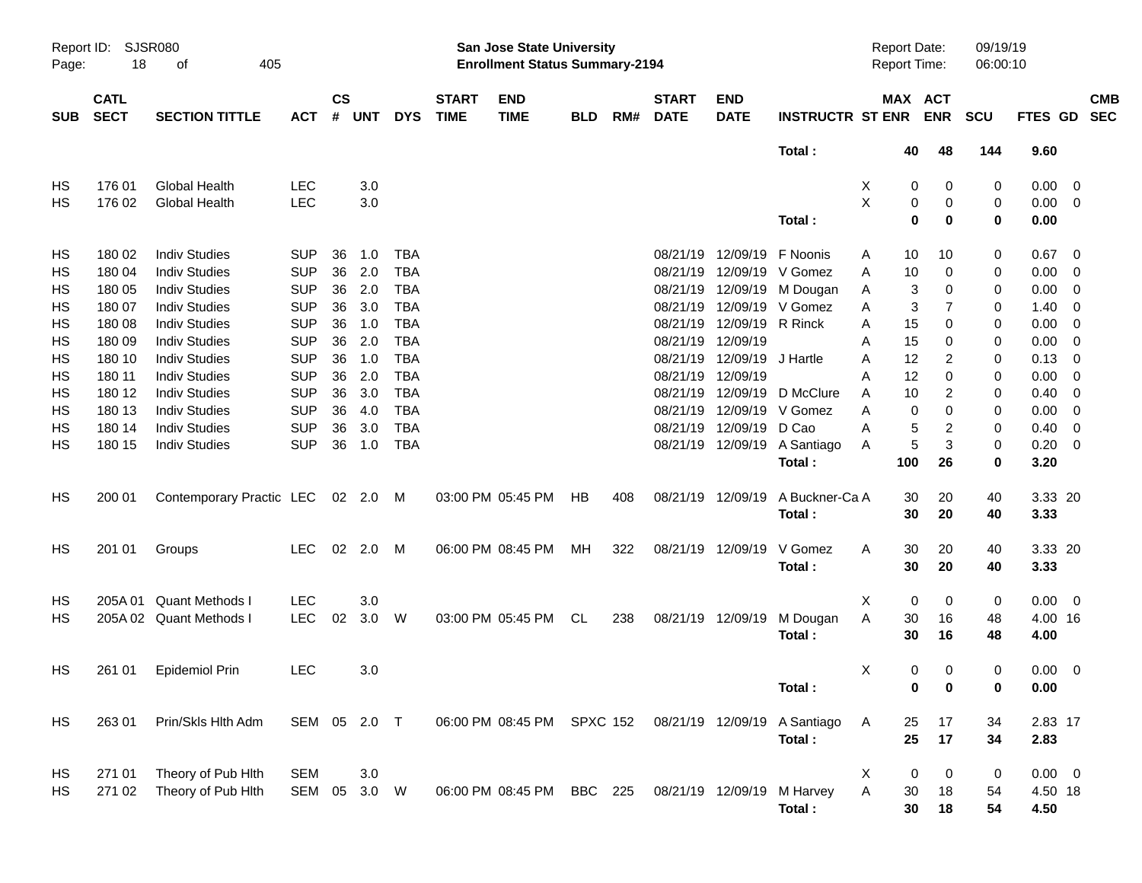|                     |                            |                                   |              |                    |            |            |                             |                                                                    | <b>Preliminary Census</b> |     |                             |                            |                             |   |                                     |                |                      |                |                          |                          |
|---------------------|----------------------------|-----------------------------------|--------------|--------------------|------------|------------|-----------------------------|--------------------------------------------------------------------|---------------------------|-----|-----------------------------|----------------------------|-----------------------------|---|-------------------------------------|----------------|----------------------|----------------|--------------------------|--------------------------|
| Report ID:<br>Page: | 18                         | <b>SJSR080</b><br>405<br>οf       |              |                    |            |            |                             | San Jose State University<br><b>Enrollment Status Summary-2194</b> |                           |     |                             |                            |                             |   | <b>Report Date:</b><br>Report Time: |                | 09/19/19<br>06:00:10 |                |                          |                          |
| <b>SUB</b>          | <b>CATL</b><br><b>SECT</b> | <b>SECTION TITTLE</b>             | <b>ACT</b>   | $\mathsf{cs}$<br># | <b>UNT</b> | <b>DYS</b> | <b>START</b><br><b>TIME</b> | <b>END</b><br><b>TIME</b>                                          | <b>BLD</b>                | RM# | <b>START</b><br><b>DATE</b> | <b>END</b><br><b>DATE</b>  | <b>INSTRUCTR ST ENR ENR</b> |   |                                     | MAX ACT        | <b>SCU</b>           | <b>FTES GD</b> |                          | <b>CMB</b><br><b>SEC</b> |
|                     |                            |                                   |              |                    |            |            |                             |                                                                    |                           |     |                             |                            | Total:                      |   | 40                                  | 48             | 144                  | 9.60           |                          |                          |
| HS                  | 176 01                     | <b>Global Health</b>              | <b>LEC</b>   |                    | 3.0        |            |                             |                                                                    |                           |     |                             |                            |                             | X | 0                                   | 0              | 0                    | $0.00 \t 0$    |                          |                          |
| HS                  | 176 02                     | <b>Global Health</b>              | <b>LEC</b>   |                    | 3.0        |            |                             |                                                                    |                           |     |                             |                            |                             | X | 0                                   | 0              | 0                    | $0.00 \t 0$    |                          |                          |
|                     |                            |                                   |              |                    |            |            |                             |                                                                    |                           |     |                             |                            | Total:                      |   | $\mathbf 0$                         | 0              | 0                    | 0.00           |                          |                          |
| HS                  | 180 02                     | <b>Indiv Studies</b>              | <b>SUP</b>   | 36                 | 1.0        | <b>TBA</b> |                             |                                                                    |                           |     |                             | 08/21/19 12/09/19 F Noonis |                             | A | 10                                  | 10             | 0                    | $0.67$ 0       |                          |                          |
| HS                  | 180 04                     | <b>Indiv Studies</b>              | <b>SUP</b>   | 36                 | 2.0        | <b>TBA</b> |                             |                                                                    |                           |     |                             |                            | 08/21/19 12/09/19 V Gomez   | A | 10                                  | 0              | 0                    | 0.00           | $\overline{\phantom{0}}$ |                          |
| HS                  | 180 05                     | <b>Indiv Studies</b>              | <b>SUP</b>   | 36                 | 2.0        | <b>TBA</b> |                             |                                                                    |                           |     |                             |                            | 08/21/19 12/09/19 M Dougan  | A | 3                                   | 0              | 0                    | 0.00           | $\overline{\mathbf{0}}$  |                          |
| HS                  | 180 07                     | <b>Indiv Studies</b>              | <b>SUP</b>   | 36                 | 3.0        | <b>TBA</b> |                             |                                                                    |                           |     |                             |                            | 08/21/19 12/09/19 V Gomez   | A | 3                                   | $\overline{7}$ | 0                    | 1.40           | $\overline{\phantom{0}}$ |                          |
| HS                  | 180 08                     | <b>Indiv Studies</b>              | <b>SUP</b>   | 36                 | 1.0        | <b>TBA</b> |                             |                                                                    |                           |     |                             | 08/21/19 12/09/19 R Rinck  |                             | A | 15                                  | 0              | 0                    | 0.00           | $\overline{\mathbf{0}}$  |                          |
| HS                  | 180 09                     | <b>Indiv Studies</b>              | <b>SUP</b>   | 36                 | 2.0        | <b>TBA</b> |                             |                                                                    |                           |     |                             | 08/21/19 12/09/19          |                             | Α | 15                                  | 0              | 0                    | 0.00           | $\overline{\mathbf{0}}$  |                          |
| HS                  | 180 10                     | <b>Indiv Studies</b>              | <b>SUP</b>   | 36                 | 1.0        | <b>TBA</b> |                             |                                                                    |                           |     |                             | 08/21/19 12/09/19 J Hartle |                             | A | 12                                  | 2              | 0                    | 0.13           | $\overline{\mathbf{0}}$  |                          |
| HS                  | 180 11                     | <b>Indiv Studies</b>              | <b>SUP</b>   | 36                 | 2.0        | <b>TBA</b> |                             |                                                                    |                           |     |                             | 08/21/19 12/09/19          |                             | Α | 12                                  | $\Omega$       | 0                    | 0.00           | 0                        |                          |
| HS                  | 180 12                     | <b>Indiv Studies</b>              | <b>SUP</b>   | 36                 | 3.0        | <b>TBA</b> |                             |                                                                    |                           |     |                             |                            | 08/21/19 12/09/19 D McClure | A | 10                                  | 2              | 0                    | 0.40           | $\overline{\mathbf{0}}$  |                          |
| HS                  | 180 13                     | <b>Indiv Studies</b>              | <b>SUP</b>   | 36                 | 4.0        | <b>TBA</b> |                             |                                                                    |                           |     |                             |                            | 08/21/19 12/09/19 V Gomez   | A | $\Omega$                            | 0              | 0                    | 0.00           | $\overline{\mathbf{0}}$  |                          |
| HS                  | 180 14                     | <b>Indiv Studies</b>              | <b>SUP</b>   | 36                 | 3.0        | <b>TBA</b> |                             |                                                                    |                           |     |                             | 08/21/19 12/09/19 D Cao    |                             | A | 5                                   | $\overline{c}$ | 0                    | 0.40           | $\overline{\mathbf{0}}$  |                          |
| HS                  | 180 15                     | <b>Indiv Studies</b>              | <b>SUP</b>   | 36                 | 1.0        | <b>TBA</b> |                             |                                                                    |                           |     |                             | 08/21/19 12/09/19          | A Santiago                  | A | 5                                   | 3              | 0                    | 0.20           | $\overline{\phantom{0}}$ |                          |
|                     |                            |                                   |              |                    |            |            |                             |                                                                    |                           |     |                             |                            | Total:                      |   | 100                                 | 26             | 0                    | 3.20           |                          |                          |
| HS                  | 200 01                     | Contemporary Practic LEC 02 2.0 M |              |                    |            |            |                             | 03:00 PM 05:45 PM                                                  | HB                        | 408 |                             | 08/21/19 12/09/19          | A Buckner-Ca A              |   | 30                                  | 20             | 40                   | 3.33 20        |                          |                          |
|                     |                            |                                   |              |                    |            |            |                             |                                                                    |                           |     |                             |                            | Total:                      |   | 30                                  | 20             | 40                   | 3.33           |                          |                          |
| HS                  | 201 01                     | Groups                            | <b>LEC</b>   |                    | 02 2.0     | M          |                             | 06:00 PM 08:45 PM                                                  | МH                        | 322 |                             | 08/21/19 12/09/19          | V Gomez                     | A | 30                                  | 20             | 40                   | 3.33 20        |                          |                          |
|                     |                            |                                   |              |                    |            |            |                             |                                                                    |                           |     |                             |                            | Total:                      |   | 30                                  | 20             | 40                   | 3.33           |                          |                          |
| HS                  | 205A 01                    | <b>Quant Methods I</b>            | <b>LEC</b>   |                    | 3.0        |            |                             |                                                                    |                           |     |                             |                            |                             | Χ | $\mathbf 0$                         | 0              | 0                    | $0.00 \t 0$    |                          |                          |
| HS                  |                            | 205A 02 Quant Methods I           | <b>LEC</b>   | 02                 | 3.0        | W          |                             | 03:00 PM 05:45 PM                                                  | CL                        | 238 |                             | 08/21/19 12/09/19          | M Dougan                    | Α | 30                                  | 16             | 48                   | 4.00 16        |                          |                          |
|                     |                            |                                   |              |                    |            |            |                             |                                                                    |                           |     |                             |                            | Total:                      |   | 30                                  | 16             | 48                   | 4.00           |                          |                          |
| HS                  | 261 01                     | <b>Epidemiol Prin</b>             | <b>LEC</b>   |                    | 3.0        |            |                             |                                                                    |                           |     |                             |                            |                             | Х | 0                                   | 0              | 0                    | $0.00 \t 0$    |                          |                          |
|                     |                            |                                   |              |                    |            |            |                             |                                                                    |                           |     |                             |                            | Total:                      |   | 0                                   | 0              | 0                    | 0.00           |                          |                          |
| HS                  | 263 01                     | Prin/Skls Hlth Adm                | SEM 05 2.0 T |                    |            |            |                             | 06:00 PM 08:45 PM SPXC 152                                         |                           |     |                             | 08/21/19 12/09/19          | A Santiago                  | A | 25                                  | 17             | 34                   | 2.83 17        |                          |                          |
|                     |                            |                                   |              |                    |            |            |                             |                                                                    |                           |     |                             |                            | Total:                      |   | 25                                  | 17             | 34                   | 2.83           |                          |                          |
| HS                  | 271 01                     | Theory of Pub Hith                | <b>SEM</b>   |                    | 3.0        |            |                             |                                                                    |                           |     |                             |                            |                             | X | 0                                   | 0              | 0                    | $0.00 \t 0$    |                          |                          |
| HS                  | 271 02                     | Theory of Pub Hith                | SEM 05       |                    | 3.0 W      |            |                             | 06:00 PM 08:45 PM                                                  | BBC 225                   |     |                             | 08/21/19 12/09/19          | M Harvey                    | Α | 30                                  | 18             | 54                   | 4.50 18        |                          |                          |
|                     |                            |                                   |              |                    |            |            |                             |                                                                    |                           |     |                             |                            | Total:                      |   | 30                                  | 18             | 54                   | 4.50           |                          |                          |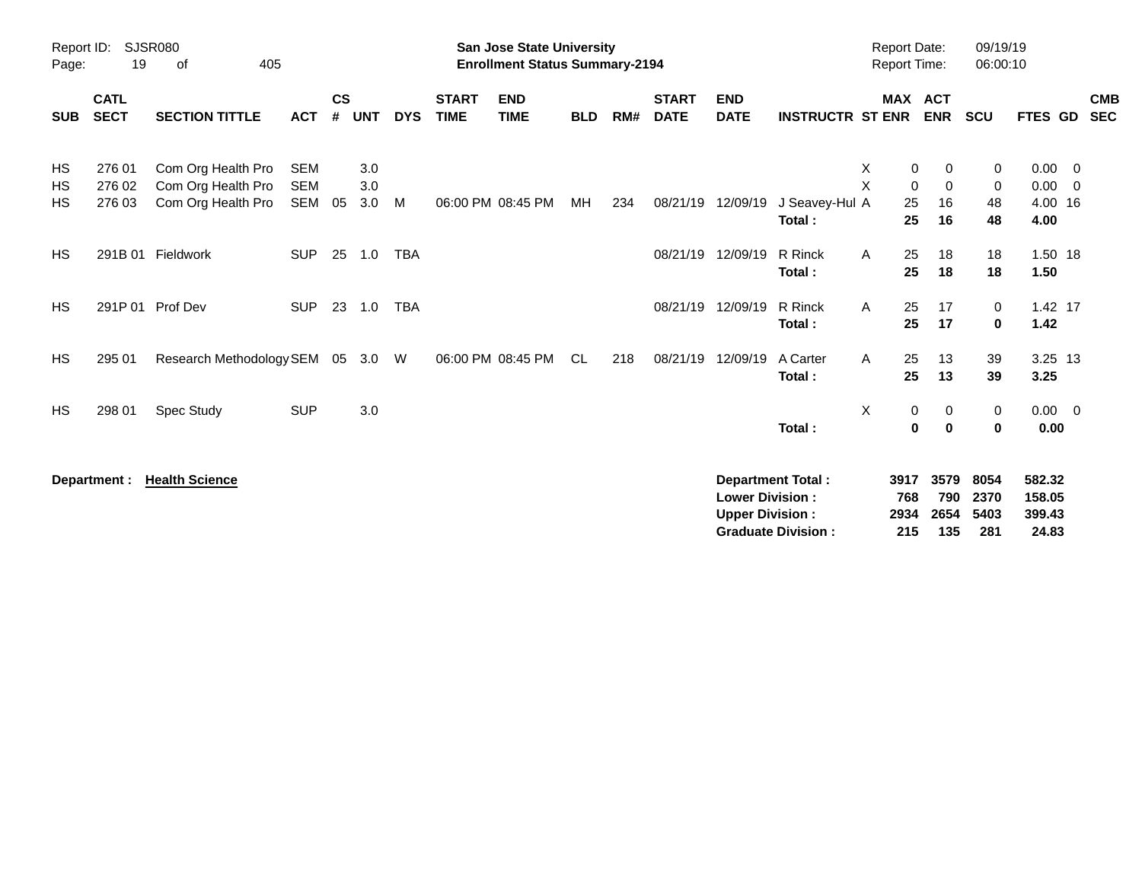|                       |                            |                                                                |                                 |                |                   |            |                             | <b>Preliminary Census</b>                                                 |            |     |                             |                                                  |                                                       |                                                         |                                           |                              |                                               |                          |
|-----------------------|----------------------------|----------------------------------------------------------------|---------------------------------|----------------|-------------------|------------|-----------------------------|---------------------------------------------------------------------------|------------|-----|-----------------------------|--------------------------------------------------|-------------------------------------------------------|---------------------------------------------------------|-------------------------------------------|------------------------------|-----------------------------------------------|--------------------------|
| Report ID:<br>Page:   | 19                         | <b>SJSR080</b><br>405<br>of                                    |                                 |                |                   |            |                             | <b>San Jose State University</b><br><b>Enrollment Status Summary-2194</b> |            |     |                             |                                                  |                                                       | <b>Report Date:</b><br><b>Report Time:</b>              |                                           | 09/19/19<br>06:00:10         |                                               |                          |
| <b>SUB</b>            | <b>CATL</b><br><b>SECT</b> | <b>SECTION TITTLE</b>                                          | <b>ACT</b>                      | <b>CS</b><br># | <b>UNT</b>        | <b>DYS</b> | <b>START</b><br><b>TIME</b> | <b>END</b><br><b>TIME</b>                                                 | <b>BLD</b> | RM# | <b>START</b><br><b>DATE</b> | <b>END</b><br><b>DATE</b>                        | <b>INSTRUCTR ST ENR</b>                               |                                                         | MAX ACT<br><b>ENR</b>                     | <b>SCU</b>                   | FTES GD                                       | <b>CMB</b><br><b>SEC</b> |
| HS<br>HS<br><b>HS</b> | 276 01<br>276 02<br>276 03 | Com Org Health Pro<br>Com Org Health Pro<br>Com Org Health Pro | <b>SEM</b><br><b>SEM</b><br>SEM | 05             | 3.0<br>3.0<br>3.0 | M          |                             | 06:00 PM 08:45 PM                                                         | MH         | 234 | 08/21/19                    | 12/09/19                                         | J Seavey-Hul A<br>Total:                              | X<br>$\overline{\mathsf{X}}$<br>$\mathbf 0$<br>25<br>25 | $\pmb{0}$<br>0<br>$\mathbf 0$<br>16<br>16 | 0<br>$\mathbf 0$<br>48<br>48 | $0.00 \t 0$<br>$0.00 \t 0$<br>4.00 16<br>4.00 |                          |
| <b>HS</b>             |                            | 291B 01 Fieldwork                                              | <b>SUP</b>                      |                | 25 1.0            | <b>TBA</b> |                             |                                                                           |            |     | 08/21/19                    | 12/09/19                                         | R Rinck<br>Total:                                     | A<br>25<br>25                                           | 18<br>18                                  | 18<br>18                     | 1.50 18<br>1.50                               |                          |
| <b>HS</b>             |                            | 291P 01 Prof Dev                                               | <b>SUP</b>                      |                | 23 1.0            | <b>TBA</b> |                             |                                                                           |            |     | 08/21/19                    | 12/09/19                                         | R Rinck<br>Total:                                     | A<br>25<br>25                                           | 17<br>17                                  | 0<br>$\bf{0}$                | 1.42 17<br>1.42                               |                          |
| <b>HS</b>             | 295 01                     | Research Methodology SEM 05 3.0                                |                                 |                |                   | W          |                             | 06:00 PM 08:45 PM                                                         | CL.        | 218 | 08/21/19                    | 12/09/19                                         | A Carter<br>Total:                                    | 25<br>A<br>25                                           | 13<br>13                                  | 39<br>39                     | 3.25 13<br>3.25                               |                          |
| <b>HS</b>             | 298 01                     | Spec Study                                                     | <b>SUP</b>                      |                | 3.0               |            |                             |                                                                           |            |     |                             |                                                  | Total:                                                | X                                                       | 0<br>0<br>0<br>0                          | 0<br>$\bf{0}$                | $0.00 \quad 0$<br>0.00                        |                          |
|                       | Department :               | <b>Health Science</b>                                          |                                 |                |                   |            |                             |                                                                           |            |     |                             | <b>Lower Division:</b><br><b>Upper Division:</b> | <b>Department Total:</b><br><b>Graduate Division:</b> | 3917<br>768<br>2934<br>215                              | 3579<br>790<br>2654<br>135                | 8054<br>2370<br>5403<br>281  | 582.32<br>158.05<br>399.43<br>24.83           |                          |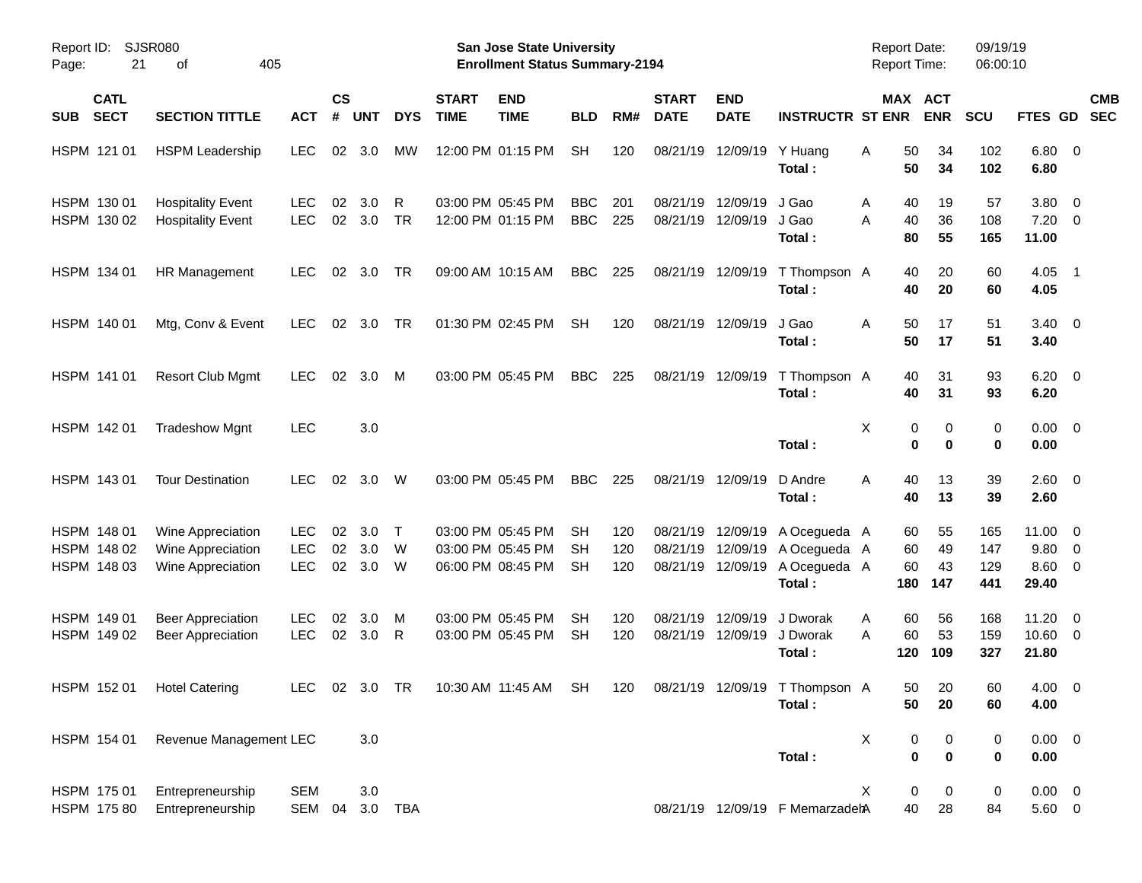|                                           |                                                             |                                  |                |                   |                  |                             |                                                                    | <b>Preliminary Census</b> |                   |                             |                                                    |                                                        |                                            |                       |                          |                                                   |            |
|-------------------------------------------|-------------------------------------------------------------|----------------------------------|----------------|-------------------|------------------|-----------------------------|--------------------------------------------------------------------|---------------------------|-------------------|-----------------------------|----------------------------------------------------|--------------------------------------------------------|--------------------------------------------|-----------------------|--------------------------|---------------------------------------------------|------------|
| Report ID:<br>21<br>Page:                 | SJSR080<br>405<br>οf                                        |                                  |                |                   |                  |                             | San Jose State University<br><b>Enrollment Status Summary-2194</b> |                           |                   |                             |                                                    |                                                        | <b>Report Date:</b><br><b>Report Time:</b> |                       | 09/19/19<br>06:00:10     |                                                   |            |
| <b>CATL</b><br><b>SECT</b><br><b>SUB</b>  | <b>SECTION TITTLE</b>                                       | <b>ACT</b>                       | <b>CS</b><br># | <b>UNT</b>        | <b>DYS</b>       | <b>START</b><br><b>TIME</b> | <b>END</b><br><b>TIME</b>                                          | <b>BLD</b>                | RM#               | <b>START</b><br><b>DATE</b> | <b>END</b><br><b>DATE</b>                          | <b>INSTRUCTR ST ENR</b>                                | MAX ACT                                    | <b>ENR</b>            | <b>SCU</b>               | FTES GD SEC                                       | <b>CMB</b> |
| HSPM 121 01                               | <b>HSPM Leadership</b>                                      | <b>LEC</b>                       | 02             | 3.0               | MW               |                             | 12:00 PM 01:15 PM                                                  | <b>SH</b>                 | 120               |                             | 08/21/19 12/09/19                                  | Y Huang<br>Total:                                      | 50<br>Α<br>50                              | 34<br>34              | 102<br>102               | $6.80$ 0<br>6.80                                  |            |
| HSPM 130 01<br>HSPM 130 02                | <b>Hospitality Event</b><br><b>Hospitality Event</b>        | <b>LEC</b><br><b>LEC</b>         | 02<br>02       | 3.0<br>3.0        | R<br>TR          |                             | 03:00 PM 05:45 PM<br>12:00 PM 01:15 PM                             | <b>BBC</b><br><b>BBC</b>  | 201<br>225        |                             | 08/21/19 12/09/19<br>08/21/19 12/09/19             | J Gao<br>J Gao<br>Total:                               | 40<br>A<br>A<br>40<br>80                   | 19<br>36<br>55        | 57<br>108<br>165         | 3.80 0<br>$7.20 \t 0$<br>11.00                    |            |
| HSPM 134 01                               | HR Management                                               | <b>LEC</b>                       | 02             | 3.0               | TR               |                             | 09:00 AM 10:15 AM                                                  | <b>BBC</b>                | 225               |                             | 08/21/19 12/09/19                                  | T Thompson A<br>Total:                                 | 40<br>40                                   | 20<br>20              | 60<br>60                 | $4.05$ 1<br>4.05                                  |            |
| HSPM 140 01                               | Mtg, Conv & Event                                           | <b>LEC</b>                       | 02             | 3.0               | TR               |                             | 01:30 PM 02:45 PM                                                  | <b>SH</b>                 | 120               |                             | 08/21/19 12/09/19                                  | J Gao<br>Total:                                        | 50<br>Α<br>50                              | 17<br>17              | 51<br>51                 | $3.40 \ 0$<br>3.40                                |            |
| HSPM 141 01                               | <b>Resort Club Mgmt</b>                                     | <b>LEC</b>                       | 02             | 3.0               | М                |                             | 03:00 PM 05:45 PM                                                  | <b>BBC</b>                | 225               |                             | 08/21/19 12/09/19                                  | T Thompson A<br>Total:                                 | 40<br>40                                   | 31<br>31              | 93<br>93                 | $6.20 \quad 0$<br>6.20                            |            |
| HSPM 142 01                               | <b>Tradeshow Mgnt</b>                                       | <b>LEC</b>                       |                | 3.0               |                  |                             |                                                                    |                           |                   |                             |                                                    | Total:                                                 | X<br>0<br>$\bf{0}$                         | 0<br>$\bf{0}$         | 0<br>0                   | $0.00 \t 0$<br>0.00                               |            |
| HSPM 143 01                               | <b>Tour Destination</b>                                     | <b>LEC</b>                       | 02             | 3.0               | W                |                             | 03:00 PM 05:45 PM                                                  | <b>BBC</b>                | 225               |                             | 08/21/19 12/09/19                                  | D Andre<br>Total:                                      | A<br>40<br>40                              | 13<br>13              | 39<br>39                 | $2.60 \t 0$<br>2.60                               |            |
| HSPM 148 01<br>HSPM 148 02<br>HSPM 148 03 | Wine Appreciation<br>Wine Appreciation<br>Wine Appreciation | LEC.<br><b>LEC</b><br><b>LEC</b> | 02<br>02<br>02 | 3.0<br>3.0<br>3.0 | $\top$<br>W<br>W |                             | 03:00 PM 05:45 PM<br>03:00 PM 05:45 PM<br>06:00 PM 08:45 PM        | SН<br>SН<br><b>SH</b>     | 120<br>120<br>120 | 08/21/19                    | 08/21/19 12/09/19<br>12/09/19<br>08/21/19 12/09/19 | A Ocegueda A<br>A Ocegueda A<br>A Ocegueda A<br>Total: | 60<br>60<br>60<br>180                      | 55<br>49<br>43<br>147 | 165<br>147<br>129<br>441 | $11.00 \t 0$<br>9.80 0<br>$8.60 \quad 0$<br>29.40 |            |
| HSPM 149 01<br>HSPM 149 02                | <b>Beer Appreciation</b><br><b>Beer Appreciation</b>        | <b>LEC</b><br><b>LEC</b>         | 02<br>02       | 3.0<br>3.0        | м<br>R           |                             | 03:00 PM 05:45 PM<br>03:00 PM 05:45 PM                             | SН<br><b>SH</b>           | 120<br>120        | 08/21/19<br>08/21/19        | 12/09/19<br>12/09/19                               | J Dworak<br>J Dworak<br>Total:                         | 60<br>A<br>A<br>60<br>120                  | 56<br>53<br>109       | 168<br>159<br>327        | $11.20 \t 0$<br>10.60 0<br>21.80                  |            |
| HSPM 152 01                               | <b>Hotel Catering</b>                                       | <b>LEC</b>                       |                | 02 3.0 TR         |                  |                             | 10:30 AM 11:45 AM SH                                               |                           | 120               |                             |                                                    | 08/21/19 12/09/19 T Thompson A<br>Total:               | 50<br>50                                   | 20<br>20              | 60<br>60                 | 4.00 0<br>4.00                                    |            |
| HSPM 154 01                               | Revenue Management LEC                                      |                                  |                | 3.0               |                  |                             |                                                                    |                           |                   |                             |                                                    | Total:                                                 | х<br>0<br>0                                | 0<br>0                | 0<br>0                   | $0.00 \t 0$<br>0.00                               |            |
| HSPM 175 01<br>HSPM 175 80                | Entrepreneurship<br>Entrepreneurship                        | <b>SEM</b><br>SEM 04             |                | 3.0               | 3.0 TBA          |                             |                                                                    |                           |                   |                             |                                                    | 08/21/19 12/09/19 F MemarzadehA                        | X<br>0<br>40                               | 0<br>28               | 0<br>84                  | $0.00 \t 0$<br>5.60 0                             |            |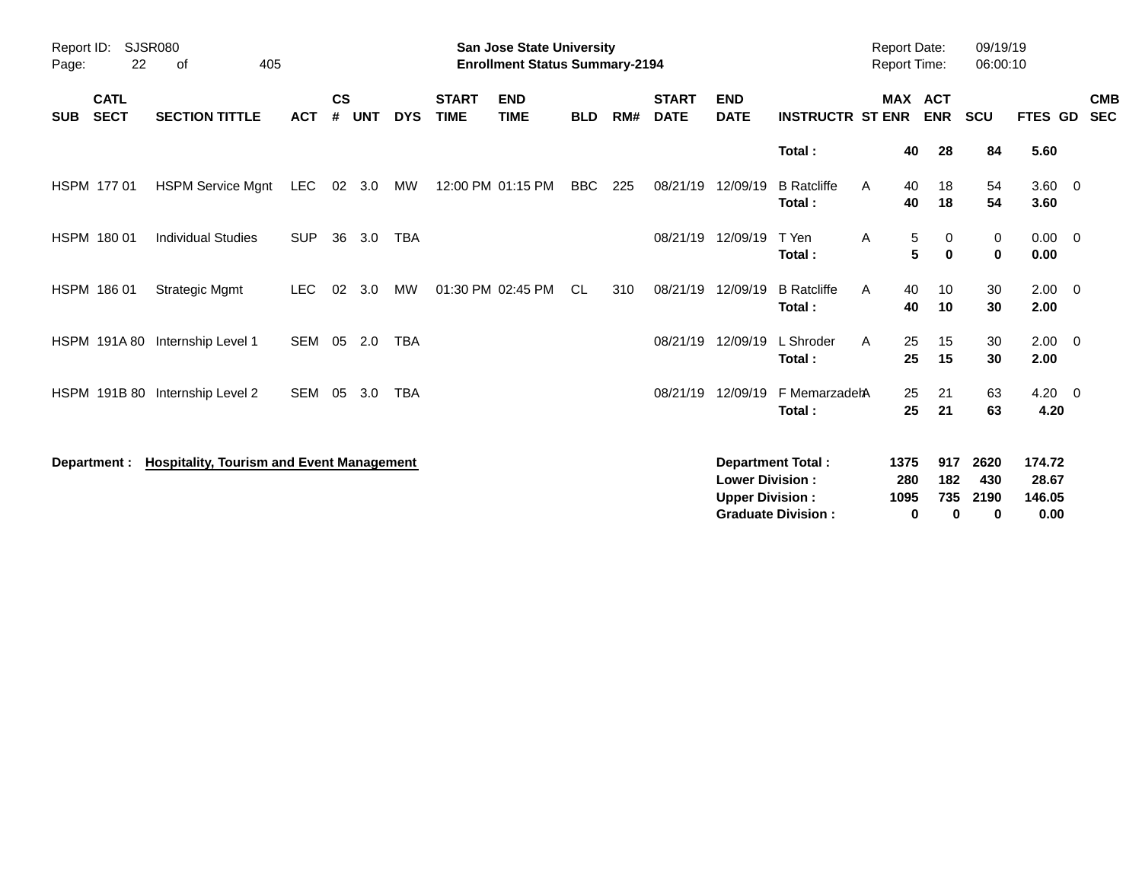|                     |                            |                                                  |            |                    |            |            |                             | <b>Preliminary Census</b>                                                 |            |     |                             |                                                  |                                                       |                                     |                                       |                          |                                   |                          |
|---------------------|----------------------------|--------------------------------------------------|------------|--------------------|------------|------------|-----------------------------|---------------------------------------------------------------------------|------------|-----|-----------------------------|--------------------------------------------------|-------------------------------------------------------|-------------------------------------|---------------------------------------|--------------------------|-----------------------------------|--------------------------|
| Report ID:<br>Page: | 22                         | <b>SJSR080</b><br>405<br>of                      |            |                    |            |            |                             | <b>San Jose State University</b><br><b>Enrollment Status Summary-2194</b> |            |     |                             |                                                  |                                                       | <b>Report Date:</b><br>Report Time: |                                       | 09/19/19<br>06:00:10     |                                   |                          |
| <b>SUB</b>          | <b>CATL</b><br><b>SECT</b> | <b>SECTION TITTLE</b>                            | <b>ACT</b> | $\mathsf{cs}$<br># | <b>UNT</b> | <b>DYS</b> | <b>START</b><br><b>TIME</b> | <b>END</b><br><b>TIME</b>                                                 | <b>BLD</b> | RM# | <b>START</b><br><b>DATE</b> | <b>END</b><br><b>DATE</b>                        | <b>INSTRUCTR ST ENR</b>                               |                                     | <b>MAX ACT</b><br><b>ENR</b>          | SCU                      | <b>FTES GD</b>                    | <b>CMB</b><br><b>SEC</b> |
|                     |                            |                                                  |            |                    |            |            |                             |                                                                           |            |     |                             |                                                  | Total:                                                |                                     | 40<br>28                              | 84                       | 5.60                              |                          |
|                     | HSPM 177 01                | <b>HSPM Service Mgnt</b>                         | <b>LEC</b> | 02                 | 3.0        | МW         |                             | 12:00 PM 01:15 PM                                                         | <b>BBC</b> | 225 | 08/21/19                    | 12/09/19                                         | <b>B</b> Ratcliffe<br>Total:                          | A                                   | 40<br>18<br>18<br>40                  | 54<br>54                 | $3.60 \ 0$<br>3.60                |                          |
|                     | HSPM 180 01                | <b>Individual Studies</b>                        | <b>SUP</b> | 36                 | 3.0        | <b>TBA</b> |                             |                                                                           |            |     |                             | 08/21/19 12/09/19                                | T Yen<br>Total:                                       | Α                                   | 5<br>0<br>5<br>0                      | 0<br>$\bf{0}$            | $0.00 \t 0$<br>0.00               |                          |
|                     | HSPM 186 01                | <b>Strategic Mgmt</b>                            | <b>LEC</b> | 02                 | 3.0        | MW         |                             | 01:30 PM 02:45 PM                                                         | <b>CL</b>  | 310 | 08/21/19                    | 12/09/19                                         | <b>B</b> Ratcliffe<br>Total:                          | A                                   | 40<br>10<br>40<br>10                  | 30<br>30                 | $2.00 \t 0$<br>2.00               |                          |
|                     |                            | HSPM 191A 80 Internship Level 1                  | SEM        | 05                 | 2.0        | <b>TBA</b> |                             |                                                                           |            |     | 08/21/19                    | 12/09/19                                         | L Shroder<br>Total:                                   | A                                   | 25<br>15<br>25<br>15                  | 30<br>30                 | $2.00 \t 0$<br>2.00               |                          |
|                     |                            | HSPM 191B 80 Internship Level 2                  | SEM        | 05                 | 3.0        | <b>TBA</b> |                             |                                                                           |            |     | 08/21/19 12/09/19           |                                                  | F MemarzadehA<br>Total:                               |                                     | 25<br>21<br>25<br>21                  | 63<br>63                 | $4.20 \ 0$<br>4.20                |                          |
|                     | Department :               | <b>Hospitality, Tourism and Event Management</b> |            |                    |            |            |                             |                                                                           |            |     |                             | <b>Lower Division:</b><br><b>Upper Division:</b> | <b>Department Total:</b><br><b>Graduate Division:</b> | 1375<br>280<br>1095                 | 917<br>182<br>735<br>$\mathbf 0$<br>0 | 2620<br>430<br>2190<br>0 | 174.72<br>28.67<br>146.05<br>0.00 |                          |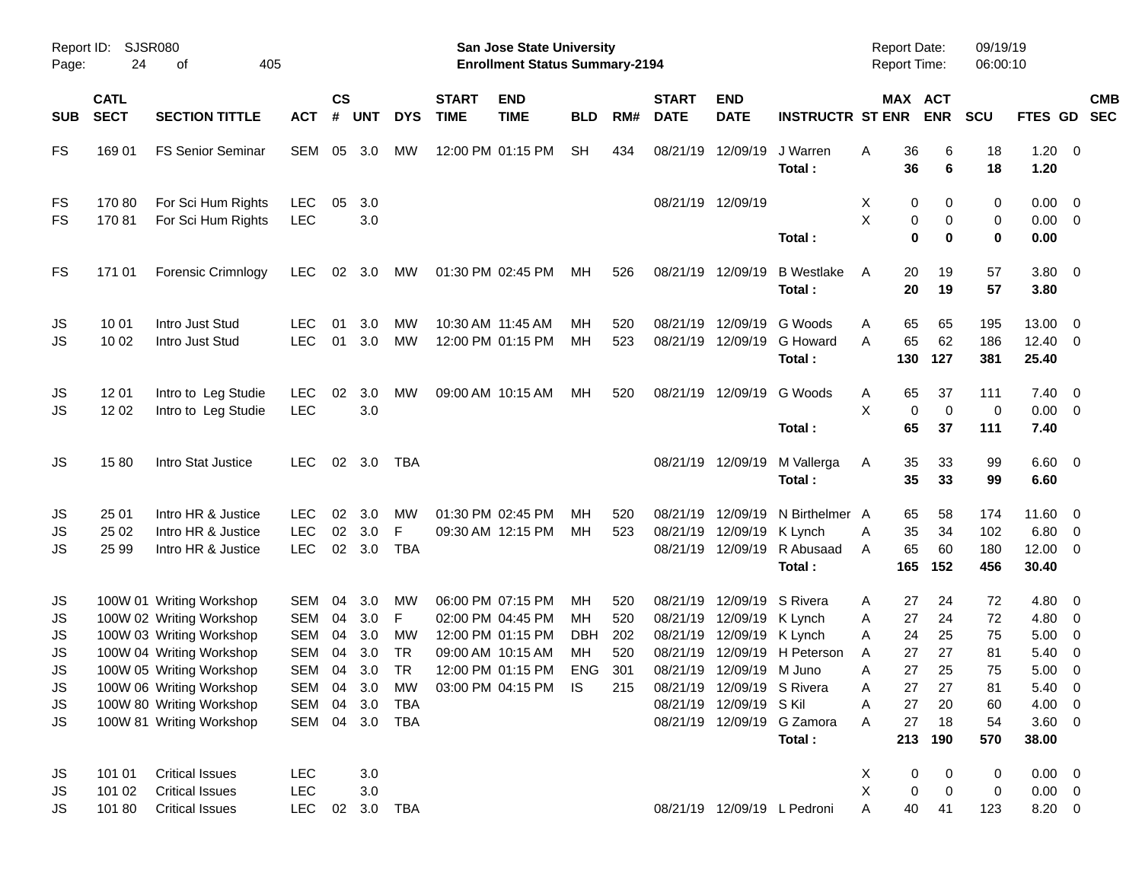|                      |                            |                                                                                                              |                                        |                    |                             |                       |                             | <b>Preliminary Census</b>                                          |                  |                   |                                  |                                                                                   |                                                  |                                            |                                             |                          |                                       |                                                      |                          |
|----------------------|----------------------------|--------------------------------------------------------------------------------------------------------------|----------------------------------------|--------------------|-----------------------------|-----------------------|-----------------------------|--------------------------------------------------------------------|------------------|-------------------|----------------------------------|-----------------------------------------------------------------------------------|--------------------------------------------------|--------------------------------------------|---------------------------------------------|--------------------------|---------------------------------------|------------------------------------------------------|--------------------------|
| Report ID:<br>Page:  | <b>SJSR080</b><br>24       | of<br>405                                                                                                    |                                        |                    |                             |                       |                             | San Jose State University<br><b>Enrollment Status Summary-2194</b> |                  |                   |                                  |                                                                                   |                                                  | <b>Report Date:</b><br><b>Report Time:</b> |                                             | 09/19/19<br>06:00:10     |                                       |                                                      |                          |
| <b>SUB</b>           | <b>CATL</b><br><b>SECT</b> | <b>SECTION TITTLE</b>                                                                                        | <b>ACT</b>                             | $\mathsf{cs}$<br># | <b>UNT</b>                  | <b>DYS</b>            | <b>START</b><br><b>TIME</b> | <b>END</b><br><b>TIME</b>                                          | <b>BLD</b>       | RM#               | <b>START</b><br><b>DATE</b>      | <b>END</b><br><b>DATE</b>                                                         | <b>INSTRUCTR ST ENR</b>                          |                                            | MAX ACT<br><b>ENR</b>                       | <b>SCU</b>               | FTES GD                               |                                                      | <b>CMB</b><br><b>SEC</b> |
| <b>FS</b>            | 169 01                     | <b>FS Senior Seminar</b>                                                                                     | SEM                                    |                    | 05 3.0                      | MW                    |                             | 12:00 PM 01:15 PM                                                  | <b>SH</b>        | 434               | 08/21/19                         | 12/09/19                                                                          | J Warren<br>Total:                               | 36<br>Α<br>36                              | 6<br>6                                      | 18<br>18                 | $1.20 \ 0$<br>1.20                    |                                                      |                          |
| FS<br><b>FS</b>      | 17080<br>17081             | For Sci Hum Rights<br>For Sci Hum Rights                                                                     | <b>LEC</b><br><b>LEC</b>               | 05                 | 3.0<br>3.0                  |                       |                             |                                                                    |                  |                   |                                  | 08/21/19 12/09/19                                                                 | Total:                                           | X<br>X                                     | 0<br>0<br>0<br>0<br>$\mathbf 0$<br>$\bf{0}$ | 0<br>0<br>0              | $0.00 \t 0$<br>$0.00 \t 0$<br>0.00    |                                                      |                          |
| FS                   | 171 01                     | Forensic Crimnlogy                                                                                           | <b>LEC</b>                             | 02                 | 3.0                         | МW                    |                             | 01:30 PM 02:45 PM                                                  | МH               | 526               | 08/21/19 12/09/19                |                                                                                   | <b>B</b> Westlake<br>Total:                      | Α<br>20<br>20                              | 19<br>19                                    | 57<br>57                 | 3.80 0<br>3.80                        |                                                      |                          |
| JS<br>JS             | 10 01<br>10 02             | Intro Just Stud<br>Intro Just Stud                                                                           | LEC.<br><b>LEC</b>                     | 01<br>01           | 3.0<br>3.0                  | MW<br><b>MW</b>       |                             | 10:30 AM 11:45 AM<br>12:00 PM 01:15 PM                             | MН<br>MH         | 520<br>523        | 08/21/19<br>08/21/19             | 12/09/19<br>12/09/19                                                              | G Woods<br><b>G</b> Howard<br>Total:             | 65<br>A<br>65<br>A<br>130                  | 65<br>62<br>127                             | 195<br>186<br>381        | 13.00<br>$12.40 \ 0$<br>25.40         | $\overline{\phantom{0}}$                             |                          |
| JS<br>JS             | 12 01<br>12 02             | Intro to Leg Studie<br>Intro to Leg Studie                                                                   | <b>LEC</b><br><b>LEC</b>               | 02                 | 3.0<br>3.0                  | МW                    |                             | 09:00 AM 10:15 AM                                                  | MН               | 520               |                                  | 08/21/19 12/09/19                                                                 | G Woods<br>Total:                                | 65<br>A<br>X<br>65                         | 37<br>$\mathbf 0$<br>$\mathbf 0$<br>37      | 111<br>0<br>111          | $7.40 \quad 0$<br>$0.00 \t 0$<br>7.40 |                                                      |                          |
| JS                   | 1580                       | Intro Stat Justice                                                                                           | LEC.                                   |                    | 02 3.0                      | TBA                   |                             |                                                                    |                  |                   | 08/21/19 12/09/19                |                                                                                   | M Vallerga<br>Total:                             | 35<br>Α<br>35                              | 33<br>33                                    | 99<br>99                 | $6.60$ 0<br>6.60                      |                                                      |                          |
| JS<br>JS<br>JS       | 25 01<br>25 02<br>25 99    | Intro HR & Justice<br>Intro HR & Justice<br>Intro HR & Justice                                               | LEC<br><b>LEC</b><br><b>LEC</b>        | 02<br>02<br>02     | 3.0<br>3.0<br>3.0           | МW<br>F<br><b>TBA</b> |                             | 01:30 PM 02:45 PM<br>09:30 AM 12:15 PM                             | MН<br>MH         | 520<br>523        | 08/21/19<br>08/21/19             | 12/09/19<br>12/09/19<br>08/21/19 12/09/19                                         | N Birthelmer A<br>K Lynch<br>R Abusaad<br>Total: | 65<br>35<br>A<br>65<br>Α<br>165            | 58<br>34<br>60<br>152                       | 174<br>102<br>180<br>456 | 11.60 0<br>6.80<br>12.00 0<br>30.40   | $\overline{\phantom{0}}$                             |                          |
| JS<br>JS<br>JS       |                            | 100W 01 Writing Workshop<br>100W 02 Writing Workshop<br>100W 03 Writing Workshop                             | SEM<br><b>SEM</b><br>SEM               | 04<br>04<br>04     | 3.0<br>3.0<br>3.0           | МW<br>F<br><b>MW</b>  |                             | 06:00 PM 07:15 PM<br>02:00 PM 04:45 PM<br>12:00 PM 01:15 PM        | MН<br>MН<br>DBH  | 520<br>520<br>202 | 08/21/19<br>08/21/19<br>08/21/19 | 12/09/19<br>12/09/19<br>12/09/19                                                  | S Rivera<br>K Lynch<br>K Lynch                   | 27<br>Α<br>27<br>Α<br>24<br>A              | 24<br>24<br>25                              | 72<br>72<br>75           | $4.80\ 0$<br>4.80<br>5.00             | $\overline{\mathbf{0}}$<br>$\overline{\mathbf{0}}$   |                          |
| JS<br>JS<br>JS<br>JS |                            | 100W 04 Writing Workshop<br>100W 05 Writing Workshop<br>100W 06 Writing Workshop<br>100W 80 Writing Workshop | <b>SEM</b><br>SEM<br>SEM<br><b>SEM</b> | 04<br>04<br>04     | 3.0<br>3.0<br>3.0<br>04 3.0 | TR<br>TR<br>МW<br>TBA |                             | 09:00 AM 10:15 AM<br>12:00 PM 01:15 PM<br>03:00 PM 04:15 PM        | MН<br>ENG<br>IS. | 520<br>301<br>215 |                                  | 08/21/19 12/09/19 M Juno<br>08/21/19 12/09/19 S Rivera<br>08/21/19 12/09/19 S Kil | 08/21/19 12/09/19 H Peterson                     | 27<br>A<br>27<br>Α<br>27<br>Α<br>27<br>Α   | 27<br>25<br>27<br>20                        | 81<br>75<br>81<br>60     | 5.40<br>5.00<br>$5.40 \ 0$<br>4.00 0  | $\overline{\phantom{0}}$<br>$\overline{\phantom{0}}$ |                          |
| JS                   |                            | 100W 81 Writing Workshop                                                                                     | SEM                                    |                    |                             | 04 3.0 TBA            |                             |                                                                    |                  |                   |                                  |                                                                                   | 08/21/19 12/09/19 G Zamora<br>Total:             | 27<br>Α<br>213                             | 18<br>190                                   | 54<br>570                | 3.60 0<br>38.00                       |                                                      |                          |
| JS<br>JS<br>JS       | 101 01<br>101 02<br>10180  | <b>Critical Issues</b><br><b>Critical Issues</b><br><b>Critical Issues</b>                                   | <b>LEC</b><br><b>LEC</b><br><b>LEC</b> | 02                 | 3.0<br>3.0                  | 3.0 TBA               |                             |                                                                    |                  |                   |                                  |                                                                                   | 08/21/19 12/09/19 L Pedroni                      | X<br>X<br>40<br>A                          | 0<br>0<br>0<br>$\mathbf 0$<br>41            | 0<br>0<br>123            | $0.00 \t 0$<br>$0.00 \t 0$<br>8.20 0  |                                                      |                          |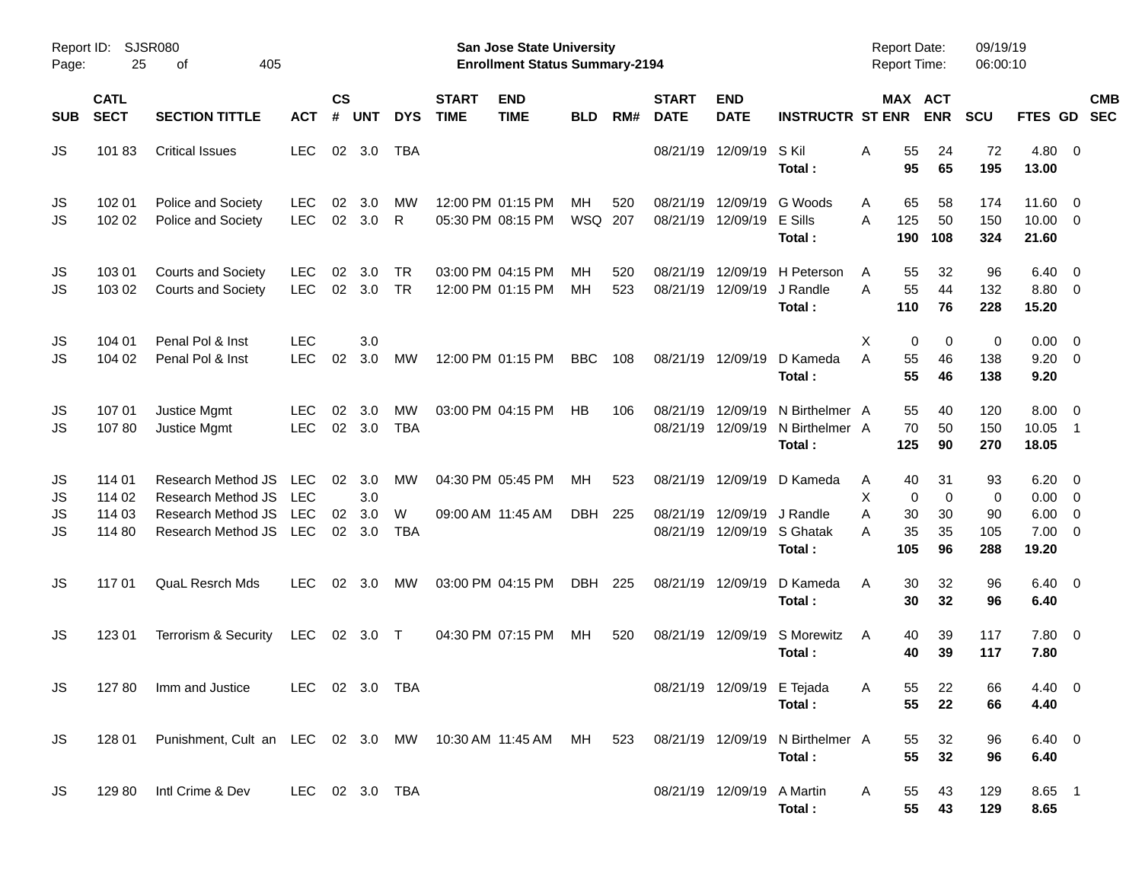|                     |                            |                                                        |                          |                    |               |                         |                             | <b>Preliminary Census</b>                                                 |            |            |                             |                                        |                                            |                                     |                         |                 |                      |                                   |                          |            |
|---------------------|----------------------------|--------------------------------------------------------|--------------------------|--------------------|---------------|-------------------------|-----------------------------|---------------------------------------------------------------------------|------------|------------|-----------------------------|----------------------------------------|--------------------------------------------|-------------------------------------|-------------------------|-----------------|----------------------|-----------------------------------|--------------------------|------------|
| Report ID:<br>Page: | 25                         | <b>SJSR080</b><br>405<br>of                            |                          |                    |               |                         |                             | <b>San Jose State University</b><br><b>Enrollment Status Summary-2194</b> |            |            |                             |                                        |                                            | <b>Report Date:</b><br>Report Time: |                         |                 | 09/19/19<br>06:00:10 |                                   |                          |            |
| <b>SUB</b>          | <b>CATL</b><br><b>SECT</b> | <b>SECTION TITTLE</b>                                  | <b>ACT</b>               | $\mathsf{cs}$<br># | <b>UNT</b>    | <b>DYS</b>              | <b>START</b><br><b>TIME</b> | <b>END</b><br><b>TIME</b>                                                 | <b>BLD</b> | RM#        | <b>START</b><br><b>DATE</b> | <b>END</b><br><b>DATE</b>              | <b>INSTRUCTR ST ENR</b>                    |                                     | MAX ACT                 | <b>ENR</b>      | <b>SCU</b>           | FTES GD SEC                       |                          | <b>CMB</b> |
| JS                  | 10183                      | <b>Critical Issues</b>                                 | <b>LEC</b>               |                    | 02 3.0        | <b>TBA</b>              |                             |                                                                           |            |            |                             | 08/21/19 12/09/19                      | S Kil<br>Total:                            | Α                                   | 55<br>95                | 24<br>65        | 72<br>195            | 4.80 0<br>13.00                   |                          |            |
| JS<br><b>JS</b>     | 102 01<br>102 02           | Police and Society<br>Police and Society               | <b>LEC</b><br><b>LEC</b> | 02<br>02           | 3.0<br>3.0    | МW<br>R                 |                             | 12:00 PM 01:15 PM<br>05:30 PM 08:15 PM                                    | MН<br>WSQ  | 520<br>207 | 08/21/19                    | 12/09/19<br>08/21/19 12/09/19          | G Woods<br>E Sills<br>Total:               | Α<br>A                              | 65<br>125<br>190        | 58<br>50<br>108 | 174<br>150<br>324    | 11.60 0<br>$10.00 \t 0$<br>21.60  |                          |            |
| JS<br>JS            | 103 01<br>103 02           | <b>Courts and Society</b><br><b>Courts and Society</b> | <b>LEC</b><br><b>LEC</b> | 02<br>02           | 3.0<br>3.0    | <b>TR</b><br><b>TR</b>  |                             | 03:00 PM 04:15 PM<br>12:00 PM 01:15 PM                                    | MН<br>MH   | 520<br>523 | 08/21/19<br>08/21/19        | 12/09/19<br>12/09/19                   | H Peterson<br>J Randle<br>Total:           | A<br>A                              | 55<br>55<br>110         | 32<br>44<br>76  | 96<br>132<br>228     | $6.40 \quad 0$<br>8.80 0<br>15.20 |                          |            |
| JS<br>JS            | 104 01<br>104 02           | Penal Pol & Inst<br>Penal Pol & Inst                   | <b>LEC</b><br><b>LEC</b> | 02                 | 3.0<br>3.0    | MW                      |                             | 12:00 PM 01:15 PM                                                         | <b>BBC</b> | 108        | 08/21/19 12/09/19           |                                        | D Kameda<br>Total:                         | X<br>A                              | $\mathbf 0$<br>55<br>55 | 0<br>46<br>46   | 0<br>138<br>138      | $0.00 \t 0$<br>$9.20 \ 0$<br>9.20 |                          |            |
| JS<br><b>JS</b>     | 107 01<br>10780            | Justice Mgmt<br>Justice Mgmt                           | LEC<br><b>LEC</b>        | 02<br>02           | 3.0<br>3.0    | <b>MW</b><br><b>TBA</b> |                             | 03:00 PM 04:15 PM                                                         | <b>HB</b>  | 106        | 08/21/19                    | 12/09/19<br>08/21/19 12/09/19          | N Birthelmer A<br>N Birthelmer A<br>Total: |                                     | 55<br>70<br>125         | 40<br>50<br>90  | 120<br>150<br>270    | $8.00 \t 0$<br>10.05<br>18.05     | - 1                      |            |
| JS<br>JS            | 114 01<br>114 02           | Research Method JS<br>Research Method JS               | <b>LEC</b><br><b>LEC</b> | 02                 | 3.0<br>3.0    | MW                      |                             | 04:30 PM 05:45 PM                                                         | MН         | 523        |                             | 08/21/19 12/09/19                      | D Kameda                                   | Α<br>X                              | 40<br>$\mathbf 0$       | 31<br>$\Omega$  | 93<br>0              | $6.20 \quad 0$<br>$0.00 \t 0$     |                          |            |
| JS<br><b>JS</b>     | 114 03<br>114 80           | Research Method JS<br>Research Method JS               | <b>LEC</b><br>LEC        | 02                 | 3.0<br>02 3.0 | W<br><b>TBA</b>         |                             | 09:00 AM 11:45 AM                                                         | <b>DBH</b> | 225        |                             | 08/21/19 12/09/19<br>08/21/19 12/09/19 | J Randle<br>S Ghatak<br>Total:             | A<br>A                              | 30<br>35<br>105         | 30<br>35<br>96  | 90<br>105<br>288     | 6.00<br>$7.00 \t 0$<br>19.20      | $\overline{\phantom{0}}$ |            |
| JS                  | 117 01                     | <b>QuaL Resrch Mds</b>                                 | <b>LEC</b>               | 02                 | 3.0           | МW                      |                             | 03:00 PM 04:15 PM                                                         | <b>DBH</b> | 225        | 08/21/19 12/09/19           |                                        | D Kameda<br>Total:                         | A                                   | 30<br>30                | 32<br>32        | 96<br>96             | $6.40 \quad 0$<br>6.40            |                          |            |
| JS                  | 123 01                     | Terrorism & Security                                   | LEC                      |                    | 02 3.0        | $\top$                  |                             | 04:30 PM 07:15 PM                                                         | MН         | 520        | 08/21/19 12/09/19           |                                        | S Morewitz<br>Total:                       | A                                   | 40<br>40                | 39<br>39        | 117<br>117           | 7.80 0<br>7.80                    |                          |            |
| JS                  | 127 80                     | Imm and Justice                                        | LEC 02 3.0 TBA           |                    |               |                         |                             |                                                                           |            |            |                             | 08/21/19 12/09/19 E Tejada             | Total:                                     | A                                   | 55<br>55                | 22<br>22        | 66<br>66             | $4.40 \ 0$<br>4.40                |                          |            |
| <b>JS</b>           | 128 01                     | Punishment, Cult an LEC 02 3.0 MW 10:30 AM 11:45 AM MH |                          |                    |               |                         |                             |                                                                           |            | 523        |                             |                                        | 08/21/19 12/09/19 N Birthelmer A<br>Total: |                                     | 55<br>55                | 32<br>32        | 96<br>96             | $6.40\quad 0$<br>6.40             |                          |            |
| <b>JS</b>           | 129 80                     | Intl Crime & Dev                                       | LEC 02 3.0 TBA           |                    |               |                         |                             |                                                                           |            |            |                             | 08/21/19 12/09/19 A Martin             | Total:                                     | A                                   | 55<br>55                | 43<br>43        | 129<br>129           | 8.65 1<br>8.65                    |                          |            |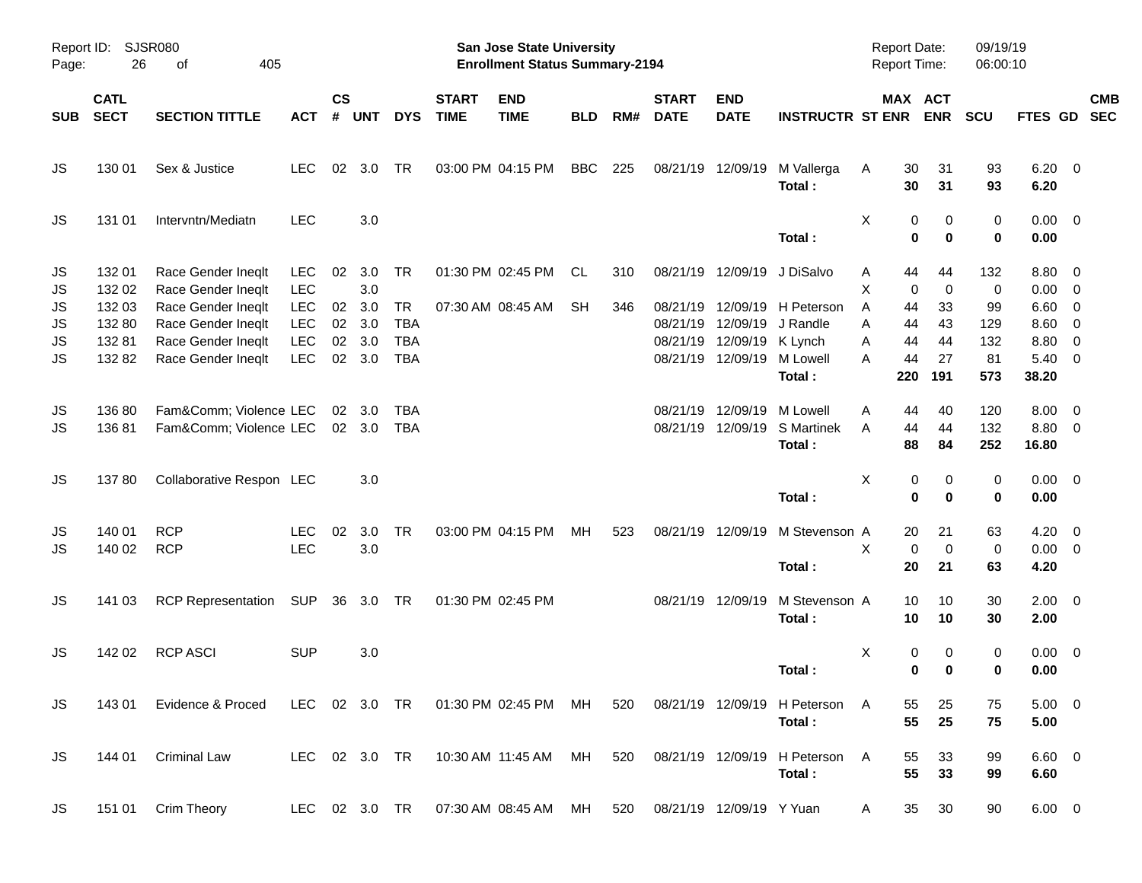|                      |                                     |                                                                                      |                                                      |                      |                          |                                                     |                             | <b>Preliminary Census</b>                                          |            |     |                                  |                                                       |                                               |                                          |                      |                        |                                        |                                                     |                          |
|----------------------|-------------------------------------|--------------------------------------------------------------------------------------|------------------------------------------------------|----------------------|--------------------------|-----------------------------------------------------|-----------------------------|--------------------------------------------------------------------|------------|-----|----------------------------------|-------------------------------------------------------|-----------------------------------------------|------------------------------------------|----------------------|------------------------|----------------------------------------|-----------------------------------------------------|--------------------------|
| Page:                | Report ID: SJSR080<br>26            | 405<br>of                                                                            |                                                      |                      |                          |                                                     |                             | San Jose State University<br><b>Enrollment Status Summary-2194</b> |            |     |                                  |                                                       |                                               | <b>Report Date:</b><br>Report Time:      |                      | 09/19/19<br>06:00:10   |                                        |                                                     |                          |
| <b>SUB</b>           | <b>CATL</b><br><b>SECT</b>          | <b>SECTION TITTLE</b>                                                                | <b>ACT</b>                                           | $\mathsf{cs}$<br>#   | <b>UNT</b>               | <b>DYS</b>                                          | <b>START</b><br><b>TIME</b> | <b>END</b><br><b>TIME</b>                                          | <b>BLD</b> | RM# | <b>START</b><br><b>DATE</b>      | <b>END</b><br><b>DATE</b>                             | <b>INSTRUCTR ST ENR</b>                       | MAX ACT                                  | <b>ENR</b>           | <b>SCU</b>             | <b>FTES GD</b>                         |                                                     | <b>CMB</b><br><b>SEC</b> |
| JS                   | 130 01                              | Sex & Justice                                                                        | <b>LEC</b>                                           |                      | 02 3.0                   | <b>TR</b>                                           |                             | 03:00 PM 04:15 PM                                                  | <b>BBC</b> | 225 |                                  | 08/21/19 12/09/19                                     | M Vallerga<br>Total:                          | 30<br>Α<br>30                            | 31<br>31             | 93<br>93               | $6.20 \quad 0$<br>6.20                 |                                                     |                          |
| JS                   | 131 01                              | Intervntn/Mediatn                                                                    | <b>LEC</b>                                           |                      | 3.0                      |                                                     |                             |                                                                    |            |     |                                  |                                                       | Total:                                        | Χ<br>0<br>0                              | 0<br>$\bf{0}$        | 0<br>0                 | $0.00 \t 0$<br>0.00                    |                                                     |                          |
| JS<br>JS             | 132 01<br>132 02                    | Race Gender Ineqlt<br>Race Gender Ineqlt                                             | <b>LEC</b><br><b>LEC</b>                             | 02                   | 3.0<br>3.0               | <b>TR</b>                                           |                             | 01:30 PM 02:45 PM                                                  | CL         | 310 |                                  | 08/21/19 12/09/19                                     | J DiSalvo                                     | 44<br>Α<br>х<br>0                        | 44<br>$\mathbf 0$    | 132<br>0               | 8.80 0<br>$0.00 \t 0$                  |                                                     |                          |
| JS<br>JS<br>JS<br>JS | 132 03<br>132 80<br>13281<br>132 82 | Race Gender Ineqlt<br>Race Gender Ineglt<br>Race Gender Ineqlt<br>Race Gender Ineqlt | <b>LEC</b><br><b>LEC</b><br><b>LEC</b><br><b>LEC</b> | 02<br>02<br>02<br>02 | 3.0<br>3.0<br>3.0<br>3.0 | <b>TR</b><br><b>TBA</b><br><b>TBA</b><br><b>TBA</b> |                             | 07:30 AM 08:45 AM                                                  | <b>SH</b>  | 346 | 08/21/19<br>08/21/19<br>08/21/19 | 12/09/19<br>12/09/19<br>12/09/19<br>08/21/19 12/09/19 | H Peterson<br>J Randle<br>K Lynch<br>M Lowell | A<br>44<br>44<br>Α<br>44<br>A<br>A<br>44 | 33<br>43<br>44<br>27 | 99<br>129<br>132<br>81 | $6.60$ 0<br>8.60<br>8.80<br>$5.40 \ 0$ | $\overline{\phantom{0}}$<br>$\overline{\mathbf{0}}$ |                          |
| JS                   | 13680                               | Fam&Comm Violence LEC                                                                |                                                      |                      | $02 \quad 3.0$           | TBA                                                 |                             |                                                                    |            |     | 08/21/19                         | 12/09/19                                              | Total:<br>M Lowell<br><b>S</b> Martinek       | 220<br>Α<br>44<br>44<br>A                | 191<br>40<br>44      | 573<br>120             | 38.20<br>$8.00 \t 0$                   |                                                     |                          |
| JS                   | 13681                               | Fam&Comm Violence LEC                                                                |                                                      |                      | 02 3.0                   | TBA                                                 |                             |                                                                    |            |     |                                  | 08/21/19 12/09/19                                     | Total:                                        | 88                                       | 84                   | 132<br>252             | 8.80 0<br>16.80                        |                                                     |                          |
| JS                   | 13780                               | Collaborative Respon LEC                                                             |                                                      |                      | 3.0                      |                                                     |                             |                                                                    |            |     |                                  |                                                       | Total:                                        | Χ<br>0<br>$\mathbf 0$                    | 0<br>$\bf{0}$        | 0<br>0                 | $0.00 \t 0$<br>0.00                    |                                                     |                          |
| JS<br>JS             | 140 01<br>140 02                    | <b>RCP</b><br><b>RCP</b>                                                             | <b>LEC</b><br><b>LEC</b>                             | 02                   | 3.0<br>3.0               | <b>TR</b>                                           |                             | 03:00 PM 04:15 PM                                                  | MН         | 523 |                                  | 08/21/19 12/09/19                                     | M Stevenson A<br>Total:                       | 20<br>$\mathbf 0$<br>Χ<br>20             | 21<br>0<br>21        | 63<br>0<br>63          | $4.20 \ 0$<br>$0.00 \t 0$<br>4.20      |                                                     |                          |
| JS                   | 141 03                              | <b>RCP Representation</b>                                                            | <b>SUP</b>                                           | 36                   | 3.0 TR                   |                                                     |                             | 01:30 PM 02:45 PM                                                  |            |     |                                  | 08/21/19 12/09/19                                     | M Stevenson A<br>Total:                       | 10<br>10                                 | 10<br>10             | 30<br>30               | $2.00 \t 0$<br>2.00                    |                                                     |                          |
| JS                   | 142 02                              | <b>RCP ASCI</b>                                                                      | <b>SUP</b>                                           |                      | 3.0                      |                                                     |                             |                                                                    |            |     |                                  |                                                       | Total:                                        | х<br>0<br>0                              | 0<br>0               | 0<br>0                 | $0.00 \t 0$<br>0.00                    |                                                     |                          |
| JS                   | 143 01                              | Evidence & Proced                                                                    |                                                      |                      |                          | LEC 02 3.0 TR                                       |                             | 01:30 PM 02:45 PM MH                                               |            | 520 |                                  | 08/21/19 12/09/19                                     | H Peterson A<br>Total:                        | 55<br>55                                 | 25<br>25             | 75<br>75               | $5.00 \t 0$<br>5.00                    |                                                     |                          |
| JS                   | 144 01                              | <b>Criminal Law</b>                                                                  | LEC 02 3.0 TR                                        |                      |                          |                                                     |                             | 10:30 AM 11:45 AM MH                                               |            | 520 |                                  | 08/21/19 12/09/19                                     | H Peterson<br>Total:                          | 55<br>A<br>55                            | 33<br>33             | 99<br>99               | $6.60$ 0<br>6.60                       |                                                     |                          |
| JS                   | 151 01                              | Crim Theory                                                                          |                                                      |                      |                          | LEC 02 3.0 TR                                       |                             | 07:30 AM 08:45 AM MH 520                                           |            |     |                                  | 08/21/19 12/09/19 Y Yuan                              |                                               | 35<br>A                                  | 30                   | 90                     | $6.00 \t 0$                            |                                                     |                          |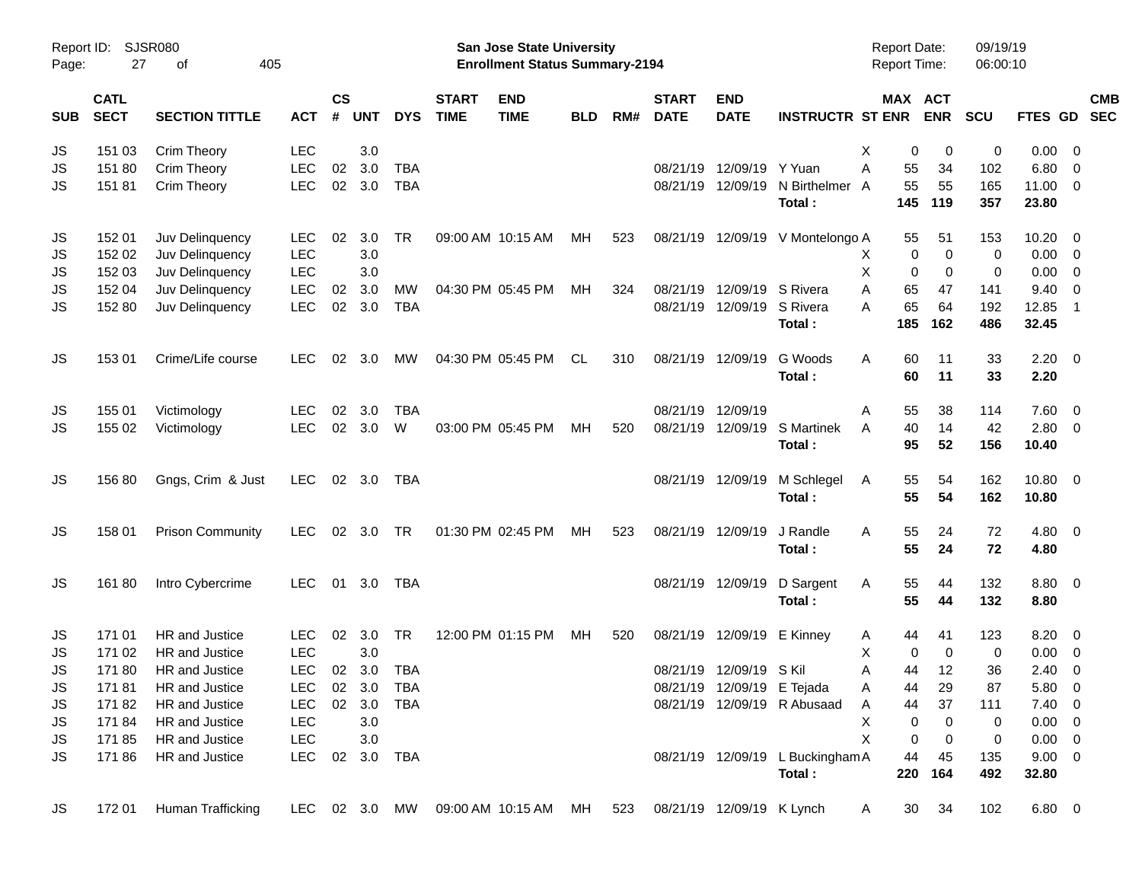|       |                            |                         |            |                    |            |            |                             |                                                                           | <b>Preliminary Census</b> |     |                             |                            |                                  |                                            |             |                      |              |                          |            |
|-------|----------------------------|-------------------------|------------|--------------------|------------|------------|-----------------------------|---------------------------------------------------------------------------|---------------------------|-----|-----------------------------|----------------------------|----------------------------------|--------------------------------------------|-------------|----------------------|--------------|--------------------------|------------|
| Page: | Report ID: SJSR080<br>27   | 405<br>оf               |            |                    |            |            |                             | <b>San Jose State University</b><br><b>Enrollment Status Summary-2194</b> |                           |     |                             |                            |                                  | <b>Report Date:</b><br><b>Report Time:</b> |             | 09/19/19<br>06:00:10 |              |                          |            |
| SUB   | <b>CATL</b><br><b>SECT</b> | <b>SECTION TITTLE</b>   | <b>ACT</b> | $\mathsf{cs}$<br># | <b>UNT</b> | <b>DYS</b> | <b>START</b><br><b>TIME</b> | <b>END</b><br><b>TIME</b>                                                 | <b>BLD</b>                | RM# | <b>START</b><br><b>DATE</b> | <b>END</b><br><b>DATE</b>  | <b>INSTRUCTR ST ENR</b>          | <b>MAX ACT</b>                             | <b>ENR</b>  | SCU                  | FTES GD SEC  |                          | <b>CMB</b> |
| JS    | 151 03                     | Crim Theory             | <b>LEC</b> |                    | 3.0        |            |                             |                                                                           |                           |     |                             |                            |                                  | X<br>0                                     | 0           | 0                    | $0.00 \t 0$  |                          |            |
| JS    | 151 80                     | Crim Theory             | <b>LEC</b> | 02                 | 3.0        | <b>TBA</b> |                             |                                                                           |                           |     | 08/21/19                    | 12/09/19 Y Yuan            |                                  | A<br>55                                    | 34          | 102                  | 6.80         | $\overline{\phantom{0}}$ |            |
| JS    | 15181                      | Crim Theory             | <b>LEC</b> | 02                 | 3.0        | <b>TBA</b> |                             |                                                                           |                           |     |                             | 08/21/19 12/09/19          | N Birthelmer                     | 55<br>A                                    | 55          | 165                  | 11.00 0      |                          |            |
|       |                            |                         |            |                    |            |            |                             |                                                                           |                           |     |                             |                            | Total:                           | 145                                        | 119         | 357                  | 23.80        |                          |            |
| JS    | 152 01                     | Juv Delinquency         | <b>LEC</b> | 02                 | 3.0        | <b>TR</b>  |                             | 09:00 AM 10:15 AM                                                         | МH                        | 523 |                             |                            | 08/21/19 12/09/19 V Montelongo A | 55                                         | 51          | 153                  | $10.20 \t 0$ |                          |            |
| JS    | 152 02                     | Juv Delinquency         | <b>LEC</b> |                    | 3.0        |            |                             |                                                                           |                           |     |                             |                            |                                  | 0<br>X                                     | $\mathbf 0$ | 0                    | $0.00 \t 0$  |                          |            |
| JS    | 152 03                     | Juv Delinquency         | <b>LEC</b> |                    | 3.0        |            |                             |                                                                           |                           |     |                             |                            |                                  | X<br>$\mathbf 0$                           | $\mathbf 0$ | 0                    | $0.00 \t 0$  |                          |            |
| JS    | 152 04                     | Juv Delinquency         | <b>LEC</b> | 02                 | 3.0        | MW         |                             | 04:30 PM 05:45 PM                                                         | МH                        | 324 |                             | 08/21/19 12/09/19          | S Rivera                         | 65<br>Α                                    | 47          | 141                  | 9.40         | $\overline{\phantom{0}}$ |            |
| JS    | 152 80                     | Juv Delinquency         | <b>LEC</b> | 02                 | 3.0        | <b>TBA</b> |                             |                                                                           |                           |     |                             | 08/21/19 12/09/19          | S Rivera                         | 65<br>A                                    | 64          | 192                  | 12.85        | $\overline{1}$           |            |
|       |                            |                         |            |                    |            |            |                             |                                                                           |                           |     |                             |                            | Total:                           | 185                                        | 162         | 486                  | 32.45        |                          |            |
| JS    | 153 01                     | Crime/Life course       | <b>LEC</b> | 02                 | 3.0        | МW         |                             | 04:30 PM 05:45 PM                                                         | CL.                       | 310 |                             | 08/21/19 12/09/19          | G Woods                          | 60<br>A                                    | 11          | 33                   | $2.20 \t 0$  |                          |            |
|       |                            |                         |            |                    |            |            |                             |                                                                           |                           |     |                             |                            | Total:                           | 60                                         | 11          | 33                   | 2.20         |                          |            |
|       |                            |                         |            |                    |            |            |                             |                                                                           |                           |     |                             |                            |                                  |                                            |             |                      |              |                          |            |
| JS    | 155 01                     | Victimology             | <b>LEC</b> | 02                 | 3.0        | <b>TBA</b> |                             |                                                                           |                           |     |                             | 08/21/19 12/09/19          |                                  | 55<br>A                                    | 38          | 114                  | $7.60 \t 0$  |                          |            |
| JS    | 155 02                     | Victimology             | <b>LEC</b> | 02                 | 3.0        | W          |                             | 03:00 PM 05:45 PM                                                         | MH                        | 520 |                             | 08/21/19 12/09/19          | S Martinek                       | 40<br>A                                    | 14          | 42                   | $2.80 \t 0$  |                          |            |
|       |                            |                         |            |                    |            |            |                             |                                                                           |                           |     |                             |                            | Total:                           | 95                                         | 52          | 156                  | 10.40        |                          |            |
| JS    | 15680                      | Gngs, Crim & Just       | <b>LEC</b> |                    | 02 3.0     | TBA        |                             |                                                                           |                           |     |                             | 08/21/19 12/09/19          | M Schlegel                       | 55<br>A                                    | 54          | 162                  | 10.80 0      |                          |            |
|       |                            |                         |            |                    |            |            |                             |                                                                           |                           |     |                             |                            | Total:                           | 55                                         | 54          | 162                  | 10.80        |                          |            |
| JS    | 158 01                     | <b>Prison Community</b> | <b>LEC</b> |                    | 02 3.0     | <b>TR</b>  |                             | 01:30 PM 02:45 PM                                                         | MH                        | 523 |                             | 08/21/19 12/09/19          | J Randle                         | 55<br>Α                                    | 24          | 72                   | $4.80\ 0$    |                          |            |
|       |                            |                         |            |                    |            |            |                             |                                                                           |                           |     |                             |                            | Total:                           | 55                                         | 24          | 72                   | 4.80         |                          |            |
| JS    | 16180                      | Intro Cybercrime        | <b>LEC</b> |                    | 01 3.0     | <b>TBA</b> |                             |                                                                           |                           |     |                             | 08/21/19 12/09/19          | D Sargent                        | 55<br>Α                                    | 44          | 132                  | 8.80 0       |                          |            |
|       |                            |                         |            |                    |            |            |                             |                                                                           |                           |     |                             |                            | Total:                           | 55                                         | 44          | 132                  | 8.80         |                          |            |
| JS    | 171 01                     | <b>HR</b> and Justice   | <b>LEC</b> | 02                 | 3.0        | TR         |                             | 12:00 PM 01:15 PM                                                         | МH                        | 520 |                             | 08/21/19 12/09/19          | E Kinney                         | 44<br>A                                    | 41          | 123                  | $8.20 \ 0$   |                          |            |
| JS    | 171 02                     | HR and Justice          | <b>LEC</b> |                    | 3.0        |            |                             |                                                                           |                           |     |                             |                            |                                  | Х<br>0                                     | $\mathbf 0$ | 0                    | $0.00 \ 0$   |                          |            |
| JS    | 17180                      | HR and Justice          | <b>LEC</b> |                    | 02 3.0     | TBA        |                             |                                                                           |                           |     |                             | 08/21/19 12/09/19 S Kil    |                                  | Α<br>44                                    | 12          | 36                   | $2.40 \ 0$   |                          |            |
| JS    | 17181                      | HR and Justice          | <b>LEC</b> |                    | 02 3.0     | <b>TBA</b> |                             |                                                                           |                           |     |                             | 08/21/19 12/09/19 E Tejada |                                  | 44<br>A                                    | 29          | 87                   | 5.80 0       |                          |            |
| JS    | 17182                      | HR and Justice          | <b>LEC</b> |                    | 02 3.0     | TBA        |                             |                                                                           |                           |     |                             |                            | 08/21/19 12/09/19 R Abusaad      | 44<br>A                                    | 37          | 111                  | $7.40 \ 0$   |                          |            |
| JS    | 17184                      | HR and Justice          | <b>LEC</b> |                    | 3.0        |            |                             |                                                                           |                           |     |                             |                            |                                  | X<br>0                                     | 0           | 0                    | $0.00 \t 0$  |                          |            |
| JS    | 17185                      | HR and Justice          | <b>LEC</b> |                    | 3.0        |            |                             |                                                                           |                           |     |                             |                            |                                  | X<br>0                                     | 0           | 0                    | $0.00 \t 0$  |                          |            |
| JS    | 17186                      | HR and Justice          | <b>LEC</b> | 02                 |            | 3.0 TBA    |                             |                                                                           |                           |     |                             |                            | 08/21/19 12/09/19 L Buckingham A | 44                                         | 45          | 135                  | $9.00 \t 0$  |                          |            |
|       |                            |                         |            |                    |            |            |                             |                                                                           |                           |     |                             |                            | Total:                           | 220                                        | 164         | 492                  | 32.80        |                          |            |
| JS    | 172 01                     | Human Trafficking       | LEC        |                    |            | 02 3.0 MW  |                             | 09:00 AM 10:15 AM                                                         | MН                        | 523 |                             | 08/21/19 12/09/19 K Lynch  |                                  | 30<br>A                                    | 34          | 102                  | $6.80\ 0$    |                          |            |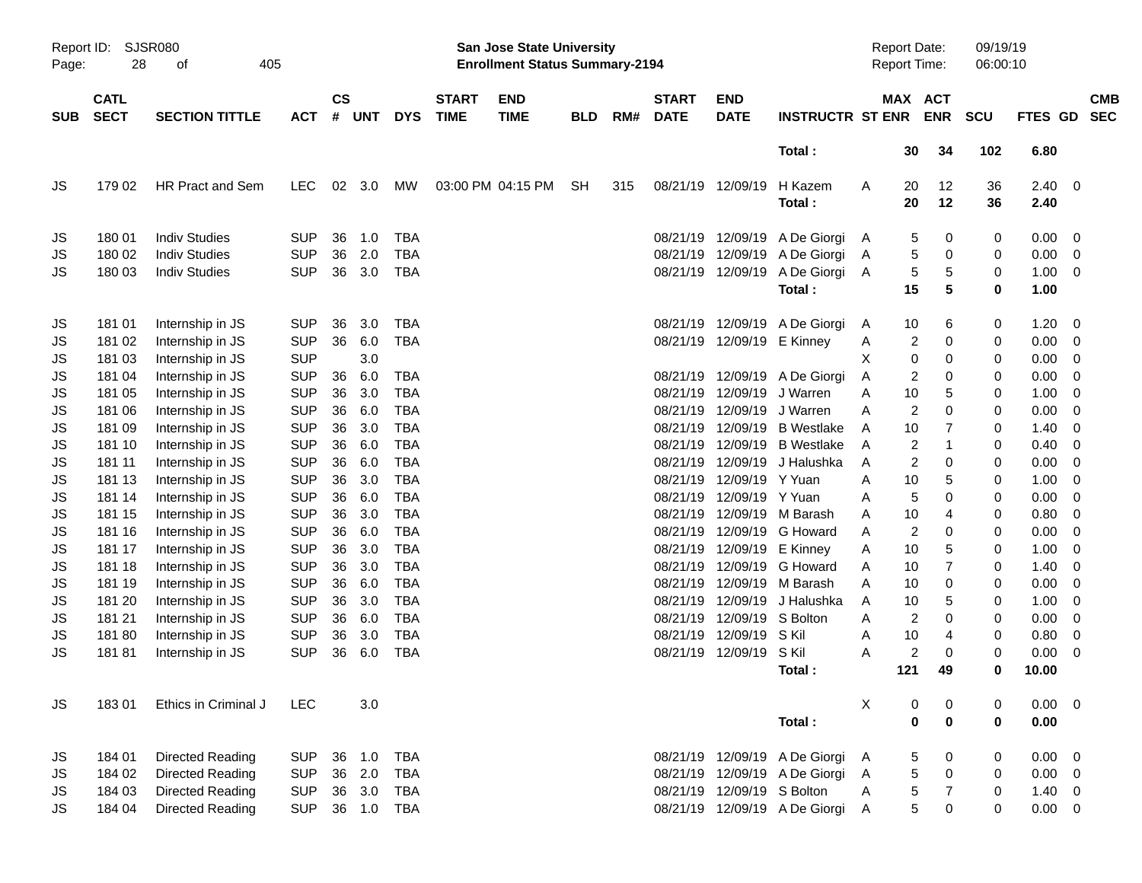|                     |                            |                         |            |                    |            |            |                             |                                                                           | <b>Preliminary Census</b> |     |                             |                            |                               |   |                                            |                |                      |             |                          |                          |
|---------------------|----------------------------|-------------------------|------------|--------------------|------------|------------|-----------------------------|---------------------------------------------------------------------------|---------------------------|-----|-----------------------------|----------------------------|-------------------------------|---|--------------------------------------------|----------------|----------------------|-------------|--------------------------|--------------------------|
| Report ID:<br>Page: | 28                         | SJSR080<br>405<br>οf    |            |                    |            |            |                             | <b>San Jose State University</b><br><b>Enrollment Status Summary-2194</b> |                           |     |                             |                            |                               |   | <b>Report Date:</b><br><b>Report Time:</b> |                | 09/19/19<br>06:00:10 |             |                          |                          |
| <b>SUB</b>          | <b>CATL</b><br><b>SECT</b> | <b>SECTION TITTLE</b>   | <b>ACT</b> | $\mathsf{cs}$<br># | <b>UNT</b> | <b>DYS</b> | <b>START</b><br><b>TIME</b> | <b>END</b><br><b>TIME</b>                                                 | <b>BLD</b>                | RM# | <b>START</b><br><b>DATE</b> | <b>END</b><br><b>DATE</b>  | <b>INSTRUCTR ST ENR</b>       |   | MAX ACT                                    | <b>ENR</b>     | <b>SCU</b>           | FTES GD     |                          | <b>CMB</b><br><b>SEC</b> |
|                     |                            |                         |            |                    |            |            |                             |                                                                           |                           |     |                             |                            | Total:                        |   | 30                                         | 34             | 102                  | 6.80        |                          |                          |
| JS                  | 179 02                     | HR Pract and Sem        | <b>LEC</b> | 02                 | 3.0        | МW         |                             | 03:00 PM 04:15 PM                                                         | <b>SH</b>                 | 315 |                             | 08/21/19 12/09/19          | H Kazem                       | Α | 20                                         | 12             | 36                   | 2.40        | - 0                      |                          |
|                     |                            |                         |            |                    |            |            |                             |                                                                           |                           |     |                             |                            | Total:                        |   | 20                                         | 12             | 36                   | 2.40        |                          |                          |
| JS                  | 180 01                     | <b>Indiv Studies</b>    | <b>SUP</b> | 36                 | 1.0        | <b>TBA</b> |                             |                                                                           |                           |     | 08/21/19                    |                            | 12/09/19 A De Giorgi          | A | 5                                          | 0              | 0                    | 0.00        | 0                        |                          |
| JS                  | 180 02                     | <b>Indiv Studies</b>    | <b>SUP</b> | 36                 | 2.0        | <b>TBA</b> |                             |                                                                           |                           |     | 08/21/19                    | 12/09/19                   | A De Giorgi                   | A | 5                                          | 0              | 0                    | 0.00        | 0                        |                          |
| JS                  | 180 03                     | <b>Indiv Studies</b>    | <b>SUP</b> | 36                 | 3.0        | <b>TBA</b> |                             |                                                                           |                           |     |                             | 08/21/19 12/09/19          | A De Giorgi                   | A | 5                                          | 5              | 0                    | 1.00        | 0                        |                          |
|                     |                            |                         |            |                    |            |            |                             |                                                                           |                           |     |                             |                            | Total:                        |   | 15                                         | 5              | 0                    | 1.00        |                          |                          |
| JS                  | 181 01                     | Internship in JS        | <b>SUP</b> | 36                 | 3.0        | <b>TBA</b> |                             |                                                                           |                           |     | 08/21/19                    |                            | 12/09/19 A De Giorgi          | A | 10                                         | 6              | 0                    | 1.20        | 0                        |                          |
| JS                  | 181 02                     | Internship in JS        | <b>SUP</b> | 36                 | 6.0        | <b>TBA</b> |                             |                                                                           |                           |     |                             | 08/21/19 12/09/19 E Kinney |                               | A | 2                                          | 0              | 0                    | 0.00        | 0                        |                          |
| JS                  | 181 03                     | Internship in JS        | <b>SUP</b> |                    | 3.0        |            |                             |                                                                           |                           |     |                             |                            |                               | X | 0                                          | 0              | 0                    | 0.00        | 0                        |                          |
| JS                  | 181 04                     | Internship in JS        | <b>SUP</b> | 36                 | 6.0        | <b>TBA</b> |                             |                                                                           |                           |     |                             |                            | 08/21/19 12/09/19 A De Giorgi | A | 2                                          | 0              | 0                    | 0.00        | 0                        |                          |
| JS                  | 181 05                     | Internship in JS        | <b>SUP</b> | 36                 | 3.0        | <b>TBA</b> |                             |                                                                           |                           |     | 08/21/19                    | 12/09/19                   | J Warren                      | A | 10                                         | 5              | 0                    | 1.00        | 0                        |                          |
| JS                  | 181 06                     | Internship in JS        | <b>SUP</b> | 36                 | 6.0        | <b>TBA</b> |                             |                                                                           |                           |     | 08/21/19                    | 12/09/19                   | J Warren                      | Α | 2                                          | 0              | 0                    | 0.00        | 0                        |                          |
| JS                  | 181 09                     | Internship in JS        | <b>SUP</b> | 36                 | 3.0        | <b>TBA</b> |                             |                                                                           |                           |     | 08/21/19                    | 12/09/19                   | <b>B</b> Westlake             | A | 10                                         | 7              | 0                    | 1.40        | 0                        |                          |
| JS                  | 181 10                     | Internship in JS        | <b>SUP</b> | 36                 | 6.0        | <b>TBA</b> |                             |                                                                           |                           |     | 08/21/19                    |                            | 12/09/19 B Westlake           | A | $\overline{2}$                             | $\mathbf 1$    | 0                    | 0.40        | 0                        |                          |
| JS                  | 181 11                     | Internship in JS        | <b>SUP</b> | 36                 | 6.0        | <b>TBA</b> |                             |                                                                           |                           |     | 08/21/19                    | 12/09/19                   | J Halushka                    | A | 2                                          | 0              | 0                    | 0.00        | 0                        |                          |
| JS                  | 181 13                     | Internship in JS        | <b>SUP</b> | 36                 | 3.0        | <b>TBA</b> |                             |                                                                           |                           |     | 08/21/19                    | 12/09/19 Y Yuan            |                               | A | 10                                         | 5              | 0                    | 1.00        | 0                        |                          |
| JS                  | 181 14                     | Internship in JS        | <b>SUP</b> | 36                 | 6.0        | <b>TBA</b> |                             |                                                                           |                           |     | 08/21/19                    | 12/09/19 Y Yuan            |                               | A | 5                                          | 0              | 0                    | 0.00        | 0                        |                          |
| JS                  | 181 15                     | Internship in JS        | <b>SUP</b> | 36                 | 3.0        | <b>TBA</b> |                             |                                                                           |                           |     | 08/21/19                    |                            | 12/09/19 M Barash             | A | 10                                         | 4              | 0                    | 0.80        | 0                        |                          |
| JS                  | 181 16                     | Internship in JS        | <b>SUP</b> | 36                 | 6.0        | <b>TBA</b> |                             |                                                                           |                           |     | 08/21/19                    | 12/09/19                   | G Howard                      | A | 2                                          | 0              | 0                    | 0.00        | 0                        |                          |
| JS                  | 181 17                     | Internship in JS        | <b>SUP</b> | 36                 | 3.0        | <b>TBA</b> |                             |                                                                           |                           |     | 08/21/19                    |                            | 12/09/19 E Kinney             | A | 10                                         | 5              | 0                    | 1.00        | 0                        |                          |
| JS                  | 181 18                     | Internship in JS        | <b>SUP</b> | 36                 | 3.0        | <b>TBA</b> |                             |                                                                           |                           |     | 08/21/19                    | 12/09/19                   | G Howard                      | A | 10                                         | 7              | 0                    | 1.40        | 0                        |                          |
| JS                  | 181 19                     | Internship in JS        | <b>SUP</b> | 36                 | 6.0        | <b>TBA</b> |                             |                                                                           |                           |     | 08/21/19                    |                            | 12/09/19 M Barash             | A | 10                                         | 0              | 0                    | 0.00        | 0                        |                          |
| JS                  | 181 20                     | Internship in JS        | <b>SUP</b> | 36                 | 3.0        | <b>TBA</b> |                             |                                                                           |                           |     | 08/21/19                    | 12/09/19                   | J Halushka                    | A | 10                                         | 5              | 0                    | 1.00        | 0                        |                          |
| JS                  | 181 21                     | Internship in JS        | <b>SUP</b> | 36                 | 6.0        | <b>TBA</b> |                             |                                                                           |                           |     | 08/21/19                    | 12/09/19 S Bolton          |                               | A | $\overline{2}$                             | 0              | 0                    | 0.00        | 0                        |                          |
| JS                  | 18180                      | Internship in JS        | <b>SUP</b> | 36                 | 3.0        | <b>TBA</b> |                             |                                                                           |                           |     | 08/21/19                    | 12/09/19                   | S Kil                         | A | 10                                         | 4              | 0                    | 0.80        | 0                        |                          |
| JS                  | 18181                      | Internship in JS        | <b>SUP</b> | 36                 | 6.0        | <b>TBA</b> |                             |                                                                           |                           |     |                             | 08/21/19 12/09/19 S Kil    |                               | A | 2                                          | $\Omega$       | 0                    | 0.00        | $\mathbf 0$              |                          |
|                     |                            |                         |            |                    |            |            |                             |                                                                           |                           |     |                             |                            | Total:                        |   | 121                                        | 49             | 0                    | 10.00       |                          |                          |
| JS                  | 18301                      | Ethics in Criminal J    | <b>LEC</b> |                    | 3.0        |            |                             |                                                                           |                           |     |                             |                            |                               | X | 0                                          | 0              | 0                    | $0.00 \t 0$ |                          |                          |
|                     |                            |                         |            |                    |            |            |                             |                                                                           |                           |     |                             |                            | Total:                        |   | 0                                          | $\bf{0}$       | $\bf{0}$             | 0.00        |                          |                          |
| JS                  | 184 01                     | Directed Reading        | <b>SUP</b> | 36                 | 1.0        | <b>TBA</b> |                             |                                                                           |                           |     |                             |                            | 08/21/19 12/09/19 A De Giorgi | A | 5                                          | 0              | 0                    | 0.00        | $\overline{\phantom{0}}$ |                          |
| JS                  | 184 02                     | Directed Reading        | <b>SUP</b> | 36                 | 2.0        | <b>TBA</b> |                             |                                                                           |                           |     |                             |                            | 08/21/19 12/09/19 A De Giorgi | Α | 5                                          | $\pmb{0}$      | 0                    | 0.00        | - 0                      |                          |
| JS                  | 184 03                     | Directed Reading        | <b>SUP</b> |                    | 36 3.0     | TBA        |                             |                                                                           |                           |     |                             | 08/21/19 12/09/19 S Bolton |                               | Α | 5                                          | $\overline{7}$ | 0                    | 1.40        | $\overline{\mathbf{0}}$  |                          |
| <b>JS</b>           | 184 04                     | <b>Directed Reading</b> | <b>SUP</b> |                    | 36 1.0     | TBA        |                             |                                                                           |                           |     |                             |                            | 08/21/19 12/09/19 A De Giorgi | A | 5                                          | 0              | 0                    | 0.00        | $\overline{\mathbf{0}}$  |                          |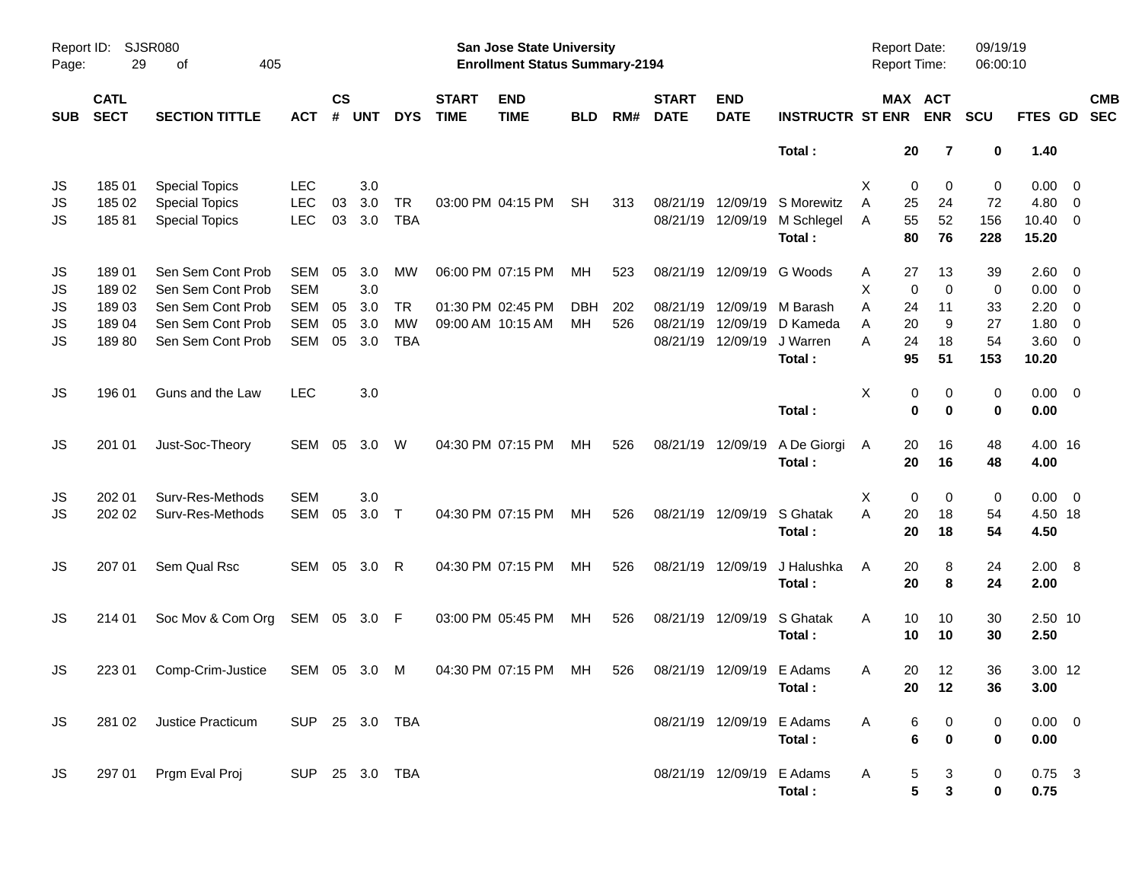|                |                            |                                                                         |                                        |                    |                   |                         |                             | <b>Preliminary Census</b>                                          |                  |            |                               |                               |                                     |                                            |                         |                       |                                                 |                               |                          |
|----------------|----------------------------|-------------------------------------------------------------------------|----------------------------------------|--------------------|-------------------|-------------------------|-----------------------------|--------------------------------------------------------------------|------------------|------------|-------------------------------|-------------------------------|-------------------------------------|--------------------------------------------|-------------------------|-----------------------|-------------------------------------------------|-------------------------------|--------------------------|
| Page:          | Report ID: SJSR080<br>29   | 405<br>оf                                                               |                                        |                    |                   |                         |                             | San Jose State University<br><b>Enrollment Status Summary-2194</b> |                  |            |                               |                               |                                     | <b>Report Date:</b><br><b>Report Time:</b> |                         | 09/19/19<br>06:00:10  |                                                 |                               |                          |
| <b>SUB</b>     | <b>CATL</b><br><b>SECT</b> | <b>SECTION TITTLE</b>                                                   | <b>ACT</b>                             | $\mathsf{cs}$<br># | <b>UNT</b>        | <b>DYS</b>              | <b>START</b><br><b>TIME</b> | <b>END</b><br><b>TIME</b>                                          | <b>BLD</b>       | RM#        | <b>START</b><br><b>DATE</b>   | <b>END</b><br><b>DATE</b>     | <b>INSTRUCTR ST ENR</b>             |                                            | MAX ACT<br><b>ENR</b>   | <b>SCU</b>            | FTES GD                                         |                               | <b>CMB</b><br><b>SEC</b> |
|                |                            |                                                                         |                                        |                    |                   |                         |                             |                                                                    |                  |            |                               |                               | Total:                              | 20                                         | $\overline{7}$          | 0                     | 1.40                                            |                               |                          |
| JS<br>JS<br>JS | 185 01<br>185 02<br>18581  | <b>Special Topics</b><br><b>Special Topics</b><br><b>Special Topics</b> | <b>LEC</b><br><b>LEC</b><br><b>LEC</b> | 03<br>03           | 3.0<br>3.0<br>3.0 | <b>TR</b><br><b>TBA</b> |                             | 03:00 PM 04:15 PM                                                  | <b>SH</b>        | 313        | 08/21/19<br>08/21/19 12/09/19 | 12/09/19                      | S Morewitz<br>M Schlegel<br>Total:  | 0<br>Х<br>25<br>A<br>55<br>A<br>80         | 0<br>24<br>52<br>76     | 0<br>72<br>156<br>228 | $0.00 \t 0$<br>4.80<br>$10.40 \quad 0$<br>15.20 | - 0                           |                          |
| JS<br>JS<br>JS | 18901<br>18902<br>18903    | Sen Sem Cont Prob<br>Sen Sem Cont Prob<br>Sen Sem Cont Prob             | <b>SEM</b><br><b>SEM</b><br><b>SEM</b> | 05<br>05           | 3.0<br>3.0<br>3.0 | MW<br><b>TR</b>         |                             | 06:00 PM 07:15 PM<br>01:30 PM 02:45 PM                             | MH<br><b>DBH</b> | 523<br>202 | 08/21/19                      | 08/21/19 12/09/19<br>12/09/19 | G Woods<br>M Barash                 | 27<br>A<br>X<br>$\mathbf 0$<br>A<br>24     | 13<br>$\mathbf 0$<br>11 | 39<br>0<br>33         | $2.60 \t 0$<br>0.00<br>2.20                     | $\overline{\phantom{0}}$<br>0 |                          |
| JS<br>JS       | 18904<br>18980             | Sen Sem Cont Prob<br>Sen Sem Cont Prob                                  | <b>SEM</b><br><b>SEM</b>               | 05<br>05           | 3.0<br>3.0        | <b>MW</b><br><b>TBA</b> |                             | 09:00 AM 10:15 AM                                                  | MH               | 526        | 08/21/19<br>08/21/19 12/09/19 | 12/09/19                      | D Kameda<br>J Warren<br>Total:      | 20<br>A<br>A<br>24<br>95                   | 9<br>18<br>51           | 27<br>54<br>153       | 1.80<br>$3.60 \ 0$<br>10.20                     | - 0                           |                          |
| JS             | 196 01                     | Guns and the Law                                                        | <b>LEC</b>                             |                    | 3.0               |                         |                             |                                                                    |                  |            |                               |                               | Total:                              | X<br>0<br>$\mathbf 0$                      | 0<br>$\mathbf 0$        | 0<br>0                | $0.00 \t 0$<br>0.00                             |                               |                          |
| JS             | 201 01                     | Just-Soc-Theory                                                         | SEM                                    | 05                 | 3.0               | W                       |                             | 04:30 PM 07:15 PM                                                  | MH               | 526        | 08/21/19 12/09/19             |                               | A De Giorgi<br>Total:               | 20<br>A<br>20                              | 16<br>16                | 48<br>48              | 4.00 16<br>4.00                                 |                               |                          |
| JS<br>JS       | 202 01<br>202 02           | Surv-Res-Methods<br>Surv-Res-Methods                                    | <b>SEM</b><br>SEM                      | 05                 | 3.0<br>3.0        | $\top$                  |                             | 04:30 PM 07:15 PM                                                  | MH               | 526        | 08/21/19 12/09/19             |                               | S Ghatak<br>Total:                  | 0<br>Х<br>A<br>20<br>20                    | 0<br>18<br>18           | 0<br>54<br>54         | $0.00 \t 0$<br>4.50 18<br>4.50                  |                               |                          |
| JS             | 207 01                     | Sem Qual Rsc                                                            | SEM 05                                 |                    | 3.0               | R                       |                             | 04:30 PM 07:15 PM                                                  | <b>MH</b>        | 526        | 08/21/19 12/09/19             |                               | J Halushka<br>Total:                | 20<br>A<br>20                              | 8<br>8                  | 24<br>24              | 2.00 8<br>2.00                                  |                               |                          |
| JS             | 214 01                     | Soc Mov & Com Org                                                       | SEM 05 3.0 F                           |                    |                   |                         |                             | 03:00 PM 05:45 PM                                                  | МH               | 526        | 08/21/19 12/09/19             |                               | S Ghatak<br>Total:                  | Α<br>10<br>10                              | 10<br>10                | 30<br>30              | 2.50 10<br>2.50                                 |                               |                          |
| JS             |                            | 223 01 Comp-Crim-Justice                                                |                                        |                    |                   | SEM 05 3.0 M            |                             | 04:30 PM 07:15 PM MH                                               |                  | 526        | 08/21/19 12/09/19 E Adams     |                               | Total:                              | Α<br>20<br>20                              | 12<br>12                | 36<br>36              | 3.00 12<br>3.00                                 |                               |                          |
| <b>JS</b>      | 281 02                     | Justice Practicum                                                       | SUP 25 3.0 TBA                         |                    |                   |                         |                             |                                                                    |                  |            |                               | 08/21/19 12/09/19             | E Adams<br>Total:                   | 6<br>Α<br>$6\phantom{1}6$                  | 0<br>$\bf{0}$           | 0<br>0                | $0.00 \t 0$<br>0.00                             |                               |                          |
| JS             |                            | 297 01 Prgm Eval Proj                                                   | SUP 25 3.0 TBA                         |                    |                   |                         |                             |                                                                    |                  |            |                               |                               | 08/21/19 12/09/19 E Adams<br>Total: | $\frac{5}{5}$<br>A                         | 3<br>$\mathbf{3}$       | 0<br>0                | $0.75$ 3<br>0.75                                |                               |                          |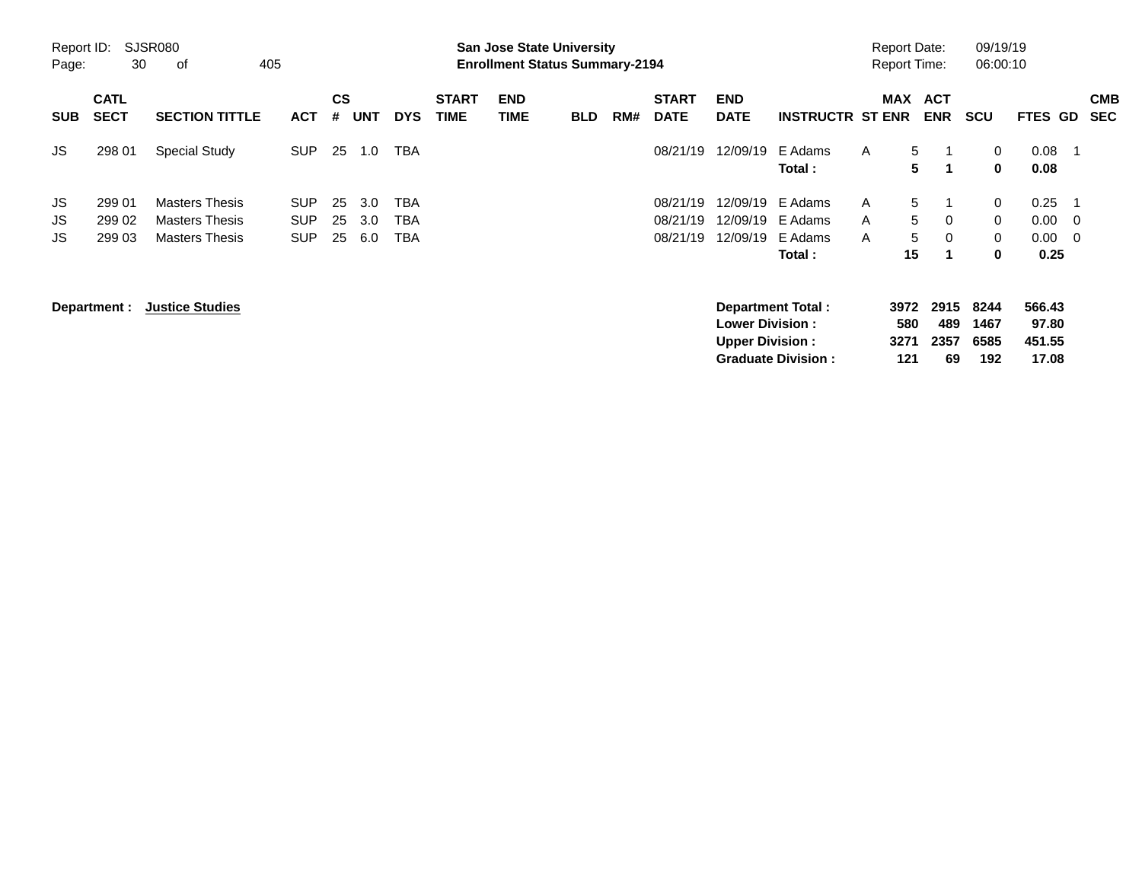|                     |                            |                                                                         |                                        |                    |                   |                   |                             |                                                                           | <b>Preliminary Census</b> |     |                                  |                                                  |                                                |             |                                            |                                 |                             |                                    |                                                             |                          |
|---------------------|----------------------------|-------------------------------------------------------------------------|----------------------------------------|--------------------|-------------------|-------------------|-----------------------------|---------------------------------------------------------------------------|---------------------------|-----|----------------------------------|--------------------------------------------------|------------------------------------------------|-------------|--------------------------------------------|---------------------------------|-----------------------------|------------------------------------|-------------------------------------------------------------|--------------------------|
| Report ID:<br>Page: | 30                         | SJSR080<br>405<br>οf                                                    |                                        |                    |                   |                   |                             | <b>San Jose State University</b><br><b>Enrollment Status Summary-2194</b> |                           |     |                                  |                                                  |                                                |             | <b>Report Date:</b><br><b>Report Time:</b> |                                 | 09/19/19<br>06:00:10        |                                    |                                                             |                          |
| <b>SUB</b>          | <b>CATL</b><br><b>SECT</b> | <b>SECTION TITTLE</b>                                                   | <b>ACT</b>                             | $\mathsf{cs}$<br># | <b>UNT</b>        | <b>DYS</b>        | <b>START</b><br><b>TIME</b> | <b>END</b><br><b>TIME</b>                                                 | <b>BLD</b>                | RM# | <b>START</b><br><b>DATE</b>      | <b>END</b><br><b>DATE</b>                        | <b>INSTRUCTR ST ENR</b>                        |             | <b>MAX</b>                                 | <b>ACT</b><br><b>ENR</b>        | <b>SCU</b>                  | <b>FTES GD</b>                     |                                                             | <b>CMB</b><br><b>SEC</b> |
| JS.                 | 298 01                     | <b>Special Study</b>                                                    | <b>SUP</b>                             | 25                 | 1.0               | <b>TBA</b>        |                             |                                                                           |                           |     | 08/21/19                         | 12/09/19                                         | E Adams<br>Total:                              | A           | 5 <sup>5</sup><br>5                        | 1                               | 0<br>0                      | 0.08<br>0.08                       | - 1                                                         |                          |
| JS<br>JS<br>JS      | 299 01<br>299 02<br>299 03 | <b>Masters Thesis</b><br><b>Masters Thesis</b><br><b>Masters Thesis</b> | <b>SUP</b><br><b>SUP</b><br><b>SUP</b> | 25<br>25<br>25     | 3.0<br>3.0<br>6.0 | TBA<br>TBA<br>TBA |                             |                                                                           |                           |     | 08/21/19<br>08/21/19<br>08/21/19 | 12/09/19<br>12/09/19<br>12/09/19                 | E Adams<br>E Adams<br>E Adams<br>Total:        | A<br>A<br>A | 5<br>5<br>5<br>15                          | $\mathbf 0$<br>$\mathbf 0$<br>1 | 0<br>0<br>0<br>$\bf{0}$     | 0.25<br>0.00<br>0.00<br>0.25       | $\overline{\phantom{1}}$<br>- 0<br>$\overline{\phantom{0}}$ |                          |
|                     | Department :               | <b>Justice Studies</b>                                                  |                                        |                    |                   |                   |                             |                                                                           |                           |     |                                  | <b>Lower Division:</b><br><b>Upper Division:</b> | Department Total:<br><b>Graduate Division:</b> |             | 3972<br>580<br>3271<br>121                 | 2915<br>489<br>2357<br>69       | 8244<br>1467<br>6585<br>192 | 566.43<br>97.80<br>451.55<br>17.08 |                                                             |                          |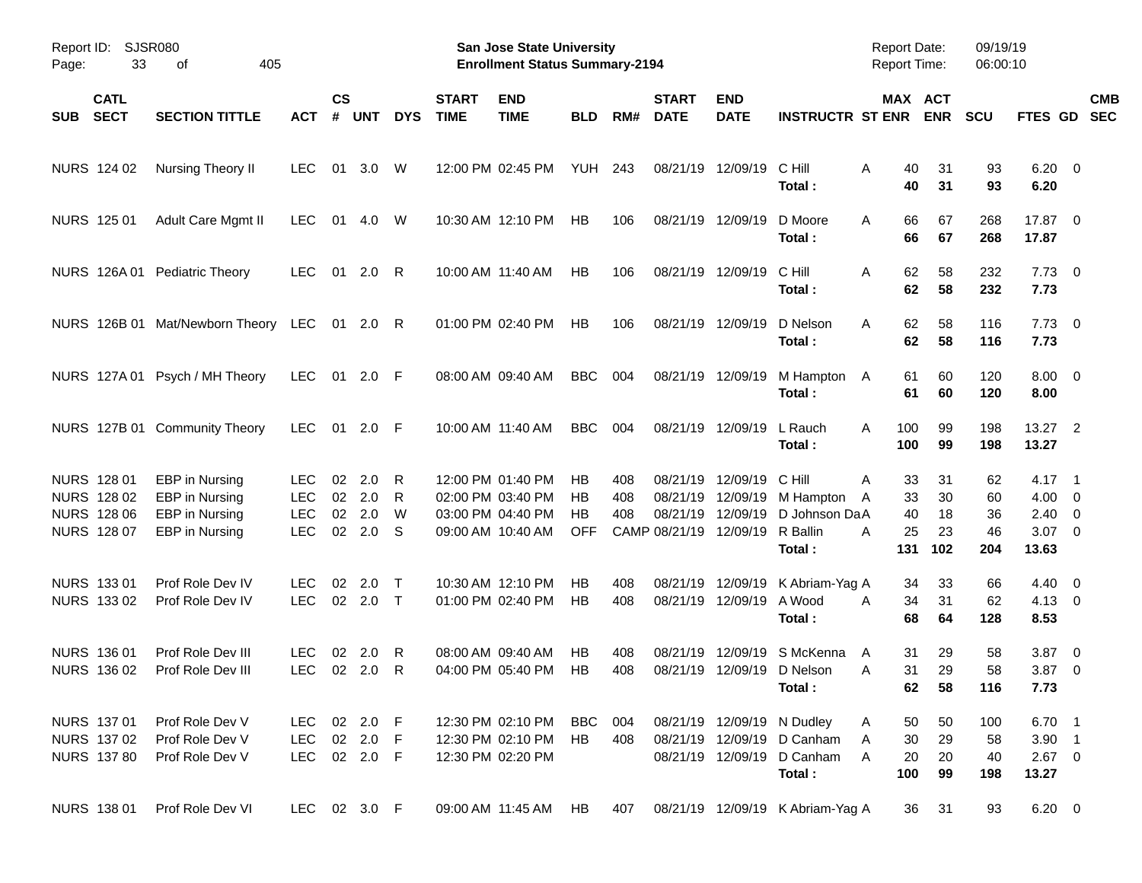|       |                                                                 |                                                                             |                                                |                          |                          |                  |                             | <b>Preliminary Census</b>                                                        |                              |                   |                                                            |                                  |                                                                                                  |                                            |                       |                        |                                                        |                          |
|-------|-----------------------------------------------------------------|-----------------------------------------------------------------------------|------------------------------------------------|--------------------------|--------------------------|------------------|-----------------------------|----------------------------------------------------------------------------------|------------------------------|-------------------|------------------------------------------------------------|----------------------------------|--------------------------------------------------------------------------------------------------|--------------------------------------------|-----------------------|------------------------|--------------------------------------------------------|--------------------------|
| Page: | Report ID: SJSR080<br>33                                        | of<br>405                                                                   |                                                |                          |                          |                  |                             | San Jose State University<br><b>Enrollment Status Summary-2194</b>               |                              |                   |                                                            |                                  |                                                                                                  | <b>Report Date:</b><br><b>Report Time:</b> |                       | 09/19/19<br>06:00:10   |                                                        |                          |
| SUB   | <b>CATL</b><br><b>SECT</b>                                      | <b>SECTION TITTLE</b>                                                       | <b>ACT</b>                                     | $\mathsf{cs}$<br>#       | <b>UNT</b>               | <b>DYS</b>       | <b>START</b><br><b>TIME</b> | <b>END</b><br><b>TIME</b>                                                        | <b>BLD</b>                   | RM#               | <b>START</b><br><b>DATE</b>                                | <b>END</b><br><b>DATE</b>        | <b>INSTRUCTR ST ENR</b>                                                                          |                                            | MAX ACT<br><b>ENR</b> | <b>SCU</b>             | FTES GD                                                | <b>CMB</b><br><b>SEC</b> |
|       | NURS 124 02                                                     | Nursing Theory II                                                           | <b>LEC</b>                                     | 01                       | 3.0                      | W                |                             | 12:00 PM 02:45 PM                                                                | <b>YUH 243</b>               |                   |                                                            | 08/21/19 12/09/19                | C Hill<br>Total:                                                                                 | A<br>40<br>40                              | 31<br>31              | 93<br>93               | $6.20 \quad 0$<br>6.20                                 |                          |
|       | NURS 125 01                                                     | Adult Care Mgmt II                                                          | <b>LEC</b>                                     | 01                       | 4.0                      | W                |                             | 10:30 AM 12:10 PM                                                                | <b>HB</b>                    | 106               |                                                            | 08/21/19 12/09/19                | D Moore<br>Total:                                                                                | 66<br>A<br>66                              | 67<br>67              | 268<br>268             | 17.87 0<br>17.87                                       |                          |
|       |                                                                 | NURS 126A 01 Pediatric Theory                                               | <b>LEC</b>                                     |                          | 01 2.0 R                 |                  |                             | 10:00 AM 11:40 AM                                                                | HB                           | 106               |                                                            | 08/21/19 12/09/19                | C Hill<br>Total:                                                                                 | 62<br>A<br>62                              | 58<br>58              | 232<br>232             | $7.73 \t 0$<br>7.73                                    |                          |
|       |                                                                 | NURS 126B 01 Mat/Newborn Theory LEC 01 2.0 R                                |                                                |                          |                          |                  |                             | 01:00 PM 02:40 PM                                                                | HB                           | 106               |                                                            | 08/21/19 12/09/19                | D Nelson<br>Total:                                                                               | 62<br>A<br>62                              | 58<br>58              | 116<br>116             | $7.73 \t 0$<br>7.73                                    |                          |
|       |                                                                 | NURS 127A 01 Psych / MH Theory                                              | <b>LEC</b>                                     |                          | 01 2.0 F                 |                  |                             | 08:00 AM 09:40 AM                                                                | <b>BBC</b>                   | 004               |                                                            | 08/21/19 12/09/19                | M Hampton<br>Total:                                                                              | 61<br>A<br>61                              | 60<br>60              | 120<br>120             | $8.00 \t 0$<br>8.00                                    |                          |
|       |                                                                 | NURS 127B 01 Community Theory                                               | <b>LEC</b>                                     |                          | 01 2.0 F                 |                  |                             | 10:00 AM 11:40 AM                                                                | <b>BBC</b>                   | 004               |                                                            | 08/21/19 12/09/19                | L Rauch<br>Total:                                                                                | 100<br>A<br>100                            | 99<br>99              | 198<br>198             | 13.27 2<br>13.27                                       |                          |
|       | NURS 128 01<br>NURS 128 02<br><b>NURS 128 06</b><br>NURS 128 07 | EBP in Nursing<br>EBP in Nursing<br>EBP in Nursing<br><b>EBP</b> in Nursing | LEC.<br><b>LEC</b><br><b>LEC</b><br><b>LEC</b> | 02<br>02<br>02<br>$02\,$ | 2.0<br>2.0<br>2.0<br>2.0 | R<br>R<br>W<br>S |                             | 12:00 PM 01:40 PM<br>02:00 PM 03:40 PM<br>03:00 PM 04:40 PM<br>09:00 AM 10:40 AM | НB<br>НB<br>НB<br><b>OFF</b> | 408<br>408<br>408 | 08/21/19<br>08/21/19<br>08/21/19<br>CAMP 08/21/19 12/09/19 | 12/09/19<br>12/09/19<br>12/09/19 | C Hill<br>M Hampton<br>D Johnson DaA<br>R Ballin                                                 | 33<br>A<br>33<br>A<br>40<br>25<br>А        | 31<br>30<br>18<br>23  | 62<br>60<br>36<br>46   | $4.17 \quad 1$<br>$4.00 \ 0$<br>$2.40 \ 0$<br>$3.07$ 0 |                          |
|       | NURS 133 01<br>NURS 133 02                                      | Prof Role Dev IV<br>Prof Role Dev IV                                        | LEC.<br><b>LEC</b>                             | 02<br>$02\,$             | 2.0<br>$2.0$ T           | $\top$           |                             | 10:30 AM 12:10 PM<br>01:00 PM 02:40 PM                                           | НB<br>HB                     | 408<br>408        | 08/21/19                                                   | 12/09/19<br>08/21/19 12/09/19    | Total:<br>K Abriam-Yag A<br>A Wood<br>Total:                                                     | 131<br>34<br>34<br>Α<br>68                 | 102<br>33<br>31<br>64 | 204<br>66<br>62<br>128 | 13.63<br>$4.40 \quad 0$<br>$4.13 \quad 0$<br>8.53      |                          |
|       | NURS 136 01<br>NURS 136 02                                      | Prof Role Dev III<br>Prof Role Dev III                                      | LEC.                                           |                          | 02 2.0 R<br>LEC 02 2.0 R |                  |                             | 08:00 AM 09:40 AM<br>04:00 PM 05:40 PM HB                                        | HB                           | 408<br>408        |                                                            | 08/21/19 12/09/19                | 08/21/19 12/09/19 S McKenna<br>D Nelson<br>Total:                                                | 31<br>A<br>Α<br>31<br>62                   | 29<br>29<br>58        | 58<br>58<br>116        | $3.87$ 0<br>3.87 0<br>7.73                             |                          |
|       | NURS 137 01<br>NURS 137 02<br><b>NURS 137 80</b>                | Prof Role Dev V<br>Prof Role Dev V<br>Prof Role Dev V                       | LEC<br>LEC<br>LEC 02 2.0 F                     |                          | 02 2.0 F<br>02 2.0 F     |                  |                             | 12:30 PM 02:10 PM<br>12:30 PM 02:10 PM<br>12:30 PM 02:20 PM                      | BBC 004<br>HB                | 408               |                                                            |                                  | 08/21/19 12/09/19 N Dudley<br>08/21/19 12/09/19 D Canham<br>08/21/19 12/09/19 D Canham<br>Total: | 50<br>A<br>30<br>A<br>A<br>20<br>100       | 50<br>29<br>20<br>99  | 100<br>58<br>40<br>198 | 6.70 1<br>$3.90$ 1<br>$2.67$ 0<br>13.27                |                          |
|       | NURS 138 01                                                     | Prof Role Dev VI                                                            | LEC 02 3.0 F                                   |                          |                          |                  |                             | 09:00 AM 11:45 AM                                                                | HB                           | 407               |                                                            |                                  | 08/21/19 12/09/19 K Abriam-Yag A                                                                 | 36                                         | 31                    | 93                     | $6.20\ 0$                                              |                          |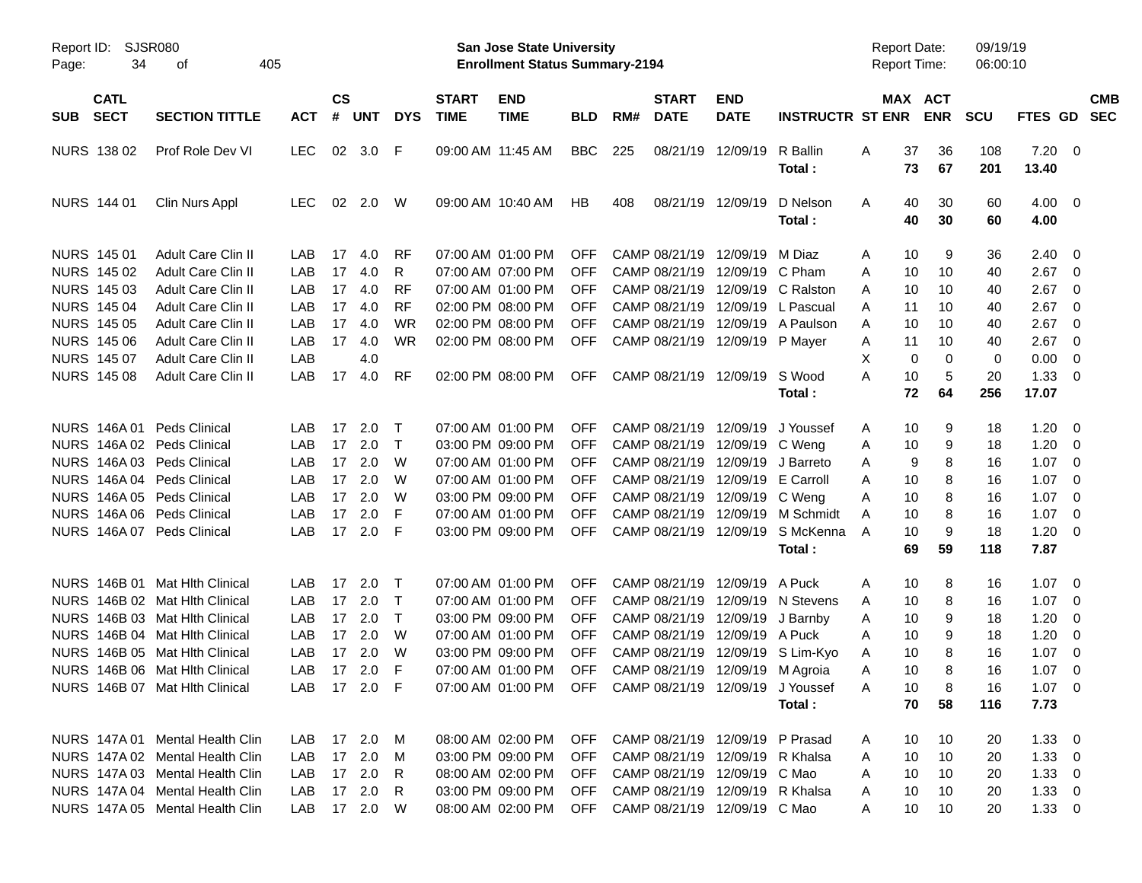|                     |                            |                                 |              |                    |            |              |                             | <b>Preliminary Census</b>                                          |            |     |                             |                                 |                                      |                                     |                       |                      |                |                         |                          |
|---------------------|----------------------------|---------------------------------|--------------|--------------------|------------|--------------|-----------------------------|--------------------------------------------------------------------|------------|-----|-----------------------------|---------------------------------|--------------------------------------|-------------------------------------|-----------------------|----------------------|----------------|-------------------------|--------------------------|
| Report ID:<br>Page: | 34                         | SJSR080<br>оf                   | 405          |                    |            |              |                             | San Jose State University<br><b>Enrollment Status Summary-2194</b> |            |     |                             |                                 |                                      | <b>Report Date:</b><br>Report Time: |                       | 09/19/19<br>06:00:10 |                |                         |                          |
| <b>SUB</b>          | <b>CATL</b><br><b>SECT</b> | <b>SECTION TITTLE</b>           | <b>ACT</b>   | $\mathsf{cs}$<br># | <b>UNT</b> | <b>DYS</b>   | <b>START</b><br><b>TIME</b> | <b>END</b><br><b>TIME</b>                                          | <b>BLD</b> | RM# | <b>START</b><br><b>DATE</b> | <b>END</b><br><b>DATE</b>       | <b>INSTRUCTR ST ENR</b>              |                                     | MAX ACT<br><b>ENR</b> | <b>SCU</b>           | <b>FTES GD</b> |                         | <b>CMB</b><br><b>SEC</b> |
|                     | NURS 138 02                | Prof Role Dev VI                | <b>LEC</b>   | 02                 | 3.0        | - F          |                             | 09:00 AM 11:45 AM                                                  | <b>BBC</b> | 225 | 08/21/19                    | 12/09/19                        | R Ballin                             | Α<br>37                             | 36                    | 108                  | 7.20           | $\overline{0}$          |                          |
|                     |                            |                                 |              |                    |            |              |                             |                                                                    |            |     |                             |                                 | Total:                               |                                     | 73<br>67              | 201                  | 13.40          |                         |                          |
|                     | NURS 144 01                | Clin Nurs Appl                  | <b>LEC</b>   | 02                 | 2.0        | W            |                             | 09:00 AM 10:40 AM                                                  | HB         | 408 |                             | 08/21/19 12/09/19               | D Nelson                             | Α                                   | 30<br>40              | 60                   | $4.00 \ 0$     |                         |                          |
|                     |                            |                                 |              |                    |            |              |                             |                                                                    |            |     |                             |                                 | Total:                               |                                     | 40<br>30              | 60                   | 4.00           |                         |                          |
|                     | NURS 145 01                | <b>Adult Care Clin II</b>       | LAB          | 17                 | 4.0        | <b>RF</b>    |                             | 07:00 AM 01:00 PM                                                  | <b>OFF</b> |     | CAMP 08/21/19               | 12/09/19                        | M Diaz                               | A                                   | 10<br>9               | 36                   | 2.40           | 0                       |                          |
|                     | NURS 145 02                | <b>Adult Care Clin II</b>       | LAB          | 17                 | 4.0        | R            |                             | 07:00 AM 07:00 PM                                                  | <b>OFF</b> |     | CAMP 08/21/19               | 12/09/19 C Pham                 |                                      | A                                   | 10<br>10              | 40                   | 2.67           | 0                       |                          |
|                     | NURS 145 03                | Adult Care Clin II              | LAB          | 17                 | 4.0        | <b>RF</b>    |                             | 07:00 AM 01:00 PM                                                  | OFF        |     | CAMP 08/21/19               |                                 | 12/09/19 C Ralston                   | A                                   | 10<br>10              | 40                   | 2.67           | 0                       |                          |
|                     | <b>NURS 145 04</b>         | <b>Adult Care Clin II</b>       | LAB          | 17                 | 4.0        | <b>RF</b>    |                             | 02:00 PM 08:00 PM                                                  | OFF        |     | CAMP 08/21/19               | 12/09/19                        | L Pascual                            | 11<br>A                             | 10                    | 40                   | 2.67           | 0                       |                          |
|                     | <b>NURS 145 05</b>         | Adult Care Clin II              | LAB          | 17                 | 4.0        | <b>WR</b>    |                             | 02:00 PM 08:00 PM                                                  | OFF        |     | CAMP 08/21/19               |                                 | 12/09/19 A Paulson                   | A                                   | 10<br>10              | 40                   | 2.67           | 0                       |                          |
|                     | <b>NURS 145 06</b>         | <b>Adult Care Clin II</b>       | LAB          | 17                 | 4.0        | <b>WR</b>    |                             | 02:00 PM 08:00 PM                                                  | <b>OFF</b> |     |                             | CAMP 08/21/19 12/09/19 P Mayer  |                                      | Α<br>11                             | 10                    | 40                   | 2.67           | 0                       |                          |
|                     | <b>NURS 145 07</b>         | <b>Adult Care Clin II</b>       | LAB          |                    | 4.0        |              |                             |                                                                    |            |     |                             |                                 |                                      | X                                   | 0<br>$\Omega$         | 0                    | 0.00           | 0                       |                          |
|                     | <b>NURS 145 08</b>         | <b>Adult Care Clin II</b>       | LAB          | 17                 | 4.0        | <b>RF</b>    |                             | 02:00 PM 08:00 PM                                                  | <b>OFF</b> |     |                             | CAMP 08/21/19 12/09/19          | S Wood                               | Α                                   | 10<br>5               | 20                   | 1.33           | 0                       |                          |
|                     |                            |                                 |              |                    |            |              |                             |                                                                    |            |     |                             |                                 | Total:                               |                                     | 72<br>64              | 256                  | 17.07          |                         |                          |
|                     | NURS 146A 01               | <b>Peds Clinical</b>            | LAB          | 17                 | 2.0        | Т            |                             | 07:00 AM 01:00 PM                                                  | <b>OFF</b> |     | CAMP 08/21/19               | 12/09/19                        | J Youssef                            | A                                   | 10<br>9               | 18                   | 1.20           | 0                       |                          |
|                     |                            | NURS 146A 02 Peds Clinical      | LAB          | 17                 | 2.0        | $\mathsf{T}$ |                             | 03:00 PM 09:00 PM                                                  | <b>OFF</b> |     | CAMP 08/21/19               | 12/09/19                        | C Weng                               | Α                                   | 9<br>10               | 18                   | 1.20           | 0                       |                          |
|                     |                            | NURS 146A 03 Peds Clinical      | LAB          | 17                 | 2.0        | W            |                             | 07:00 AM 01:00 PM                                                  | <b>OFF</b> |     | CAMP 08/21/19               | 12/09/19                        | J Barreto                            | A                                   | 8<br>9                | 16                   | 1.07           | 0                       |                          |
|                     |                            | NURS 146A 04 Peds Clinical      | LAB          | 17                 | 2.0        | W            |                             | 07:00 AM 01:00 PM                                                  | <b>OFF</b> |     | CAMP 08/21/19               | 12/09/19                        | E Carroll                            | A                                   | 8<br>10               | 16                   | 1.07           | 0                       |                          |
|                     |                            | NURS 146A 05 Peds Clinical      | LAB          | 17                 | 2.0        | W            |                             | 03:00 PM 09:00 PM                                                  | <b>OFF</b> |     | CAMP 08/21/19               | 12/09/19                        | C Weng                               | A                                   | 8<br>10               | 16                   | 1.07           | 0                       |                          |
|                     |                            | NURS 146A 06 Peds Clinical      | LAB          | 17                 | 2.0        | F            |                             | 07:00 AM 01:00 PM                                                  | OFF        |     | CAMP 08/21/19               | 12/09/19                        | M Schmidt                            | Α                                   | 8<br>10               | 16                   | 1.07           | 0                       |                          |
|                     |                            | NURS 146A 07 Peds Clinical      | LAB          | 17                 | 2.0        | -F           |                             | 03:00 PM 09:00 PM                                                  | <b>OFF</b> |     |                             | CAMP 08/21/19 12/09/19          | S McKenna                            | A                                   | 10<br>9               | 18                   | 1.20           | 0                       |                          |
|                     |                            |                                 |              |                    |            |              |                             |                                                                    |            |     |                             |                                 | Total:                               |                                     | 69<br>59              | 118                  | 7.87           |                         |                          |
|                     | <b>NURS 146B 01</b>        | Mat Hith Clinical               | LAB          | 17                 | 2.0        | Т            |                             | 07:00 AM 01:00 PM                                                  | OFF        |     | CAMP 08/21/19               | 12/09/19                        | A Puck                               | Α                                   | 10<br>8               | 16                   | 1.07           | $\overline{\mathbf{0}}$ |                          |
|                     | NURS 146B 02               | <b>Mat Hith Clinical</b>        | LAB          | 17                 | 2.0        | $\mathsf{T}$ |                             | 07:00 AM 01:00 PM                                                  | OFF        |     | CAMP 08/21/19               | 12/09/19                        | N Stevens                            | A                                   | 8<br>10               | 16                   | 1.07           | 0                       |                          |
|                     |                            | NURS 146B 03 Mat Hlth Clinical  | LAB          | 17                 | 2.0        | $\mathsf{T}$ |                             | 03:00 PM 09:00 PM                                                  | OFF        |     | CAMP 08/21/19               | 12/09/19                        | J Barnby                             | Α                                   | 10<br>9               | 18                   | 1.20           | 0                       |                          |
|                     | <b>NURS 146B 04</b>        | Mat Hlth Clinical               | LAB          | 17                 | 2.0        | W            |                             | 07:00 AM 01:00 PM                                                  | OFF        |     | CAMP 08/21/19               | 12/09/19 A Puck                 |                                      | A                                   | 10<br>9               | 18                   | 1.20           | 0                       |                          |
|                     |                            | NURS 146B 05 Mat Hith Clinical  | LAB          |                    | 17 2.0     | W            |                             | 03:00 PM 09:00 PM                                                  | <b>OFF</b> |     |                             |                                 | CAMP 08/21/19 12/09/19 S Lim-Kyo     | A                                   | 10<br>8               | 16                   | 1.07           | $\overline{0}$          |                          |
|                     |                            | NURS 146B 06 Mat Hlth Clinical  | LAB          |                    | 17 2.0 F   |              |                             | 07:00 AM 01:00 PM OFF CAMP 08/21/19 12/09/19 M Agroia              |            |     |                             |                                 |                                      | Α                                   | 8<br>10               | 16                   | $1.07 \t 0$    |                         |                          |
|                     |                            | NURS 146B 07 Mat Hith Clinical  | LAB 17 2.0 F |                    |            |              |                             | 07:00 AM 01:00 PM                                                  |            |     |                             |                                 | OFF CAMP 08/21/19 12/09/19 J Youssef | 10<br>A                             | 8                     | 16                   | $1.07 \t 0$    |                         |                          |
|                     |                            |                                 |              |                    |            |              |                             |                                                                    |            |     |                             |                                 | Total:                               |                                     | 70<br>58              | 116                  | 7.73           |                         |                          |
|                     |                            | NURS 147A 01 Mental Health Clin | LAB          |                    |            |              |                             | 08:00 AM 02:00 PM                                                  | <b>OFF</b> |     |                             | CAMP 08/21/19 12/09/19 P Prasad |                                      | A                                   | 10<br>10              | 20                   | $1.33 \ 0$     |                         |                          |
|                     |                            | NURS 147A 02 Mental Health Clin | LAB          |                    | 17 2.0 M   |              |                             | 03:00 PM 09:00 PM                                                  | <b>OFF</b> |     |                             | CAMP 08/21/19 12/09/19 R Khalsa |                                      | 10<br>A                             | 10                    | 20                   | $1.33 \ 0$     |                         |                          |
|                     |                            | NURS 147A 03 Mental Health Clin | LAB          |                    | 17 2.0 R   |              |                             | 08:00 AM 02:00 PM                                                  | <b>OFF</b> |     |                             | CAMP 08/21/19 12/09/19 C Mao    |                                      | 10<br>A                             | 10                    | 20                   | $1.33 \ 0$     |                         |                          |
|                     |                            | NURS 147A 04 Mental Health Clin | LAB          |                    | 17 2.0 R   |              |                             | 03:00 PM 09:00 PM                                                  | <b>OFF</b> |     |                             | CAMP 08/21/19 12/09/19 R Khalsa |                                      | 10<br>Α                             | 10                    | 20                   | $1.33 \ 0$     |                         |                          |
|                     |                            | NURS 147A 05 Mental Health Clin | LAB 17 2.0 W |                    |            |              |                             | 08:00 AM 02:00 PM                                                  | OFF        |     |                             | CAMP 08/21/19 12/09/19 C Mao    |                                      | A                                   | 10<br>10              | 20                   | $1.33 \ 0$     |                         |                          |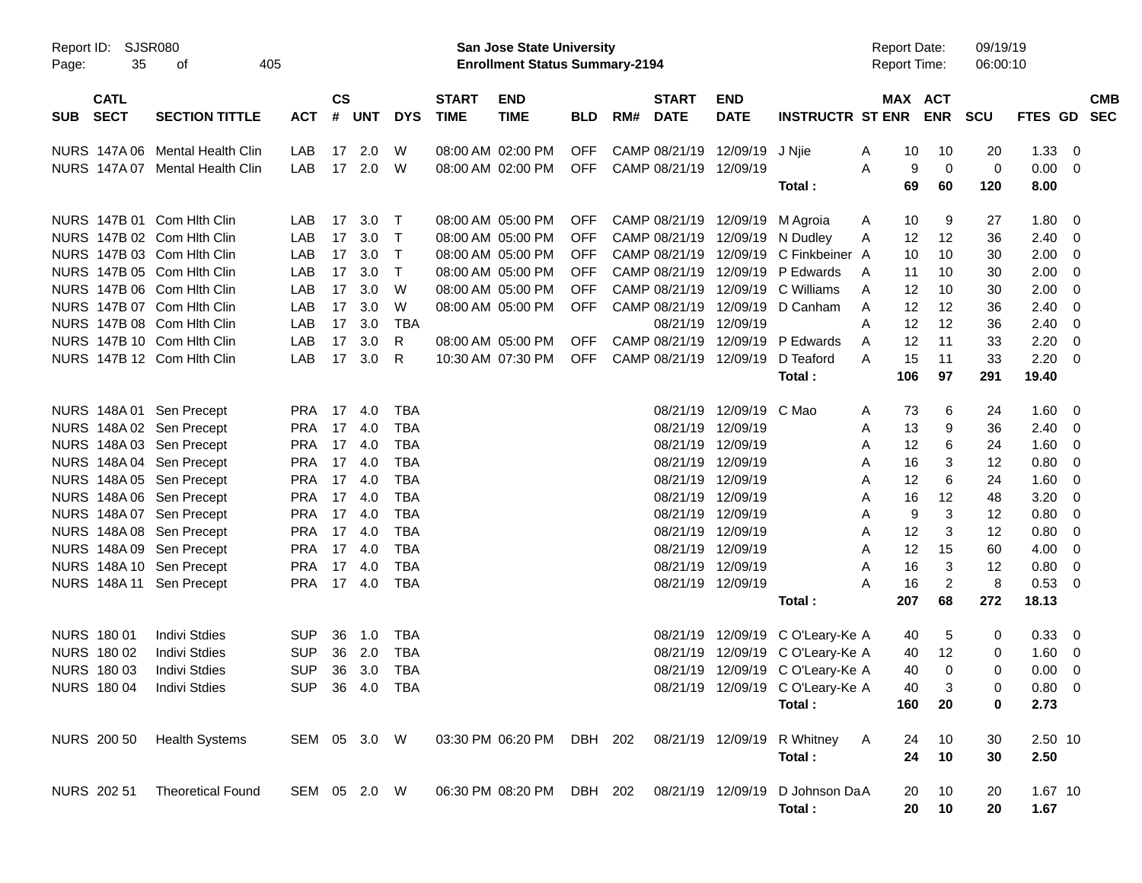|                                   |                                 |               |                    |            |                |                             |                                                                    | <b>Preliminary Census</b> |     |                             |                           |                                  |                                            |                       |                |                      |                |                          |            |
|-----------------------------------|---------------------------------|---------------|--------------------|------------|----------------|-----------------------------|--------------------------------------------------------------------|---------------------------|-----|-----------------------------|---------------------------|----------------------------------|--------------------------------------------|-----------------------|----------------|----------------------|----------------|--------------------------|------------|
| Report ID: SJSR080<br>35<br>Page: | 405<br>оf                       |               |                    |            |                |                             | San Jose State University<br><b>Enrollment Status Summary-2194</b> |                           |     |                             |                           |                                  | <b>Report Date:</b><br><b>Report Time:</b> |                       |                | 09/19/19<br>06:00:10 |                |                          |            |
| <b>CATL</b><br><b>SECT</b><br>SUB | <b>SECTION TITTLE</b>           | <b>ACT</b>    | $\mathsf{cs}$<br># | UNT        | <b>DYS</b>     | <b>START</b><br><b>TIME</b> | <b>END</b><br><b>TIME</b>                                          | <b>BLD</b>                | RM# | <b>START</b><br><b>DATE</b> | <b>END</b><br><b>DATE</b> | <b>INSTRUCTR ST ENR</b>          |                                            | MAX ACT<br><b>ENR</b> | <b>SCU</b>     |                      | FTES GD SEC    |                          | <b>CMB</b> |
| NURS 147A 06                      | Mental Health Clin              | LAB           |                    | 17 2.0     | W              |                             | 08:00 AM 02:00 PM                                                  | <b>OFF</b>                |     | CAMP 08/21/19               | 12/09/19                  | J Njie                           | A                                          | 10                    | 10             | 20                   | $1.33 \ 0$     |                          |            |
|                                   | NURS 147A 07 Mental Health Clin | <b>LAB</b>    |                    | 17 2.0 W   |                |                             | 08:00 AM 02:00 PM                                                  | <b>OFF</b>                |     | CAMP 08/21/19 12/09/19      |                           |                                  | A                                          | 9                     | $\mathbf 0$    | 0                    | $0.00 \t 0$    |                          |            |
|                                   |                                 |               |                    |            |                |                             |                                                                    |                           |     |                             |                           | Total:                           |                                            | 69                    | 60             | 120                  | 8.00           |                          |            |
| NURS 147B 01 Com Hith Clin        |                                 | LAB           | 17                 | 3.0        | $\top$         |                             | 08:00 AM 05:00 PM                                                  | <b>OFF</b>                |     | CAMP 08/21/19 12/09/19      |                           | M Agroia                         | A                                          | 10                    | 9              | 27                   | 1.80 0         |                          |            |
| NURS 147B 02 Com Hith Clin        |                                 | LAB           | 17                 | 3.0        | $\mathsf{T}$   |                             | 08:00 AM 05:00 PM                                                  | <b>OFF</b>                |     | CAMP 08/21/19               | 12/09/19                  | N Dudley                         | Α                                          | 12                    | 12             | 36                   | $2.40 \quad 0$ |                          |            |
| NURS 147B 03 Com Hith Clin        |                                 | LAB           | 17                 | 3.0        | $\top$         |                             | 08:00 AM 05:00 PM                                                  | OFF                       |     | CAMP 08/21/19               | 12/09/19                  | C Finkbeiner A                   |                                            | 10                    | 10             | 30                   | $2.00 \t 0$    |                          |            |
| NURS 147B 05 Com Hith Clin        |                                 | LAB           | 17                 | 3.0        | $\mathsf{T}$   |                             | 08:00 AM 05:00 PM                                                  | OFF                       |     | CAMP 08/21/19               | 12/09/19                  | P Edwards                        | A                                          | 11                    | 10             | 30                   | $2.00 \t 0$    |                          |            |
| NURS 147B 06 Com Hith Clin        |                                 | LAB           | 17                 | 3.0        | W              |                             | 08:00 AM 05:00 PM                                                  | OFF                       |     | CAMP 08/21/19               | 12/09/19                  | C Williams                       | A                                          | 12                    | 10             | 30                   | $2.00 \t 0$    |                          |            |
| NURS 147B 07 Com Hith Clin        |                                 | LAB           | 17                 | 3.0        | W              |                             | 08:00 AM 05:00 PM                                                  | <b>OFF</b>                |     | CAMP 08/21/19               | 12/09/19                  | D Canham                         | A                                          | 12                    | 12             | 36                   | 2.40           | $\overline{\phantom{0}}$ |            |
| NURS 147B 08 Com Hith Clin        |                                 | LAB           | 17                 | 3.0        | <b>TBA</b>     |                             |                                                                    |                           |     | 08/21/19                    | 12/09/19                  |                                  | Α                                          | 12                    | 12             | 36                   | 2.40           | $\overline{\phantom{0}}$ |            |
| NURS 147B 10 Com Hith Clin        |                                 | LAB           | 17                 | 3.0        | R              |                             | 08:00 AM 05:00 PM                                                  | <b>OFF</b>                |     | CAMP 08/21/19               | 12/09/19                  | P Edwards                        | A                                          | 12                    | 11             | 33                   | 2.20           | $\overline{\mathbf{0}}$  |            |
| NURS 147B 12 Com Hith Clin        |                                 | LAB           |                    | 17 3.0     | R              |                             | 10:30 AM 07:30 PM                                                  | <b>OFF</b>                |     | CAMP 08/21/19 12/09/19      |                           | D Teaford                        | A                                          | 15                    | 11             | 33                   | $2.20 \t 0$    |                          |            |
|                                   |                                 |               |                    |            |                |                             |                                                                    |                           |     |                             |                           | Total:                           | 106                                        |                       | 97             | 291                  | 19.40          |                          |            |
|                                   |                                 |               |                    |            |                |                             |                                                                    |                           |     |                             | 08/21/19 12/09/19         |                                  |                                            |                       |                |                      |                |                          |            |
| NURS 148A 01 Sen Precept          |                                 | <b>PRA</b> 17 |                    | -4.0       | TBA            |                             |                                                                    |                           |     |                             |                           | C Mao                            | A                                          | 73                    | 6              | 24                   | $1.60 \t 0$    |                          |            |
| NURS 148A 02 Sen Precept          |                                 | <b>PRA</b>    | 17                 | 4.0        | <b>TBA</b>     |                             |                                                                    |                           |     | 08/21/19                    | 12/09/19                  |                                  | Α                                          | 13                    | 9              | 36                   | $2.40 \quad 0$ |                          |            |
| NURS 148A 03 Sen Precept          |                                 | <b>PRA</b>    | 17                 | 4.0        | <b>TBA</b>     |                             |                                                                    |                           |     | 08/21/19                    | 12/09/19                  |                                  | Α                                          | 12                    | 6              | 24                   | $1.60 \t 0$    |                          |            |
| NURS 148A 04 Sen Precept          |                                 | <b>PRA</b>    |                    | 17 4.0     | TBA            |                             |                                                                    |                           |     | 08/21/19                    | 12/09/19                  |                                  | Α                                          | 16                    | 3              | 12                   | $0.80 \ 0$     |                          |            |
| NURS 148A 05 Sen Precept          |                                 | <b>PRA</b>    |                    | 17 4.0     | <b>TBA</b>     |                             |                                                                    |                           |     | 08/21/19                    | 12/09/19                  |                                  | Α                                          | 12                    | 6              | 24                   | $1.60 \t 0$    |                          |            |
| NURS 148A 06 Sen Precept          |                                 | <b>PRA</b>    | 17                 | -4.0       | <b>TBA</b>     |                             |                                                                    |                           |     | 08/21/19                    | 12/09/19                  |                                  | Α                                          | 16                    | 12             | 48                   | 3.20           | $\overline{\phantom{0}}$ |            |
| NURS 148A 07 Sen Precept          |                                 | <b>PRA</b>    |                    | 17 4.0     | TBA            |                             |                                                                    |                           |     |                             | 08/21/19 12/09/19         |                                  | Α                                          | 9                     | 3              | 12                   | $0.80 \ 0$     |                          |            |
| NURS 148A 08 Sen Precept          |                                 | <b>PRA</b>    |                    | 17 4.0     | <b>TBA</b>     |                             |                                                                    |                           |     |                             | 08/21/19 12/09/19         |                                  | Α                                          | 12                    | 3              | 12                   | $0.80 \ 0$     |                          |            |
| NURS 148A 09 Sen Precept          |                                 | <b>PRA</b>    | 17                 | 4.0        | TBA            |                             |                                                                    |                           |     |                             | 08/21/19 12/09/19         |                                  | Α                                          | 12                    | 15             | 60                   | $4.00 \ 0$     |                          |            |
| NURS 148A 10 Sen Precept          |                                 | <b>PRA</b>    |                    | 17 4.0     | TBA            |                             |                                                                    |                           |     |                             | 08/21/19 12/09/19         |                                  | A                                          | 16                    | 3              | 12                   | $0.80 \ 0$     |                          |            |
| NURS 148A 11 Sen Precept          |                                 | <b>PRA</b>    |                    | 17 4.0     | TBA            |                             |                                                                    |                           |     |                             | 08/21/19 12/09/19         |                                  | А                                          | 16                    | $\overline{2}$ | 8                    | 0.53 0         |                          |            |
|                                   |                                 |               |                    |            |                |                             |                                                                    |                           |     |                             |                           | Total:                           | 207                                        |                       | 68             | 272                  | 18.13          |                          |            |
| NURS 180 01                       | <b>Indivi Stdies</b>            | <b>SUP</b>    | 36                 | 1.0        | TBA            |                             |                                                                    |                           |     | 08/21/19                    |                           | 12/09/19 C O'Leary-Ke A          |                                            | 40                    | 5              | 0                    | 0.33 0         |                          |            |
| NURS 180 02                       | <b>Indivi Stdies</b>            | <b>SUP</b>    | 36                 | 2.0        | TBA            |                             |                                                                    |                           |     |                             |                           | 08/21/19 12/09/19 C O'Leary-Ke A |                                            | 40                    | 12             | 0                    | 1.60 0         |                          |            |
| NURS 180 03                       | <b>Indivi Stdies</b>            | SUP           |                    | 36 3.0 TBA |                |                             |                                                                    |                           |     |                             |                           | 08/21/19 12/09/19 C O'Leary-Ke A |                                            | 40                    | 0              | 0                    | $0.00 \t 0$    |                          |            |
| <b>NURS 180 04</b>                | <b>Indivi Stdies</b>            |               |                    |            | SUP 36 4.0 TBA |                             |                                                                    |                           |     |                             |                           | 08/21/19 12/09/19 C O'Leary-Ke A |                                            | 40                    | 3              | 0                    | 0.80 0         |                          |            |
|                                   |                                 |               |                    |            |                |                             |                                                                    |                           |     |                             |                           | Total:                           | 160                                        |                       | 20             | 0                    | 2.73           |                          |            |
| NURS 200 50                       | <b>Health Systems</b>           | SEM 05 3.0 W  |                    |            |                |                             | 03:30 PM 06:20 PM                                                  | DBH 202                   |     |                             | 08/21/19 12/09/19         | R Whitney                        | A                                          | 24                    | 10             | 30                   | 2.50 10        |                          |            |
|                                   |                                 |               |                    |            |                |                             |                                                                    |                           |     |                             |                           | Total:                           |                                            | 24                    | 10             | 30                   | 2.50           |                          |            |
| NURS 202 51                       | <b>Theoretical Found</b>        | SEM 05 2.0 W  |                    |            |                |                             | 06:30 PM 08:20 PM                                                  | DBH 202                   |     |                             | 08/21/19 12/09/19         | D Johnson DaA                    |                                            | 20                    | 10             | 20                   | 1.67 10        |                          |            |
|                                   |                                 |               |                    |            |                |                             |                                                                    |                           |     |                             |                           | Total:                           |                                            | 20                    | 10             | 20                   | 1.67           |                          |            |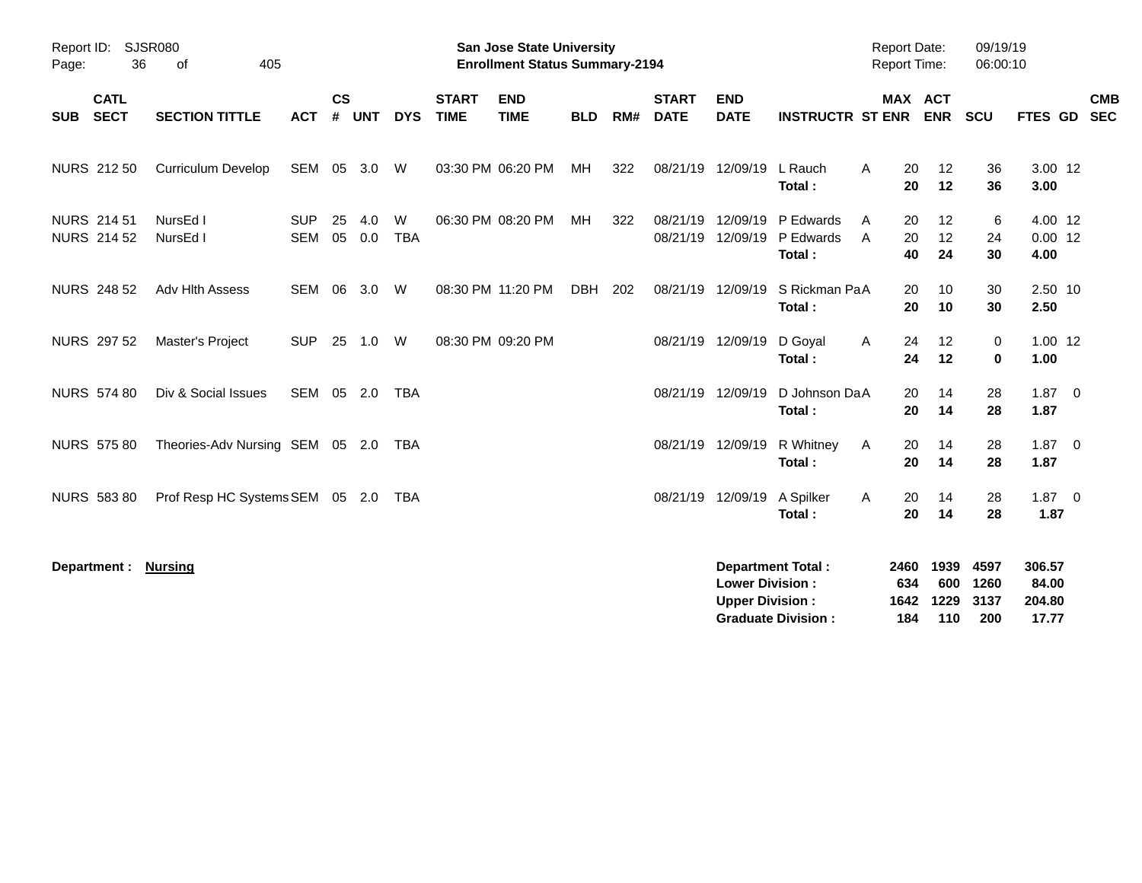| Page:                                   | Report ID: SJSR080<br>36   | 405<br>of                       |                          |                    |            |                 |                             | <b>Preliminary Census</b><br><b>San Jose State University</b><br><b>Enrollment Status Summary-2194</b> |            |     |                             |                                                  |                                                       | <b>Report Date:</b><br>Report Time: |                            | 09/19/19<br>06:00:10        |                                    |                          |
|-----------------------------------------|----------------------------|---------------------------------|--------------------------|--------------------|------------|-----------------|-----------------------------|--------------------------------------------------------------------------------------------------------|------------|-----|-----------------------------|--------------------------------------------------|-------------------------------------------------------|-------------------------------------|----------------------------|-----------------------------|------------------------------------|--------------------------|
| <b>SUB</b>                              | <b>CATL</b><br><b>SECT</b> | <b>SECTION TITTLE</b>           | <b>ACT</b>               | $\mathsf{cs}$<br># | <b>UNT</b> | <b>DYS</b>      | <b>START</b><br><b>TIME</b> | <b>END</b><br><b>TIME</b>                                                                              | <b>BLD</b> | RM# | <b>START</b><br><b>DATE</b> | <b>END</b><br><b>DATE</b>                        | <b>INSTRUCTR ST ENR</b>                               | MAX ACT                             | <b>ENR</b>                 | <b>SCU</b>                  | <b>FTES GD</b>                     | <b>CMB</b><br><b>SEC</b> |
| <b>NURS 212 50</b>                      |                            | <b>Curriculum Develop</b>       | SEM 05 3.0 W             |                    |            |                 |                             | 03:30 PM 06:20 PM                                                                                      | MH         | 322 |                             | 08/21/19 12/09/19                                | L Rauch<br>Total:                                     | A<br>20<br>20                       | 12<br>12                   | 36<br>36                    | 3.00 12<br>3.00                    |                          |
| <b>NURS 21451</b><br><b>NURS 214 52</b> |                            | NursEd I<br>NursEd I            | <b>SUP</b><br><b>SEM</b> | 25<br>05           | 4.0<br>0.0 | W<br><b>TBA</b> |                             | 06:30 PM 08:20 PM                                                                                      | МH         | 322 | 08/21/19<br>08/21/19        | 12/09/19<br>12/09/19                             | P Edwards<br>P Edwards<br>Total:                      | 20<br>A<br>A<br>20<br>40            | 12<br>12<br>24             | 6<br>24<br>30               | 4.00 12<br>$0.00$ 12<br>4.00       |                          |
| <b>NURS 248 52</b>                      |                            | Adv Hlth Assess                 | SEM 06                   |                    | 3.0        | W               |                             | 08:30 PM 11:20 PM                                                                                      | DBH 202    |     |                             | 08/21/19 12/09/19                                | S Rickman PaA<br>Total:                               | 20<br>20                            | 10<br>10                   | 30<br>30                    | 2.50 10<br>2.50                    |                          |
| <b>NURS 297 52</b>                      |                            | Master's Project                | <b>SUP</b>               | 25                 | 1.0        | W               |                             | 08:30 PM 09:20 PM                                                                                      |            |     |                             | 08/21/19 12/09/19                                | D Goyal<br>Total:                                     | 24<br>A<br>24                       | 12<br>12                   | $\mathbf 0$<br>$\bf{0}$     | $1.00$ 12<br>1.00                  |                          |
| <b>NURS 574 80</b>                      |                            | Div & Social Issues             | SEM                      |                    | 05 2.0     | <b>TBA</b>      |                             |                                                                                                        |            |     | 08/21/19                    | 12/09/19                                         | D Johnson DaA<br>Total:                               | 20<br>20                            | 14<br>14                   | 28<br>28                    | $1.87 \t 0$<br>1.87                |                          |
| <b>NURS 575 80</b>                      |                            | Theories-Adv Nursing SEM 05 2.0 |                          |                    |            | TBA             |                             |                                                                                                        |            |     |                             | 08/21/19 12/09/19                                | R Whitney<br>Total:                                   | Α<br>20<br>20                       | 14<br>14                   | 28<br>28                    | $1.87 \ 0$<br>1.87                 |                          |
| <b>NURS 583 80</b>                      |                            | Prof Resp HC Systems SEM 05 2.0 |                          |                    |            | TBA             |                             |                                                                                                        |            |     |                             | 08/21/19 12/09/19                                | A Spilker<br>Total:                                   | 20<br>A<br>20                       | 14<br>14                   | 28<br>28                    | $1.87 \t 0$<br>1.87                |                          |
| Department :                            |                            | <b>Nursing</b>                  |                          |                    |            |                 |                             |                                                                                                        |            |     |                             | <b>Lower Division:</b><br><b>Upper Division:</b> | <b>Department Total:</b><br><b>Graduate Division:</b> | 2460<br>634<br>1642<br>184          | 1939<br>600<br>1229<br>110 | 4597<br>1260<br>3137<br>200 | 306.57<br>84.00<br>204.80<br>17.77 |                          |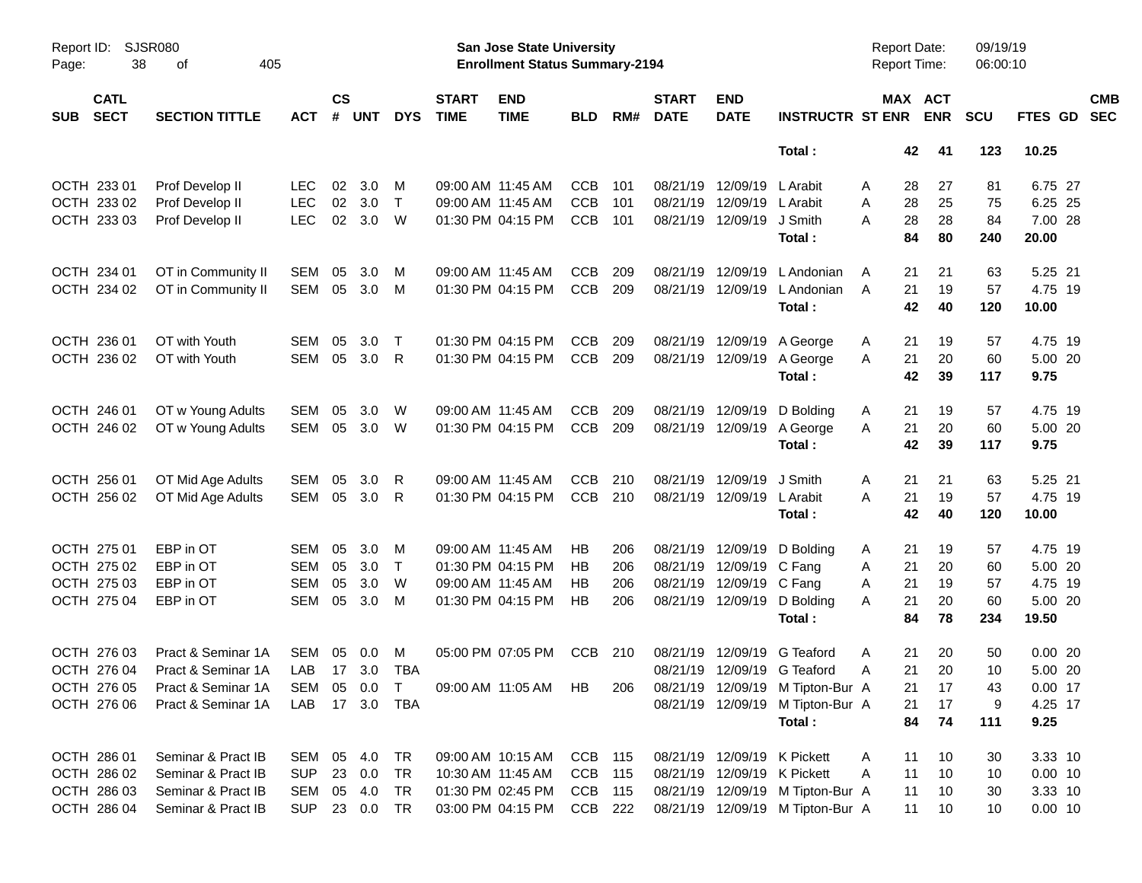|                     |                            |                             |            |                    |            |              |                             |                                                                           | <b>Preliminary Census</b> |     |                             |                             |                                  |                                            |                       |                      |           |                          |
|---------------------|----------------------------|-----------------------------|------------|--------------------|------------|--------------|-----------------------------|---------------------------------------------------------------------------|---------------------------|-----|-----------------------------|-----------------------------|----------------------------------|--------------------------------------------|-----------------------|----------------------|-----------|--------------------------|
| Report ID:<br>Page: | 38                         | <b>SJSR080</b><br>of<br>405 |            |                    |            |              |                             | <b>San Jose State University</b><br><b>Enrollment Status Summary-2194</b> |                           |     |                             |                             |                                  | <b>Report Date:</b><br><b>Report Time:</b> |                       | 09/19/19<br>06:00:10 |           |                          |
| <b>SUB</b>          | <b>CATL</b><br><b>SECT</b> | <b>SECTION TITTLE</b>       | <b>ACT</b> | $\mathsf{cs}$<br># | <b>UNT</b> | <b>DYS</b>   | <b>START</b><br><b>TIME</b> | <b>END</b><br><b>TIME</b>                                                 | <b>BLD</b>                | RM# | <b>START</b><br><b>DATE</b> | <b>END</b><br><b>DATE</b>   | <b>INSTRUCTR ST ENR</b>          |                                            | MAX ACT<br><b>ENR</b> | <b>SCU</b>           | FTES GD   | <b>CMB</b><br><b>SEC</b> |
|                     |                            |                             |            |                    |            |              |                             |                                                                           |                           |     |                             |                             | Total:                           | 42                                         | 41                    | 123                  | 10.25     |                          |
|                     | OCTH 233 01                | Prof Develop II             | LEC        | 02                 | 3.0        | M            |                             | 09:00 AM 11:45 AM                                                         | CCB                       | 101 |                             | 08/21/19 12/09/19           | L Arabit                         | 28<br>Α                                    | 27                    | 81                   | 6.75 27   |                          |
|                     | OCTH 233 02                | Prof Develop II             | <b>LEC</b> | 02                 | 3.0        | $\mathsf{T}$ |                             | 09:00 AM 11:45 AM                                                         | <b>CCB</b>                | 101 | 08/21/19                    | 12/09/19                    | L Arabit                         | 28<br>A                                    | 25                    | 75                   | 6.25 25   |                          |
|                     | OCTH 233 03                | Prof Develop II             | <b>LEC</b> | 02                 | 3.0        | W            |                             | 01:30 PM 04:15 PM                                                         | <b>CCB</b>                | 101 |                             | 08/21/19 12/09/19           | J Smith                          | 28<br>A                                    | 28                    | 84                   | 7.00 28   |                          |
|                     |                            |                             |            |                    |            |              |                             |                                                                           |                           |     |                             |                             | Total:                           | 84                                         | 80                    | 240                  | 20.00     |                          |
|                     | OCTH 234 01                | OT in Community II          | SEM        | 05                 | 3.0        | M            |                             | 09:00 AM 11:45 AM                                                         | <b>CCB</b>                | 209 | 08/21/19                    | 12/09/19                    | L Andonian                       | 21<br>A                                    | 21                    | 63                   | 5.25 21   |                          |
|                     | OCTH 234 02                | OT in Community II          | <b>SEM</b> | 05                 | 3.0        | M            |                             | 01:30 PM 04:15 PM                                                         | <b>CCB</b>                | 209 |                             | 08/21/19 12/09/19           | L Andonian                       | 21<br>A                                    | 19                    | 57                   | 4.75 19   |                          |
|                     |                            |                             |            |                    |            |              |                             |                                                                           |                           |     |                             |                             | Total:                           | 42                                         | 40                    | 120                  | 10.00     |                          |
|                     | OCTH 236 01                | OT with Youth               | SEM        | 05                 | 3.0        | Т            |                             | 01:30 PM 04:15 PM                                                         | <b>CCB</b>                | 209 |                             | 08/21/19 12/09/19           | A George                         | 21<br>A                                    | 19                    | 57                   | 4.75 19   |                          |
|                     | OCTH 236 02                | OT with Youth               | <b>SEM</b> | 05                 | 3.0        | R            |                             | 01:30 PM 04:15 PM                                                         | <b>CCB</b>                | 209 |                             | 08/21/19 12/09/19           | A George                         | 21<br>A                                    | 20                    | 60                   | 5.00 20   |                          |
|                     |                            |                             |            |                    |            |              |                             |                                                                           |                           |     |                             |                             | Total:                           | 42                                         | 39                    | 117                  | 9.75      |                          |
|                     | OCTH 246 01                | OT w Young Adults           | SEM        | 05                 | 3.0        | W            |                             | 09:00 AM 11:45 AM                                                         | <b>CCB</b>                | 209 | 08/21/19                    | 12/09/19                    | D Bolding                        | 21<br>A                                    | 19                    | 57                   | 4.75 19   |                          |
|                     | OCTH 246 02                | OT w Young Adults           | SEM        | 05                 | 3.0        | W            |                             | 01:30 PM 04:15 PM                                                         | <b>CCB</b>                | 209 |                             | 08/21/19 12/09/19           | A George                         | 21<br>A                                    | 20                    | 60                   | 5.00 20   |                          |
|                     |                            |                             |            |                    |            |              |                             |                                                                           |                           |     |                             |                             | Total:                           | 42                                         | 39                    | 117                  | 9.75      |                          |
|                     | OCTH 256 01                | OT Mid Age Adults           | SEM        | 05                 | 3.0        | R            |                             | 09:00 AM 11:45 AM                                                         | <b>CCB</b>                | 210 | 08/21/19                    | 12/09/19                    | J Smith                          | 21<br>A                                    | 21                    | 63                   | 5.25 21   |                          |
|                     | OCTH 256 02                | OT Mid Age Adults           | SEM        | 05                 | 3.0        | R            |                             | 01:30 PM 04:15 PM                                                         | <b>CCB</b>                | 210 |                             | 08/21/19 12/09/19           | L Arabit                         | 21<br>A                                    | 19                    | 57                   | 4.75 19   |                          |
|                     |                            |                             |            |                    |            |              |                             |                                                                           |                           |     |                             |                             | Total:                           | 42                                         | 40                    | 120                  | 10.00     |                          |
|                     | OCTH 275 01                | EBP in OT                   | <b>SEM</b> | 05                 | 3.0        | M            |                             | 09:00 AM 11:45 AM                                                         | НB                        | 206 | 08/21/19                    | 12/09/19                    | D Bolding                        | 21<br>A                                    | 19                    | 57                   | 4.75 19   |                          |
|                     | OCTH 275 02                | EBP in OT                   | SEM        | 05                 | 3.0        | $\mathsf{T}$ |                             | 01:30 PM 04:15 PM                                                         | НB                        | 206 | 08/21/19                    | 12/09/19                    | C Fang                           | 21<br>Α                                    | 20                    | 60                   | 5.00 20   |                          |
|                     | OCTH 275 03                | EBP in OT                   | <b>SEM</b> | 05                 | 3.0        | W            |                             | 09:00 AM 11:45 AM                                                         | НB                        | 206 | 08/21/19                    | 12/09/19 C Fang             |                                  | 21<br>A                                    | 19                    | 57                   | 4.75 19   |                          |
|                     | OCTH 275 04                | EBP in OT                   | <b>SEM</b> | 05                 | 3.0        | M            |                             | 01:30 PM 04:15 PM                                                         | НB                        | 206 |                             | 08/21/19 12/09/19           | D Bolding                        | 21<br>А                                    | 20                    | 60                   | 5.00 20   |                          |
|                     |                            |                             |            |                    |            |              |                             |                                                                           |                           |     |                             |                             | Total:                           | 84                                         | 78                    | 234                  | 19.50     |                          |
|                     | OCTH 276 03                | Pract & Seminar 1A          | SEM 05     |                    | 0.0        | M            |                             | 05:00 PM 07:05 PM                                                         | CCB                       | 210 |                             |                             | 08/21/19 12/09/19 G Teaford      | 21<br>Α                                    | 20                    | 50                   | 0.0020    |                          |
|                     | OCTH 276 04                | Pract & Seminar 1A          | LAB        |                    | 17 3.0     | TBA          |                             |                                                                           |                           |     |                             |                             | 08/21/19 12/09/19 G Teaford      | 21<br>A                                    | 20                    | 10                   | 5.00 20   |                          |
|                     | OCTH 276 05                | Pract & Seminar 1A          | SEM        |                    | 05 0.0     | T            |                             | 09:00 AM 11:05 AM HB                                                      |                           | 206 |                             |                             | 08/21/19 12/09/19 M Tipton-Bur A | 21                                         | 17                    | 43                   | $0.00$ 17 |                          |
|                     | OCTH 276 06                | Pract & Seminar 1A          | LAB        |                    |            | 17 3.0 TBA   |                             |                                                                           |                           |     |                             |                             | 08/21/19 12/09/19 M Tipton-Bur A | 21                                         | 17                    | 9                    | 4.25 17   |                          |
|                     |                            |                             |            |                    |            |              |                             |                                                                           |                           |     |                             |                             | Total:                           | 84                                         | 74                    | 111                  | 9.25      |                          |
|                     | OCTH 286 01                | Seminar & Pract IB          | SEM        |                    | 05 4.0     | TR           |                             | 09:00 AM 10:15 AM                                                         | CCB 115                   |     |                             | 08/21/19 12/09/19 K Pickett |                                  | 11<br>Α                                    | 10                    | 30                   | 3.33 10   |                          |
|                     | OCTH 286 02                | Seminar & Pract IB          | <b>SUP</b> |                    | 23 0.0     | TR           |                             | 10:30 AM 11:45 AM                                                         | CCB                       | 115 |                             | 08/21/19 12/09/19 K Pickett |                                  | 11<br>A                                    | 10                    | 10                   | $0.00$ 10 |                          |
|                     | OCTH 286 03                | Seminar & Pract IB          | SEM        |                    | 05 4.0     | TR           |                             | 01:30 PM 02:45 PM                                                         | CCB 115                   |     |                             |                             | 08/21/19 12/09/19 M Tipton-Bur A | 11                                         | 10                    | 30                   | 3.33 10   |                          |
|                     | OCTH 286 04                | Seminar & Pract IB          | SUP        |                    | 23 0.0 TR  |              |                             | 03:00 PM 04:15 PM                                                         | CCB 222                   |     |                             |                             | 08/21/19 12/09/19 M Tipton-Bur A | 11                                         | 10                    | 10                   | $0.00$ 10 |                          |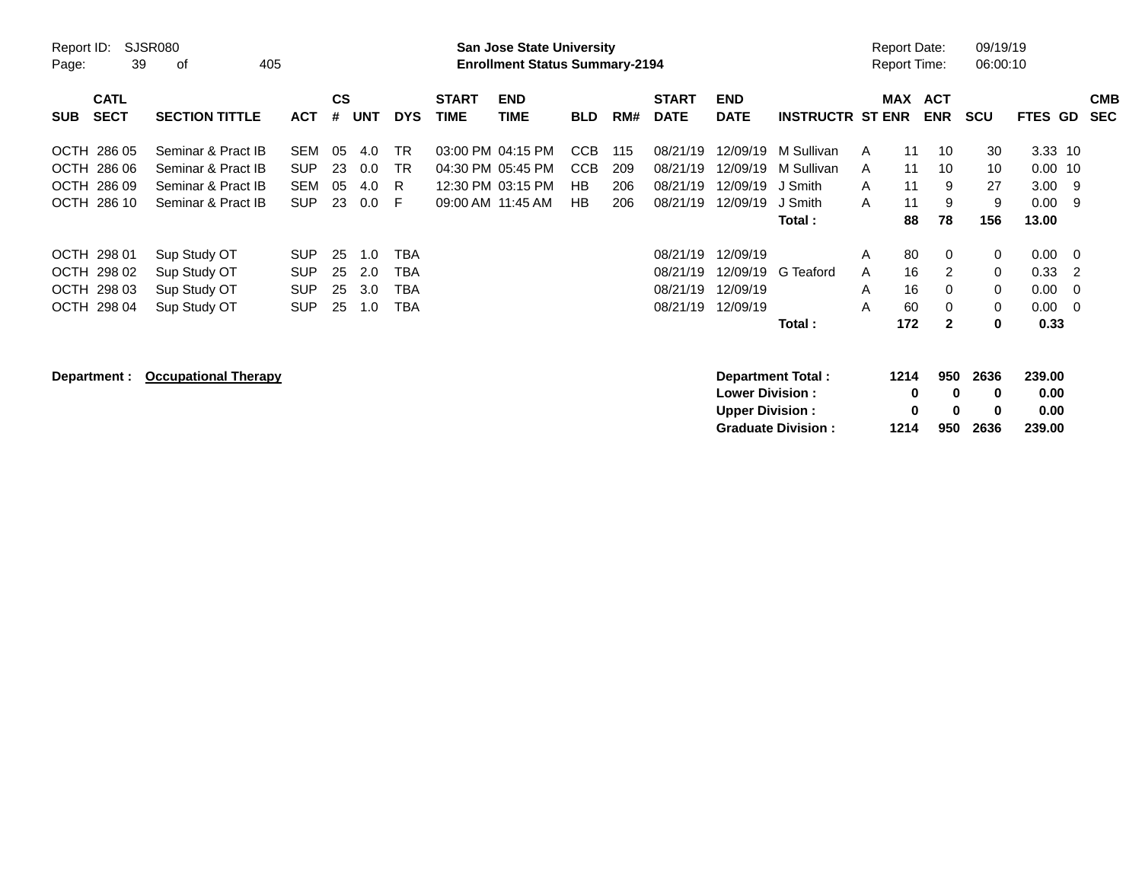|                                           |                                              |                                        |                    |                   |                        |                             | <b>Preliminary Census</b>                                                 |                          |            |                                  |                                                  |                                                |                                     |                        |                          |                        |                                  |                                           |            |
|-------------------------------------------|----------------------------------------------|----------------------------------------|--------------------|-------------------|------------------------|-----------------------------|---------------------------------------------------------------------------|--------------------------|------------|----------------------------------|--------------------------------------------------|------------------------------------------------|-------------------------------------|------------------------|--------------------------|------------------------|----------------------------------|-------------------------------------------|------------|
| Report ID:<br>39<br>Page:                 | <b>SJSR080</b><br>405<br>оf                  |                                        |                    |                   |                        |                             | <b>San Jose State University</b><br><b>Enrollment Status Summary-2194</b> |                          |            |                                  |                                                  |                                                | <b>Report Date:</b><br>Report Time: |                        |                          | 09/19/19<br>06:00:10   |                                  |                                           |            |
| <b>CATL</b><br><b>SECT</b><br><b>SUB</b>  | <b>SECTION TITTLE</b>                        | <b>ACT</b>                             | $\mathsf{cs}$<br># | <b>UNT</b>        | <b>DYS</b>             | <b>START</b><br><b>TIME</b> | <b>END</b><br><b>TIME</b>                                                 | <b>BLD</b>               | RM#        | <b>START</b><br><b>DATE</b>      | <b>END</b><br><b>DATE</b>                        | <b>INSTRUCTR ST ENR</b>                        | <b>MAX</b>                          |                        | <b>ACT</b><br><b>ENR</b> | <b>SCU</b>             | FTES GD                          | <b>SEC</b>                                | <b>CMB</b> |
| OCTH 286 05<br>OCTH 286 06                | Seminar & Pract IB<br>Seminar & Pract IB     | <b>SEM</b><br><b>SUP</b>               | 05<br>23           | 4.0<br>0.0        | <b>TR</b><br><b>TR</b> |                             | 03:00 PM 04:15 PM<br>04:30 PM 05:45 PM                                    | <b>CCB</b><br><b>CCB</b> | 115<br>209 | 08/21/19<br>08/21/19             | 12/09/19<br>12/09/19                             | M Sullivan<br>M Sullivan                       | A<br>A                              | 11<br>11               | 10<br>10                 | 30<br>10               | 3.33 10<br>$0.00$ 10             |                                           |            |
| OCTH 286 09<br>OCTH 286 10                | Seminar & Pract IB<br>Seminar & Pract IB     | <b>SEM</b><br><b>SUP</b>               | 05<br>23           | 4.0<br>0.0        | R.<br>-F               |                             | 12:30 PM 03:15 PM<br>09:00 AM 11:45 AM                                    | <b>HB</b><br>HB          | 206<br>206 | 08/21/19<br>08/21/19             | 12/09/19<br>12/09/19                             | J Smith<br>J Smith<br>Total:                   | A<br>A                              | 11<br>11<br>88         | 9<br>9<br>78             | 27<br>9<br>156         | $3.00$ 9<br>0.00<br>13.00        | - 9                                       |            |
| OCTH 298 01<br>OCTH 298 02<br>OCTH 298 03 | Sup Study OT<br>Sup Study OT<br>Sup Study OT | <b>SUP</b><br><b>SUP</b><br><b>SUP</b> | 25<br>25<br>25     | 1.0<br>2.0<br>3.0 | TBA<br>TBA<br>TBA      |                             |                                                                           |                          |            | 08/21/19<br>08/21/19<br>08/21/19 | 12/09/19<br>12/09/19<br>12/09/19                 | G Teaford                                      | A<br>A<br>A                         | 80<br>16<br>16         | 0<br>2<br>0              | 0<br>0<br>0            | $0.00 \t 0$<br>0.33<br>0.00      | $\overline{2}$<br>$\overline{\mathbf{0}}$ |            |
| <b>OCTH</b><br>298 04                     | Sup Study OT                                 | <b>SUP</b>                             | 25                 | 1.0               | TBA                    |                             |                                                                           |                          |            | 08/21/19                         | 12/09/19                                         | Total:                                         | A                                   | 60<br>172              | 0<br>$\mathbf{2}$        | 0<br>$\bf{0}$          | $0.00 \t 0$<br>0.33              |                                           |            |
| Department :                              | <b>Occupational Therapy</b>                  |                                        |                    |                   |                        |                             |                                                                           |                          |            |                                  | <b>Lower Division:</b><br><b>Upper Division:</b> | Department Total:<br><b>Graduate Division:</b> |                                     | 1214<br>0<br>0<br>1214 | 950<br>0<br>0<br>950     | 2636<br>0<br>0<br>2636 | 239.00<br>0.00<br>0.00<br>239.00 |                                           |            |

**Graduate Division : 1214 950 2636 239.00**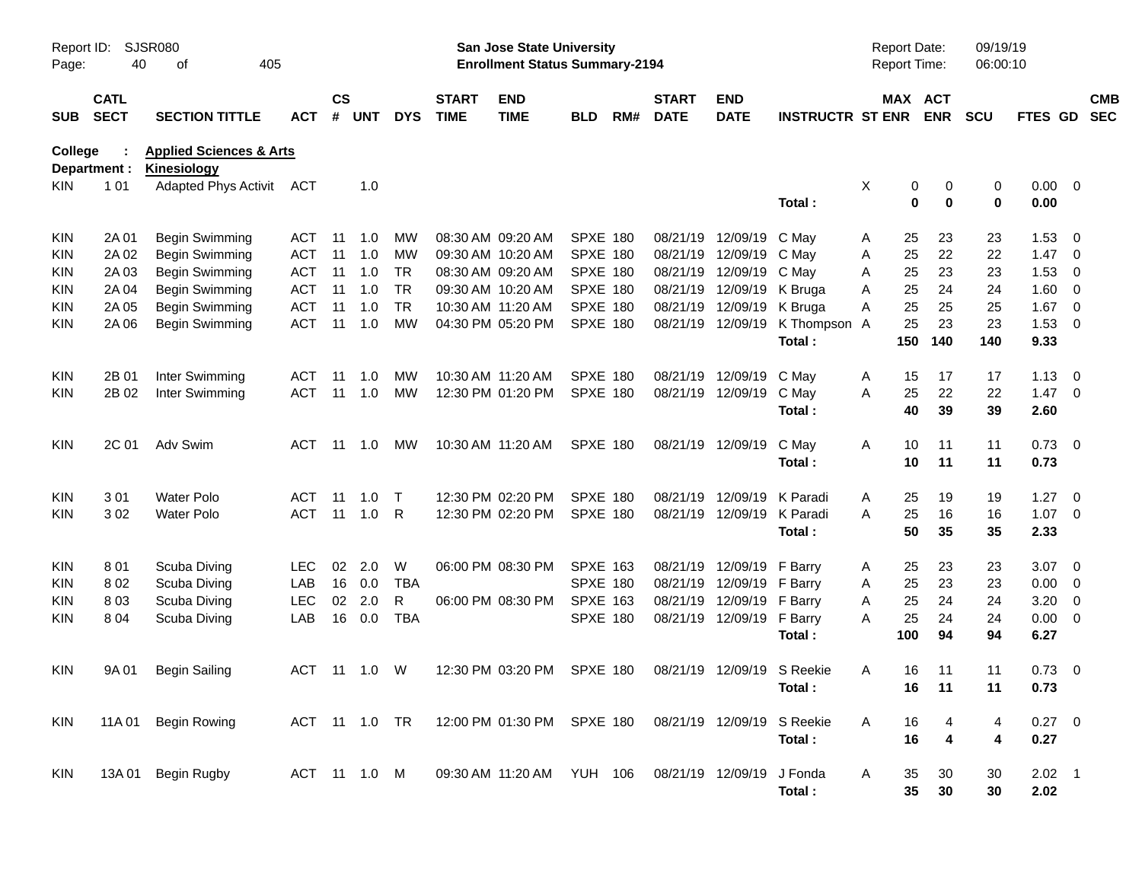|                     |                            |                                                |                           |                    |               |            |                             |                                                                           | <b>Preliminary Census</b> |     |                             |                           |                         |   |                                            |                       |                      |                |                          |                          |
|---------------------|----------------------------|------------------------------------------------|---------------------------|--------------------|---------------|------------|-----------------------------|---------------------------------------------------------------------------|---------------------------|-----|-----------------------------|---------------------------|-------------------------|---|--------------------------------------------|-----------------------|----------------------|----------------|--------------------------|--------------------------|
| Report ID:<br>Page: | 40                         | <b>SJSR080</b><br>of<br>405                    |                           |                    |               |            |                             | <b>San Jose State University</b><br><b>Enrollment Status Summary-2194</b> |                           |     |                             |                           |                         |   | <b>Report Date:</b><br><b>Report Time:</b> |                       | 09/19/19<br>06:00:10 |                |                          |                          |
| <b>SUB</b>          | <b>CATL</b><br><b>SECT</b> | <b>SECTION TITTLE</b>                          | <b>ACT</b>                | $\mathsf{cs}$<br># | UNT           | <b>DYS</b> | <b>START</b><br><b>TIME</b> | <b>END</b><br><b>TIME</b>                                                 | <b>BLD</b>                | RM# | <b>START</b><br><b>DATE</b> | <b>END</b><br><b>DATE</b> | <b>INSTRUCTR ST ENR</b> |   |                                            | MAX ACT<br><b>ENR</b> | <b>SCU</b>           | <b>FTES GD</b> |                          | <b>CMB</b><br><b>SEC</b> |
| College             |                            | +HDOWK                                         | + X P D Q 6 F L H Q F H V |                    |               |            |                             |                                                                           |                           |     |                             |                           |                         |   |                                            |                       |                      |                |                          |                          |
|                     | Department :<br>1 0 1      | <b>Kinesiology</b><br>Adapted Phys Activit ACT |                           |                    | 1.0           |            |                             |                                                                           |                           |     |                             |                           |                         | Χ |                                            |                       | 0                    | $0.00 \t 0$    |                          |                          |
| KIN.                |                            |                                                |                           |                    |               |            |                             |                                                                           |                           |     |                             |                           | Total:                  |   | 0<br>$\bf{0}$                              | 0<br>$\bf{0}$         | 0                    | 0.00           |                          |                          |
| KIN                 | 2A 01                      | Begin Swimming                                 | ACT                       | -11                | 1.0           | МW         |                             | 08:30 AM 09:20 AM                                                         | <b>SPXE 180</b>           |     | 08/21/19                    | 12/09/19                  | C May                   | Α | 25                                         | 23                    | 23                   | 1.53           | $\overline{\phantom{0}}$ |                          |
| KIN                 | 2A 02                      | Begin Swimming                                 | ACT                       | 11                 | 1.0           | MW         |                             | 09:30 AM 10:20 AM                                                         | <b>SPXE 180</b>           |     | 08/21/19                    | 12/09/19                  | C May                   | Α | 25                                         | 22                    | 22                   | 1.47           | $\overline{\phantom{0}}$ |                          |
| KIN                 | 2A 03                      | Begin Swimming                                 | <b>ACT</b>                | 11                 | 1.0           | <b>TR</b>  |                             | 08:30 AM 09:20 AM                                                         | <b>SPXE 180</b>           |     | 08/21/19                    | 12/09/19                  | C May                   | A | 25                                         | 23                    | 23                   | 1.53           | - 0                      |                          |
| KIN                 | 2A 04                      | Begin Swimming                                 | <b>ACT</b>                | 11                 | 1.0           | <b>TR</b>  |                             | 09:30 AM 10:20 AM                                                         | <b>SPXE 180</b>           |     |                             | 08/21/19 12/09/19         | K Bruga                 | A | 25                                         | 24                    | 24                   | $1.60 \t 0$    |                          |                          |
| KIN                 | 2A 05                      | Begin Swimming                                 | <b>ACT</b>                | 11                 | 1.0           | <b>TR</b>  |                             | 10:30 AM 11:20 AM                                                         | <b>SPXE 180</b>           |     |                             | 08/21/19 12/09/19         | K Bruga                 | A | 25                                         | 25                    | 25                   | 1.67           | $\overline{\phantom{0}}$ |                          |
| KIN                 | 2A 06                      | Begin Swimming                                 | <b>ACT</b>                | 11                 | 1.0           | <b>MW</b>  |                             | 04:30 PM 05:20 PM                                                         | <b>SPXE 180</b>           |     |                             | 08/21/19 12/09/19         | K Thompson              | A | 25                                         | 23                    | 23                   | $1.53 \t 0$    |                          |                          |
|                     |                            |                                                |                           |                    |               |            |                             |                                                                           |                           |     |                             |                           | Total:                  |   | 150                                        | 140                   | 140                  | 9.33           |                          |                          |
| <b>KIN</b>          | 2B 01                      | Inter Swimming                                 | ACT                       | -11                | 1.0           | MW         |                             | 10:30 AM 11:20 AM                                                         | <b>SPXE 180</b>           |     |                             | 08/21/19 12/09/19         | C May                   | Α | 15                                         | 17                    | 17                   | $1.13 \ 0$     |                          |                          |
| KIN                 | 2B 02                      | Inter Swimming                                 | <b>ACT</b>                | 11                 | 1.0           | MW         |                             | 12:30 PM 01:20 PM                                                         | <b>SPXE 180</b>           |     |                             | 08/21/19 12/09/19         | C May                   | A | 25                                         | 22                    | 22                   | $1.47 \quad 0$ |                          |                          |
|                     |                            |                                                |                           |                    |               |            |                             |                                                                           |                           |     |                             |                           | Total:                  |   | 40                                         | 39                    | 39                   | 2.60           |                          |                          |
| <b>KIN</b>          | 2C 01                      | Adv Swim                                       | ACT                       | -11                | 1.0           | МW         |                             | 10:30 AM 11:20 AM                                                         | <b>SPXE 180</b>           |     |                             | 08/21/19 12/09/19         | C May                   | Α | 10                                         | 11                    | 11                   | $0.73 \quad 0$ |                          |                          |
|                     |                            |                                                |                           |                    |               |            |                             |                                                                           |                           |     |                             |                           | Total:                  |   | 10                                         | 11                    | 11                   | 0.73           |                          |                          |
| KIN                 | 301                        | <b>Water Polo</b>                              | ACT                       | -11                | 1.0           | Т          |                             | 12:30 PM 02:20 PM                                                         | SPXE 180                  |     |                             | 08/21/19 12/09/19         | K Paradi                | Α | 25                                         | 19                    | 19                   | 1.27           | $\overline{\phantom{0}}$ |                          |
| KIN                 | 302                        | <b>Water Polo</b>                              | <b>ACT</b>                | 11                 | 1.0           | R          |                             | 12:30 PM 02:20 PM                                                         | <b>SPXE 180</b>           |     |                             | 08/21/19 12/09/19         | K Paradi                | A | 25                                         | 16                    | 16                   | $1.07 \t 0$    |                          |                          |
|                     |                            |                                                |                           |                    |               |            |                             |                                                                           |                           |     |                             |                           | Total:                  |   | 50                                         | 35                    | 35                   | 2.33           |                          |                          |
| KIN                 | 801                        | Scuba Diving                                   | LEC.                      | 02                 | 2.0           | W          |                             | 06:00 PM 08:30 PM                                                         | <b>SPXE 163</b>           |     | 08/21/19                    | 12/09/19                  | F Barry                 | Α | 25                                         | 23                    | 23                   | $3.07$ 0       |                          |                          |
| KIN                 | 802                        | Scuba Diving                                   | LAB                       | 16                 | 0.0           | <b>TBA</b> |                             |                                                                           | <b>SPXE 180</b>           |     | 08/21/19                    | 12/09/19                  | F Barry                 | Α | 25                                         | 23                    | 23                   | 0.00           | $\overline{\phantom{0}}$ |                          |
| KIN                 | 803                        | Scuba Diving                                   | <b>LEC</b>                | 02                 | 2.0           | R          |                             | 06:00 PM 08:30 PM                                                         | <b>SPXE 163</b>           |     |                             | 08/21/19 12/09/19 F Barry |                         | Α | 25                                         | 24                    | 24                   | 3.20           | $\overline{\mathbf{0}}$  |                          |
| KIN                 | 804                        | Scuba Diving                                   | LAB                       | 16                 | 0.0           | <b>TBA</b> |                             |                                                                           | SPXE 180                  |     |                             | 08/21/19 12/09/19         | F Barry                 | A | 25                                         | 24                    | 24                   | $0.00 \t 0$    |                          |                          |
|                     |                            |                                                |                           |                    |               |            |                             |                                                                           |                           |     |                             |                           | Total:                  |   | 100                                        | 94                    | 94                   | 6.27           |                          |                          |
| KIN                 | 9A 01                      | <b>Begin Sailing</b>                           |                           |                    | ACT 11 1.0 W  |            |                             | 12:30 PM 03:20 PM SPXE 180 08/21/19 12/09/19 S Reekie                     |                           |     |                             |                           |                         | Α | 16                                         | 11                    | 11                   | $0.73 \ 0$     |                          |                          |
|                     |                            |                                                |                           |                    |               |            |                             |                                                                           |                           |     |                             |                           | Total:                  |   | 16                                         | 11                    | 11                   | 0.73           |                          |                          |
| KIN                 | 11A 01                     | <b>Begin Rowing</b>                            |                           |                    | ACT 11 1.0 TR |            |                             | 12:00 PM 01:30 PM SPXE 180                                                |                           |     |                             | 08/21/19 12/09/19         | S Reekie                | Α | 16                                         | 4                     | 4                    | $0.27$ 0       |                          |                          |
|                     |                            |                                                |                           |                    |               |            |                             |                                                                           |                           |     |                             |                           | Total:                  |   | 16                                         | 4                     | 4                    | 0.27           |                          |                          |
| <b>KIN</b>          | 13A 01                     | Begin Rugby                                    |                           |                    | ACT 11 1.0 M  |            |                             | 09:30 AM 11:20 AM YUH 106                                                 |                           |     | 08/21/19 12/09/19           |                           | J Fonda                 | Α | 35                                         | 30                    | 30                   | $2.02$ 1       |                          |                          |
|                     |                            |                                                |                           |                    |               |            |                             |                                                                           |                           |     |                             |                           | Total:                  |   | 35                                         | 30                    | 30                   | 2.02           |                          |                          |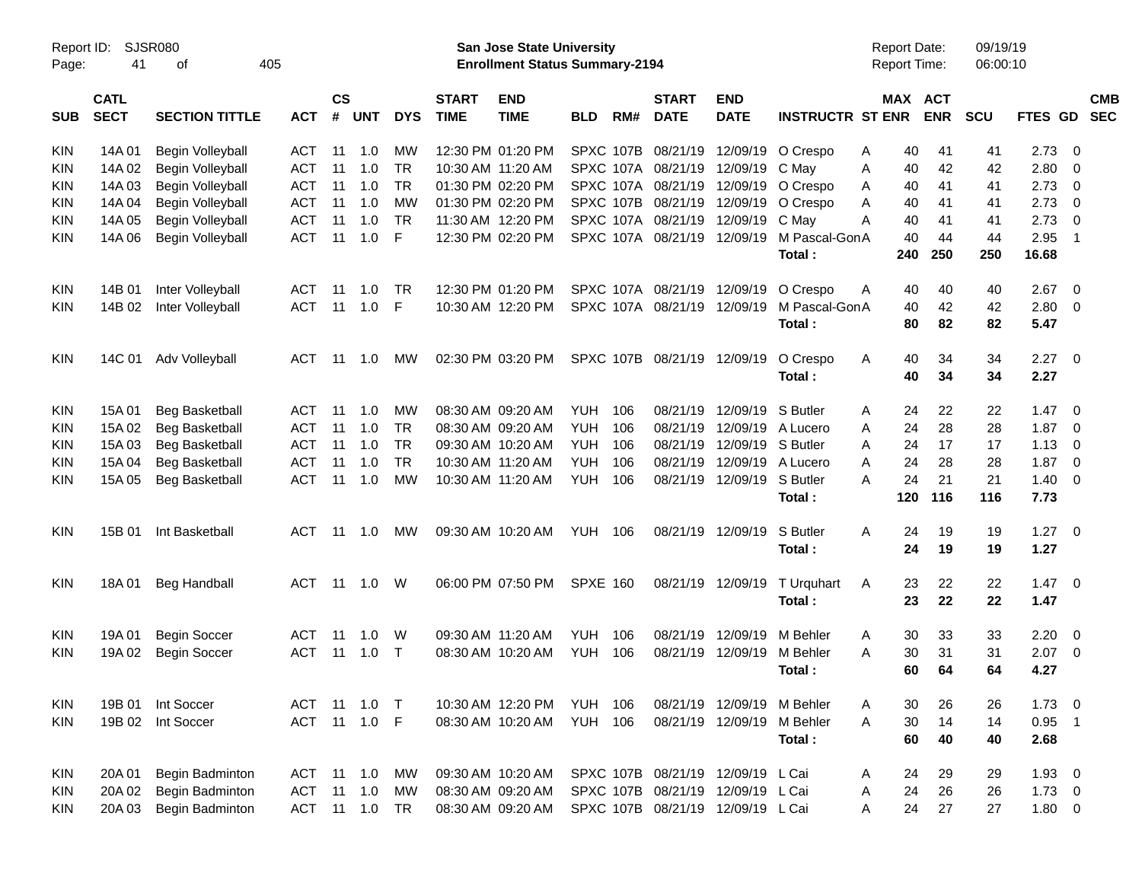|            |             |                       |            |               |                |            |              |                                       | <b>Preliminary Census</b> |           |                             |                                   |                         |                     |            |          |                |                          |            |
|------------|-------------|-----------------------|------------|---------------|----------------|------------|--------------|---------------------------------------|---------------------------|-----------|-----------------------------|-----------------------------------|-------------------------|---------------------|------------|----------|----------------|--------------------------|------------|
| Report ID: |             | <b>SJSR080</b>        |            |               |                |            |              | <b>San Jose State University</b>      |                           |           |                             |                                   |                         | <b>Report Date:</b> |            | 09/19/19 |                |                          |            |
| Page:      | 41          | 405<br>оf             |            |               |                |            |              | <b>Enrollment Status Summary-2194</b> |                           |           |                             |                                   |                         | <b>Report Time:</b> |            | 06:00:10 |                |                          |            |
|            | <b>CATL</b> |                       |            | $\mathsf{cs}$ |                |            | <b>START</b> | <b>END</b>                            |                           |           | <b>START</b>                | <b>END</b>                        |                         |                     | MAX ACT    |          |                |                          | <b>CMB</b> |
| <b>SUB</b> | <b>SECT</b> | <b>SECTION TITTLE</b> | <b>ACT</b> | #             | <b>UNT</b>     | <b>DYS</b> | <b>TIME</b>  | <b>TIME</b>                           | <b>BLD</b>                | RM#       | <b>DATE</b>                 | <b>DATE</b>                       | <b>INSTRUCTR ST ENR</b> |                     | <b>ENR</b> | SCU      | <b>FTES GD</b> |                          | <b>SEC</b> |
| <b>KIN</b> | 14A 01      | Begin Volleyball      | <b>ACT</b> | -11           | 1.0            | МW         |              | 12:30 PM 01:20 PM                     |                           | SPXC 107B | 08/21/19                    |                                   | 12/09/19 O Crespo       | 40<br>A             | 41         | 41       | 2.73           | - 0                      |            |
| <b>KIN</b> | 14A 02      | Begin Volleyball      | <b>ACT</b> | 11            | 1.0            | <b>TR</b>  |              | 10:30 AM 11:20 AM                     |                           |           | SPXC 107A 08/21/19          | 12/09/19 C Mav                    |                         | Α<br>40             | 42         | 42       | 2.80           | - 0                      |            |
| <b>KIN</b> | 14A 03      | Begin Volleyball      | <b>ACT</b> | 11            | 1.0            | <b>TR</b>  |              | 01:30 PM 02:20 PM                     |                           |           | SPXC 107A 08/21/19          |                                   | 12/09/19 O Crespo       | 40<br>A             | 41         | 41       | 2.73           | $\overline{\mathbf{0}}$  |            |
| <b>KIN</b> | 14A 04      | Begin Volleyball      | <b>ACT</b> | 11            | 1.0            | <b>MW</b>  |              | 01:30 PM 02:20 PM                     |                           | SPXC 107B | 08/21/19                    |                                   | 12/09/19 O Crespo       | A<br>40             | -41        | 41       | 2.73           | $\overline{\mathbf{0}}$  |            |
| <b>KIN</b> | 14A 05      | Begin Volleyball      | <b>ACT</b> | 11            | 1.0            | <b>TR</b>  |              | 11:30 AM 12:20 PM                     |                           |           | SPXC 107A 08/21/19          | 12/09/19 C May                    |                         | A<br>40             | 41         | 41       | 2.73           | $\overline{\mathbf{0}}$  |            |
| <b>KIN</b> | 14A 06      | Begin Volleyball      | <b>ACT</b> | 11            | 1.0            | F          |              | 12:30 PM 02:20 PM                     |                           |           |                             | SPXC 107A 08/21/19 12/09/19       | M Pascal-GonA           | 40                  | 44         | 44       | 2.95           | - 1                      |            |
|            |             |                       |            |               |                |            |              |                                       |                           |           |                             |                                   | Total :                 | 240                 | 250        | 250      | 16.68          |                          |            |
| <b>KIN</b> | 14B 01      | Inter Volleyball      | ACT        | -11           | 1.0            | TR         |              | 12:30 PM 01:20 PM                     |                           |           |                             | SPXC 107A 08/21/19 12/09/19       | O Crespo                | 40<br>A             | 40         | 40       | 2.67           | $\overline{\phantom{0}}$ |            |
|            |             |                       | <b>ACT</b> | 11            |                |            |              |                                       |                           |           | SPXC 107A 08/21/19 12/09/19 |                                   | M Pascal-GonA           |                     |            |          |                |                          |            |
| <b>KIN</b> | 14B 02      | Inter Volleyball      |            |               | 1.0            | F          |              | 10:30 AM 12:20 PM                     |                           |           |                             |                                   | Total:                  | 40<br>80            | 42<br>82   | 42<br>82 | 2.80<br>5.47   | $\overline{\phantom{0}}$ |            |
|            |             |                       |            |               |                |            |              |                                       |                           |           |                             |                                   |                         |                     |            |          |                |                          |            |
| <b>KIN</b> | 14C 01      | Adv Volleyball        | ACT        | -11           | 1.0            | МW         |              | 02:30 PM 03:20 PM                     |                           |           | SPXC 107B 08/21/19 12/09/19 |                                   | O Crespo                | Α<br>40             | 34         | 34       | $2.27 \t 0$    |                          |            |
|            |             |                       |            |               |                |            |              |                                       |                           |           |                             |                                   | Total:                  | 40                  | 34         | 34       | 2.27           |                          |            |
| <b>KIN</b> | 15A 01      | <b>Beg Basketball</b> | ACT        | -11           | 1.0            | МW         |              | 08:30 AM 09:20 AM                     | <b>YUH</b>                | 106       | 08/21/19                    | 12/09/19 S Butler                 |                         | 24<br>A             | 22         | 22       | $1.47 \ 0$     |                          |            |
| <b>KIN</b> | 15A 02      | Beg Basketball        | <b>ACT</b> | 11            | 1.0            | <b>TR</b>  |              | 08:30 AM 09:20 AM                     | <b>YUH</b>                | 106       | 08/21/19                    |                                   | 12/09/19 A Lucero       | 24<br>A             | 28         | 28       | 1.87           | $\overline{\mathbf{0}}$  |            |
| <b>KIN</b> | 15A 03      | Beg Basketball        | <b>ACT</b> | -11           | 1.0            | <b>TR</b>  |              | 09:30 AM 10:20 AM                     | <b>YUH</b>                | 106       | 08/21/19                    | 12/09/19 S Butler                 |                         | A<br>24             | 17         | 17       | 1.13           | $\overline{\mathbf{0}}$  |            |
| <b>KIN</b> | 15A 04      | <b>Beg Basketball</b> | <b>ACT</b> | 11            | 1.0            | <b>TR</b>  |              | 10:30 AM 11:20 AM                     | <b>YUH</b>                | 106       | 08/21/19                    |                                   | 12/09/19 A Lucero       | 24<br>A             | 28         | 28       | 1.87           | $\overline{\mathbf{0}}$  |            |
| <b>KIN</b> | 15A 05      | <b>Beg Basketball</b> | <b>ACT</b> | 11            | 1.0            | <b>MW</b>  |              | 10:30 AM 11:20 AM                     | <b>YUH</b>                | 106       |                             | 08/21/19 12/09/19 S Butler        |                         | 24<br>A             | 21         | 21       | $1.40 \ 0$     |                          |            |
|            |             |                       |            |               |                |            |              |                                       |                           |           |                             |                                   | Total :                 | 120                 | 116        | 116      | 7.73           |                          |            |
| <b>KIN</b> | 15B 01      | Int Basketball        | ACT        | -11           | 1.0            | МW         |              | 09:30 AM 10:20 AM                     | YUH                       | - 106     |                             | 08/21/19 12/09/19                 | S Butler                | Α<br>24             | 19         | 19       | $1.27 \t 0$    |                          |            |
|            |             |                       |            |               |                |            |              |                                       |                           |           |                             |                                   | Total:                  | 24                  | 19         | 19       | 1.27           |                          |            |
|            |             |                       |            |               |                |            |              |                                       |                           |           |                             |                                   |                         |                     |            |          |                |                          |            |
| <b>KIN</b> | 18A01       | <b>Beg Handball</b>   | <b>ACT</b> | 11            | 1.0            | W          |              | 06:00 PM 07:50 PM                     | <b>SPXE 160</b>           |           |                             | 08/21/19 12/09/19                 | T Urquhart              | 23<br>A             | 22         | 22       | $1.47 \quad 0$ |                          |            |
|            |             |                       |            |               |                |            |              |                                       |                           |           |                             |                                   | Total:                  | 23                  | 22         | 22       | 1.47           |                          |            |
| <b>KIN</b> | 19A 01      | <b>Begin Soccer</b>   | ACT        | -11           | 1.0            | W          |              | 09:30 AM 11:20 AM                     | <b>YUH</b>                | 106       | 08/21/19                    | 12/09/19                          | M Behler                | 30<br>A             | 33         | 33       | $2.20 \t 0$    |                          |            |
| <b>KIN</b> | 19A 02      | <b>Begin Soccer</b>   | <b>ACT</b> | 11            | 1.0            | $\top$     |              | 08:30 AM 10:20 AM                     | <b>YUH</b>                | 106       | 08/21/19                    | 12/09/19 M Behler                 |                         | 30<br>A             | 31         | 31       | 2.07           | $\overline{\phantom{0}}$ |            |
|            |             |                       |            |               |                |            |              |                                       |                           |           |                             |                                   | Total :                 | 60                  | 64         | 64       | 4.27           |                          |            |
| KIN        | 19B 01      | Int Soccer            |            |               | ACT 11 1.0 T   |            |              | 10:30 AM 12:20 PM                     | <b>YUH 106</b>            |           |                             | 08/21/19 12/09/19 M Behler        |                         | 30<br>A             | 26         | 26       | $1.73 \t 0$    |                          |            |
| KIN        | 19B 02      | Int Soccer            | <b>ACT</b> |               | 11  1.0  F     |            |              | 08:30 AM 10:20 AM                     | <b>YUH 106</b>            |           |                             | 08/21/19 12/09/19 M Behler        |                         | 30<br>A             | 14         | 14       | $0.95$ 1       |                          |            |
|            |             |                       |            |               |                |            |              |                                       |                           |           |                             |                                   |                         | 60                  | 40         | 40       | 2.68           |                          |            |
|            |             |                       |            |               |                |            |              |                                       |                           |           |                             |                                   | Total:                  |                     |            |          |                |                          |            |
| KIN        | 20A 01      | Begin Badminton       | ACT        |               | $11 \quad 1.0$ | MW         |              | 09:30 AM 10:20 AM                     |                           |           |                             | SPXC 107B 08/21/19 12/09/19 L Cai |                         | 24<br>A             | 29         | 29       | $1.93 \ 0$     |                          |            |
| KIN        | 20A 02      | Begin Badminton       | <b>ACT</b> |               | $11 \quad 1.0$ | <b>MW</b>  |              | 08:30 AM 09:20 AM                     |                           |           |                             | SPXC 107B 08/21/19 12/09/19 L Cai |                         | 24<br>A             | 26         | 26       | $1.73 \t 0$    |                          |            |
| KIN        | 20A 03      | Begin Badminton       | ACT        |               | 11 1.0         | TR         |              | 08:30 AM 09:20 AM                     |                           |           |                             | SPXC 107B 08/21/19 12/09/19 L Cai |                         | 24<br>Α             | 27         | 27       | $1.80 \t 0$    |                          |            |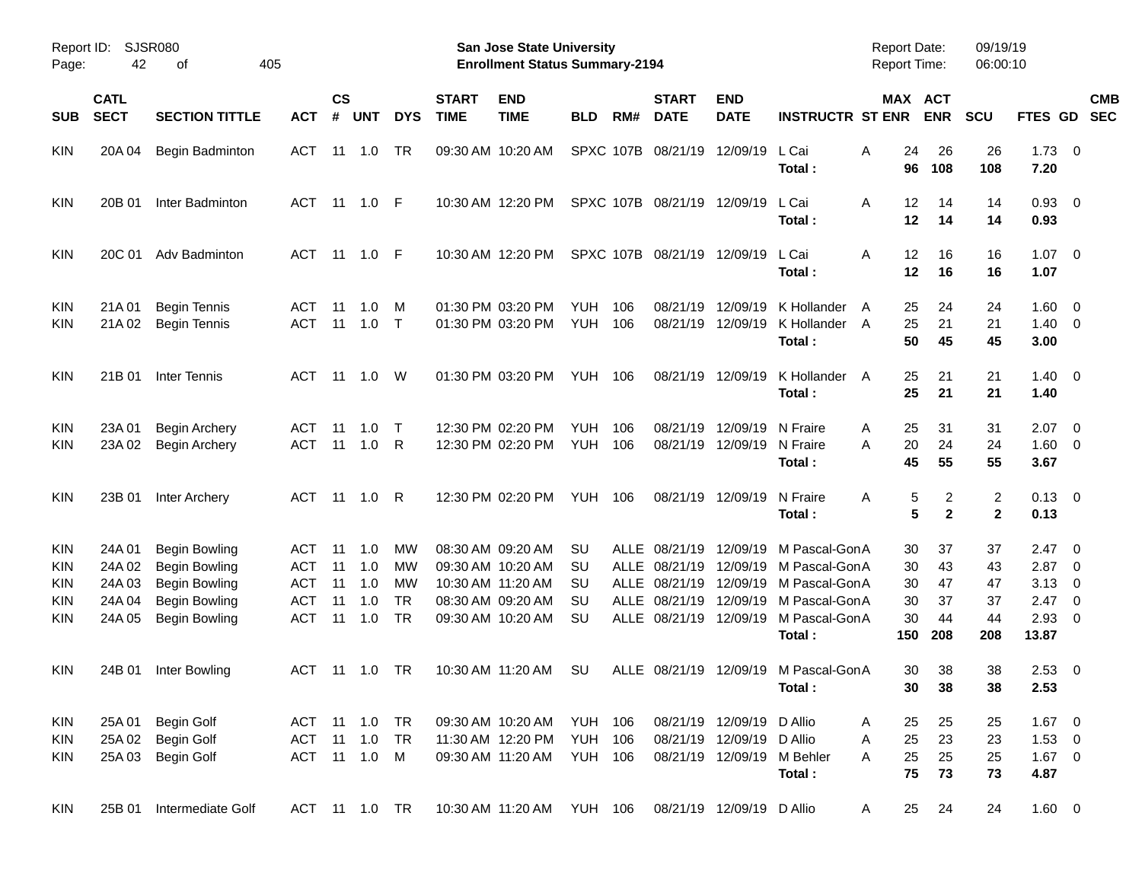| Report ID:<br>Page:             | 42                                            | <b>SJSR080</b><br>οf                                                                                                 | 405                                                         |                            |                                 |                                   |                             | <b>San Jose State University</b><br><b>Enrollment Status Summary-2194</b>                             |                                                    |            |                                                             |                                                                                      |                                                                                            | <b>Report Date:</b><br><b>Report Time:</b> |                            | 09/19/19<br>06:00:10           |                                                              |                                                      |            |
|---------------------------------|-----------------------------------------------|----------------------------------------------------------------------------------------------------------------------|-------------------------------------------------------------|----------------------------|---------------------------------|-----------------------------------|-----------------------------|-------------------------------------------------------------------------------------------------------|----------------------------------------------------|------------|-------------------------------------------------------------|--------------------------------------------------------------------------------------|--------------------------------------------------------------------------------------------|--------------------------------------------|----------------------------|--------------------------------|--------------------------------------------------------------|------------------------------------------------------|------------|
| <b>SUB</b>                      | <b>CATL</b><br><b>SECT</b>                    | <b>SECTION TITTLE</b>                                                                                                | <b>ACT</b>                                                  | <b>CS</b><br>$\pmb{\#}$    | <b>UNT</b>                      | <b>DYS</b>                        | <b>START</b><br><b>TIME</b> | <b>END</b><br><b>TIME</b>                                                                             | <b>BLD</b>                                         | RM#        | <b>START</b><br><b>DATE</b>                                 | <b>END</b><br><b>DATE</b>                                                            | <b>INSTRUCTR ST ENR</b>                                                                    | MAX ACT                                    | <b>ENR</b>                 | <b>SCU</b>                     | FTES GD SEC                                                  |                                                      | <b>CMB</b> |
| KIN                             | 20A 04                                        | Begin Badminton                                                                                                      | ACT                                                         |                            | 11 1.0                          | TR                                |                             | 09:30 AM 10:20 AM                                                                                     |                                                    |            | SPXC 107B 08/21/19                                          | 12/09/19                                                                             | L Cai<br>Total:                                                                            | 24<br>Α<br>96                              | 26<br>108                  | 26<br>108                      | $1.73 \ 0$<br>7.20                                           |                                                      |            |
| KIN                             | 20B 01                                        | Inter Badminton                                                                                                      |                                                             |                            | ACT 11 1.0 F                    |                                   |                             | 10:30 AM 12:20 PM                                                                                     |                                                    |            |                                                             | SPXC 107B 08/21/19 12/09/19                                                          | L Cai<br>Total:                                                                            | 12<br>Α<br>12                              | 14<br>14                   | 14<br>14                       | $0.93$ 0<br>0.93                                             |                                                      |            |
| KIN                             | 20C 01                                        | Adv Badminton                                                                                                        | ACT                                                         |                            | 11  1.0  F                      |                                   |                             | 10:30 AM 12:20 PM                                                                                     |                                                    |            |                                                             | SPXC 107B 08/21/19 12/09/19                                                          | L Cai<br>Total:                                                                            | 12<br>Α<br>12                              | 16<br>16                   | 16<br>16                       | $1.07 \t 0$<br>1.07                                          |                                                      |            |
| KIN<br>KIN                      | 21A 01<br>21A 02                              | <b>Begin Tennis</b><br><b>Begin Tennis</b>                                                                           | ACT.<br><b>ACT</b>                                          | 11<br>11                   | 1.0<br>1.0                      | M<br>$\top$                       |                             | 01:30 PM 03:20 PM<br>01:30 PM 03:20 PM                                                                | YUH.<br><b>YUH</b>                                 | 106<br>106 | 08/21/19                                                    | 08/21/19 12/09/19                                                                    | 12/09/19 K Hollander<br>K Hollander<br>Total:                                              | 25<br>A<br>25<br>A<br>50                   | 24<br>21<br>45             | 24<br>21<br>45                 | $1.60 \t 0$<br>$1.40 \ 0$<br>3.00                            |                                                      |            |
| KIN                             | 21B 01                                        | Inter Tennis                                                                                                         | ACT                                                         |                            | 11 1.0                          | W                                 |                             | 01:30 PM 03:20 PM                                                                                     | <b>YUH 106</b>                                     |            |                                                             | 08/21/19 12/09/19                                                                    | K Hollander A<br>Total:                                                                    | 25<br>25                                   | 21<br>21                   | 21<br>21                       | $1.40 \ 0$<br>1.40                                           |                                                      |            |
| KIN<br>KIN                      | 23A 01<br>23A 02                              | <b>Begin Archery</b><br><b>Begin Archery</b>                                                                         | ACT<br><b>ACT</b>                                           | 11<br>11                   | 1.0<br>1.0                      | $\top$<br>R                       |                             | 12:30 PM 02:20 PM<br>12:30 PM 02:20 PM                                                                | <b>YUH</b><br><b>YUH</b>                           | 106<br>106 | 08/21/19                                                    | 12/09/19 N Fraire<br>08/21/19 12/09/19                                               | N Fraire<br>Total:                                                                         | 25<br>A<br>20<br>A<br>45                   | 31<br>24<br>55             | 31<br>24<br>55                 | $2.07$ 0<br>$1.60 \t 0$<br>3.67                              |                                                      |            |
| KIN                             | 23B 01                                        | Inter Archery                                                                                                        | ACT                                                         |                            | 11 1.0                          | R                                 |                             | 12:30 PM 02:20 PM                                                                                     | <b>YUH 106</b>                                     |            |                                                             | 08/21/19 12/09/19                                                                    | N Fraire<br>Total:                                                                         | Α<br>5<br>5                                | 2<br>$\mathbf{2}$          | $\overline{2}$<br>$\mathbf{2}$ | $0.13 \quad 0$<br>0.13                                       |                                                      |            |
| KIN<br>KIN<br>KIN<br>KIN<br>KIN | 24A 01<br>24A 02<br>24A03<br>24A 04<br>24A 05 | <b>Begin Bowling</b><br><b>Begin Bowling</b><br><b>Begin Bowling</b><br><b>Begin Bowling</b><br><b>Begin Bowling</b> | ACT<br><b>ACT</b><br><b>ACT</b><br><b>ACT</b><br><b>ACT</b> | 11<br>11<br>11<br>11<br>11 | 1.0<br>1.0<br>1.0<br>1.0<br>1.0 | МW<br>МW<br>МW<br><b>TR</b><br>TR |                             | 08:30 AM 09:20 AM<br>09:30 AM 10:20 AM<br>10:30 AM 11:20 AM<br>08:30 AM 09:20 AM<br>09:30 AM 10:20 AM | SU<br>SU<br>SU<br>SU<br><b>SU</b>                  | ALLE       | ALLE 08/21/19<br>08/21/19<br>ALLE 08/21/19<br>ALLE 08/21/19 | 12/09/19<br>12/09/19<br>12/09/19<br>ALLE 08/21/19 12/09/19                           | 12/09/19 M Pascal-GonA<br>M Pascal-GonA<br>M Pascal-GonA<br>M Pascal-GonA<br>M Pascal-GonA | 30<br>30<br>30<br>30<br>30                 | 37<br>43<br>47<br>37<br>44 | 37<br>43<br>47<br>37<br>44     | $2.47 \quad 0$<br>2.87<br>3.13<br>$2.47 \quad 0$<br>$2.93$ 0 | $\overline{\phantom{0}}$<br>$\overline{\phantom{0}}$ |            |
| KIN                             | 24B 01                                        | Inter Bowling                                                                                                        | ACT 11 1.0                                                  |                            |                                 | TR                                |                             | 10:30 AM 11:20 AM                                                                                     | SU                                                 |            |                                                             |                                                                                      | Total :<br>ALLE 08/21/19 12/09/19 M Pascal-GonA<br>Total :                                 | 150<br>30<br>30                            | 208<br>38<br>38            | 208<br>38<br>38                | 13.87<br>$2.53 \t 0$<br>2.53                                 |                                                      |            |
| KIN<br>KIN<br>KIN               | 25A 01<br>25A 02<br>25A 03                    | Begin Golf<br>Begin Golf<br><b>Begin Golf</b>                                                                        | ACT 11 1.0 TR<br>ACT                                        |                            | $11 \quad 1.0$<br>ACT 11 1.0 M  | <b>TR</b>                         |                             | 09:30 AM 10:20 AM<br>11:30 AM 12:20 PM<br>09:30 AM 11:20 AM                                           | <b>YUH 106</b><br><b>YUH 106</b><br><b>YUH 106</b> |            |                                                             | 08/21/19 12/09/19 D Allio<br>08/21/19 12/09/19 D Allio<br>08/21/19 12/09/19 M Behler | Total:                                                                                     | 25<br>A<br>25<br>A<br>25<br>A<br>75        | 25<br>23<br>25<br>73       | 25<br>23<br>25<br>73           | $1.67$ 0<br>$1.53 \t 0$<br>$1.67$ 0<br>4.87                  |                                                      |            |
| KIN                             | 25B 01                                        | Intermediate Golf                                                                                                    | ACT 11 1.0 TR                                               |                            |                                 |                                   |                             | 10:30 AM 11:20 AM YUH 106                                                                             |                                                    |            |                                                             | 08/21/19 12/09/19 D Allio                                                            |                                                                                            | 25<br>A                                    | 24                         | 24                             | $1.60 \t 0$                                                  |                                                      |            |

Preliminary Census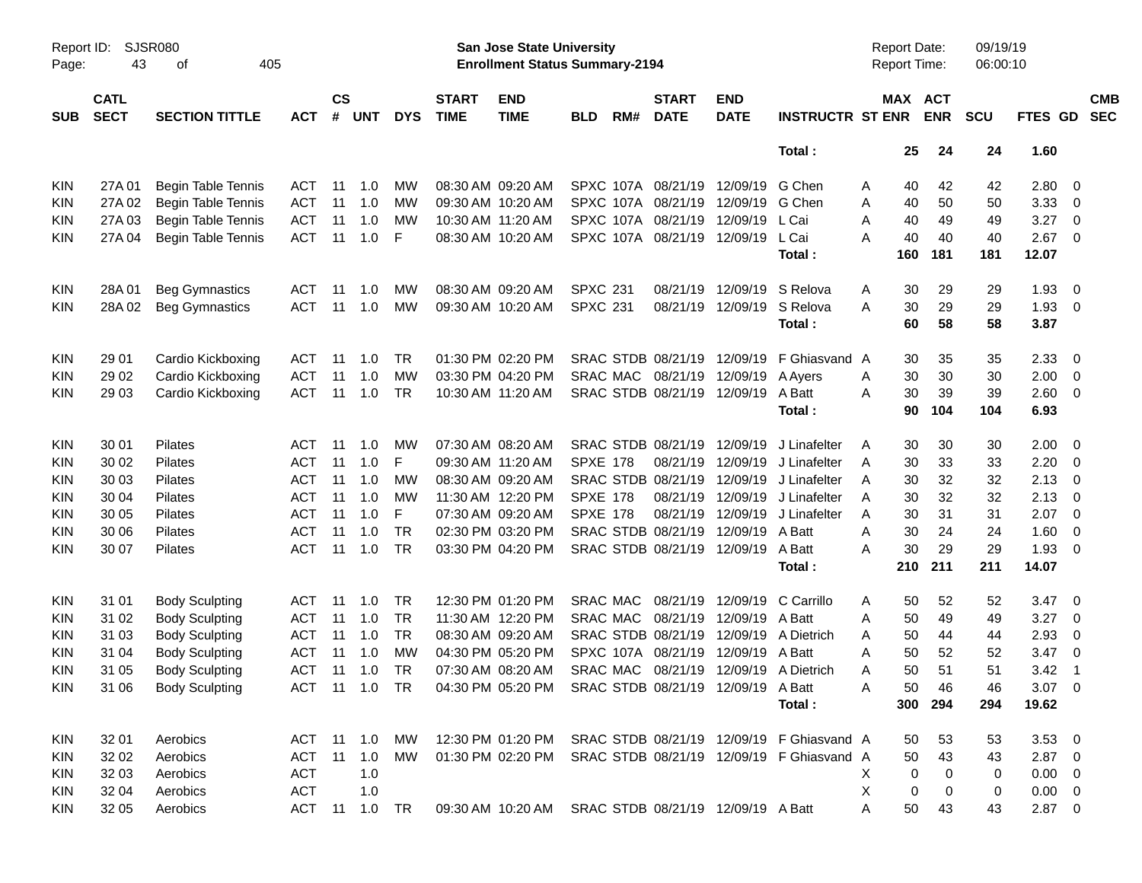|                     |                            |                             |               |                    |            |            |                             |                                                                    | <b>Preliminary Census</b> |           |                             |                                    |                                           |                                     |          |                       |                      |                |                            |                          |
|---------------------|----------------------------|-----------------------------|---------------|--------------------|------------|------------|-----------------------------|--------------------------------------------------------------------|---------------------------|-----------|-----------------------------|------------------------------------|-------------------------------------------|-------------------------------------|----------|-----------------------|----------------------|----------------|----------------------------|--------------------------|
| Report ID:<br>Page: | 43                         | <b>SJSR080</b><br>405<br>оf |               |                    |            |            |                             | San Jose State University<br><b>Enrollment Status Summary-2194</b> |                           |           |                             |                                    |                                           | <b>Report Date:</b><br>Report Time: |          |                       | 09/19/19<br>06:00:10 |                |                            |                          |
| <b>SUB</b>          | <b>CATL</b><br><b>SECT</b> | <b>SECTION TITTLE</b>       | <b>ACT</b>    | $\mathsf{cs}$<br># | <b>UNT</b> | <b>DYS</b> | <b>START</b><br><b>TIME</b> | <b>END</b><br><b>TIME</b>                                          | <b>BLD</b>                | RM#       | <b>START</b><br><b>DATE</b> | <b>END</b><br><b>DATE</b>          | <b>INSTRUCTR ST ENR</b>                   |                                     |          | MAX ACT<br><b>ENR</b> | <b>SCU</b>           | FTES GD        |                            | <b>CMB</b><br><b>SEC</b> |
|                     |                            |                             |               |                    |            |            |                             |                                                                    |                           |           |                             |                                    | Total:                                    |                                     | 25       | 24                    | 24                   | 1.60           |                            |                          |
| <b>KIN</b>          | 27A 01                     | <b>Begin Table Tennis</b>   | ACT           | 11                 | 1.0        | МW         |                             | 08:30 AM 09:20 AM                                                  |                           | SPXC 107A | 08/21/19                    | 12/09/19                           | G Chen                                    | Α                                   | 40       | 42                    | 42                   | 2.80 0         |                            |                          |
| <b>KIN</b>          | 27A 02                     | <b>Begin Table Tennis</b>   | <b>ACT</b>    | 11                 | 1.0        | МW         |                             | 09:30 AM 10:20 AM                                                  |                           | SPXC 107A | 08/21/19                    | 12/09/19                           | G Chen                                    | Α                                   | 40       | 50                    | 50                   | 3.33           | $\overline{\phantom{0}}$   |                          |
| KIN                 | 27A 03                     | <b>Begin Table Tennis</b>   | <b>ACT</b>    | 11                 | 1.0        | МW         |                             | 10:30 AM 11:20 AM                                                  |                           | SPXC 107A | 08/21/19                    | 12/09/19                           | L Cai                                     | Α                                   | 40       | 49                    | 49                   | 3.27           | $\overline{\phantom{0}}$   |                          |
| KIN                 | 27A 04                     | <b>Begin Table Tennis</b>   | <b>ACT</b>    | 11                 | 1.0        | F          |                             | 08:30 AM 10:20 AM                                                  |                           |           | SPXC 107A 08/21/19          | 12/09/19                           | L Cai                                     | А                                   | 40       | 40                    | 40                   | 2.67           | $\overline{\phantom{0}}$   |                          |
|                     |                            |                             |               |                    |            |            |                             |                                                                    |                           |           |                             |                                    | Total:                                    |                                     | 160      | 181                   | 181                  | 12.07          |                            |                          |
| <b>KIN</b>          | 28A01                      | <b>Beg Gymnastics</b>       | ACT           | 11                 | 1.0        | МW         |                             | 08:30 AM 09:20 AM                                                  | <b>SPXC 231</b>           |           | 08/21/19                    | 12/09/19                           | S Relova                                  | A                                   | 30       | 29                    | 29                   | 1.93           | $\overline{\phantom{0}}$   |                          |
| <b>KIN</b>          | 28A02                      | <b>Beg Gymnastics</b>       | ACT           | 11                 | 1.0        | MW         |                             | 09:30 AM 10:20 AM                                                  | <b>SPXC 231</b>           |           | 08/21/19                    | 12/09/19                           | S Relova                                  | A                                   | 30       | 29                    | 29                   | 1.93           | $\overline{\phantom{0}}$   |                          |
|                     |                            |                             |               |                    |            |            |                             |                                                                    |                           |           |                             |                                    | Total:                                    |                                     | 60       | 58                    | 58                   | 3.87           |                            |                          |
| <b>KIN</b>          | 29 01                      | Cardio Kickboxing           | ACT           | 11                 | 1.0        | TR         |                             | 01:30 PM 02:20 PM                                                  |                           |           | SRAC STDB 08/21/19          | 12/09/19                           | F Ghiasvand A                             |                                     | 30       | 35                    | 35                   | 2.33           | $\overline{\phantom{0}}$   |                          |
|                     | 29 02                      | Cardio Kickboxing           | <b>ACT</b>    | 11                 | 1.0        | МW         |                             | 03:30 PM 04:20 PM                                                  |                           | SRAC MAC  | 08/21/19                    | 12/09/19                           |                                           |                                     | 30       | 30                    | 30                   | 2.00           | $\overline{\phantom{0}}$   |                          |
| <b>KIN</b>          |                            |                             |               |                    |            |            |                             |                                                                    |                           |           |                             |                                    | A Ayers                                   | A                                   |          |                       |                      |                |                            |                          |
| KIN                 | 29 03                      | Cardio Kickboxing           | <b>ACT</b>    | 11                 | 1.0        | TR         |                             | 10:30 AM 11:20 AM                                                  |                           |           | SRAC STDB 08/21/19 12/09/19 |                                    | A Batt<br>Total:                          | A                                   | 30<br>90 | 39<br>104             | 39<br>104            | 2.60 0<br>6.93 |                            |                          |
|                     |                            |                             |               |                    |            |            |                             |                                                                    |                           |           |                             |                                    |                                           |                                     |          |                       |                      |                |                            |                          |
| <b>KIN</b>          | 30 01                      | Pilates                     | ACT           | 11                 | 1.0        | MW         |                             | 07:30 AM 08:20 AM                                                  |                           |           | SRAC STDB 08/21/19          | 12/09/19                           | J Linafelter                              | Α                                   | 30       | 30                    | 30                   | $2.00 \t 0$    |                            |                          |
| <b>KIN</b>          | 30 02                      | Pilates                     | ACT           | 11                 | 1.0        | F          |                             | 09:30 AM 11:20 AM                                                  | <b>SPXE 178</b>           |           | 08/21/19                    | 12/09/19                           | J Linafelter                              | A                                   | 30       | 33                    | 33                   | 2.20           | $\overline{\mathbf{0}}$    |                          |
| KIN                 | 30 03                      | Pilates                     | ACT           | 11                 | 1.0        | МW         |                             | 08:30 AM 09:20 AM                                                  |                           |           | SRAC STDB 08/21/19          | 12/09/19                           | J Linafelter                              | A                                   | 30       | 32                    | 32                   | 2.13           | $\overline{\phantom{0}}$   |                          |
| KIN                 | 30 04                      | Pilates                     | ACT           | 11                 | 1.0        | МW         |                             | 11:30 AM 12:20 PM                                                  | <b>SPXE 178</b>           |           | 08/21/19                    | 12/09/19                           | J Linafelter                              | A                                   | 30       | 32                    | 32                   | 2.13           | $\overline{\mathbf{0}}$    |                          |
| <b>KIN</b>          | 30 05                      | Pilates                     | ACT           | 11                 | 1.0        | F          |                             | 07:30 AM 09:20 AM                                                  | <b>SPXE 178</b>           |           | 08/21/19                    | 12/09/19                           | J Linafelter                              | A                                   | 30       | 31                    | 31                   | 2.07           | $\overline{\mathbf{0}}$    |                          |
| KIN                 | 30 06                      | Pilates                     | <b>ACT</b>    | 11                 | 1.0        | <b>TR</b>  |                             | 02:30 PM 03:20 PM                                                  |                           |           | SRAC STDB 08/21/19          | 12/09/19                           | A Batt                                    | Α                                   | 30       | 24                    | 24                   | 1.60           | $\overline{\mathbf{0}}$    |                          |
| KIN                 | 30 07                      | Pilates                     | ACT           | 11                 | 1.0        | <b>TR</b>  |                             | 03:30 PM 04:20 PM                                                  |                           |           | SRAC STDB 08/21/19 12/09/19 |                                    | A Batt                                    | Α                                   | 30       | 29                    | 29                   | 1.93           | $\overline{\mathbf{0}}$    |                          |
|                     |                            |                             |               |                    |            |            |                             |                                                                    |                           |           |                             |                                    | Total:                                    |                                     | 210      | 211                   | 211                  | 14.07          |                            |                          |
| <b>KIN</b>          | 31 01                      | <b>Body Sculpting</b>       | ACT           | 11                 | 1.0        | TR         |                             | 12:30 PM 01:20 PM                                                  | SRAC MAC                  |           | 08/21/19                    | 12/09/19                           | C Carrillo                                | Α                                   | 50       | 52                    | 52                   | 3.47           | $\overline{\phantom{0}}$   |                          |
| <b>KIN</b>          | 31 02                      | <b>Body Sculpting</b>       | <b>ACT</b>    | 11                 | 1.0        | TR         |                             | 11:30 AM 12:20 PM                                                  | <b>SRAC MAC</b>           |           | 08/21/19                    | 12/09/19                           | A Batt                                    | Α                                   | 50       | 49                    | 49                   | 3.27           | $\overline{\mathbf{0}}$    |                          |
| KIN                 | 31 03                      | <b>Body Sculpting</b>       | ACT           | 11                 | 1.0        | <b>TR</b>  |                             | 08:30 AM 09:20 AM                                                  |                           |           | SRAC STDB 08/21/19          | 12/09/19                           | A Dietrich                                | A                                   | 50       | 44                    | 44                   | 2.93           | 0                          |                          |
| KIN                 | 31 04                      | <b>Body Sculpting</b>       | ACT           | 11                 | 1.0        | MW         |                             | 04:30 PM 05:20 PM                                                  |                           |           |                             | SPXC 107A 08/21/19 12/09/19 A Batt |                                           | Α                                   | 50       | 52                    | 52                   | 3.47           | $\overline{\phantom{0}}$   |                          |
| <b>KIN</b>          | 31 05                      | <b>Body Sculpting</b>       | ACT 11 1.0 TR |                    |            |            |                             | 07:30 AM 08:20 AM SRAC MAC 08/21/19 12/09/19 A Dietrich            |                           |           |                             |                                    |                                           | A                                   | 50       | 51                    | 51                   | 3.42           | $\overline{\phantom{0}}$ 1 |                          |
| KIN                 | 31 06                      | <b>Body Sculpting</b>       | ACT 11 1.0 TR |                    |            |            |                             | 04:30 PM 05:20 PM                                                  |                           |           |                             | SRAC STDB 08/21/19 12/09/19 A Batt |                                           | A                                   | 50       | 46                    | 46                   | $3.07$ 0       |                            |                          |
|                     |                            |                             |               |                    |            |            |                             |                                                                    |                           |           |                             |                                    | Total:                                    |                                     |          | 300 294               | 294                  | 19.62          |                            |                          |
|                     |                            |                             |               |                    |            |            |                             |                                                                    |                           |           |                             |                                    |                                           |                                     |          |                       |                      |                |                            |                          |
| KIN                 | 32 01                      | Aerobics                    | ACT 11 1.0    |                    |            | MW         |                             | 12:30 PM 01:20 PM                                                  |                           |           |                             |                                    | SRAC STDB 08/21/19 12/09/19 F Ghiasvand A |                                     | 50       | 53                    | 53                   | $3.53$ 0       |                            |                          |
| <b>KIN</b>          | 32 02                      | Aerobics                    | ACT           |                    | 11  1.0    | МW         |                             | 01:30 PM 02:20 PM                                                  |                           |           |                             |                                    | SRAC STDB 08/21/19 12/09/19 F Ghiasvand A |                                     | 50       | 43                    | 43                   | $2.87$ 0       |                            |                          |
| <b>KIN</b>          | 32 03                      | Aerobics                    | <b>ACT</b>    |                    | 1.0        |            |                             |                                                                    |                           |           |                             |                                    |                                           | Х                                   | 0        | 0                     | 0                    | $0.00 \t 0$    |                            |                          |
| <b>KIN</b>          | 32 04                      | Aerobics                    | <b>ACT</b>    |                    | 1.0        |            |                             |                                                                    |                           |           |                             |                                    |                                           | X                                   | 0        | 0                     | 0                    | $0.00 \t 0$    |                            |                          |
| <b>KIN</b>          | 32 05                      | Aerobics                    | ACT 11 1.0 TR |                    |            |            |                             | 09:30 AM 10:20 AM SRAC STDB 08/21/19 12/09/19 A Batt               |                           |           |                             |                                    |                                           | A                                   | 50       | 43                    | 43                   | $2.87$ 0       |                            |                          |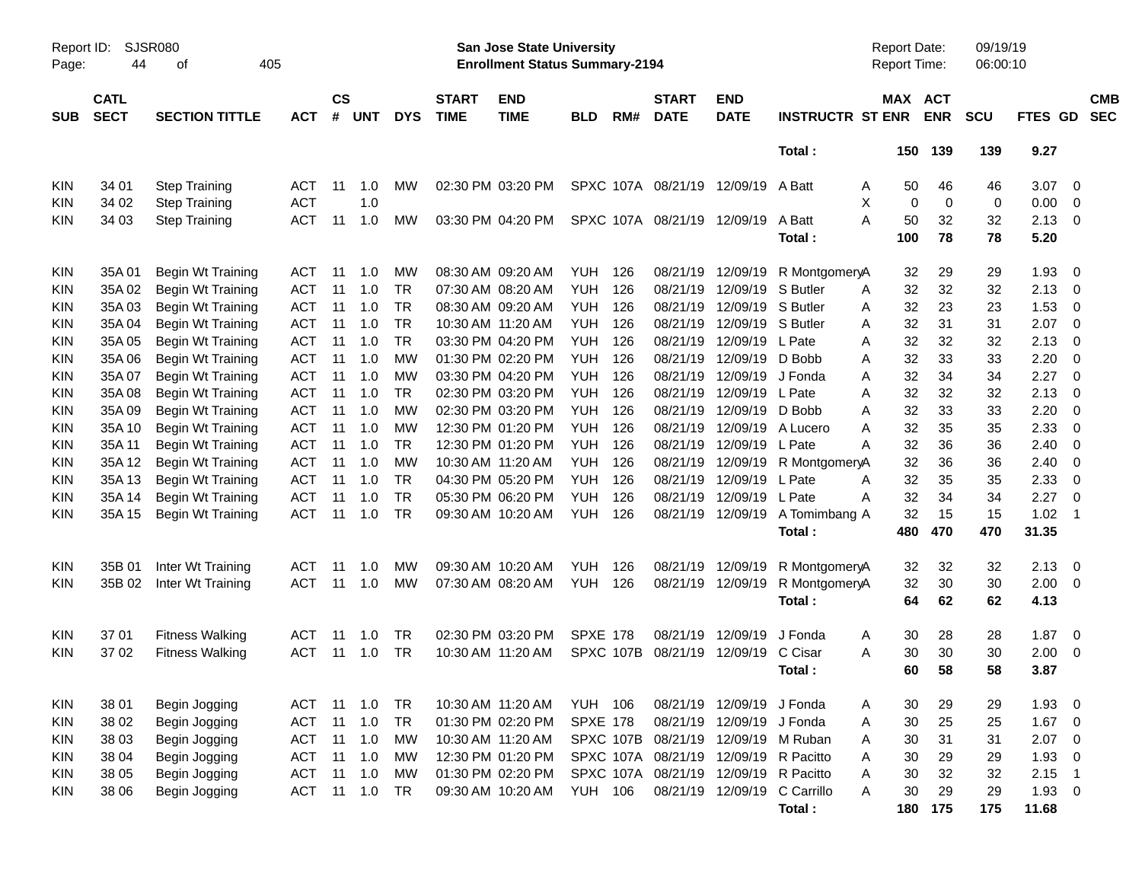|            |                                                 |                        |            |                    |                |            |                             |                                                                    | <b>Preliminary Census</b> |           |                                       |                            |                         |                                            |            |                      |            |                            |                          |
|------------|-------------------------------------------------|------------------------|------------|--------------------|----------------|------------|-----------------------------|--------------------------------------------------------------------|---------------------------|-----------|---------------------------------------|----------------------------|-------------------------|--------------------------------------------|------------|----------------------|------------|----------------------------|--------------------------|
| Page:      | <b>SJSR080</b><br>Report ID:<br>44<br>405<br>оf |                        |            |                    |                |            |                             | San Jose State University<br><b>Enrollment Status Summary-2194</b> |                           |           |                                       |                            |                         | <b>Report Date:</b><br><b>Report Time:</b> |            | 09/19/19<br>06:00:10 |            |                            |                          |
| <b>SUB</b> | <b>CATL</b><br><b>SECT</b>                      | <b>SECTION TITTLE</b>  | <b>ACT</b> | $\mathsf{cs}$<br># | <b>UNT</b>     | <b>DYS</b> | <b>START</b><br><b>TIME</b> | <b>END</b><br><b>TIME</b>                                          | <b>BLD</b>                | RM#       | <b>START</b><br><b>DATE</b>           | <b>END</b><br><b>DATE</b>  | <b>INSTRUCTR ST ENR</b> | MAX ACT                                    | <b>ENR</b> | <b>SCU</b>           | FTES GD    |                            | <b>CMB</b><br><b>SEC</b> |
|            |                                                 |                        |            |                    |                |            |                             |                                                                    |                           |           |                                       |                            | Total:                  |                                            | 150 139    | 139                  | 9.27       |                            |                          |
| KIN        | 34 01                                           | <b>Step Training</b>   | ACT        | 11                 | 1.0            | MW         |                             | 02:30 PM 03:20 PM                                                  |                           |           | SPXC 107A 08/21/19 12/09/19 A Batt    |                            |                         | 50<br>Α                                    | 46         | 46                   | 3.07       | 0                          |                          |
| KIN        | 34 02                                           | <b>Step Training</b>   | <b>ACT</b> |                    | 1.0            |            |                             |                                                                    |                           |           |                                       |                            |                         | X<br>$\mathbf 0$                           | 0          | 0                    | 0.00       | 0                          |                          |
| KIN        | 34 03                                           | <b>Step Training</b>   | <b>ACT</b> | 11                 | 1.0            | MW         |                             | 03:30 PM 04:20 PM                                                  |                           |           | SPXC 107A 08/21/19 12/09/19           |                            | A Batt                  | А<br>50                                    | 32         | 32                   | 2.13       | $\mathbf{0}$               |                          |
|            |                                                 |                        |            |                    |                |            |                             |                                                                    |                           |           |                                       |                            | Total:                  | 100                                        | 78         | 78                   | 5.20       |                            |                          |
| KIN        | 35A01                                           | Begin Wt Training      | ACT        | 11                 | 1.0            | МW         |                             | 08:30 AM 09:20 AM                                                  | YUH.                      | 126       |                                       | 08/21/19 12/09/19          | R MontgomeryA           | 32                                         | 29         | 29                   | 1.93       | 0                          |                          |
| KIN        | 35A 02                                          | Begin Wt Training      | ACT        | 11                 | 1.0            | <b>TR</b>  |                             | 07:30 AM 08:20 AM                                                  | <b>YUH</b>                | 126       | 08/21/19                              | 12/09/19                   | S Butler                | 32<br>Α                                    | 32         | 32                   | 2.13       | 0                          |                          |
| KIN        | 35A03                                           | Begin Wt Training      | ACT        | 11                 | 1.0            | <b>TR</b>  |                             | 08:30 AM 09:20 AM                                                  | <b>YUH</b>                | 126       |                                       | 08/21/19 12/09/19 S Butler |                         | 32<br>Α                                    | 23         | 23                   | 1.53       | 0                          |                          |
| KIN        | 35A 04                                          | Begin Wt Training      | <b>ACT</b> | 11                 | 1.0            | <b>TR</b>  |                             | 10:30 AM 11:20 AM                                                  | <b>YUH</b>                | 126       |                                       | 08/21/19 12/09/19 S Butler |                         | 32<br>Α                                    | 31         | 31                   | 2.07       | $\overline{0}$             |                          |
| KIN        | 35A 05                                          | Begin Wt Training      | <b>ACT</b> | 11                 | 1.0            | <b>TR</b>  |                             | 03:30 PM 04:20 PM                                                  | <b>YUH</b>                | 126       |                                       | 08/21/19 12/09/19          | L Pate                  | 32<br>Α                                    | 32         | 32                   | 2.13       | 0                          |                          |
| KIN        | 35A 06                                          | Begin Wt Training      | <b>ACT</b> | 11                 | 1.0            | <b>MW</b>  |                             | 01:30 PM 02:20 PM                                                  | <b>YUH</b>                | 126       |                                       | 08/21/19 12/09/19          | D Bobb                  | 32<br>Α                                    | 33         | 33                   | 2.20       | 0                          |                          |
| KIN        | 35A 07                                          | Begin Wt Training      | <b>ACT</b> | 11                 | 1.0            | МW         |                             | 03:30 PM 04:20 PM                                                  | <b>YUH</b>                | 126       |                                       | 08/21/19 12/09/19          | J Fonda                 | 32<br>Α                                    | 34         | 34                   | 2.27       | 0                          |                          |
| KIN        | 35A08                                           | Begin Wt Training      | <b>ACT</b> | 11                 | 1.0            | <b>TR</b>  |                             | 02:30 PM 03:20 PM                                                  | <b>YUH</b>                | 126       |                                       | 08/21/19 12/09/19          | L Pate                  | 32<br>Α                                    | 32         | 32                   | 2.13       | 0                          |                          |
| KIN        | 35A09                                           | Begin Wt Training      | <b>ACT</b> | 11                 | 1.0            | <b>MW</b>  |                             | 02:30 PM 03:20 PM                                                  | <b>YUH</b>                | 126       |                                       | 08/21/19 12/09/19          | D Bobb                  | 32<br>Α                                    | 33         | 33                   | 2.20       | 0                          |                          |
| KIN        | 35A 10                                          | Begin Wt Training      | <b>ACT</b> | 11                 | 1.0            | МW         |                             | 12:30 PM 01:20 PM                                                  | <b>YUH</b>                | 126       |                                       | 08/21/19 12/09/19          | A Lucero                | 32<br>Α                                    | 35         | 35                   | 2.33       | 0                          |                          |
| KIN        | 35A 11                                          | Begin Wt Training      | <b>ACT</b> | 11                 | 1.0            | <b>TR</b>  |                             | 12:30 PM 01:20 PM                                                  | <b>YUH</b>                | 126       |                                       | 08/21/19 12/09/19          | L Pate                  | 32<br>А                                    | 36         | 36                   | 2.40       | 0                          |                          |
| KIN        | 35A 12                                          | Begin Wt Training      | <b>ACT</b> | 11                 | 1.0            | <b>MW</b>  |                             | 10:30 AM 11:20 AM                                                  | <b>YUH</b>                | 126       |                                       | 08/21/19 12/09/19          | R MontgomeryA           | 32                                         | 36         | 36                   | 2.40       | 0                          |                          |
| KIN        | 35A 13                                          | Begin Wt Training      | <b>ACT</b> | 11                 | 1.0            | <b>TR</b>  |                             | 04:30 PM 05:20 PM                                                  | <b>YUH</b>                | 126       |                                       | 08/21/19 12/09/19          | L Pate                  | 32<br>A                                    | 35         | 35                   | 2.33       | 0                          |                          |
| KIN        | 35A 14                                          | Begin Wt Training      | <b>ACT</b> | 11                 | 1.0            | <b>TR</b>  |                             | 05:30 PM 06:20 PM                                                  | <b>YUH</b>                | 126       |                                       | 08/21/19 12/09/19          | L Pate                  | 32<br>Α                                    | 34         | 34                   | 2.27       | 0                          |                          |
| KIN        | 35A 15                                          | Begin Wt Training      | <b>ACT</b> | 11                 | 1.0            | <b>TR</b>  |                             | 09:30 AM 10:20 AM                                                  | YUH                       | 126       |                                       | 08/21/19 12/09/19          | A Tomimbang A           | 32                                         | 15         | 15                   | 1.02       | $\overline{\phantom{0}}$ 1 |                          |
|            |                                                 |                        |            |                    |                |            |                             |                                                                    |                           |           |                                       |                            | Total:                  | 480                                        | 470        | 470                  | 31.35      |                            |                          |
| KIN        | 35B 01                                          | Inter Wt Training      | ACT        | 11                 | 1.0            | МW         |                             | 09:30 AM 10:20 AM                                                  | YUH.                      | 126       |                                       | 08/21/19 12/09/19          | R MontgomeryA           | 32                                         | 32         | 32                   | 2.13       | $\overline{0}$             |                          |
| KIN        | 35B 02                                          | Inter Wt Training      | <b>ACT</b> | 11                 | 1.0            | МW         |                             | 07:30 AM 08:20 AM                                                  | YUH                       | 126       |                                       | 08/21/19 12/09/19          | R MontgomeryA           | 32                                         | 30         | 30                   | 2.00       | $\overline{0}$             |                          |
|            |                                                 |                        |            |                    |                |            |                             |                                                                    |                           |           |                                       |                            | Total:                  | 64                                         | 62         | 62                   | 4.13       |                            |                          |
| KIN        | 37 01                                           | <b>Fitness Walking</b> | ACT        | 11                 | 1.0            | TR         |                             | 02:30 PM 03:20 PM                                                  | <b>SPXE 178</b>           |           | 08/21/19                              | 12/09/19                   | J Fonda                 | 30<br>Α                                    | 28         | 28                   | 1.87       | $\overline{\mathbf{0}}$    |                          |
| KIN        | 37 02                                           | <b>Fitness Walking</b> | ACT        | 11                 | 1.0            | <b>TR</b>  |                             | 10:30 AM 11:20 AM                                                  |                           | SPXC 107B |                                       | 08/21/19 12/09/19 C Cisar  |                         | 30<br>Α                                    | 30         | 30                   | 2.00       | $\overline{0}$             |                          |
|            |                                                 |                        |            |                    |                |            |                             |                                                                    |                           |           |                                       |                            | Total:                  | 60                                         | 58         | 58                   | 3.87       |                            |                          |
| <b>KIN</b> | 38 01                                           | Begin Jogging          | ACT        |                    | $11 \quad 1.0$ | TR         |                             | 10:30 AM 11:20 AM                                                  | <b>YUH 106</b>            |           |                                       | 08/21/19 12/09/19 J Fonda  |                         | 30<br>A                                    | 29         | 29                   | $1.93 \ 0$ |                            |                          |
| KIN        | 38 02                                           | Begin Jogging          | <b>ACT</b> |                    | $11 \quad 1.0$ | TR         |                             | 01:30 PM 02:20 PM                                                  | <b>SPXE 178</b>           |           |                                       | 08/21/19 12/09/19 J Fonda  |                         | 30<br>A                                    | 25         | 25                   | $1.67$ 0   |                            |                          |
| KIN        | 38 03                                           | Begin Jogging          | <b>ACT</b> |                    | $11 \quad 1.0$ | MW         |                             | 10:30 AM 11:20 AM                                                  |                           |           | SPXC 107B 08/21/19 12/09/19 M Ruban   |                            |                         | 30<br>A                                    | 31         | 31                   | $2.07$ 0   |                            |                          |
| KIN        | 38 04                                           | Begin Jogging          | <b>ACT</b> |                    | $11 \quad 1.0$ | MW         |                             | 12:30 PM 01:20 PM                                                  |                           |           | SPXC 107A 08/21/19 12/09/19 R Pacitto |                            |                         | 30<br>A                                    | 29         | 29                   | 1.93       | $\overline{0}$             |                          |
| KIN        | 38 05                                           | Begin Jogging          | <b>ACT</b> |                    | $11 \quad 1.0$ | MW         |                             | 01:30 PM 02:20 PM                                                  |                           |           | SPXC 107A 08/21/19 12/09/19 R Pacitto |                            |                         | 30<br>Α                                    | 32         | 32                   | $2.15$ 1   |                            |                          |
| KIN.       | 38 06                                           | Begin Jogging          | <b>ACT</b> |                    | $11 \t 1.0$    | TR         |                             | 09:30 AM 10:20 AM                                                  | <b>YUH 106</b>            |           |                                       | 08/21/19 12/09/19          | C Carrillo              | $30\,$<br>Α                                | 29         | 29                   | $1.93 \ 0$ |                            |                          |
|            |                                                 |                        |            |                    |                |            |                             |                                                                    |                           |           |                                       |                            | Total:                  | 180                                        | 175        | 175                  | 11.68      |                            |                          |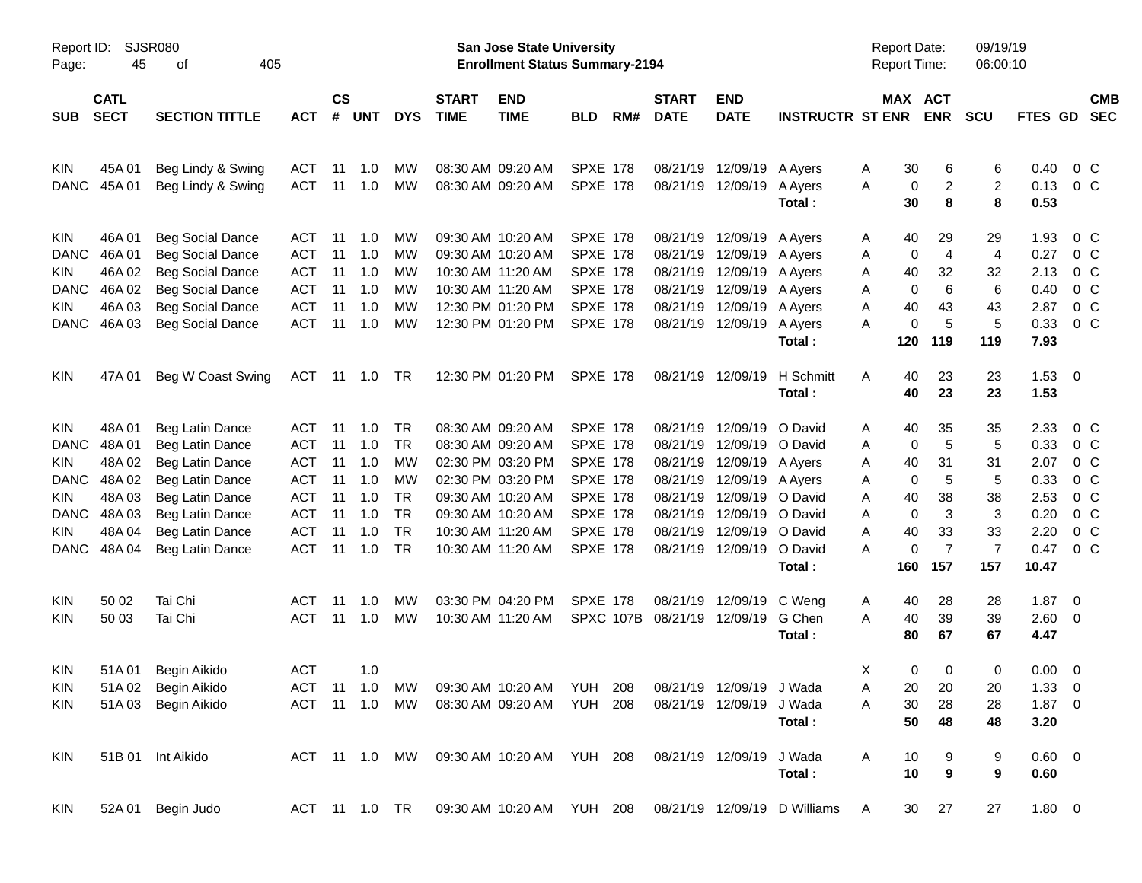|                     |                            |                                                    |                          |                    |                |            |                                                                    |                                         | <b>Preliminary Census</b>          |           |                             |                           |                                            |                  |                          |                |                |                           |                          |
|---------------------|----------------------------|----------------------------------------------------|--------------------------|--------------------|----------------|------------|--------------------------------------------------------------------|-----------------------------------------|------------------------------------|-----------|-----------------------------|---------------------------|--------------------------------------------|------------------|--------------------------|----------------|----------------|---------------------------|--------------------------|
| Report ID:<br>Page: | <b>SJSR080</b><br>45       | 405                                                |                          |                    |                |            | San Jose State University<br><b>Enrollment Status Summary-2194</b> |                                         |                                    |           |                             |                           | <b>Report Date:</b><br><b>Report Time:</b> |                  | 09/19/19<br>06:00:10     |                |                |                           |                          |
| <b>SUB</b>          | <b>CATL</b><br><b>SECT</b> | <b>SECTION TITTLE</b>                              | <b>ACT</b>               | $\mathsf{cs}$<br># | <b>UNT</b>     | <b>DYS</b> | <b>START</b><br><b>TIME</b>                                        | <b>END</b><br><b>TIME</b>               | <b>BLD</b>                         | RM#       | <b>START</b><br><b>DATE</b> | <b>END</b><br><b>DATE</b> | <b>INSTRUCTR ST ENR</b>                    |                  | MAX ACT<br><b>ENR</b>    | <b>SCU</b>     | FTES GD        |                           | <b>CMB</b><br><b>SEC</b> |
| KIN                 | 45A 01                     | Beg Lindy & Swing                                  | ACT                      | 11                 | 1.0            | МW         |                                                                    | 08:30 AM 09:20 AM                       | <b>SPXE 178</b>                    |           |                             | 08/21/19 12/09/19 A Ayers |                                            | 30<br>A          | 6                        | 6              | 0.40           | 0 C                       |                          |
| <b>DANC</b>         | 45A 01                     | Beg Lindy & Swing                                  | <b>ACT</b>               | 11                 | 1.0            | MW         |                                                                    | 08:30 AM 09:20 AM                       | <b>SPXE 178</b>                    |           |                             | 08/21/19 12/09/19         | A Ayers<br>Total:                          | A<br>30          | 0<br>$\overline{c}$<br>8 | 2<br>8         | 0.13<br>0.53   | 0 <sup>o</sup>            |                          |
| KIN                 | 46A 01                     | <b>Beg Social Dance</b>                            | ACT                      | 11                 | 1.0            | МW         |                                                                    | 09:30 AM 10:20 AM                       | <b>SPXE 178</b>                    |           |                             | 08/21/19 12/09/19 A Ayers |                                            | 40<br>A          | 29                       | 29             | 1.93           | 0 C                       |                          |
| <b>DANC</b>         | 46A 01                     | <b>Beg Social Dance</b>                            | <b>ACT</b>               | 11                 | 1.0            | МW         |                                                                    | 09:30 AM 10:20 AM                       | <b>SPXE 178</b>                    |           | 08/21/19                    | 12/09/19 A Ayers          |                                            | A                | 0<br>$\overline{4}$      | 4              | 0.27           | $0\,C$                    |                          |
| KIN                 | 46A 02                     | <b>Beg Social Dance</b>                            | <b>ACT</b>               | 11                 | 1.0            | МW         |                                                                    | 10:30 AM 11:20 AM                       | <b>SPXE 178</b>                    |           | 08/21/19                    | 12/09/19 A Ayers          |                                            | 40<br>A          | 32                       | 32             | 2.13           | 0 C                       |                          |
| <b>DANC</b>         | 46A 02                     | <b>Beg Social Dance</b>                            | <b>ACT</b>               | 11                 | 1.0            | МW         |                                                                    | 10:30 AM 11:20 AM                       | <b>SPXE 178</b>                    |           |                             | 08/21/19 12/09/19 A Ayers |                                            | A                | 0<br>6                   | 6              | 0.40           | 0 C                       |                          |
| KIN<br><b>DANC</b>  | 46A03                      | <b>Beg Social Dance</b><br><b>Beg Social Dance</b> | <b>ACT</b><br><b>ACT</b> | 11<br>11           | 1.0<br>1.0     | МW<br>MW   |                                                                    | 12:30 PM 01:20 PM<br>12:30 PM 01:20 PM  | <b>SPXE 178</b><br><b>SPXE 178</b> |           |                             | 08/21/19 12/09/19 A Ayers |                                            | 40<br>A<br>A     | 43<br>0<br>5             | 43<br>5        | 2.87<br>0.33   | $0\,$ C<br>0 <sup>o</sup> |                          |
|                     | 46A 03                     |                                                    |                          |                    |                |            |                                                                    |                                         |                                    |           |                             | 08/21/19 12/09/19 A Ayers | Total:                                     | 120              | 119                      | 119            | 7.93           |                           |                          |
| KIN                 | 47A 01                     | Beg W Coast Swing                                  | ACT                      |                    | 11 1.0         | TR.        |                                                                    | 12:30 PM 01:20 PM                       | <b>SPXE 178</b>                    |           |                             |                           | 08/21/19 12/09/19 H Schmitt                | Α<br>40          | 23                       | 23             | $1.53 \t 0$    |                           |                          |
|                     |                            |                                                    |                          |                    |                |            |                                                                    |                                         |                                    |           |                             |                           | Total:                                     | 40               | 23                       | 23             | 1.53           |                           |                          |
| KIN                 | 48A01                      | Beg Latin Dance                                    | ACT                      | 11                 | 1.0            | TR         |                                                                    | 08:30 AM 09:20 AM                       | <b>SPXE 178</b>                    |           | 08/21/19                    | 12/09/19 O David          |                                            | 40<br>A          | 35                       | 35             | 2.33           | 0 <sup>o</sup>            |                          |
| <b>DANC</b>         | 48A01                      | Beg Latin Dance                                    | <b>ACT</b>               | 11                 | 1.0            | TR         |                                                                    | 08:30 AM 09:20 AM                       | <b>SPXE 178</b>                    |           | 08/21/19                    | 12/09/19 O David          |                                            | A                | 0<br>5                   | 5              | 0.33           | $0\,C$                    |                          |
| KIN.                | 48A02                      | Beg Latin Dance                                    | <b>ACT</b>               | 11                 | 1.0            | МW         |                                                                    | 02:30 PM 03:20 PM                       | <b>SPXE 178</b>                    |           | 08/21/19                    | 12/09/19 A Ayers          |                                            | 40<br>A          | 31                       | 31             | 2.07           | 0 C                       |                          |
| <b>DANC</b>         | 48A 02                     | Beg Latin Dance                                    | <b>ACT</b>               | 11                 | 1.0            | МW         |                                                                    | 02:30 PM 03:20 PM                       | <b>SPXE 178</b>                    |           | 08/21/19                    | 12/09/19 A Ayers          |                                            | A                | 0<br>5                   | 5              | 0.33           | 0 C                       |                          |
| KIN                 | 48A03                      | Beg Latin Dance                                    | <b>ACT</b>               | 11                 | 1.0            | <b>TR</b>  |                                                                    | 09:30 AM 10:20 AM                       | <b>SPXE 178</b>                    |           | 08/21/19                    | 12/09/19 O David          |                                            | 40<br>A          | 38                       | 38             | 2.53           | $0\,C$                    |                          |
| <b>DANC</b>         | 48A 03                     | Beg Latin Dance                                    | <b>ACT</b>               | 11                 | 1.0            | TR         |                                                                    | 09:30 AM 10:20 AM                       | <b>SPXE 178</b>                    |           | 08/21/19                    | 12/09/19 O David          |                                            | $\mathbf 0$<br>A | 3                        | 3              | 0.20           | 0 C                       |                          |
| KIN                 | 48A 04                     | Beg Latin Dance                                    | <b>ACT</b>               | 11                 | 1.0            | TR         |                                                                    | 10:30 AM 11:20 AM                       | <b>SPXE 178</b>                    |           | 08/21/19                    | 12/09/19 O David          |                                            | 40<br>A          | 33                       | 33             | 2.20           | 0 C                       |                          |
| <b>DANC</b>         | 48A 04                     | Beg Latin Dance                                    | <b>ACT</b>               | 11                 | 1.0            | TR         |                                                                    | 10:30 AM 11:20 AM                       | <b>SPXE 178</b>                    |           |                             | 08/21/19 12/09/19 O David |                                            | A                | 0<br>$\overline{7}$      | $\overline{7}$ | 0.47           | $0\,C$                    |                          |
|                     |                            |                                                    |                          |                    |                |            |                                                                    |                                         |                                    |           |                             |                           | Total:                                     | 160              | 157                      | 157            | 10.47          |                           |                          |
| KIN                 | 50 02                      | Tai Chi                                            | ACT                      | 11                 | 1.0            | МW         |                                                                    | 03:30 PM 04:20 PM                       | <b>SPXE 178</b>                    |           |                             | 08/21/19 12/09/19 C Weng  |                                            | 40<br>A          | 28                       | 28             | $1.87 \t 0$    |                           |                          |
| KIN                 | 50 03                      | Tai Chi                                            | <b>ACT</b>               | 11                 | 1.0            | MW         |                                                                    | 10:30 AM 11:20 AM                       |                                    | SPXC 107B |                             | 08/21/19 12/09/19         | G Chen                                     | 40<br>A          | 39                       | 39             | $2.60 \ 0$     |                           |                          |
|                     |                            |                                                    |                          |                    |                |            |                                                                    |                                         |                                    |           |                             |                           | Total:                                     | 80               | 67                       | 67             | 4.47           |                           |                          |
| KIN                 | 51A 01                     | Begin Aikido                                       | <b>ACT</b>               |                    | 1.0            |            |                                                                    |                                         |                                    |           |                             |                           |                                            | х                | 0<br>0                   | 0              | $0.00 \t 0$    |                           |                          |
| <b>KIN</b>          | 51A 02                     | Begin Aikido                                       | ACT                      |                    | $11 \quad 1.0$ | МW         |                                                                    | 09:30 AM 10:20 AM YUH 208               |                                    |           |                             | 08/21/19 12/09/19 J Wada  |                                            | 20<br>Α          | 20                       | 20             | $1.33 \ 0$     |                           |                          |
| KIN                 | 51A03                      | Begin Aikido                                       | ACT                      |                    | 11 1.0         | MW         |                                                                    | 08:30 AM 09:20 AM                       | <b>YUH 208</b>                     |           |                             | 08/21/19 12/09/19 J Wada  |                                            | 30<br>Α          | 28                       | 28             | $1.87$ 0       |                           |                          |
|                     |                            |                                                    |                          |                    |                |            |                                                                    |                                         |                                    |           |                             |                           | Total:                                     | 50               | 48                       | 48             | 3.20           |                           |                          |
| KIN                 |                            | 51B 01 Int Aikido                                  |                          |                    |                |            |                                                                    | ACT 11 1.0 MW 09:30 AM 10:20 AM YUH 208 |                                    |           |                             | 08/21/19 12/09/19         | J Wada                                     | 10<br>A          | 9                        | 9              | $0.60 \quad 0$ |                           |                          |
|                     |                            |                                                    |                          |                    |                |            |                                                                    |                                         |                                    |           |                             |                           | Total:                                     | 10               | 9                        | 9              | 0.60           |                           |                          |
| KIN                 |                            | 52A 01 Begin Judo                                  |                          |                    | ACT 11 1.0 TR  |            |                                                                    | 09:30 AM 10:20 AM YUH 208               |                                    |           |                             |                           | 08/21/19 12/09/19 D Williams               | A                | 30<br>27                 | 27             | $1.80 \t 0$    |                           |                          |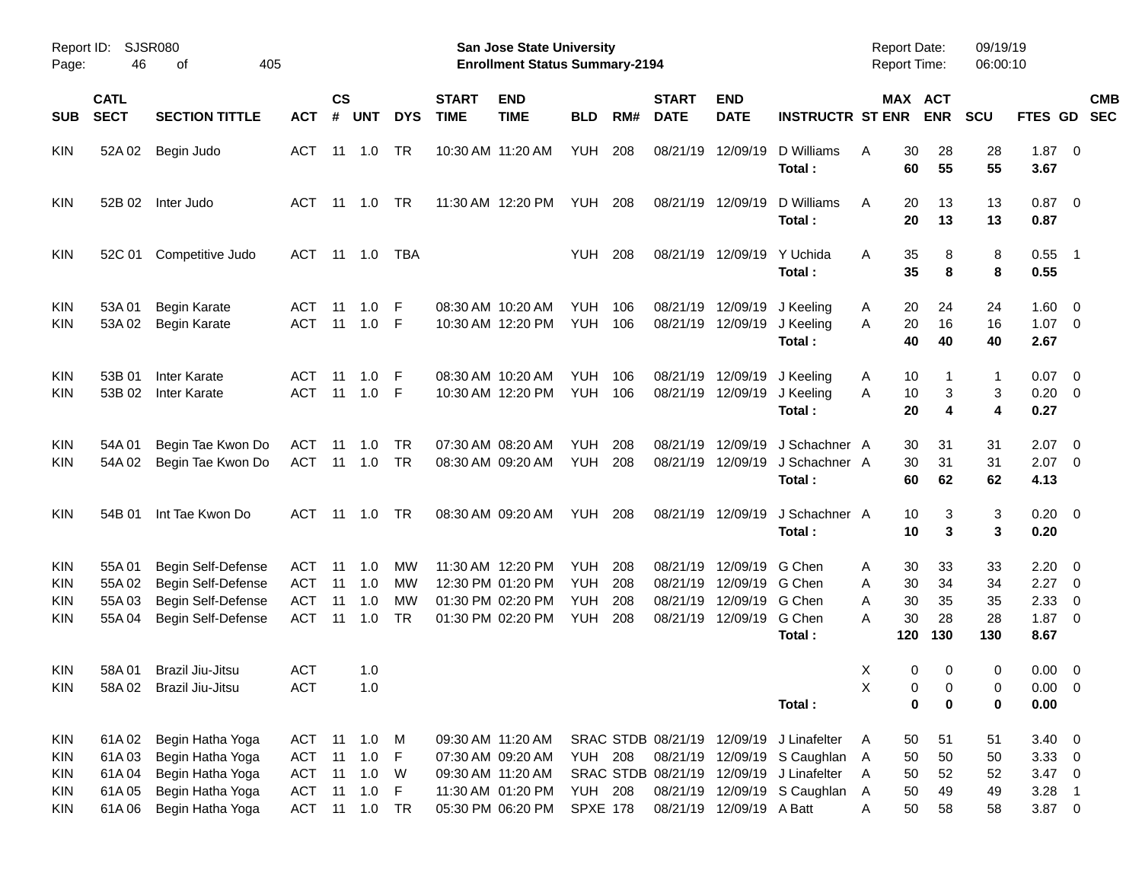| Report ID:<br>Page:                    | 46                                        | SJSR080<br>405<br>οf                                                                             |                                                      |                            |                                 |                                   |                             | <b>San Jose State University</b><br><b>Enrollment Status Summary-2194</b>                             |                                                      |                          |                                              |                                                                   |                                                                                                                                             | <b>Report Date:</b><br><b>Report Time:</b> |                             |                             | 09/19/19<br>06:00:10        |                                                         |                                                                                     |                          |
|----------------------------------------|-------------------------------------------|--------------------------------------------------------------------------------------------------|------------------------------------------------------|----------------------------|---------------------------------|-----------------------------------|-----------------------------|-------------------------------------------------------------------------------------------------------|------------------------------------------------------|--------------------------|----------------------------------------------|-------------------------------------------------------------------|---------------------------------------------------------------------------------------------------------------------------------------------|--------------------------------------------|-----------------------------|-----------------------------|-----------------------------|---------------------------------------------------------|-------------------------------------------------------------------------------------|--------------------------|
| <b>SUB</b>                             | <b>CATL</b><br><b>SECT</b>                | <b>SECTION TITTLE</b>                                                                            | <b>ACT</b>                                           | <b>CS</b><br>#             | <b>UNT</b>                      | <b>DYS</b>                        | <b>START</b><br><b>TIME</b> | <b>END</b><br><b>TIME</b>                                                                             | <b>BLD</b>                                           | RM#                      | <b>START</b><br><b>DATE</b>                  | <b>END</b><br><b>DATE</b>                                         | <b>INSTRUCTR ST ENR</b>                                                                                                                     |                                            | MAX ACT                     | <b>ENR</b>                  | SCU                         | FTES GD                                                 |                                                                                     | <b>CMB</b><br><b>SEC</b> |
| KIN                                    | 52A 02                                    | Begin Judo                                                                                       | ACT                                                  | -11                        | 1.0                             | TR                                |                             | 10:30 AM 11:20 AM                                                                                     | <b>YUH</b>                                           | 208                      | 08/21/19                                     | 12/09/19                                                          | D Williams<br>Total:                                                                                                                        | Α                                          | 30<br>60                    | 28<br>55                    | 28<br>55                    | $1.87 \t 0$<br>3.67                                     |                                                                                     |                          |
| KIN                                    | 52B 02                                    | Inter Judo                                                                                       | ACT                                                  | -11                        | 1.0                             | TR                                |                             | 11:30 AM 12:20 PM                                                                                     | YUH                                                  | 208                      |                                              | 08/21/19 12/09/19                                                 | D Williams<br>Total:                                                                                                                        | Α                                          | 20<br>20                    | 13<br>13                    | 13<br>13                    | $0.87$ 0<br>0.87                                        |                                                                                     |                          |
| <b>KIN</b>                             | 52C 01                                    | Competitive Judo                                                                                 | ACT                                                  |                            | 11 1.0                          | TBA                               |                             |                                                                                                       | <b>YUH</b>                                           | 208                      |                                              | 08/21/19 12/09/19                                                 | Y Uchida<br>Total:                                                                                                                          | Α                                          | 35<br>35                    | 8<br>8                      | 8<br>8                      | 0.55<br>0.55                                            | $\overline{\phantom{1}}$                                                            |                          |
| KIN<br><b>KIN</b>                      | 53A 01<br>53A 02                          | <b>Begin Karate</b><br><b>Begin Karate</b>                                                       | ACT<br><b>ACT</b>                                    | -11<br>11                  | 1.0<br>1.0                      | -F<br>-F                          |                             | 08:30 AM 10:20 AM<br>10:30 AM 12:20 PM                                                                | <b>YUH</b><br><b>YUH</b>                             | 106<br>106               | 08/21/19                                     | 08/21/19 12/09/19<br>12/09/19                                     | J Keeling<br>J Keeling<br>Total:                                                                                                            | A<br>A                                     | 20<br>20<br>40              | 24<br>16<br>40              | 24<br>16<br>40              | 1.60<br>1.07<br>2.67                                    | $\overline{\mathbf{0}}$<br>$\overline{\mathbf{0}}$                                  |                          |
| KIN<br><b>KIN</b>                      | 53B 01<br>53B 02                          | Inter Karate<br><b>Inter Karate</b>                                                              | ACT<br><b>ACT</b>                                    | -11<br>11                  | 1.0<br>1.0                      | -F<br>-F                          |                             | 08:30 AM 10:20 AM<br>10:30 AM 12:20 PM                                                                | <b>YUH</b><br><b>YUH</b>                             | 106<br>106               | 08/21/19                                     | 08/21/19 12/09/19<br>12/09/19                                     | J Keeling<br>J Keeling<br>Total:                                                                                                            | A<br>A                                     | 10<br>10<br>20              | -1<br>3<br>4                | 1<br>3<br>4                 | 0.07<br>0.20<br>0.27                                    | $\overline{\mathbf{0}}$<br>$\overline{\mathbf{0}}$                                  |                          |
| KIN<br>KIN                             | 54A 01<br>54A 02                          | Begin Tae Kwon Do<br>Begin Tae Kwon Do                                                           | ACT<br><b>ACT</b>                                    | -11<br>11                  | 1.0<br>1.0                      | TR<br><b>TR</b>                   |                             | 07:30 AM 08:20 AM<br>08:30 AM 09:20 AM                                                                | <b>YUH</b><br><b>YUH</b>                             | 208<br>208               | 08/21/19<br>08/21/19                         | 12/09/19<br>12/09/19                                              | J Schachner A<br>J Schachner A<br>Total:                                                                                                    |                                            | 30<br>30<br>60              | 31<br>31<br>62              | 31<br>31<br>62              | 2.07<br>2.07<br>4.13                                    | $\overline{\phantom{0}}$<br>$\overline{\phantom{0}}$                                |                          |
| <b>KIN</b>                             | 54B 01                                    | Int Tae Kwon Do                                                                                  | ACT                                                  | -11                        | 1.0                             | TR.                               |                             | 08:30 AM 09:20 AM                                                                                     | <b>YUH</b>                                           | 208                      |                                              | 08/21/19 12/09/19                                                 | J Schachner A<br>Total:                                                                                                                     |                                            | 10<br>10                    | 3<br>3                      | 3<br>3                      | $0.20 \ 0$<br>0.20                                      |                                                                                     |                          |
| KIN<br>KIN<br><b>KIN</b><br><b>KIN</b> | 55A 01<br>55A 02<br>55A03<br>55A 04       | Begin Self-Defense<br>Begin Self-Defense<br>Begin Self-Defense<br>Begin Self-Defense             | ACT<br><b>ACT</b><br><b>ACT</b><br><b>ACT</b>        | -11<br>11<br>11<br>11      | 1.0<br>1.0<br>1.0<br>1.0        | МW<br>МW<br>МW<br><b>TR</b>       |                             | 11:30 AM 12:20 PM<br>12:30 PM 01:20 PM<br>01:30 PM 02:20 PM<br>01:30 PM 02:20 PM                      | <b>YUH</b><br><b>YUH</b><br><b>YUH</b><br><b>YUH</b> | 208<br>208<br>208<br>208 | 08/21/19<br>08/21/19<br>08/21/19<br>08/21/19 | 12/09/19 G Chen<br>12/09/19 G Chen<br>12/09/19 G Chen<br>12/09/19 | G Chen<br>Total:                                                                                                                            | A<br>A<br>A<br>A                           | 30<br>30<br>30<br>30<br>120 | 33<br>34<br>35<br>28<br>130 | 33<br>34<br>35<br>28<br>130 | 2.20<br>2.27<br>2.33<br>1.87<br>8.67                    | $\overline{\phantom{0}}$<br>$\overline{\mathbf{0}}$<br>0<br>$\overline{\mathbf{0}}$ |                          |
| <b>KIN</b><br>KIN                      | 58A 01<br>58A02                           | Brazil Jiu-Jitsu<br>Brazil Jiu-Jitsu                                                             | <b>ACT</b><br><b>ACT</b>                             |                            | 1.0<br>1.0                      |                                   |                             |                                                                                                       |                                                      |                          |                                              |                                                                   | Total:                                                                                                                                      | Χ<br>Х                                     | 0<br>0<br>0                 | 0<br>0<br>0                 | 0<br>0<br>0                 | $0.00 \t 0$<br>$0.00 \t 0$<br>0.00                      |                                                                                     |                          |
| KIN<br>KIN<br>KIN<br>KIN<br>KIN        | 61A02<br>61A03<br>61A04<br>61A05<br>61A06 | Begin Hatha Yoga<br>Begin Hatha Yoga<br>Begin Hatha Yoga<br>Begin Hatha Yoga<br>Begin Hatha Yoga | ACT<br><b>ACT</b><br><b>ACT</b><br><b>ACT</b><br>ACT | 11<br>11<br>11<br>11<br>11 | 1.0<br>1.0<br>1.0<br>1.0<br>1.0 | M<br>F<br>W<br>$\mathsf{F}$<br>TR |                             | 09:30 AM 11:20 AM<br>07:30 AM 09:20 AM<br>09:30 AM 11:20 AM<br>11:30 AM 01:20 PM<br>05:30 PM 06:20 PM | <b>YUH 208</b><br><b>YUH 208</b><br><b>SPXE 178</b>  |                          | 08/21/19                                     | 08/21/19 12/09/19 A Batt                                          | SRAC STDB 08/21/19 12/09/19 J Linafelter<br>12/09/19 S Caughlan<br>SRAC STDB 08/21/19 12/09/19 J Linafelter<br>08/21/19 12/09/19 S Caughlan | A<br>A<br>Α<br>A<br>Α                      | 50<br>50<br>50<br>50<br>50  | 51<br>50<br>52<br>49<br>58  | 51<br>50<br>52<br>49<br>58  | $3.40 \ 0$<br>3.3300<br>$3.47 \ 0$<br>3.28<br>$3.87\ 0$ | $\overline{\phantom{1}}$                                                            |                          |

Preliminary Census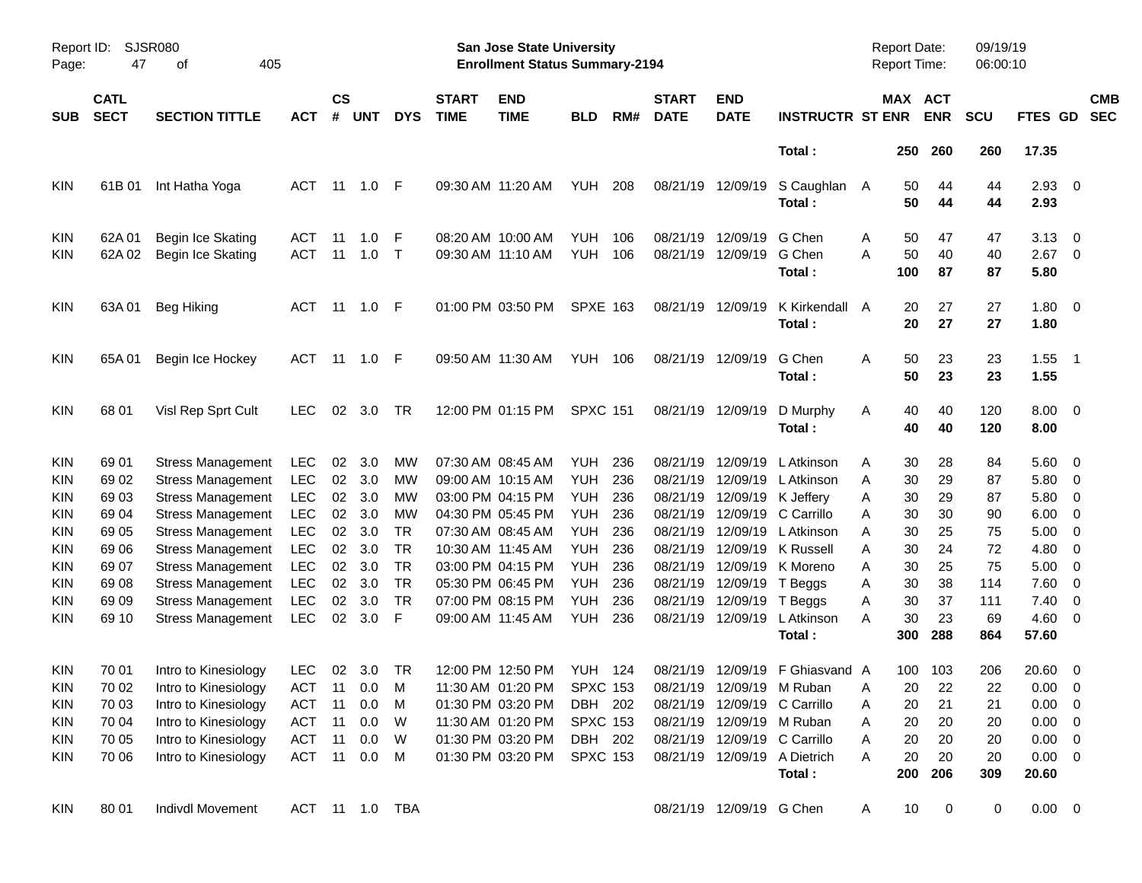|            |                                                 |                                                      |                          |                    |            |                |                             |                                                                           | <b>Preliminary Census</b> |            |                             |                           |                                           |                                     |                       |                |                      |                      |                                                      |
|------------|-------------------------------------------------|------------------------------------------------------|--------------------------|--------------------|------------|----------------|-----------------------------|---------------------------------------------------------------------------|---------------------------|------------|-----------------------------|---------------------------|-------------------------------------------|-------------------------------------|-----------------------|----------------|----------------------|----------------------|------------------------------------------------------|
| Page:      | <b>SJSR080</b><br>Report ID:<br>47<br>405<br>оf |                                                      |                          |                    |            |                |                             | <b>San Jose State University</b><br><b>Enrollment Status Summary-2194</b> |                           |            |                             |                           |                                           | <b>Report Date:</b><br>Report Time: |                       |                | 09/19/19<br>06:00:10 |                      |                                                      |
| <b>SUB</b> | <b>CATL</b><br><b>SECT</b>                      | <b>SECTION TITTLE</b>                                | <b>ACT</b>               | $\mathsf{cs}$<br># | <b>UNT</b> | <b>DYS</b>     | <b>START</b><br><b>TIME</b> | <b>END</b><br><b>TIME</b>                                                 | <b>BLD</b>                | RM#        | <b>START</b><br><b>DATE</b> | <b>END</b><br><b>DATE</b> | <b>INSTRUCTR ST ENR</b>                   |                                     | MAX ACT<br><b>ENR</b> |                | <b>SCU</b>           | <b>FTES GD</b>       | <b>CMB</b><br><b>SEC</b>                             |
|            |                                                 |                                                      |                          |                    |            |                |                             |                                                                           |                           |            |                             |                           | Total:                                    |                                     | 250                   | 260            | 260                  | 17.35                |                                                      |
| KIN        | 61B 01                                          | Int Hatha Yoga                                       | <b>ACT</b>               | $-11$              | 1.0        | F              |                             | 09:30 AM 11:20 AM                                                         | YUH                       | 208        |                             | 08/21/19 12/09/19         | S Caughlan A<br>Total:                    |                                     | 50<br>50              | 44<br>44       | 44<br>44             | $2.93$ 0<br>2.93     |                                                      |
| KIN<br>KIN | 62A 01<br>62A 02                                | Begin Ice Skating<br>Begin Ice Skating               | ACT<br><b>ACT</b>        | -11<br>11          | 1.0<br>1.0 | F<br>$\top$    |                             | 08:20 AM 10:00 AM<br>09:30 AM 11:10 AM                                    | <b>YUH</b><br>YUH         | 106<br>106 | 08/21/19<br>08/21/19        | 12/09/19<br>12/09/19      | G Chen<br>G Chen<br>Total:                | Α<br>A<br>100                       | 50<br>50              | 47<br>40<br>87 | 47<br>40<br>87       | 3.13<br>2.67<br>5.80 | $\overline{\phantom{0}}$<br>$\overline{\phantom{0}}$ |
| KIN        | 63A01                                           | <b>Beg Hiking</b>                                    | ACT                      |                    | 11  1.0    | F              |                             | 01:00 PM 03:50 PM                                                         | <b>SPXE 163</b>           |            |                             | 08/21/19 12/09/19         | K Kirkendall A<br>Total:                  |                                     | 20<br>20              | 27<br>27       | 27<br>27             | $1.80 \ 0$<br>1.80   |                                                      |
| KIN        | 65A01                                           | Begin Ice Hockey                                     | <b>ACT</b>               | 11                 | 1.0        | F              |                             | 09:50 AM 11:30 AM                                                         | YUH 106                   |            |                             | 08/21/19 12/09/19         | G Chen<br>Total:                          | Α                                   | 50<br>50              | 23<br>23       | 23<br>23             | $1.55$ 1<br>1.55     |                                                      |
| <b>KIN</b> | 68 01                                           | Visl Rep Sprt Cult                                   | <b>LEC</b>               | 02                 | 3.0        | TR             |                             | 12:00 PM 01:15 PM                                                         | <b>SPXC 151</b>           |            |                             | 08/21/19 12/09/19         | D Murphy<br>Total:                        | Α                                   | 40<br>40              | 40<br>40       | 120<br>120           | $8.00 \t 0$<br>8.00  |                                                      |
| <b>KIN</b> | 69 01                                           | <b>Stress Management</b>                             | <b>LEC</b>               | 02                 | 3.0        | МW             |                             | 07:30 AM 08:45 AM                                                         | YUH                       | 236        | 08/21/19                    | 12/09/19                  | L Atkinson                                | Α                                   | 30                    | 28             | 84                   | 5.60 0               |                                                      |
| KIN        | 69 02                                           | <b>Stress Management</b>                             | <b>LEC</b>               | 02                 | 3.0        | MW             |                             | 09:00 AM 10:15 AM                                                         | <b>YUH</b>                | 236        | 08/21/19                    | 12/09/19                  | L Atkinson                                | A                                   | 30                    | 29             | 87                   | 5.80                 | $\overline{\phantom{0}}$                             |
| KIN        | 6903                                            | <b>Stress Management</b>                             | <b>LEC</b>               | 02                 | 3.0<br>3.0 | MW             |                             | 03:00 PM 04:15 PM                                                         | YUH.                      | 236        | 08/21/19                    |                           | 12/09/19 K Jeffery<br>12/09/19 C Carrillo | A                                   | 30<br>30              | 29<br>30       | 87                   | 5.80                 | $\overline{\mathbf{0}}$                              |
| KIN<br>KIN | 69 04<br>69 05                                  | <b>Stress Management</b><br><b>Stress Management</b> | <b>LEC</b><br><b>LEC</b> | 02<br>02           | 3.0        | МW<br>TR.      |                             | 04:30 PM 05:45 PM<br>07:30 AM 08:45 AM                                    | YUH.<br>YUH.              | 236<br>236 | 08/21/19<br>08/21/19        | 12/09/19                  | L Atkinson                                | Α<br>Α                              | 30                    | 25             | 90<br>75             | 6.00<br>5.00         | $\overline{\mathbf{0}}$<br>- 0                       |
| KIN        | 69 06                                           | <b>Stress Management</b>                             | <b>LEC</b>               | 02                 | 3.0        | <b>TR</b>      |                             | 10:30 AM 11:45 AM                                                         | YUH.                      | 236        | 08/21/19                    |                           | 12/09/19 K Russell                        | Α                                   | 30                    | 24             | 72                   | 4.80                 | 0                                                    |
| KIN        | 69 07                                           | <b>Stress Management</b>                             | <b>LEC</b>               | 02                 | 3.0        | <b>TR</b>      |                             | 03:00 PM 04:15 PM                                                         | <b>YUH</b>                | 236        | 08/21/19                    |                           | 12/09/19 K Moreno                         | Α                                   | 30                    | 25             | 75                   | 5.00                 | $\overline{\phantom{0}}$                             |
| KIN        | 69 08                                           | <b>Stress Management</b>                             | <b>LEC</b>               | 02                 | 3.0        | <b>TR</b>      |                             | 05:30 PM 06:45 PM                                                         | YUH.                      | 236        | 08/21/19                    | 12/09/19                  | T Beggs                                   | Α                                   | 30                    | 38             | 114                  | 7.60                 | $\overline{\mathbf{0}}$                              |
| KIN        | 69 09                                           | <b>Stress Management</b>                             | <b>LEC</b>               | 02                 | 3.0        | <b>TR</b>      |                             | 07:00 PM 08:15 PM                                                         | YUH.                      | 236        | 08/21/19                    | 12/09/19                  | T Beggs                                   | Α                                   | 30                    | 37             | 111                  | 7.40                 | $\overline{\mathbf{0}}$                              |
| KIN        | 69 10                                           | <b>Stress Management</b>                             | <b>LEC</b>               | 02                 | 3.0        | F              |                             | 09:00 AM 11:45 AM                                                         | <b>YUH</b>                | 236        |                             | 08/21/19 12/09/19         | L Atkinson                                | A                                   | 30                    | 23             | 69                   | $4.60$ 0             |                                                      |
|            |                                                 |                                                      |                          |                    |            |                |                             |                                                                           |                           |            |                             |                           | Total:                                    |                                     | 300                   | 288            | 864                  | 57.60                |                                                      |
| KIN        | 70 01                                           | Intro to Kinesiology                                 | LEC                      | 02                 | 3.0        | TR             |                             | 12:00 PM 12:50 PM                                                         | <b>YUH 124</b>            |            |                             |                           | 08/21/19 12/09/19 F Ghiasvand             | $\mathsf{A}$                        | 100                   | 103            | 206                  | 20.60                | $\overline{\phantom{0}}$                             |
| <b>KIN</b> | 70 02                                           | Intro to Kinesiology                                 | <b>ACT</b>               | 11                 | 0.0        | M              |                             | 11:30 AM 01:20 PM                                                         | <b>SPXC 153</b>           |            |                             | 08/21/19 12/09/19 M Ruban |                                           | Α                                   | 20                    | 22             | 22                   | $0.00 \t 0$          |                                                      |
| KIN        | 70 03                                           | Intro to Kinesiology                                 | <b>ACT</b>               | 11                 | 0.0        | M              |                             | 01:30 PM 03:20 PM                                                         | DBH 202                   |            |                             |                           | 08/21/19 12/09/19 C Carrillo              | Α                                   | 20                    | 21             | 21                   | $0.00 \t 0$          |                                                      |
| KIN        | 70 04                                           | Intro to Kinesiology                                 | ACT                      | 11                 | 0.0        | W              |                             | 11:30 AM 01:20 PM                                                         | <b>SPXC 153</b>           |            |                             |                           | 08/21/19 12/09/19 M Ruban                 | Α                                   | 20                    | 20             | 20                   | $0.00 \t 0$          |                                                      |
| <b>KIN</b> | 70 05                                           | Intro to Kinesiology                                 | ACT                      | 11                 | 0.0        | W              |                             | 01:30 PM 03:20 PM                                                         | DBH 202                   |            |                             |                           | 08/21/19 12/09/19 C Carrillo              | Α                                   | 20                    | 20             | 20                   | $0.00 \t 0$          |                                                      |
| KIN        | 70 06                                           | Intro to Kinesiology                                 | ACT 11                   |                    | 0.0        | M              |                             | 01:30 PM 03:20 PM                                                         | <b>SPXC 153</b>           |            |                             |                           | 08/21/19 12/09/19 A Dietrich              | A                                   | 20                    | 20             | 20                   | $0.00 \t 0$          |                                                      |
|            |                                                 |                                                      |                          |                    |            |                |                             |                                                                           |                           |            |                             |                           | Total:                                    |                                     | 200                   | 206            | 309                  | 20.60                |                                                      |
| <b>KIN</b> | 80 01                                           | <b>Indivdl Movement</b>                              |                          |                    |            | ACT 11 1.0 TBA |                             |                                                                           |                           |            |                             | 08/21/19 12/09/19 G Chen  |                                           | A                                   | 10                    | 0              | 0                    | $0.00 \t 0$          |                                                      |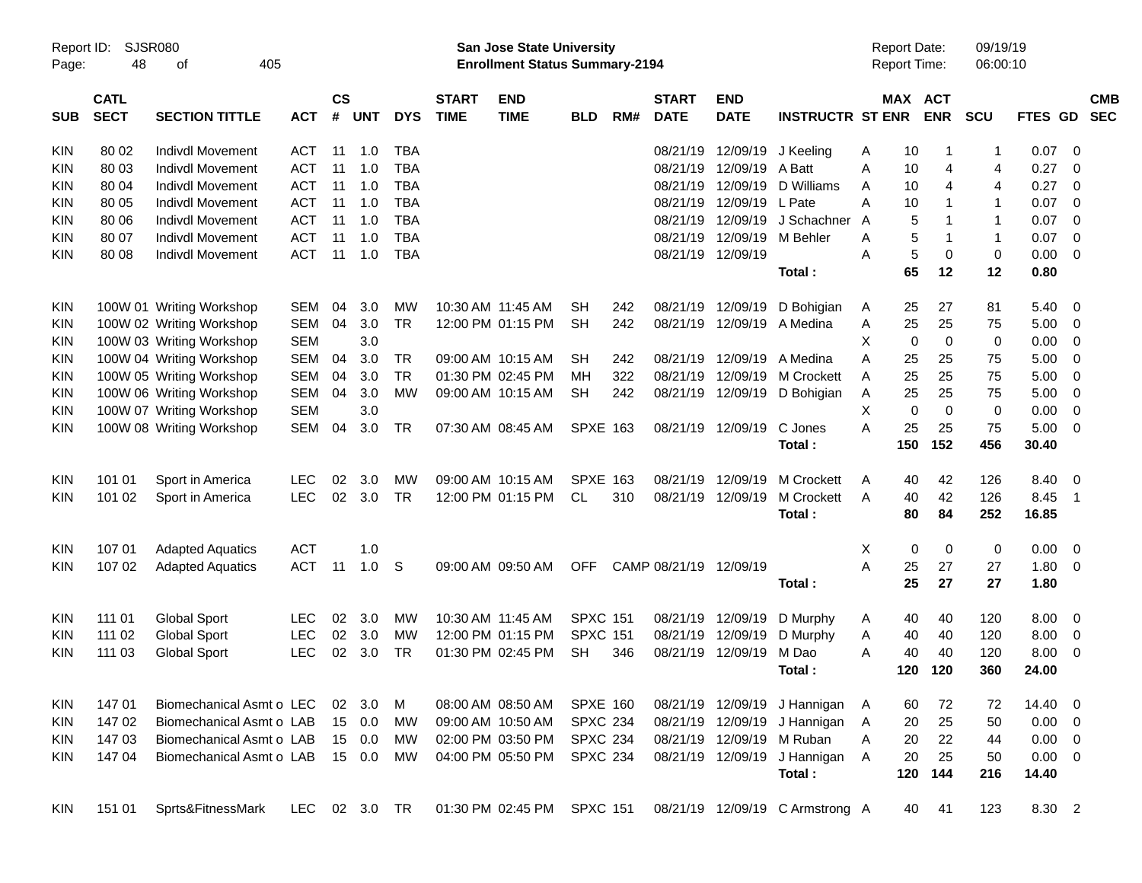|                     |                            |                             |               |                    |            |            |                             |                                                                           | <b>Preliminary Census</b> |     |                             |                           |                                 |                                     |       |            |                      |                |                         |                          |
|---------------------|----------------------------|-----------------------------|---------------|--------------------|------------|------------|-----------------------------|---------------------------------------------------------------------------|---------------------------|-----|-----------------------------|---------------------------|---------------------------------|-------------------------------------|-------|------------|----------------------|----------------|-------------------------|--------------------------|
| Report ID:<br>Page: | 48                         | <b>SJSR080</b><br>405<br>οf |               |                    |            |            |                             | <b>San Jose State University</b><br><b>Enrollment Status Summary-2194</b> |                           |     |                             |                           |                                 | <b>Report Date:</b><br>Report Time: |       |            | 09/19/19<br>06:00:10 |                |                         |                          |
| <b>SUB</b>          | <b>CATL</b><br><b>SECT</b> | <b>SECTION TITTLE</b>       | <b>ACT</b>    | $\mathsf{cs}$<br># | <b>UNT</b> | <b>DYS</b> | <b>START</b><br><b>TIME</b> | <b>END</b><br><b>TIME</b>                                                 | <b>BLD</b>                | RM# | <b>START</b><br><b>DATE</b> | <b>END</b><br><b>DATE</b> | <b>INSTRUCTR ST ENR</b>         | MAX ACT                             |       | <b>ENR</b> | <b>SCU</b>           | <b>FTES GD</b> |                         | <b>CMB</b><br><b>SEC</b> |
| KIN                 | 80 02                      | Indivdl Movement            | ACT           | 11                 | 1.0        | TBA        |                             |                                                                           |                           |     | 08/21/19                    | 12/09/19                  | J Keeling                       | Α                                   | 10    |            | -1                   | 0.07           | - 0                     |                          |
| <b>KIN</b>          | 80 03                      | <b>Indivdl Movement</b>     | <b>ACT</b>    | 11                 | 1.0        | <b>TBA</b> |                             |                                                                           |                           |     | 08/21/19                    | 12/09/19                  | A Batt                          | Α                                   | 10    | 4          | 4                    | 0.27           | 0                       |                          |
| KIN                 | 80 04                      | <b>Indivdl Movement</b>     | <b>ACT</b>    | 11                 | 1.0        | <b>TBA</b> |                             |                                                                           |                           |     | 08/21/19                    | 12/09/19                  | D Williams                      | Α                                   | 10    | 4          | 4                    | 0.27           | 0                       |                          |
| <b>KIN</b>          | 80 05                      | Indivdl Movement            | <b>ACT</b>    | 11                 | 1.0        | <b>TBA</b> |                             |                                                                           |                           |     | 08/21/19                    | 12/09/19                  | L Pate                          | А                                   | 10    |            | $\mathbf{1}$         | 0.07           | 0                       |                          |
| KIN                 | 80 06                      | <b>Indivdl Movement</b>     | <b>ACT</b>    | 11                 | 1.0        | <b>TBA</b> |                             |                                                                           |                           |     | 08/21/19                    | 12/09/19                  | J Schachner                     | A                                   | 5     |            | $\mathbf{1}$         | 0.07           | 0                       |                          |
| <b>KIN</b>          | 80 07                      | <b>Indivdl Movement</b>     | <b>ACT</b>    | 11                 | 1.0        | <b>TBA</b> |                             |                                                                           |                           |     | 08/21/19                    | 12/09/19                  | M Behler                        | Α                                   | 5     |            | $\mathbf{1}$         | 0.07           | $\mathbf 0$             |                          |
| <b>KIN</b>          | 80 08                      | <b>Indivdl Movement</b>     | <b>ACT</b>    | 11                 | 1.0        | <b>TBA</b> |                             |                                                                           |                           |     |                             | 08/21/19 12/09/19         |                                 | Α                                   | 5     | 0          | 0                    | 0.00           | $\overline{0}$          |                          |
|                     |                            |                             |               |                    |            |            |                             |                                                                           |                           |     |                             |                           | Total:                          |                                     | 65    | 12         | 12                   | 0.80           |                         |                          |
| KIN                 |                            | 100W 01 Writing Workshop    | SEM           | 04                 | 3.0        | МW         |                             | 10:30 AM 11:45 AM                                                         | <b>SH</b>                 | 242 | 08/21/19                    | 12/09/19                  | D Bohigian                      | A                                   | 25    | 27         | 81                   | 5.40           | 0                       |                          |
| <b>KIN</b>          |                            | 100W 02 Writing Workshop    | <b>SEM</b>    | 04                 | 3.0        | <b>TR</b>  |                             | 12:00 PM 01:15 PM                                                         | <b>SH</b>                 | 242 | 08/21/19                    | 12/09/19                  | A Medina                        | Α                                   | 25    | 25         | 75                   | 5.00           | 0                       |                          |
| <b>KIN</b>          |                            | 100W 03 Writing Workshop    | <b>SEM</b>    |                    | 3.0        |            |                             |                                                                           |                           |     |                             |                           |                                 | X                                   | 0     | 0          | 0                    | 0.00           | 0                       |                          |
| KIN                 |                            | 100W 04 Writing Workshop    | <b>SEM</b>    | 04                 | 3.0        | <b>TR</b>  |                             | 09:00 AM 10:15 AM                                                         | <b>SH</b>                 | 242 | 08/21/19                    | 12/09/19                  | A Medina                        | A                                   | 25    | 25         | 75                   | 5.00           | 0                       |                          |
| KIN                 |                            | 100W 05 Writing Workshop    | <b>SEM</b>    | 04                 | 3.0        | <b>TR</b>  |                             | 01:30 PM 02:45 PM                                                         | MH                        | 322 | 08/21/19                    | 12/09/19                  | <b>M</b> Crockett               | A                                   | 25    | 25         | 75                   | 5.00           | 0                       |                          |
| <b>KIN</b>          |                            | 100W 06 Writing Workshop    | <b>SEM</b>    | 04                 | 3.0        | МW         |                             | 09:00 AM 10:15 AM                                                         | <b>SH</b>                 | 242 |                             | 08/21/19 12/09/19         | D Bohigian                      | Α                                   | 25    | 25         | 75                   | 5.00           | 0                       |                          |
| <b>KIN</b>          |                            | 100W 07 Writing Workshop    | <b>SEM</b>    |                    | 3.0        |            |                             |                                                                           |                           |     |                             |                           |                                 | х                                   | 0     | 0          | 0                    | 0.00           | 0                       |                          |
| <b>KIN</b>          |                            | 100W 08 Writing Workshop    | SEM           | 04                 | 3.0        | <b>TR</b>  |                             | 07:30 AM 08:45 AM                                                         | <b>SPXE 163</b>           |     |                             | 08/21/19 12/09/19         | C Jones                         | Α                                   | 25    | 25         | 75                   | 5.00           | $\mathbf 0$             |                          |
|                     |                            |                             |               |                    |            |            |                             |                                                                           |                           |     |                             |                           | Total:                          |                                     | 150   | 152        | 456                  | 30.40          |                         |                          |
| KIN                 | 101 01                     | Sport in America            | <b>LEC</b>    | 02                 | 3.0        | МW         |                             | 09:00 AM 10:15 AM                                                         | <b>SPXE 163</b>           |     | 08/21/19                    | 12/09/19                  | <b>M Crockett</b>               | Α                                   | 40    | 42         | 126                  | 8.40           | 0                       |                          |
| <b>KIN</b>          | 101 02                     | Sport in America            | <b>LEC</b>    | 02                 | 3.0        | <b>TR</b>  |                             | 12:00 PM 01:15 PM                                                         | CL.                       | 310 | 08/21/19                    | 12/09/19                  | M Crockett                      | A                                   | 40    | 42         | 126                  | 8.45           | $\overline{1}$          |                          |
|                     |                            |                             |               |                    |            |            |                             |                                                                           |                           |     |                             |                           | Total:                          |                                     | 80    | 84         | 252                  | 16.85          |                         |                          |
| KIN                 | 107 01                     | <b>Adapted Aquatics</b>     | <b>ACT</b>    |                    | 1.0        |            |                             |                                                                           |                           |     |                             |                           |                                 | X                                   | 0     | 0          | 0                    | 0.00           | $\overline{\mathbf{0}}$ |                          |
| <b>KIN</b>          | 107 02                     | <b>Adapted Aquatics</b>     | <b>ACT</b>    | 11                 | 1.0        | S          |                             | 09:00 AM 09:50 AM                                                         | <b>OFF</b>                |     | CAMP 08/21/19 12/09/19      |                           |                                 | A                                   | 25    | 27         | 27                   | 1.80           | 0                       |                          |
|                     |                            |                             |               |                    |            |            |                             |                                                                           |                           |     |                             |                           | Total:                          |                                     | 25    | 27         | 27                   | 1.80           |                         |                          |
| KIN                 | 111 01                     | <b>Global Sport</b>         | LEC           | 02                 | 3.0        | МW         |                             | 10:30 AM 11:45 AM                                                         | <b>SPXC 151</b>           |     | 08/21/19                    | 12/09/19                  | D Murphy                        | A                                   | 40    | 40         | 120                  | 8.00           | 0                       |                          |
| KIN                 | 111 02                     | <b>Global Sport</b>         | <b>LEC</b>    | 02                 | 3.0        | МW         |                             | 12:00 PM 01:15 PM                                                         | <b>SPXC 151</b>           |     | 08/21/19                    | 12/09/19                  | D Murphy                        | Α                                   | 40    | 40         | 120                  | 8.00           | 0                       |                          |
| <b>KIN</b>          | 111 03                     | <b>Global Sport</b>         | <b>LEC</b>    | 02                 | 3.0        | TR         |                             | 01:30 PM 02:45 PM                                                         | <b>SH</b>                 | 346 |                             | 08/21/19 12/09/19         | M Dao                           | Α                                   | 40    | 40         | 120                  | 8.00           | 0                       |                          |
|                     |                            |                             |               |                    |            |            |                             |                                                                           |                           |     |                             |                           | Total:                          |                                     |       | 120 120    | 360                  | 24.00          |                         |                          |
| KIN                 | 147 01                     | Biomechanical Asmt o LEC    |               |                    | 02 3.0     | M          |                             | 08:00 AM 08:50 AM                                                         | <b>SPXE 160</b>           |     |                             | 08/21/19 12/09/19         | J Hannigan                      | A                                   | 60    | 72         | 72                   | 14.40 0        |                         |                          |
| KIN                 | 147 02                     | Biomechanical Asmt o LAB    |               |                    | 15 0.0     | МW         |                             | 09:00 AM 10:50 AM                                                         | <b>SPXC 234</b>           |     |                             | 08/21/19 12/09/19         | J Hannigan                      | A                                   | 20    | 25         | 50                   | $0.00 \t 0$    |                         |                          |
| KIN                 | 147 03                     | Biomechanical Asmt o LAB    |               |                    | 15 0.0     | MW         |                             | 02:00 PM 03:50 PM                                                         | <b>SPXC 234</b>           |     |                             | 08/21/19 12/09/19         | M Ruban                         | A                                   | 20    | 22         | 44                   | $0.00 \t 0$    |                         |                          |
| KIN                 | 147 04                     | Biomechanical Asmt o LAB    |               |                    | 15 0.0     | МW         |                             | 04:00 PM 05:50 PM                                                         | <b>SPXC 234</b>           |     |                             | 08/21/19 12/09/19         | J Hannigan                      | Α                                   | 20    | 25         | 50                   | $0.00 \t 0$    |                         |                          |
|                     |                            |                             |               |                    |            |            |                             |                                                                           |                           |     |                             |                           | Total:                          |                                     |       | 120 144    | 216                  | 14.40          |                         |                          |
| KIN                 | 151 01                     | Sprts&FitnessMark           | LEC 02 3.0 TR |                    |            |            |                             | 01:30 PM 02:45 PM                                                         | <b>SPXC 151</b>           |     |                             |                           | 08/21/19 12/09/19 C Armstrong A |                                     | 40 41 |            | 123                  | 8.30 2         |                         |                          |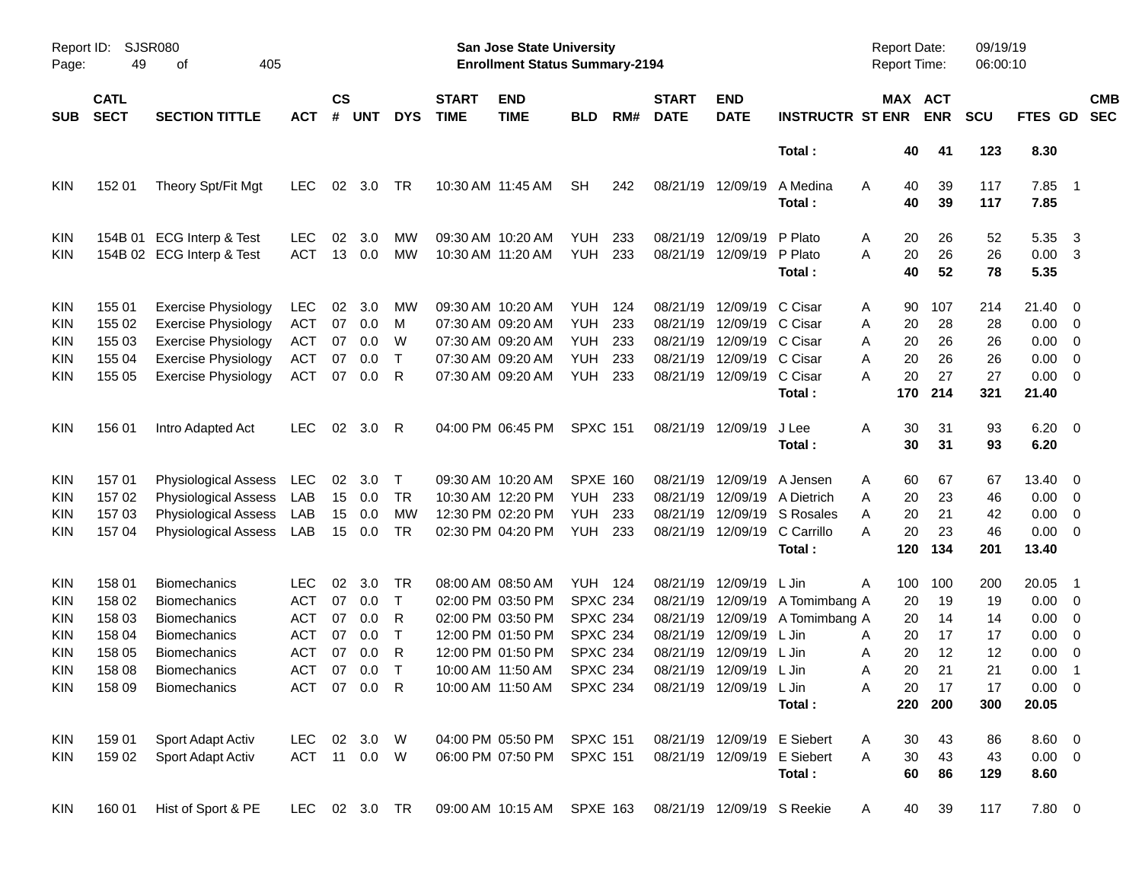|            |                                                 |                              |               |                    |            |              |                             |                                                                           | <b>Preliminary Census</b> |     |                             |                            |                             |                                     |          |            |                      |                  |                            |                          |
|------------|-------------------------------------------------|------------------------------|---------------|--------------------|------------|--------------|-----------------------------|---------------------------------------------------------------------------|---------------------------|-----|-----------------------------|----------------------------|-----------------------------|-------------------------------------|----------|------------|----------------------|------------------|----------------------------|--------------------------|
| Page:      | <b>SJSR080</b><br>Report ID:<br>49<br>of<br>405 |                              |               |                    |            |              |                             | <b>San Jose State University</b><br><b>Enrollment Status Summary-2194</b> |                           |     |                             |                            |                             | <b>Report Date:</b><br>Report Time: |          |            | 09/19/19<br>06:00:10 |                  |                            |                          |
| <b>SUB</b> | <b>CATL</b><br><b>SECT</b>                      | <b>SECTION TITTLE</b>        | <b>ACT</b>    | $\mathsf{cs}$<br># | <b>UNT</b> | <b>DYS</b>   | <b>START</b><br><b>TIME</b> | <b>END</b><br><b>TIME</b>                                                 | <b>BLD</b>                | RM# | <b>START</b><br><b>DATE</b> | <b>END</b><br><b>DATE</b>  | <b>INSTRUCTR ST ENR</b>     | MAX ACT                             |          | <b>ENR</b> | <b>SCU</b>           | FTES GD          |                            | <b>CMB</b><br><b>SEC</b> |
|            |                                                 |                              |               |                    |            |              |                             |                                                                           |                           |     |                             |                            | Total:                      |                                     | 40       | 41         | 123                  | 8.30             |                            |                          |
| KIN        | 152 01                                          | Theory Spt/Fit Mgt           | <b>LEC</b>    | 02                 | 3.0        | TR           |                             | 10:30 AM 11:45 AM                                                         | <b>SH</b>                 | 242 | 08/21/19 12/09/19           |                            | A Medina<br>Total:          | Α                                   | 40<br>40 | 39<br>39   | 117<br>117           | $7.85$ 1<br>7.85 |                            |                          |
| KIN        | 154B 01                                         | <b>ECG Interp &amp; Test</b> | <b>LEC</b>    | 02                 | 3.0        | MW           |                             | 09:30 AM 10:20 AM                                                         | <b>YUH</b>                | 233 | 08/21/19                    | 12/09/19                   | P Plato                     | Α                                   | 20       | 26         | 52                   | 5.35             | -3                         |                          |
| KIN        |                                                 | 154B 02 ECG Interp & Test    | <b>ACT</b>    | 13                 | 0.0        | MW           |                             | 10:30 AM 11:20 AM                                                         | YUH                       | 233 | 08/21/19                    | 12/09/19                   | P Plato                     | A                                   | 20       | 26         | 26                   | 0.00             | -3                         |                          |
|            |                                                 |                              |               |                    |            |              |                             |                                                                           |                           |     |                             |                            | Total:                      |                                     | 40       | 52         | 78                   | 5.35             |                            |                          |
| KIN        | 155 01                                          | <b>Exercise Physiology</b>   | <b>LEC</b>    | 02                 | 3.0        | MW           |                             | 09:30 AM 10:20 AM                                                         | YUH                       | 124 | 08/21/19                    | 12/09/19                   | C Cisar                     | Α                                   | 90       | 107        | 214                  | 21.40 0          |                            |                          |
| KIN        | 155 02                                          | <b>Exercise Physiology</b>   | <b>ACT</b>    | 07                 | 0.0        | M            |                             | 07:30 AM 09:20 AM                                                         | <b>YUH</b>                | 233 | 08/21/19                    | 12/09/19                   | C Cisar                     | Α                                   | 20       | 28         | 28                   | 0.00             | $\overline{\phantom{0}}$   |                          |
| KIN        | 155 03                                          | <b>Exercise Physiology</b>   | ACT           | 07                 | 0.0        | W            |                             | 07:30 AM 09:20 AM                                                         | <b>YUH</b>                | 233 | 08/21/19                    | 12/09/19 C Cisar           |                             | A                                   | 20       | 26         | 26                   | 0.00             | $\overline{\phantom{0}}$   |                          |
| KIN        | 155 04                                          | <b>Exercise Physiology</b>   | ACT           | 07                 | 0.0        | т            |                             | 07:30 AM 09:20 AM                                                         | <b>YUH</b>                | 233 | 08/21/19                    | 12/09/19 C Cisar           |                             | A                                   | 20       | 26         | 26                   | 0.00             | $\overline{\mathbf{0}}$    |                          |
| KIN        | 155 05                                          | <b>Exercise Physiology</b>   | <b>ACT</b>    | 07                 | 0.0        | R            |                             | 07:30 AM 09:20 AM                                                         | YUH                       | 233 |                             | 08/21/19 12/09/19          | C Cisar                     | A                                   | 20       | 27         | 27                   | 0.00             | $\overline{\phantom{0}}$   |                          |
|            |                                                 |                              |               |                    |            |              |                             |                                                                           |                           |     |                             |                            | Total:                      |                                     | 170      | 214        | 321                  | 21.40            |                            |                          |
| KIN        | 156 01                                          | Intro Adapted Act            | <b>LEC</b>    | 02                 | 3.0        | R            |                             | 04:00 PM 06:45 PM                                                         | <b>SPXC 151</b>           |     |                             | 08/21/19 12/09/19          | J Lee                       | Α                                   | 30       | 31         | 93                   | $6.20 \quad 0$   |                            |                          |
|            |                                                 |                              |               |                    |            |              |                             |                                                                           |                           |     |                             |                            | Total:                      |                                     | 30       | 31         | 93                   | 6.20             |                            |                          |
| KIN        | 15701                                           | Physiological Assess         | LEC           | 02                 | 3.0        | Т            |                             | 09:30 AM 10:20 AM                                                         | <b>SPXE 160</b>           |     | 08/21/19                    | 12/09/19                   | A Jensen                    | Α                                   | 60       | 67         | 67                   | 13.40 0          |                            |                          |
| KIN        | 157 02                                          | <b>Physiological Assess</b>  | LAB           | 15                 | 0.0        | <b>TR</b>    |                             | 10:30 AM 12:20 PM                                                         | YUH                       | 233 | 08/21/19                    | 12/09/19                   | A Dietrich                  | Α                                   | 20       | 23         | 46                   | 0.00             | $\overline{\phantom{0}}$   |                          |
| KIN        | 157 03                                          | Physiological Assess         | LAB           | 15                 | 0.0        | МW           |                             | 12:30 PM 02:20 PM                                                         | <b>YUH</b>                | 233 | 08/21/19                    | 12/09/19                   | S Rosales                   | A                                   | 20       | 21         | 42                   | 0.00             | $\overline{\mathbf{0}}$    |                          |
| KIN        | 15704                                           | Physiological Assess         | LAB           | 15                 | 0.0        | <b>TR</b>    |                             | 02:30 PM 04:20 PM                                                         | YUH                       | 233 |                             | 08/21/19 12/09/19          | C Carrillo                  | А                                   | 20       | 23         | 46                   | 0.00             | $\overline{\phantom{0}}$   |                          |
|            |                                                 |                              |               |                    |            |              |                             |                                                                           |                           |     |                             |                            | Total:                      |                                     | 120      | 134        | 201                  | 13.40            |                            |                          |
| KIN        | 158 01                                          | <b>Biomechanics</b>          | <b>LEC</b>    | 02                 | 3.0        | TR           |                             | 08:00 AM 08:50 AM                                                         | <b>YUH 124</b>            |     | 08/21/19                    | 12/09/19                   | L Jin                       | Α                                   | 100      | 100        | 200                  | 20.05            | - 1                        |                          |
| KIN        | 158 02                                          | <b>Biomechanics</b>          | ACT           | 07                 | 0.0        | т            |                             | 02:00 PM 03:50 PM                                                         | <b>SPXC 234</b>           |     | 08/21/19                    | 12/09/19                   | A Tomimbang A               |                                     | 20       | 19         | 19                   | 0.00             | $\overline{\phantom{0}}$   |                          |
| KIN        | 158 03                                          | <b>Biomechanics</b>          | ACT           | 07                 | 0.0        | R            |                             | 02:00 PM 03:50 PM                                                         | <b>SPXC 234</b>           |     | 08/21/19                    | 12/09/19                   | A Tomimbang A               |                                     | 20       | 14         | 14                   | 0.00             | $\overline{\mathbf{0}}$    |                          |
| KIN        | 158 04                                          | <b>Biomechanics</b>          | <b>ACT</b>    | 07                 | 0.0        | $\mathsf{T}$ |                             | 12:00 PM 01:50 PM                                                         | <b>SPXC 234</b>           |     | 08/21/19                    | 12/09/19                   | L Jin                       | Α                                   | 20       | 17         | 17                   | 0.00             | $\overline{\mathbf{0}}$    |                          |
| KIN        | 158 05                                          | <b>Biomechanics</b>          | <b>ACT</b>    | 07                 | 0.0        | R            |                             | 12:00 PM 01:50 PM                                                         | <b>SPXC 234</b>           |     |                             | 08/21/19 12/09/19          | L Jin                       | Α                                   | 20       | 12         | 12                   | 0.00             | $\overline{\phantom{0}}$   |                          |
| <b>KIN</b> | 158 08                                          | Biomechanics                 | <b>ACT</b>    |                    | 07 0.0     | $\top$       |                             | 10:00 AM 11:50 AM                                                         | <b>SPXC 234</b>           |     |                             | 08/21/19 12/09/19 L Jin    |                             | Α                                   | 20       | 21         | 21                   | 0.00             | $\overline{\phantom{0}}$ 1 |                          |
| KIN.       | 158 09                                          | <b>Biomechanics</b>          | <b>ACT</b>    |                    | 07 0.0     | R            |                             | 10:00 AM 11:50 AM                                                         | <b>SPXC 234</b>           |     |                             | 08/21/19 12/09/19 L Jin    |                             | Α                                   | 20       | 17         | 17                   | $0.00 \t 0$      |                            |                          |
|            |                                                 |                              |               |                    |            |              |                             |                                                                           |                           |     |                             |                            | Total:                      |                                     | 220      | 200        | 300                  | 20.05            |                            |                          |
| <b>KIN</b> | 159 01                                          | Sport Adapt Activ            | LEC 02 3.0 W  |                    |            |              |                             | 04:00 PM 05:50 PM                                                         | <b>SPXC 151</b>           |     |                             |                            | 08/21/19 12/09/19 E Siebert | A                                   | 30       | 43         | 86                   | $8.60$ 0         |                            |                          |
| KIN        | 159 02                                          | Sport Adapt Activ            | ACT 11 0.0 W  |                    |            |              |                             | 06:00 PM 07:50 PM                                                         | <b>SPXC 151</b>           |     |                             |                            | 08/21/19 12/09/19 E Siebert | A                                   | 30       | 43         | 43                   | $0.00 \t 0$      |                            |                          |
|            |                                                 |                              |               |                    |            |              |                             |                                                                           |                           |     |                             |                            | Total:                      |                                     | 60       | 86         | 129                  | 8.60             |                            |                          |
| <b>KIN</b> | 160 01                                          | Hist of Sport & PE           | LEC 02 3.0 TR |                    |            |              |                             | 09:00 AM 10:15 AM                                                         | <b>SPXE 163</b>           |     |                             | 08/21/19 12/09/19 S Reekie |                             | A                                   | 40       | 39         | 117                  | 7.80 0           |                            |                          |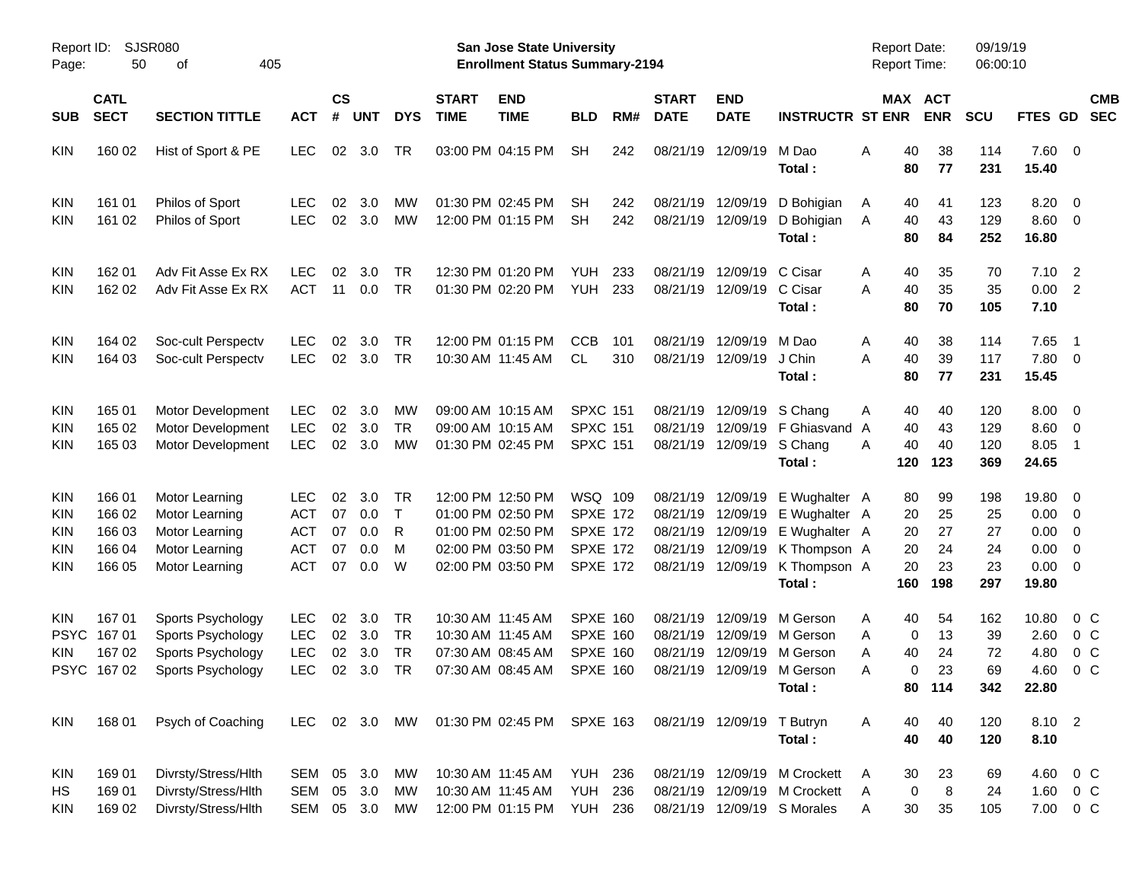|                                                             |                                                |                                                                                        |                                                                    |                            |                                 |                             |                             |                                                                                                       | <b>Preliminary Census</b>                                                           |            |                                  |                                                |                                                                                                                               |                                            |                                          |                                    |                                                                |                                                      |                          |
|-------------------------------------------------------------|------------------------------------------------|----------------------------------------------------------------------------------------|--------------------------------------------------------------------|----------------------------|---------------------------------|-----------------------------|-----------------------------|-------------------------------------------------------------------------------------------------------|-------------------------------------------------------------------------------------|------------|----------------------------------|------------------------------------------------|-------------------------------------------------------------------------------------------------------------------------------|--------------------------------------------|------------------------------------------|------------------------------------|----------------------------------------------------------------|------------------------------------------------------|--------------------------|
| Report ID:<br>Page:                                         | 50                                             | <b>SJSR080</b><br>405<br>оf                                                            |                                                                    |                            |                                 |                             |                             | <b>San Jose State University</b><br><b>Enrollment Status Summary-2194</b>                             |                                                                                     |            |                                  |                                                |                                                                                                                               | <b>Report Date:</b><br><b>Report Time:</b> |                                          | 09/19/19<br>06:00:10               |                                                                |                                                      |                          |
| <b>SUB</b>                                                  | <b>CATL</b><br><b>SECT</b>                     | <b>SECTION TITTLE</b>                                                                  | <b>ACT</b>                                                         | <b>CS</b><br>#             | <b>UNT</b>                      | <b>DYS</b>                  | <b>START</b><br><b>TIME</b> | <b>END</b><br><b>TIME</b>                                                                             | <b>BLD</b>                                                                          | RM#        | <b>START</b><br><b>DATE</b>      | <b>END</b><br><b>DATE</b>                      | <b>INSTRUCTR ST ENR</b>                                                                                                       |                                            | MAX ACT<br><b>ENR</b>                    | <b>SCU</b>                         | <b>FTES GD</b>                                                 |                                                      | <b>CMB</b><br><b>SEC</b> |
| <b>KIN</b>                                                  | 160 02                                         | Hist of Sport & PE                                                                     | <b>LEC</b>                                                         | 02                         | 3.0                             | TR                          |                             | 03:00 PM 04:15 PM                                                                                     | <b>SH</b>                                                                           | 242        | 08/21/19                         | 12/09/19                                       | M Dao<br>Total:                                                                                                               | 40<br>Α<br>80                              | 38<br>77                                 | 114<br>231                         | 7.60 0<br>15.40                                                |                                                      |                          |
| <b>KIN</b><br><b>KIN</b>                                    | 161 01<br>161 02                               | Philos of Sport<br>Philos of Sport                                                     | <b>LEC</b><br><b>LEC</b>                                           | 02<br>02                   | 3.0<br>3.0                      | МW<br><b>MW</b>             |                             | 01:30 PM 02:45 PM<br>12:00 PM 01:15 PM                                                                | <b>SH</b><br><b>SH</b>                                                              | 242<br>242 |                                  | 08/21/19 12/09/19<br>08/21/19 12/09/19         | D Bohigian<br>D Bohigian<br>Total:                                                                                            | A<br>40<br>40<br>A<br>80                   | 41<br>43<br>84                           | 123<br>129<br>252                  | $8.20 \ 0$<br>8.60 0<br>16.80                                  |                                                      |                          |
| KIN<br><b>KIN</b>                                           | 162 01<br>162 02                               | Adv Fit Asse Ex RX<br>Adv Fit Asse Ex RX                                               | <b>LEC</b><br><b>ACT</b>                                           | 02<br>11                   | 3.0<br>0.0                      | TR<br><b>TR</b>             |                             | 12:30 PM 01:20 PM<br>01:30 PM 02:20 PM                                                                | <b>YUH</b><br><b>YUH</b>                                                            | 233<br>233 | 08/21/19<br>08/21/19             | 12/09/19 C Cisar<br>12/09/19                   | C Cisar<br>Total:                                                                                                             | 40<br>A<br>40<br>A<br>80                   | 35<br>35<br>70                           | 70<br>35<br>105                    | $7.10$ 2<br>0.00<br>7.10                                       | $\overline{\phantom{0}}$                             |                          |
| KIN<br><b>KIN</b>                                           | 164 02<br>164 03                               | Soc-cult Perspectv<br>Soc-cult Perspectv                                               | <b>LEC</b><br><b>LEC</b>                                           | 02<br>02                   | 3.0<br>3.0                      | TR<br><b>TR</b>             |                             | 12:00 PM 01:15 PM<br>10:30 AM 11:45 AM                                                                | <b>CCB</b><br>CL                                                                    | 101<br>310 | 08/21/19                         | 12/09/19 M Dao<br>08/21/19 12/09/19            | J Chin<br>Total:                                                                                                              | 40<br>A<br>40<br>A<br>80                   | 38<br>39<br>77                           | 114<br>117<br>231                  | 7.65<br>7.80 0<br>15.45                                        | $\overline{\phantom{0}}$                             |                          |
| KIN<br>KIN<br><b>KIN</b>                                    | 165 01<br>165 02<br>165 03                     | Motor Development<br>Motor Development<br>Motor Development                            | <b>LEC</b><br><b>LEC</b><br><b>LEC</b>                             | 02<br>02<br>02             | 3.0<br>3.0<br>3.0               | MW<br><b>TR</b><br>MW       |                             | 09:00 AM 10:15 AM<br>09:00 AM 10:15 AM<br>01:30 PM 02:45 PM                                           | <b>SPXC 151</b><br><b>SPXC 151</b><br><b>SPXC 151</b>                               |            | 08/21/19                         | 08/21/19 12/09/19 S Chang<br>08/21/19 12/09/19 | 12/09/19 F Ghiasvand<br>S Chang<br>Total:                                                                                     | 40<br>A<br>40<br>A<br>40<br>A<br>120       | 40<br>43<br>40<br>123                    | 120<br>129<br>120<br>369           | $8.00 \t 0$<br>8.60<br>8.05<br>24.65                           | $\overline{\phantom{0}}$<br>$\overline{\phantom{1}}$ |                          |
| KIN<br><b>KIN</b><br><b>KIN</b><br><b>KIN</b><br><b>KIN</b> | 166 01<br>166 02<br>166 03<br>166 04<br>166 05 | Motor Learning<br>Motor Learning<br>Motor Learning<br>Motor Learning<br>Motor Learning | <b>LEC</b><br><b>ACT</b><br><b>ACT</b><br><b>ACT</b><br><b>ACT</b> | 02<br>07<br>07<br>07<br>07 | 3.0<br>0.0<br>0.0<br>0.0<br>0.0 | TR<br>$\top$<br>R<br>M<br>W |                             | 12:00 PM 12:50 PM<br>01:00 PM 02:50 PM<br>01:00 PM 02:50 PM<br>02:00 PM 03:50 PM<br>02:00 PM 03:50 PM | WSQ 109<br><b>SPXE 172</b><br><b>SPXE 172</b><br><b>SPXE 172</b><br><b>SPXE 172</b> |            | 08/21/19<br>08/21/19<br>08/21/19 | 08/21/19 12/09/19<br>12/09/19                  | E Wughalter A<br>E Wughalter A<br>12/09/19 E Wughalter A<br>12/09/19 K Thompson A<br>08/21/19 12/09/19 K Thompson A<br>Total: | 80<br>20<br>20<br>20<br>20<br>160          | 99<br>25<br>27<br>24<br>23<br>198        | 198<br>25<br>27<br>24<br>23<br>297 | 19.80 0<br>$0.00 \t 0$<br>0.00<br>0.00<br>$0.00 \t 0$<br>19.80 | $\overline{\phantom{0}}$<br>$\overline{\phantom{0}}$ |                          |
| <b>KIN</b><br><b>PSYC</b><br><b>KIN</b>                     | 167 01<br>16701<br>167 02<br>PSYC 16702        | Sports Psychology<br>Sports Psychology<br>Sports Psychology<br>Sports Psychology       | <b>LEC</b><br>LEC<br>LEC<br>LEC 02 3.0 TR                          | 02<br>02<br>02             | 3.0<br>3.0<br>3.0               | TR<br>TR<br>TR              |                             | 10:30 AM 11:45 AM<br>10:30 AM 11:45 AM<br>07:30 AM 08:45 AM<br>07:30 AM 08:45 AM SPXE 160             | <b>SPXE 160</b><br><b>SPXE 160</b><br><b>SPXE 160</b>                               |            | 08/21/19<br>08/21/19             | 12/09/19<br>12/09/19                           | M Gerson<br>M Gerson<br>08/21/19 12/09/19 M Gerson<br>08/21/19 12/09/19 M Gerson<br>Total:                                    | 40<br>A<br>A<br>40<br>A<br>A               | 54<br>0<br>13<br>24<br>0<br>23<br>80 114 | 162<br>39<br>72<br>69<br>342       | 10.80<br>2.60<br>4.80<br>4.60 0 C<br>22.80                     | 0 C<br>0 <sup>o</sup><br>0 <sup>o</sup>              |                          |
| KIN                                                         | 168 01                                         | Psych of Coaching                                                                      | LEC 02 3.0 MW                                                      |                            |                                 |                             |                             | 01:30 PM 02:45 PM SPXE 163                                                                            |                                                                                     |            |                                  | 08/21/19 12/09/19 T Butryn                     | Total:                                                                                                                        | Α<br>40<br>40                              | 40<br>40                                 | 120<br>120                         | 8.10 2<br>8.10                                                 |                                                      |                          |
| KIN<br>HS<br>KIN                                            | 169 01<br>16901<br>169 02                      | Divrsty/Stress/Hlth<br>Divrsty/Stress/Hlth<br>Divrsty/Stress/Hlth                      | SEM<br>SEM                                                         |                            | 05 3.0<br>05 3.0<br>SEM 05 3.0  | МW<br>МW<br>MW              |                             | 10:30 AM 11:45 AM<br>10:30 AM 11:45 AM<br>12:00 PM 01:15 PM                                           | <b>YUH 236</b><br>YUH<br><b>YUH 236</b>                                             | 236        |                                  |                                                | 08/21/19 12/09/19 M Crockett<br>08/21/19 12/09/19 M Crockett<br>08/21/19 12/09/19 S Morales                                   | 30<br>A<br>A<br>30<br>A                    | 23<br>0<br>8<br>35                       | 69<br>24<br>105                    | 4.60 0 C<br>1.60 0 C<br>7.00 0 C                               |                                                      |                          |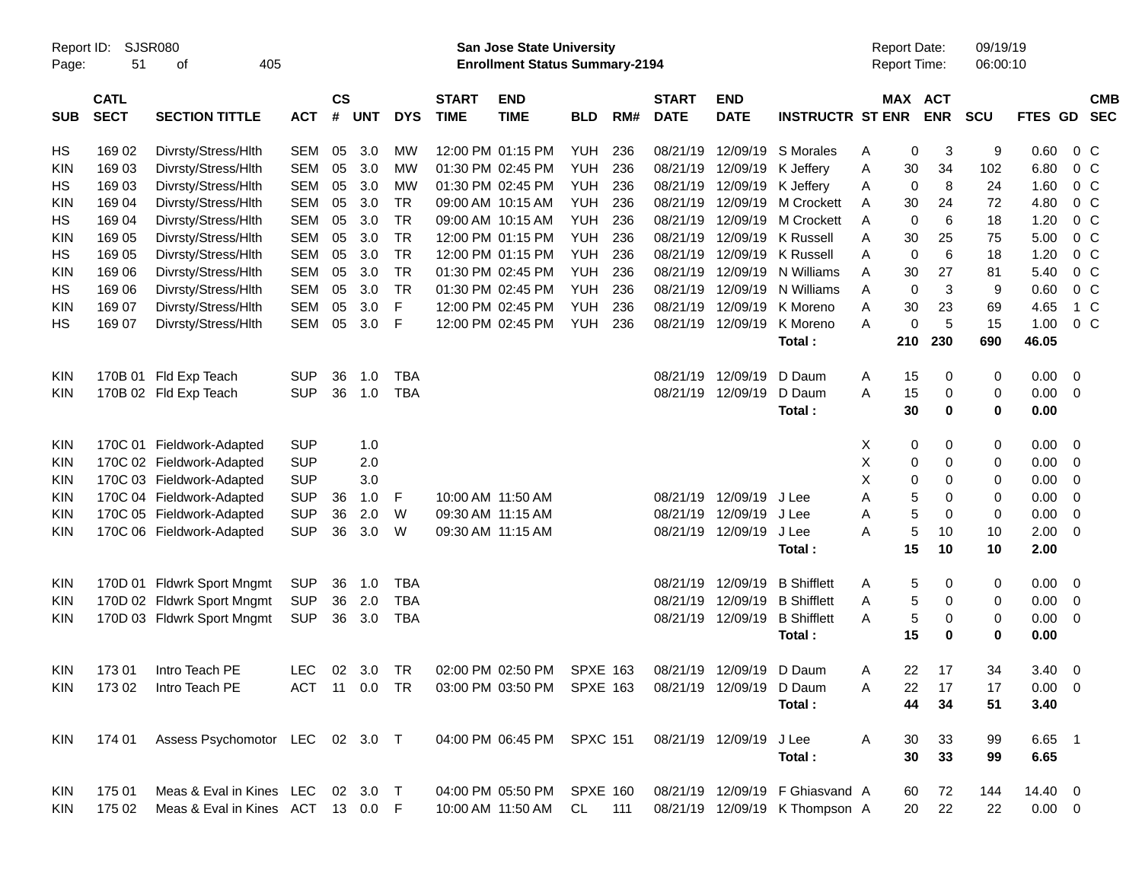|            |                                          |                                   |               |                    |            |            |                             |                                                                       | Preliminary Census |     |                             |                           |                                 |                                     |                       |                      |                 |                          |
|------------|------------------------------------------|-----------------------------------|---------------|--------------------|------------|------------|-----------------------------|-----------------------------------------------------------------------|--------------------|-----|-----------------------------|---------------------------|---------------------------------|-------------------------------------|-----------------------|----------------------|-----------------|--------------------------|
| Page:      | SJSR080<br>Report ID:<br>51<br>οf<br>405 |                                   |               |                    |            |            |                             | San Jose State University<br><b>Enrollment Status Summary-2194</b>    |                    |     |                             |                           |                                 | <b>Report Date:</b><br>Report Time: |                       | 09/19/19<br>06:00:10 |                 |                          |
| <b>SUB</b> | <b>CATL</b><br><b>SECT</b>               | <b>SECTION TITTLE</b>             | <b>ACT</b>    | $\mathsf{cs}$<br># | <b>UNT</b> | <b>DYS</b> | <b>START</b><br><b>TIME</b> | <b>END</b><br><b>TIME</b>                                             | <b>BLD</b>         | RM# | <b>START</b><br><b>DATE</b> | <b>END</b><br><b>DATE</b> | <b>INSTRUCTR ST ENR</b>         |                                     | MAX ACT<br><b>ENR</b> | <b>SCU</b>           | <b>FTES GD</b>  | <b>CMB</b><br><b>SEC</b> |
| HS         | 169 02                                   | Divrsty/Stress/Hlth               | <b>SEM</b>    | 05                 | 3.0        | <b>MW</b>  |                             | 12:00 PM 01:15 PM                                                     | <b>YUH</b>         | 236 | 08/21/19                    | 12/09/19                  | S Morales                       | A                                   | 0<br>3                | 9                    | 0.60            | 0 <sup>o</sup>           |
| KIN        | 169 03                                   | Divrsty/Stress/Hlth               | <b>SEM</b>    | 05                 | 3.0        | <b>MW</b>  |                             | 01:30 PM 02:45 PM                                                     | <b>YUH</b>         | 236 |                             | 08/21/19 12/09/19         | K Jeffery                       | 30<br>Α                             | 34                    | 102                  | 6.80            | 0 <sup>o</sup>           |
| НS         | 169 03                                   | Divrsty/Stress/Hlth               | <b>SEM</b>    | 05                 | 3.0        | <b>MW</b>  |                             | 01:30 PM 02:45 PM                                                     | <b>YUH</b>         | 236 | 08/21/19                    | 12/09/19                  | K Jeffery                       | Α                                   | 8<br>0                | 24                   | 1.60            | $0\,C$                   |
| <b>KIN</b> | 169 04                                   | Divrsty/Stress/Hlth               | <b>SEM</b>    | 05                 | 3.0        | <b>TR</b>  |                             | 09:00 AM 10:15 AM                                                     | <b>YUH</b>         | 236 |                             | 08/21/19 12/09/19         | M Crockett                      | 30<br>Α                             | 24                    | 72                   | 4.80            | 0 <sup>o</sup>           |
| HS         | 169 04                                   | Divrsty/Stress/Hlth               | <b>SEM</b>    | 05                 | 3.0        | <b>TR</b>  |                             | 09:00 AM 10:15 AM                                                     | <b>YUH</b>         | 236 | 08/21/19                    | 12/09/19                  | <b>M Crockett</b>               | Α                                   | 6<br>0                | 18                   | 1.20            | 0 <sup>o</sup>           |
| <b>KIN</b> | 169 05                                   | Divrsty/Stress/Hlth               | <b>SEM</b>    | 05                 | 3.0        | <b>TR</b>  |                             | 12:00 PM 01:15 PM                                                     | YUH                | 236 | 08/21/19                    | 12/09/19                  | K Russell                       | 30<br>Α                             | 25                    | 75                   | 5.00            | $0\,C$                   |
| HS         | 169 05                                   | Divrsty/Stress/Hlth               | <b>SEM</b>    | 05                 | 3.0        | <b>TR</b>  |                             | 12:00 PM 01:15 PM                                                     | YUH                | 236 | 08/21/19                    | 12/09/19                  | <b>K</b> Russell                | Α                                   | 6<br>0                | 18                   | 1.20            | 0 <sup>o</sup>           |
| <b>KIN</b> | 169 06                                   | Divrsty/Stress/Hlth               | <b>SEM</b>    | 05                 | 3.0        | <b>TR</b>  |                             | 01:30 PM 02:45 PM                                                     | <b>YUH</b>         | 236 | 08/21/19                    | 12/09/19                  | N Williams                      | 30<br>Α                             | 27                    | 81                   | 5.40            | $0\,C$                   |
| HS         | 169 06                                   | Divrsty/Stress/Hlth               | <b>SEM</b>    | 05                 | 3.0        | <b>TR</b>  |                             | 01:30 PM 02:45 PM                                                     | <b>YUH</b>         | 236 | 08/21/19                    | 12/09/19                  | N Williams                      | Α                                   | 3<br>$\mathbf 0$      | 9                    | 0.60            | $0\,C$                   |
| <b>KIN</b> | 169 07                                   | Divrsty/Stress/Hlth               | <b>SEM</b>    | 05                 | 3.0        | F          |                             | 12:00 PM 02:45 PM                                                     | <b>YUH</b>         | 236 | 08/21/19                    | 12/09/19                  | K Moreno                        | Α<br>30                             | 23                    | 69                   | 4.65            | 1 C                      |
| HS         | 169 07                                   | Divrsty/Stress/Hlth               | <b>SEM</b>    | 05                 | 3.0        | F          |                             | 12:00 PM 02:45 PM                                                     | YUH                | 236 |                             | 08/21/19 12/09/19         | K Moreno                        | A                                   | $\mathbf 0$<br>5      | 15                   | 1.00            | 0 <sup>o</sup>           |
|            |                                          |                                   |               |                    |            |            |                             |                                                                       |                    |     |                             |                           | Total:                          | 210                                 | 230                   | 690                  | 46.05           |                          |
| <b>KIN</b> |                                          | 170B 01 Fld Exp Teach             | <b>SUP</b>    | 36                 | 1.0        | <b>TBA</b> |                             |                                                                       |                    |     | 08/21/19                    | 12/09/19                  | D Daum                          | 15<br>Α                             | 0                     | 0                    | 0.00            | $\overline{\phantom{0}}$ |
| <b>KIN</b> |                                          | 170B 02 Fld Exp Teach             | <b>SUP</b>    | 36                 | 1.0        | <b>TBA</b> |                             |                                                                       |                    |     |                             | 08/21/19 12/09/19         | D Daum                          | 15<br>A                             | 0                     | 0                    | 0.00            | $\overline{0}$           |
|            |                                          |                                   |               |                    |            |            |                             |                                                                       |                    |     |                             |                           | Total:                          | 30                                  | 0                     | 0                    | 0.00            |                          |
| <b>KIN</b> |                                          | 170C 01 Fieldwork-Adapted         | <b>SUP</b>    |                    | 1.0        |            |                             |                                                                       |                    |     |                             |                           |                                 | X                                   | 0<br>0                | 0                    | 0.00            | $\overline{\phantom{0}}$ |
| KIN        |                                          | 170C 02 Fieldwork-Adapted         | <b>SUP</b>    |                    | 2.0        |            |                             |                                                                       |                    |     |                             |                           |                                 | Χ                                   | 0<br>0                | 0                    | 0.00            | $\overline{0}$           |
| KIN        |                                          | 170C 03 Fieldwork-Adapted         | <b>SUP</b>    |                    | 3.0        |            |                             |                                                                       |                    |     |                             |                           |                                 | X                                   | 0<br>0                | 0                    | 0.00            | $\overline{0}$           |
| <b>KIN</b> |                                          | 170C 04 Fieldwork-Adapted         | <b>SUP</b>    | 36                 | 1.0        | F          |                             | 10:00 AM 11:50 AM                                                     |                    |     |                             | 08/21/19 12/09/19         | J Lee                           | A                                   | 5<br>0                | 0                    | 0.00            | $\mathbf 0$              |
| <b>KIN</b> |                                          | 170C 05 Fieldwork-Adapted         | <b>SUP</b>    | 36                 | 2.0        | W          |                             | 09:30 AM 11:15 AM                                                     |                    |     |                             | 08/21/19 12/09/19         | J Lee                           | Α                                   | 5<br>$\mathbf 0$      | 0                    | 0.00            | $\mathbf 0$              |
| <b>KIN</b> |                                          | 170C 06 Fieldwork-Adapted         | <b>SUP</b>    | 36                 | 3.0        | W          |                             | 09:30 AM 11:15 AM                                                     |                    |     |                             | 08/21/19 12/09/19         | J Lee                           | Α                                   | 5<br>10               | 10                   | 2.00            | $\overline{0}$           |
|            |                                          |                                   |               |                    |            |            |                             |                                                                       |                    |     |                             |                           | Total:                          | 15                                  | 10                    | 10                   | 2.00            |                          |
| <b>KIN</b> |                                          | 170D 01 Fldwrk Sport Mngmt        | <b>SUP</b>    | 36                 | 1.0        | <b>TBA</b> |                             |                                                                       |                    |     | 08/21/19                    | 12/09/19                  | <b>B</b> Shifflett              | A                                   | 5<br>0                | 0                    | 0.00            | $\overline{\phantom{0}}$ |
| KIN        |                                          | 170D 02 Fldwrk Sport Mngmt        | <b>SUP</b>    | 36                 | 2.0        | <b>TBA</b> |                             |                                                                       |                    |     | 08/21/19                    | 12/09/19                  | <b>B</b> Shifflett              | Α                                   | 5<br>0                | 0                    | 0.00            | 0                        |
| <b>KIN</b> |                                          | 170D 03 Fldwrk Sport Mngmt        | <b>SUP</b>    | 36                 | 3.0        | <b>TBA</b> |                             |                                                                       |                    |     |                             | 08/21/19 12/09/19         | <b>B</b> Shifflett              | A                                   | 5<br>0                | 0                    | 0.00            | $\overline{0}$           |
|            |                                          |                                   |               |                    |            |            |                             |                                                                       |                    |     |                             |                           | Total:                          | 15                                  | 0                     | 0                    | 0.00            |                          |
| <b>KIN</b> |                                          | 173 01 Intro Teach PE             | LEC           |                    |            |            |                             | 02 3.0 TR  02:00 PM  02:50 PM  SPXE  163  08/21/19  12/09/19  D  Daum |                    |     |                             |                           |                                 | Α                                   | 22<br>17              | 34                   | $3.40 \ 0$      |                          |
| <b>KIN</b> | 17302                                    | Intro Teach PE                    | ACT 11 0.0 TR |                    |            |            |                             | 03:00 PM 03:50 PM                                                     | <b>SPXE 163</b>    |     |                             | 08/21/19 12/09/19 D Daum  |                                 | Α<br>22                             | 17                    | 17                   | $0.00 \t 0$     |                          |
|            |                                          |                                   |               |                    |            |            |                             |                                                                       |                    |     |                             |                           | Total:                          | 44                                  | 34                    | 51                   | 3.40            |                          |
| <b>KIN</b> | 174 01                                   | Assess Psychomotor LEC 02 3.0 T   |               |                    |            |            |                             | 04:00 PM 06:45 PM SPXC 151                                            |                    |     |                             | 08/21/19 12/09/19         | J Lee                           | A<br>30                             | 33                    | 99                   | 6.65 1          |                          |
|            |                                          |                                   |               |                    |            |            |                             |                                                                       |                    |     |                             |                           | Total:                          | 30                                  | 33                    | 99                   | 6.65            |                          |
| KIN        | 175 01                                   | Meas & Eval in Kines LEC 02 3.0 T |               |                    |            |            |                             | 04:00 PM 05:50 PM SPXE 160                                            |                    |     |                             |                           | 08/21/19 12/09/19 F Ghiasvand A | 60                                  | 72                    | 144                  | 14.40 0         |                          |
| KIN        | 175 02                                   | Meas & Eval in Kines ACT 13 0.0 F |               |                    |            |            |                             | 10:00 AM 11:50 AM                                                     | CL                 | 111 |                             |                           | 08/21/19 12/09/19 K Thompson A  |                                     | 20<br>22              | 22                   | $0.00\quad$ $0$ |                          |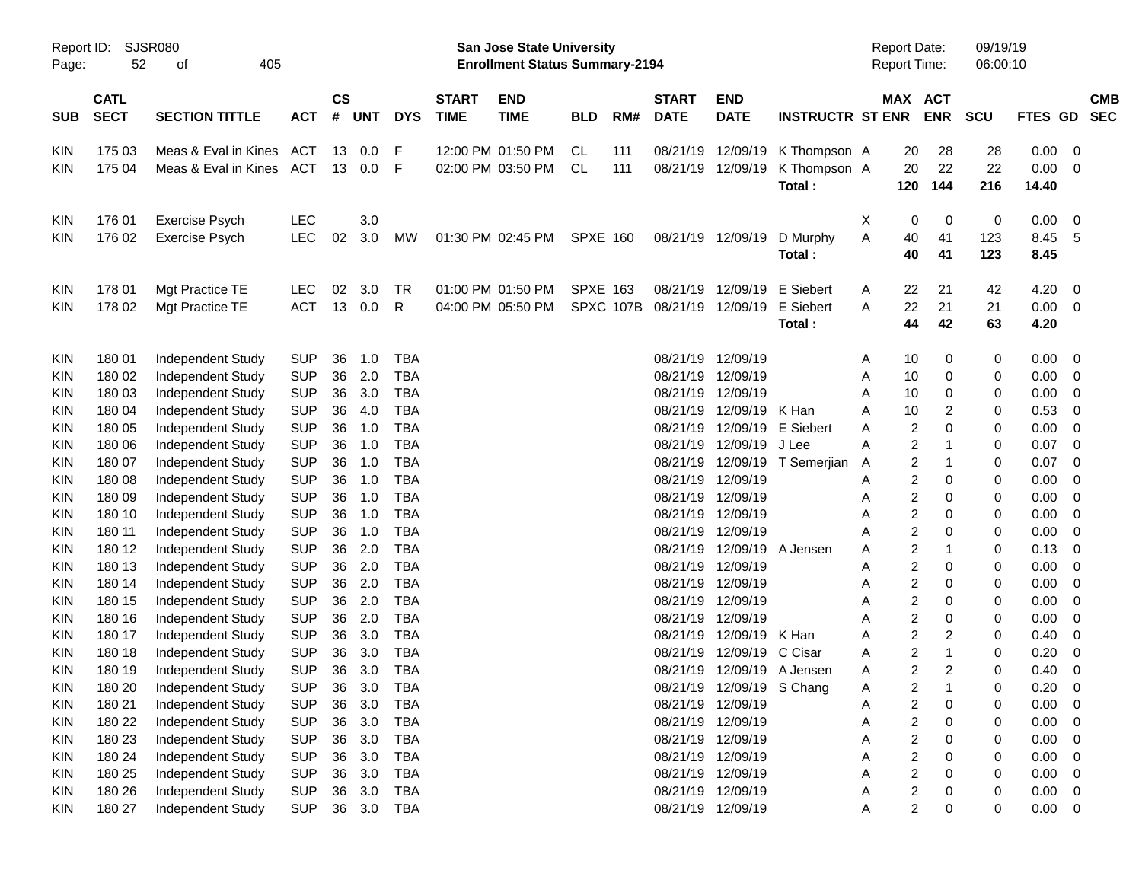|                     |                                                                                                         |                             |            |    |                             |            |                             |                                                                           | <b>Preliminary Census</b> |           |                             |                            |                         |   |                                            |                |                      |         |                |                          |
|---------------------|---------------------------------------------------------------------------------------------------------|-----------------------------|------------|----|-----------------------------|------------|-----------------------------|---------------------------------------------------------------------------|---------------------------|-----------|-----------------------------|----------------------------|-------------------------|---|--------------------------------------------|----------------|----------------------|---------|----------------|--------------------------|
| Report ID:<br>Page: | 52                                                                                                      | <b>SJSR080</b><br>405<br>οf |            |    |                             |            |                             | <b>San Jose State University</b><br><b>Enrollment Status Summary-2194</b> |                           |           |                             |                            |                         |   | <b>Report Date:</b><br><b>Report Time:</b> |                | 09/19/19<br>06:00:10 |         |                |                          |
| <b>SUB</b>          | <b>CATL</b><br><b>SECT</b><br><b>SECTION TITTLE</b><br><b>ACT</b><br>175 03<br>Meas & Eval in Kines ACT |                             |            |    | $\mathsf{cs}$<br><b>UNT</b> | <b>DYS</b> | <b>START</b><br><b>TIME</b> | <b>END</b><br><b>TIME</b>                                                 | <b>BLD</b>                | RM#       | <b>START</b><br><b>DATE</b> | <b>END</b><br><b>DATE</b>  | <b>INSTRUCTR ST ENR</b> |   | <b>MAX ACT</b>                             | <b>ENR</b>     | <b>SCU</b>           | FTES GD |                | <b>CMB</b><br><b>SEC</b> |
| KIN                 |                                                                                                         |                             |            | 13 | 0.0                         | F          |                             | 12:00 PM 01:50 PM                                                         | CL                        | 111       | 08/21/19                    | 12/09/19                   | K Thompson A            |   | 20                                         | 28             | 28                   | 0.00    | 0              |                          |
| KIN                 | 175 04                                                                                                  | Meas & Eval in Kines        | ACT        | 13 | 0.0                         | F          |                             | 02:00 PM 03:50 PM                                                         | <b>CL</b>                 | 111       | 08/21/19                    | 12/09/19                   | K Thompson A            |   | 20                                         | 22             | 22                   | 0.00    | $\mathbf 0$    |                          |
|                     |                                                                                                         |                             |            |    |                             |            |                             |                                                                           |                           |           |                             |                            | Total:                  |   | 120                                        | 144            | 216                  | 14.40   |                |                          |
| KIN                 | 176 01                                                                                                  | Exercise Psych              | <b>LEC</b> |    | 3.0                         |            |                             |                                                                           |                           |           |                             |                            |                         | Χ | 0                                          | 0              | 0                    | 0.00    | 0              |                          |
|                     | 176 02                                                                                                  |                             | <b>LEC</b> | 02 | 3.0                         | MW         |                             | 01:30 PM 02:45 PM                                                         | <b>SPXE 160</b>           |           |                             | 08/21/19 12/09/19          | D Murphy                | Α | 40                                         |                | 123                  | 8.45    | 5              |                          |
| KIN                 |                                                                                                         | Exercise Psych              |            |    |                             |            |                             |                                                                           |                           |           |                             |                            | Total:                  |   | 40                                         | 41<br>41       | 123                  | 8.45    |                |                          |
|                     |                                                                                                         |                             |            |    |                             |            |                             |                                                                           |                           |           |                             |                            |                         |   |                                            |                |                      |         |                |                          |
| KIN                 | 178 01                                                                                                  | Mgt Practice TE             | LEC.       | 02 | 3.0                         | TR         |                             | 01:00 PM 01:50 PM                                                         | <b>SPXE 163</b>           |           | 08/21/19                    | 12/09/19                   | E Siebert               | A | 22                                         | 21             | 42                   | 4.20    | 0              |                          |
| KIN                 | 178 02                                                                                                  | Mgt Practice TE             | <b>ACT</b> | 13 | 0.0                         | R          |                             | 04:00 PM 05:50 PM                                                         |                           | SPXC 107B | 08/21/19                    | 12/09/19                   | E Siebert               | A | 22                                         | 21             | 21                   | 0.00    | $\mathbf 0$    |                          |
|                     |                                                                                                         |                             |            |    |                             |            |                             |                                                                           |                           |           |                             |                            | Total:                  |   | 44                                         | 42             | 63                   | 4.20    |                |                          |
| KIN                 | 180 01                                                                                                  | Independent Study           | <b>SUP</b> | 36 | 1.0                         | TBA        |                             |                                                                           |                           |           |                             | 08/21/19 12/09/19          |                         | A | 10                                         | 0              | 0                    | 0.00    | 0              |                          |
| KIN                 | 180 02                                                                                                  | Independent Study           | <b>SUP</b> | 36 | 2.0                         | <b>TBA</b> |                             |                                                                           |                           |           | 08/21/19                    | 12/09/19                   |                         | A | 10                                         | 0              | 0                    | 0.00    | $\mathbf 0$    |                          |
| KIN                 | 180 03                                                                                                  | Independent Study           | <b>SUP</b> | 36 | 3.0                         | TBA        |                             |                                                                           |                           |           | 08/21/19                    | 12/09/19                   |                         | A | 10                                         | 0              | 0                    | 0.00    | 0              |                          |
| KIN                 | 180 04                                                                                                  | Independent Study           | <b>SUP</b> | 36 | 4.0                         | <b>TBA</b> |                             |                                                                           |                           |           | 08/21/19                    | 12/09/19 K Han             |                         | A | 10                                         | 2              | 0                    | 0.53    | 0              |                          |
| KIN                 | 180 05                                                                                                  | Independent Study           | <b>SUP</b> | 36 | 1.0                         | <b>TBA</b> |                             |                                                                           |                           |           | 08/21/19                    | 12/09/19                   | E Siebert               | A | $\overline{2}$                             | $\Omega$       | 0                    | 0.00    | 0              |                          |
| KIN                 | 180 06                                                                                                  | Independent Study           | <b>SUP</b> | 36 | 1.0                         | <b>TBA</b> |                             |                                                                           |                           |           | 08/21/19                    | 12/09/19                   | J Lee                   | A | $\overline{2}$                             | -1             | 0                    | 0.07    | $\mathbf 0$    |                          |
| KIN                 | 180 07                                                                                                  | Independent Study           | <b>SUP</b> | 36 | 1.0                         | <b>TBA</b> |                             |                                                                           |                           |           | 08/21/19                    | 12/09/19                   | T Semerjian             | A | 2                                          | -1             | 0                    | 0.07    | $\mathbf 0$    |                          |
| KIN                 | 180 08                                                                                                  | Independent Study           | <b>SUP</b> | 36 | 1.0                         | <b>TBA</b> |                             |                                                                           |                           |           | 08/21/19                    | 12/09/19                   |                         | A | $\overline{c}$                             | 0              | 0                    | 0.00    | $\mathbf 0$    |                          |
| KIN                 | 180 09                                                                                                  | Independent Study           | <b>SUP</b> | 36 | 1.0                         | <b>TBA</b> |                             |                                                                           |                           |           | 08/21/19                    | 12/09/19                   |                         | Α | $\overline{c}$                             | 0              | 0                    | 0.00    | 0              |                          |
| KIN                 | 180 10                                                                                                  | Independent Study           | <b>SUP</b> | 36 | 1.0                         | <b>TBA</b> |                             |                                                                           |                           |           | 08/21/19                    | 12/09/19                   |                         | A | $\overline{c}$                             | 0              | 0                    | 0.00    | $\mathbf 0$    |                          |
| KIN                 | 180 11                                                                                                  | Independent Study           | <b>SUP</b> | 36 | 1.0                         | <b>TBA</b> |                             |                                                                           |                           |           | 08/21/19                    | 12/09/19                   |                         | A | $\overline{c}$                             | 0              | 0                    | 0.00    | $\mathbf 0$    |                          |
| KIN                 | 180 12                                                                                                  | Independent Study           | <b>SUP</b> | 36 | 2.0                         | <b>TBA</b> |                             |                                                                           |                           |           | 08/21/19                    | 12/09/19                   | A Jensen                | A | $\overline{2}$                             | -1             | 0                    | 0.13    | 0              |                          |
| KIN                 | 180 13                                                                                                  | Independent Study           | <b>SUP</b> | 36 | 2.0                         | <b>TBA</b> |                             |                                                                           |                           |           | 08/21/19                    | 12/09/19                   |                         | A | $\overline{c}$                             | 0              | 0                    | 0.00    | 0              |                          |
| KIN                 | 180 14                                                                                                  | Independent Study           | <b>SUP</b> | 36 | 2.0                         | <b>TBA</b> |                             |                                                                           |                           |           | 08/21/19                    | 12/09/19                   |                         | A | $\overline{c}$                             | 0              | 0                    | 0.00    | 0              |                          |
| KIN                 | 180 15                                                                                                  | Independent Study           | <b>SUP</b> | 36 | 2.0                         | <b>TBA</b> |                             |                                                                           |                           |           | 08/21/19                    | 12/09/19                   |                         | A | $\overline{c}$                             | 0              | 0                    | 0.00    | 0              |                          |
| KIN                 | 180 16                                                                                                  | Independent Study           | <b>SUP</b> | 36 | 2.0                         | <b>TBA</b> |                             |                                                                           |                           |           | 08/21/19                    | 12/09/19                   |                         | A | $\overline{2}$                             | 0              | 0                    | 0.00    | 0              |                          |
| KIN                 | 180 17                                                                                                  | Independent Study           | <b>SUP</b> | 36 | 3.0                         | <b>TBA</b> |                             |                                                                           |                           |           | 08/21/19                    | 12/09/19                   | K Han                   | A | $\overline{c}$                             | $\overline{c}$ | 0                    | 0.40    | 0              |                          |
| KIN                 | 180 18                                                                                                  | Independent Study           | <b>SUP</b> | 36 | 3.0                         | <b>TBA</b> |                             |                                                                           |                           |           |                             | 08/21/19 12/09/19 C Cisar  |                         | A | $\overline{2}$                             | 1              | $\mathbf 0$          | 0.20    | 0              |                          |
| <b>KIN</b>          | 180 19                                                                                                  | Independent Study           | <b>SUP</b> | 36 | $3.0\,$                     | <b>TBA</b> |                             |                                                                           |                           |           |                             | 08/21/19 12/09/19 A Jensen |                         | A | $\overline{\mathbf{c}}$                    | $\overline{c}$ | 0                    | 0.40    | $\overline{0}$ |                          |
| <b>KIN</b>          | 180 20                                                                                                  | Independent Study           | <b>SUP</b> | 36 | 3.0                         | <b>TBA</b> |                             |                                                                           |                           |           |                             | 08/21/19 12/09/19 S Chang  |                         | A | $\overline{c}$                             | 1              | 0                    | 0.20    | $\Omega$       |                          |
| <b>KIN</b>          | 180 21                                                                                                  | Independent Study           | <b>SUP</b> | 36 | 3.0                         | <b>TBA</b> |                             |                                                                           |                           |           |                             | 08/21/19 12/09/19          |                         | A | $\overline{c}$                             | 0              | 0                    | 0.00    | $\mathbf 0$    |                          |
| <b>KIN</b>          | 180 22                                                                                                  | Independent Study           | <b>SUP</b> | 36 | 3.0                         | <b>TBA</b> |                             |                                                                           |                           |           |                             | 08/21/19 12/09/19          |                         | Α | $\overline{c}$                             | 0              | 0                    | 0.00    | $\mathbf 0$    |                          |
| <b>KIN</b>          | 180 23                                                                                                  | Independent Study           | <b>SUP</b> | 36 | 3.0                         | <b>TBA</b> |                             |                                                                           |                           |           |                             | 08/21/19 12/09/19          |                         | Α | $\overline{c}$                             | 0              | 0                    | 0.00    | $\mathbf 0$    |                          |
| <b>KIN</b>          | 180 24                                                                                                  | Independent Study           | <b>SUP</b> | 36 | 3.0                         | <b>TBA</b> |                             |                                                                           |                           |           |                             | 08/21/19 12/09/19          |                         | Α | $\overline{c}$                             | 0              | 0                    | 0.00    | $\mathbf 0$    |                          |
| <b>KIN</b>          | 180 25                                                                                                  | Independent Study           | <b>SUP</b> | 36 | 3.0                         | <b>TBA</b> |                             |                                                                           |                           |           |                             | 08/21/19 12/09/19          |                         | Α | $\mathbf 2$                                | 0              | 0                    | 0.00    | $\mathbf 0$    |                          |
| <b>KIN</b>          | 180 26                                                                                                  | Independent Study           | <b>SUP</b> | 36 | 3.0                         | <b>TBA</b> |                             |                                                                           |                           |           |                             | 08/21/19 12/09/19          |                         | Α | $\overline{\mathbf{c}}$                    | 0              | 0                    | 0.00    | 0              |                          |
| <b>KIN</b>          | 180 27                                                                                                  | Independent Study           | <b>SUP</b> |    | 36 3.0                      | <b>TBA</b> |                             |                                                                           |                           |           |                             | 08/21/19 12/09/19          |                         | Α | $\overline{c}$                             | 0              | 0                    | 0.00    | $\overline{0}$ |                          |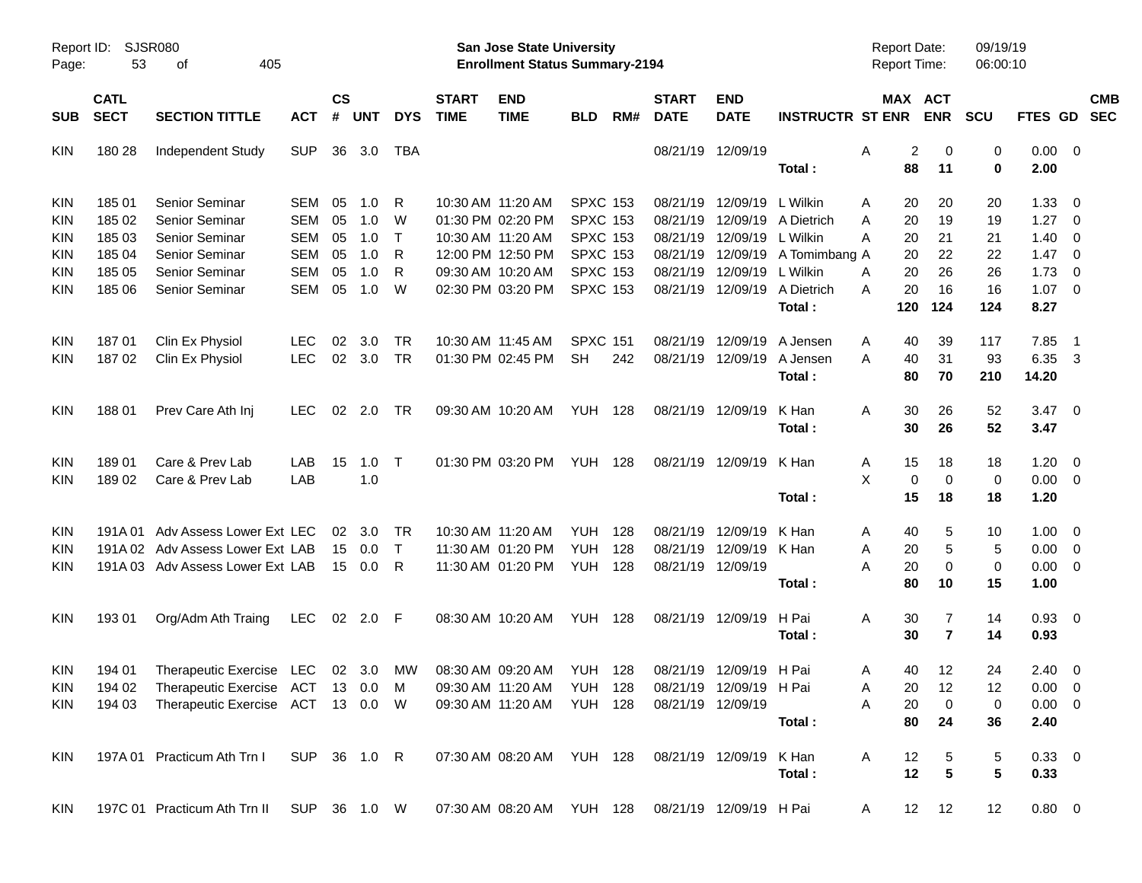|                     |                            |                                   |              |                    |            |              |                             |                                                                           | <b>Preliminary Census</b> |     |                             |                           |                         |                                     |                |                      |                |                          |                          |
|---------------------|----------------------------|-----------------------------------|--------------|--------------------|------------|--------------|-----------------------------|---------------------------------------------------------------------------|---------------------------|-----|-----------------------------|---------------------------|-------------------------|-------------------------------------|----------------|----------------------|----------------|--------------------------|--------------------------|
| Report ID:<br>Page: | 53                         | <b>SJSR080</b><br>405<br>оf       |              |                    |            |              |                             | <b>San Jose State University</b><br><b>Enrollment Status Summary-2194</b> |                           |     |                             |                           |                         | <b>Report Date:</b><br>Report Time: |                | 09/19/19<br>06:00:10 |                |                          |                          |
| <b>SUB</b>          | <b>CATL</b><br><b>SECT</b> | <b>SECTION TITTLE</b>             | <b>ACT</b>   | $\mathsf{cs}$<br># | <b>UNT</b> | <b>DYS</b>   | <b>START</b><br><b>TIME</b> | <b>END</b><br><b>TIME</b>                                                 | <b>BLD</b>                | RM# | <b>START</b><br><b>DATE</b> | <b>END</b><br><b>DATE</b> | <b>INSTRUCTR ST ENR</b> | MAX ACT                             | <b>ENR</b>     | <b>SCU</b>           | FTES GD        |                          | <b>CMB</b><br><b>SEC</b> |
| KIN                 | 180 28                     | Independent Study                 | <b>SUP</b>   |                    | 36 3.0     | TBA          |                             |                                                                           |                           |     |                             | 08/21/19 12/09/19         |                         | 2<br>Α                              | 0              | 0                    | $0.00 \t 0$    |                          |                          |
|                     |                            |                                   |              |                    |            |              |                             |                                                                           |                           |     |                             |                           | Total:                  | 88                                  | 11             | 0                    | 2.00           |                          |                          |
| KIN                 | 185 01                     | Senior Seminar                    | SEM          | 05                 | 1.0        | R            |                             | 10:30 AM 11:20 AM                                                         | <b>SPXC 153</b>           |     | 08/21/19                    | 12/09/19                  | L Wilkin                | 20<br>Α                             | 20             | 20                   | 1.33           | $\overline{\phantom{0}}$ |                          |
| KIN                 | 185 02                     | Senior Seminar                    | <b>SEM</b>   | 05                 | 1.0        | W            |                             | 01:30 PM 02:20 PM                                                         | <b>SPXC 153</b>           |     | 08/21/19                    |                           | 12/09/19 A Dietrich     | A<br>20                             | 19             | 19                   | 1.27           | $\overline{\phantom{0}}$ |                          |
| KIN                 | 185 03                     | <b>Senior Seminar</b>             | <b>SEM</b>   | 05                 | 1.0        | $\mathsf{T}$ |                             | 10:30 AM 11:20 AM                                                         | <b>SPXC 153</b>           |     | 08/21/19                    | 12/09/19                  | L Wilkin                | А<br>20                             | 21             | 21                   | 1.40           | $\overline{\mathbf{0}}$  |                          |
| KIN                 | 185 04                     | Senior Seminar                    | <b>SEM</b>   | 05                 | 1.0        | R            |                             | 12:00 PM 12:50 PM                                                         | <b>SPXC 153</b>           |     | 08/21/19                    | 12/09/19                  | A Tomimbang A           | 20                                  | 22             | 22                   | 1.47           | $\overline{\phantom{0}}$ |                          |
| KIN                 | 185 05                     | Senior Seminar                    | <b>SEM</b>   | 05                 | 1.0        | R            |                             | 09:30 AM 10:20 AM                                                         | <b>SPXC 153</b>           |     | 08/21/19                    | 12/09/19                  | L Wilkin                | 20<br>A                             | 26             | 26                   | 1.73           | - 0                      |                          |
| KIN                 | 185 06                     | <b>Senior Seminar</b>             | SEM          | 05                 | 1.0        | W            |                             | 02:30 PM 03:20 PM                                                         | <b>SPXC 153</b>           |     |                             | 08/21/19 12/09/19         | A Dietrich              | 20<br>А                             | 16             | 16                   | 1.07           | $\overline{\phantom{0}}$ |                          |
|                     |                            |                                   |              |                    |            |              |                             |                                                                           |                           |     |                             |                           | Total:                  | 120                                 | 124            | 124                  | 8.27           |                          |                          |
| KIN                 | 18701                      | Clin Ex Physiol                   | <b>LEC</b>   | 02                 | 3.0        | TR           |                             | 10:30 AM 11:45 AM                                                         | <b>SPXC 151</b>           |     | 08/21/19                    | 12/09/19                  | A Jensen                | 40<br>Α                             | 39             | 117                  | 7.85           | - 1                      |                          |
| KIN                 | 18702                      | Clin Ex Physiol                   | <b>LEC</b>   | 02                 | 3.0        | TR           |                             | 01:30 PM 02:45 PM                                                         | <b>SH</b>                 | 242 |                             | 08/21/19 12/09/19         | A Jensen                | A<br>40                             | 31             | 93                   | 6.35           | $\overline{\mathbf{3}}$  |                          |
|                     |                            |                                   |              |                    |            |              |                             |                                                                           |                           |     |                             |                           | Total:                  | 80                                  | 70             | 210                  | 14.20          |                          |                          |
| KIN                 | 18801                      | Prev Care Ath Inj                 | LEC          | 02                 | 2.0        | <b>TR</b>    |                             | 09:30 AM 10:20 AM                                                         | <b>YUH 128</b>            |     |                             | 08/21/19 12/09/19         | K Han                   | 30<br>Α                             | 26             | 52                   | $3.47 \quad 0$ |                          |                          |
|                     |                            |                                   |              |                    |            |              |                             |                                                                           |                           |     |                             |                           | Total:                  | 30                                  | 26             | 52                   | 3.47           |                          |                          |
| KIN                 | 189 01                     | Care & Prev Lab                   | LAB          | 15                 | 1.0        | Т            |                             | 01:30 PM 03:20 PM                                                         | <b>YUH 128</b>            |     |                             | 08/21/19 12/09/19         | K Han                   | 15<br>Α                             | 18             | 18                   | $1.20 \t 0$    |                          |                          |
| KIN                 | 18902                      | Care & Prev Lab                   | LAB          |                    | 1.0        |              |                             |                                                                           |                           |     |                             |                           |                         | X<br>$\mathbf 0$                    | $\mathbf 0$    | $\mathbf 0$          | $0.00 \t 0$    |                          |                          |
|                     |                            |                                   |              |                    |            |              |                             |                                                                           |                           |     |                             |                           | Total:                  | 15                                  | 18             | 18                   | 1.20           |                          |                          |
| KIN                 | 191A 01                    | Adv Assess Lower Ext LEC          |              | 02                 | 3.0        | <b>TR</b>    |                             | 10:30 AM 11:20 AM                                                         | YUH                       | 128 | 08/21/19                    | 12/09/19                  | K Han                   | 40<br>Α                             | 5              | 10                   | $1.00 \t 0$    |                          |                          |
| KIN                 |                            | 191A 02 Adv Assess Lower Ext LAB  |              | 15                 | 0.0        | $\mathsf{T}$ |                             | 11:30 AM 01:20 PM                                                         | <b>YUH</b>                | 128 | 08/21/19                    | 12/09/19                  | K Han                   | 20<br>Α                             | 5              | 5                    | $0.00 \t 0$    |                          |                          |
| KIN                 |                            | 191A 03 Adv Assess Lower Ext LAB  |              |                    | 15 0.0     | R            |                             | 11:30 AM 01:20 PM                                                         | YUH                       | 128 |                             | 08/21/19 12/09/19         |                         | А<br>20                             | $\Omega$       | $\mathbf 0$          | $0.00 \t 0$    |                          |                          |
|                     |                            |                                   |              |                    |            |              |                             |                                                                           |                           |     |                             |                           | Total:                  | 80                                  | 10             | 15                   | 1.00           |                          |                          |
| KIN                 | 19301                      | Org/Adm Ath Traing                | LEC          | 02                 | 2.0        | F            |                             | 08:30 AM 10:20 AM                                                         | <b>YUH 128</b>            |     |                             | 08/21/19 12/09/19         | H Pai                   | Α<br>30                             | 7              | 14                   | $0.93$ 0       |                          |                          |
|                     |                            |                                   |              |                    |            |              |                             |                                                                           |                           |     |                             |                           | Total:                  | 30                                  | $\overline{7}$ | 14                   | 0.93           |                          |                          |
| <b>KIN</b>          | 194 01                     | Therapeutic Exercise LEC          |              |                    | 02 3.0 MW  |              |                             | 08:30 AM 09:20 AM                                                         | <b>YUH 128</b>            |     |                             | 08/21/19 12/09/19 H Pai   |                         | 40<br>A                             | 12             | 24                   | $2.40 \ 0$     |                          |                          |
| <b>KIN</b>          | 194 02                     | <b>Therapeutic Exercise</b>       | ACT          |                    | 13 0.0     | M            |                             | 09:30 AM 11:20 AM                                                         | <b>YUH 128</b>            |     |                             | 08/21/19 12/09/19 H Pai   |                         | 20<br>Α                             | 12             | 12                   | $0.00 \t 0$    |                          |                          |
| <b>KIN</b>          | 194 03                     | Therapeutic Exercise ACT 13 0.0 W |              |                    |            |              |                             | 09:30 AM 11:20 AM                                                         | <b>YUH 128</b>            |     |                             | 08/21/19 12/09/19         |                         | 20<br>Α                             | 0              | 0                    | $0.00 \t 0$    |                          |                          |
|                     |                            |                                   |              |                    |            |              |                             |                                                                           |                           |     |                             |                           | Total:                  | 80                                  | 24             | 36                   | 2.40           |                          |                          |
| <b>KIN</b>          |                            | 197A 01 Practicum Ath Trn I       | SUP 36 1.0 R |                    |            |              |                             | 07:30 AM 08:20 AM YUH 128                                                 |                           |     |                             | 08/21/19 12/09/19         | K Han                   | 12<br>Α                             | 5              | 5                    | 0.33 0         |                          |                          |
|                     |                            |                                   |              |                    |            |              |                             |                                                                           |                           |     |                             |                           | Total:                  | 12                                  | 5              | 5                    | 0.33           |                          |                          |
| KIN                 |                            | 197C 01 Practicum Ath Trn II      | SUP 36 1.0 W |                    |            |              |                             | 07:30 AM 08:20 AM YUH 128                                                 |                           |     |                             | 08/21/19 12/09/19 H Pai   |                         | A                                   | 12 12          | 12                   | 0.80 0         |                          |                          |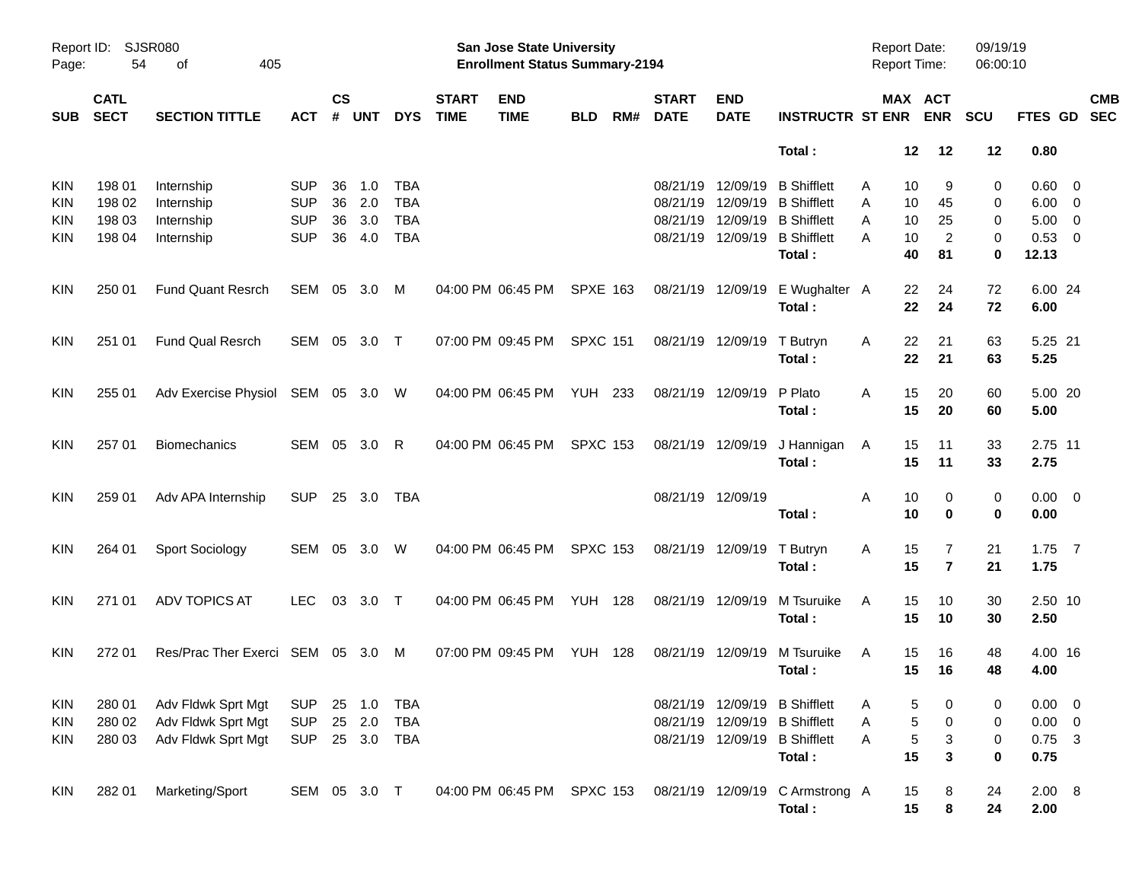|            |                            |                                 |            |                    |              |            |                             | <b>Preliminary Census</b>                                                 |                 |     |                             |                           |                               |                                            |                                  |                      |                  |            |
|------------|----------------------------|---------------------------------|------------|--------------------|--------------|------------|-----------------------------|---------------------------------------------------------------------------|-----------------|-----|-----------------------------|---------------------------|-------------------------------|--------------------------------------------|----------------------------------|----------------------|------------------|------------|
| Page:      | Report ID: SJSR080<br>54   | 405<br>оf                       |            |                    |              |            |                             | <b>San Jose State University</b><br><b>Enrollment Status Summary-2194</b> |                 |     |                             |                           |                               | <b>Report Date:</b><br><b>Report Time:</b> |                                  | 09/19/19<br>06:00:10 |                  |            |
| <b>SUB</b> | <b>CATL</b><br><b>SECT</b> | <b>SECTION TITTLE</b>           | <b>ACT</b> | $\mathsf{cs}$<br># | <b>UNT</b>   | <b>DYS</b> | <b>START</b><br><b>TIME</b> | <b>END</b><br><b>TIME</b>                                                 | <b>BLD</b>      | RM# | <b>START</b><br><b>DATE</b> | <b>END</b><br><b>DATE</b> | <b>INSTRUCTR ST ENR</b>       |                                            | MAX ACT<br><b>ENR</b>            | <b>SCU</b>           | FTES GD SEC      | <b>CMB</b> |
|            |                            |                                 |            |                    |              |            |                             |                                                                           |                 |     |                             |                           | Total:                        | 12                                         | 12                               | 12                   | 0.80             |            |
| <b>KIN</b> | 198 01                     | Internship                      | <b>SUP</b> | 36                 | 1.0          | <b>TBA</b> |                             |                                                                           |                 |     | 08/21/19                    | 12/09/19                  | <b>B</b> Shifflett            | 10<br>A                                    | 9                                | 0                    | $0.60 \quad 0$   |            |
| <b>KIN</b> | 198 02                     | Internship                      | <b>SUP</b> | 36                 | 2.0          | <b>TBA</b> |                             |                                                                           |                 |     | 08/21/19                    | 12/09/19                  | <b>B</b> Shifflett            | 10<br>A                                    | 45                               | 0                    | $6.00 \quad 0$   |            |
| <b>KIN</b> | 198 03                     | Internship                      | <b>SUP</b> | 36                 | 3.0          | <b>TBA</b> |                             |                                                                           |                 |     | 08/21/19                    | 12/09/19                  | <b>B</b> Shifflett            | Α<br>10                                    | 25                               | 0                    | $5.00 \t 0$      |            |
| <b>KIN</b> | 198 04                     | Internship                      | <b>SUP</b> | 36                 | 4.0          | <b>TBA</b> |                             |                                                                           |                 |     |                             | 08/21/19 12/09/19         | <b>B</b> Shifflett<br>Total:  | 10<br>А<br>40                              | 2<br>81                          | 0<br>0               | 0.53 0<br>12.13  |            |
| <b>KIN</b> | 250 01                     | <b>Fund Quant Resrch</b>        | SEM 05 3.0 |                    |              | M          |                             | 04:00 PM 06:45 PM                                                         | <b>SPXE 163</b> |     |                             | 08/21/19 12/09/19         | E Wughalter A<br>Total:       | 22<br>22                                   | 24<br>24                         | 72<br>72             | 6.00 24<br>6.00  |            |
| <b>KIN</b> | 251 01                     | Fund Qual Resrch                |            |                    | SEM 05 3.0 T |            |                             | 07:00 PM 09:45 PM                                                         | <b>SPXC 151</b> |     |                             | 08/21/19 12/09/19         | T Butryn                      | 22<br>Α                                    | 21                               | 63                   | 5.25 21          |            |
|            |                            |                                 |            |                    |              |            |                             |                                                                           |                 |     |                             |                           | Total:                        | 22                                         | 21                               | 63                   | 5.25             |            |
| <b>KIN</b> | 255 01                     | Adv Exercise Physiol SEM 05 3.0 |            |                    |              | W          |                             | 04:00 PM 06:45 PM                                                         | <b>YUH 233</b>  |     |                             | 08/21/19 12/09/19         | P Plato                       | 15<br>A                                    | 20                               | 60                   | 5.00 20          |            |
|            |                            |                                 |            |                    |              |            |                             |                                                                           |                 |     |                             |                           | Total:                        | 15                                         | 20                               | 60                   | 5.00             |            |
| <b>KIN</b> | 257 01                     | <b>Biomechanics</b>             | SEM 05     |                    | 3.0          | R          |                             | 04:00 PM 06:45 PM                                                         | <b>SPXC 153</b> |     | 08/21/19 12/09/19           |                           | J Hannigan                    | 15<br>A                                    | 11                               | 33                   | 2.75 11          |            |
|            |                            |                                 |            |                    |              |            |                             |                                                                           |                 |     |                             |                           | Total:                        | 15                                         | 11                               | 33                   | 2.75             |            |
| <b>KIN</b> | 259 01                     | Adv APA Internship              | <b>SUP</b> |                    | 25 3.0       | <b>TBA</b> |                             |                                                                           |                 |     |                             | 08/21/19 12/09/19         |                               | Α<br>10                                    | 0                                | 0                    | $0.00 \t 0$      |            |
|            |                            |                                 |            |                    |              |            |                             |                                                                           |                 |     |                             |                           | Total:                        | 10                                         | 0                                | 0                    | 0.00             |            |
| <b>KIN</b> | 264 01                     | Sport Sociology                 | SEM 05     |                    | 3.0          | W          |                             | 04:00 PM 06:45 PM                                                         | <b>SPXC 153</b> |     |                             | 08/21/19 12/09/19         | T Butryn<br>Total:            | 15<br>Α<br>15                              | $\overline{7}$<br>$\overline{7}$ | 21<br>21             | $1.75$ 7<br>1.75 |            |
|            |                            |                                 |            |                    |              |            |                             |                                                                           |                 |     |                             |                           |                               |                                            |                                  |                      |                  |            |
| <b>KIN</b> | 271 01                     | <b>ADV TOPICS AT</b>            | <b>LEC</b> | 03                 | $3.0$ T      |            |                             | 04:00 PM 06:45 PM                                                         | <b>YUH 128</b>  |     | 08/21/19 12/09/19           |                           | M Tsuruike                    | 15<br>A<br>15                              | 10<br>10                         | 30<br>30             | 2.50 10<br>2.50  |            |
|            |                            |                                 |            |                    |              |            |                             |                                                                           |                 |     |                             |                           | Total:                        |                                            |                                  |                      |                  |            |
| <b>KIN</b> | 272 01                     | Res/Prac Ther Exerci SEM 05 3.0 |            |                    |              | M          |                             | 07:00 PM 09:45 PM                                                         | <b>YUH 128</b>  |     |                             | 08/21/19 12/09/19         | M Tsuruike<br>Total:          | 15<br>A<br>15                              | 16<br>16                         | 48<br>48             | 4.00 16<br>4.00  |            |
|            |                            |                                 |            |                    |              |            |                             |                                                                           |                 |     |                             |                           |                               |                                            |                                  |                      |                  |            |
| KIN        | 280 01                     | Adv Fldwk Sprt Mgt              | <b>SUP</b> |                    | 25 1.0       | TBA        |                             |                                                                           |                 |     |                             |                           | 08/21/19 12/09/19 B Shifflett | A                                          | 5<br>0                           | 0                    | $0.00 \t 0$      |            |
| <b>KIN</b> | 280 02                     | Adv Fldwk Sprt Mgt              | <b>SUP</b> |                    | 25 2.0       | TBA        |                             |                                                                           |                 |     |                             | 08/21/19 12/09/19         | <b>B</b> Shifflett            | Α                                          | $\sqrt{5}$<br>$\pmb{0}$          | 0                    | $0.00 \t 0$      |            |
| KIN        | 280 03                     | Adv Fldwk Sprt Mgt              | <b>SUP</b> |                    | 25 3.0 TBA   |            |                             |                                                                           |                 |     |                             | 08/21/19 12/09/19         | <b>B</b> Shifflett<br>Total:  | Α<br>15                                    | 5<br>3<br>$\mathbf 3$            | 0<br>0               | $0.75$ 3<br>0.75 |            |
|            |                            |                                 |            |                    |              |            |                             |                                                                           |                 |     |                             |                           |                               |                                            |                                  |                      |                  |            |
| KIN        | 282 01                     | Marketing/Sport                 |            |                    | SEM 05 3.0 T |            |                             | 04:00 PM 06:45 PM SPXC 153                                                |                 |     |                             | 08/21/19 12/09/19         | C Armstrong A<br>Total:       | 15<br>15                                   | 8<br>8                           | 24<br>24             | 2.00 8<br>2.00   |            |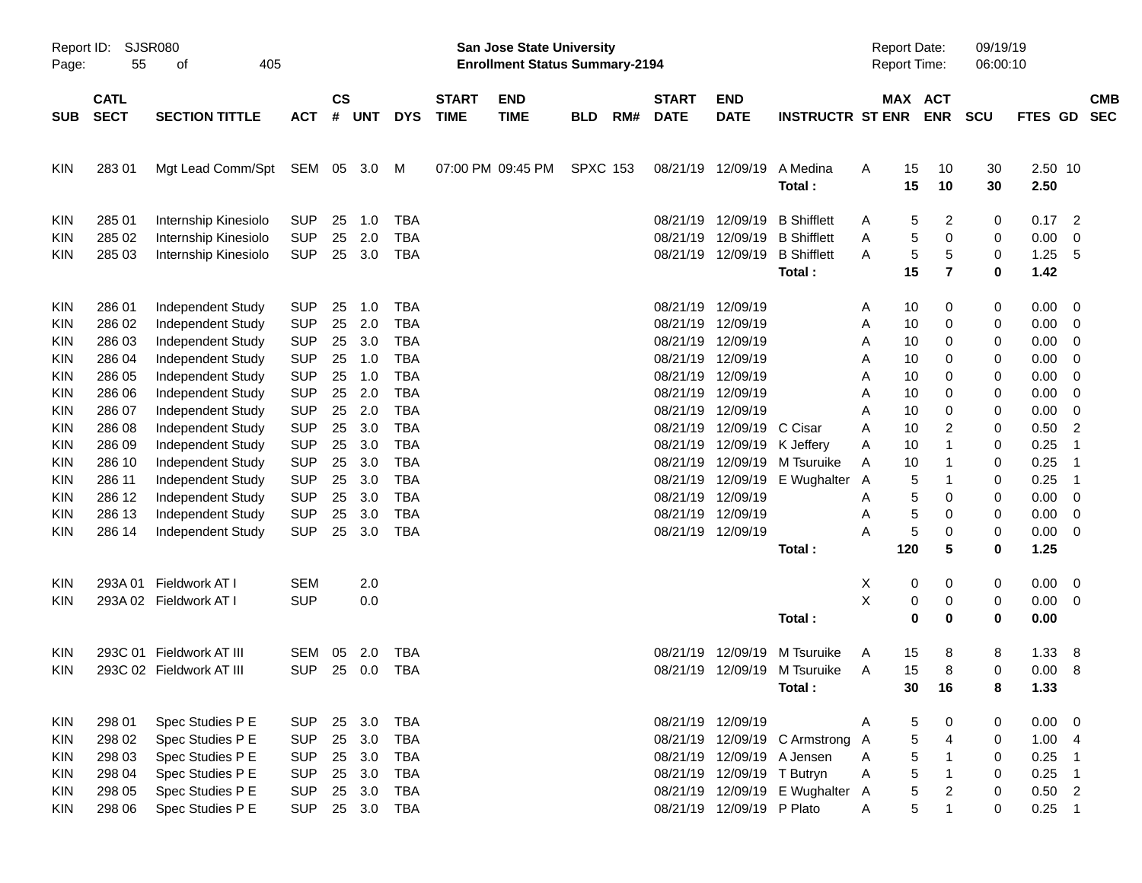|                     |                            |                             |                |                    |            |            |                             |                                                                           | <b>Preliminary Census</b> |     |                             |                            |                                 |   |                                            |                |                      |                 |                          |                          |
|---------------------|----------------------------|-----------------------------|----------------|--------------------|------------|------------|-----------------------------|---------------------------------------------------------------------------|---------------------------|-----|-----------------------------|----------------------------|---------------------------------|---|--------------------------------------------|----------------|----------------------|-----------------|--------------------------|--------------------------|
| Report ID:<br>Page: | 55                         | <b>SJSR080</b><br>405<br>οf |                |                    |            |            |                             | <b>San Jose State University</b><br><b>Enrollment Status Summary-2194</b> |                           |     |                             |                            |                                 |   | <b>Report Date:</b><br><b>Report Time:</b> |                | 09/19/19<br>06:00:10 |                 |                          |                          |
| <b>SUB</b>          | <b>CATL</b><br><b>SECT</b> | <b>SECTION TITTLE</b>       | <b>ACT</b>     | $\mathsf{cs}$<br># | <b>UNT</b> | <b>DYS</b> | <b>START</b><br><b>TIME</b> | <b>END</b><br><b>TIME</b>                                                 | <b>BLD</b>                | RM# | <b>START</b><br><b>DATE</b> | END<br><b>DATE</b>         | <b>INSTRUCTR ST ENR</b>         |   | MAX ACT                                    | <b>ENR</b>     | <b>SCU</b>           | <b>FTES GD</b>  |                          | <b>CMB</b><br><b>SEC</b> |
| <b>KIN</b>          | 28301                      | Mgt Lead Comm/Spt           | SEM 05         |                    | 3.0        | M          |                             | 07:00 PM 09:45 PM                                                         | <b>SPXC 153</b>           |     | 08/21/19                    | 12/09/19                   | A Medina<br>Total:              | Α | 15<br>15                                   | 10<br>10       | 30<br>30             | 2.50 10<br>2.50 |                          |                          |
| KIN                 | 285 01                     | Internship Kinesiolo        | <b>SUP</b>     | 25                 | 1.0        | <b>TBA</b> |                             |                                                                           |                           |     | 08/21/19                    | 12/09/19                   | <b>B</b> Shifflett              | Α | 5                                          | 2              | 0                    | 0.17            | $\overline{2}$           |                          |
| KIN                 | 285 02                     | Internship Kinesiolo        | <b>SUP</b>     | 25                 | 2.0        | <b>TBA</b> |                             |                                                                           |                           |     | 08/21/19                    | 12/09/19                   | <b>B</b> Shifflett              | Α | 5                                          | 0              | 0                    | 0.00            | 0                        |                          |
| KIN                 | 285 03                     | Internship Kinesiolo        | <b>SUP</b>     | 25                 | 3.0        | <b>TBA</b> |                             |                                                                           |                           |     | 08/21/19                    | 12/09/19                   | <b>B</b> Shifflett              | A | 5                                          | 5              | 0                    | 1.25            | 5                        |                          |
|                     |                            |                             |                |                    |            |            |                             |                                                                           |                           |     |                             |                            | Total:                          |   | 15                                         | $\overline{7}$ | 0                    | 1.42            |                          |                          |
| KIN                 | 286 01                     | Independent Study           | <b>SUP</b>     | 25                 | 1.0        | <b>TBA</b> |                             |                                                                           |                           |     | 08/21/19                    | 12/09/19                   |                                 | Α | 10                                         | 0              | 0                    | 0.00            | - 0                      |                          |
| KIN                 | 286 02                     | Independent Study           | <b>SUP</b>     | 25                 | 2.0        | <b>TBA</b> |                             |                                                                           |                           |     | 08/21/19                    | 12/09/19                   |                                 | Α | 10                                         | 0              | 0                    | 0.00            | 0                        |                          |
| KIN                 | 286 03                     | Independent Study           | <b>SUP</b>     | 25                 | 3.0        | TBA        |                             |                                                                           |                           |     | 08/21/19                    | 12/09/19                   |                                 | Α | 10                                         | 0              | 0                    | 0.00            | 0                        |                          |
| ΚIΝ                 | 286 04                     | Independent Study           | <b>SUP</b>     | 25                 | 1.0        | <b>TBA</b> |                             |                                                                           |                           |     | 08/21/19                    | 12/09/19                   |                                 | Α | 10                                         | 0              | 0                    | 0.00            | 0                        |                          |
| ΚIΝ                 | 286 05                     | Independent Study           | <b>SUP</b>     | 25                 | 1.0        | <b>TBA</b> |                             |                                                                           |                           |     | 08/21/19                    | 12/09/19                   |                                 | Α | 10                                         | 0              | 0                    | 0.00            | 0                        |                          |
| KIN                 | 286 06                     | Independent Study           | <b>SUP</b>     | 25                 | 2.0        | <b>TBA</b> |                             |                                                                           |                           |     | 08/21/19                    | 12/09/19                   |                                 | Α | 10                                         | 0              | 0                    | 0.00            | 0                        |                          |
| ΚIΝ                 | 286 07                     | Independent Study           | <b>SUP</b>     | 25                 | 2.0        | <b>TBA</b> |                             |                                                                           |                           |     | 08/21/19                    | 12/09/19                   |                                 | Α | 10                                         | 0              | 0                    | 0.00            | 0                        |                          |
| ΚIΝ                 | 286 08                     | Independent Study           | <b>SUP</b>     | 25                 | 3.0        | <b>TBA</b> |                             |                                                                           |                           |     | 08/21/19                    | 12/09/19                   | C Cisar                         | Α | 10                                         | 2              | 0                    | 0.50            | $\overline{2}$           |                          |
| KIN                 | 286 09                     | Independent Study           | <b>SUP</b>     | 25                 | 3.0        | <b>TBA</b> |                             |                                                                           |                           |     | 08/21/19                    | 12/09/19                   | K Jeffery                       | Α | 10                                         | -1             | 0                    | 0.25            | -1                       |                          |
| KIN                 | 286 10                     | Independent Study           | <b>SUP</b>     | 25                 | 3.0        | TBA        |                             |                                                                           |                           |     | 08/21/19                    | 12/09/19                   | M Tsuruike                      | Α | 10                                         | -1             | 0                    | 0.25            | -1                       |                          |
| KIN                 | 286 11                     | Independent Study           | <b>SUP</b>     | 25                 | 3.0        | <b>TBA</b> |                             |                                                                           |                           |     | 08/21/19                    | 12/09/19                   | E Wughalter                     | A | 5                                          | -1             | 0                    | 0.25            | -1                       |                          |
| KIN                 | 286 12                     | Independent Study           | <b>SUP</b>     | 25                 | 3.0        | <b>TBA</b> |                             |                                                                           |                           |     | 08/21/19                    | 12/09/19                   |                                 | Α | 5                                          | 0              | 0                    | 0.00            | 0                        |                          |
| KIN                 | 286 13                     | Independent Study           | <b>SUP</b>     | 25                 | 3.0        | TBA        |                             |                                                                           |                           |     | 08/21/19                    | 12/09/19                   |                                 | Α | 5                                          | 0              | 0                    | 0.00            | 0                        |                          |
| KIN                 | 286 14                     | Independent Study           | <b>SUP</b>     | 25                 | 3.0        | <b>TBA</b> |                             |                                                                           |                           |     | 08/21/19                    | 12/09/19                   |                                 | Α | 5                                          | 0              | 0                    | 0.00            | 0                        |                          |
|                     |                            |                             |                |                    |            |            |                             |                                                                           |                           |     |                             |                            | Total:                          |   | 120                                        | 5              | 0                    | 1.25            |                          |                          |
| KIN                 | 293A 01                    | Fieldwork AT I              | <b>SEM</b>     |                    | 2.0        |            |                             |                                                                           |                           |     |                             |                            |                                 | X | 0                                          | 0              | 0                    | 0.00            | - 0                      |                          |
| KIN                 |                            | 293A 02 Fieldwork AT I      | <b>SUP</b>     |                    | 0.0        |            |                             |                                                                           |                           |     |                             |                            |                                 | X | 0                                          | 0              | 0                    | 0.00            | 0                        |                          |
|                     |                            |                             |                |                    |            |            |                             |                                                                           |                           |     |                             |                            | Total:                          |   | 0                                          | 0              | 0                    | 0.00            |                          |                          |
| KIN.                |                            | 293C 01 Fieldwork AT III    | SEM            | 05                 | 2.0        | TBA        |                             |                                                                           |                           |     |                             | 08/21/19 12/09/19          | M Tsuruike                      | A | 15                                         | 8              | 8                    | 1.33            | -8                       |                          |
| KIN                 |                            | 293C 02 Fieldwork AT III    | SUP 25 0.0 TBA |                    |            |            |                             |                                                                           |                           |     |                             |                            | 08/21/19 12/09/19 M Tsuruike    | A | 15                                         | 8              | 0                    | 0.00 8          |                          |                          |
|                     |                            |                             |                |                    |            |            |                             |                                                                           |                           |     |                             |                            | Total:                          |   | 30                                         | 16             | 8                    | 1.33            |                          |                          |
| KIN                 | 298 01                     | Spec Studies P E            | <b>SUP</b>     |                    | 25 3.0     | <b>TBA</b> |                             |                                                                           |                           |     |                             | 08/21/19 12/09/19          |                                 | A | 5                                          | 0              | 0                    | $0.00 \t 0$     |                          |                          |
| <b>KIN</b>          | 298 02                     | Spec Studies P E            | <b>SUP</b>     |                    | 25 3.0     | <b>TBA</b> |                             |                                                                           |                           |     |                             |                            | 08/21/19 12/09/19 C Armstrong A |   | 5                                          | 4              | 0                    | 1.004           |                          |                          |
| KIN                 | 298 03                     | Spec Studies P E            | <b>SUP</b>     |                    | 25 3.0     | <b>TBA</b> |                             |                                                                           |                           |     |                             | 08/21/19 12/09/19 A Jensen |                                 | Α | 5                                          | $\mathbf{1}$   | 0                    | 0.25            | $\overline{\phantom{1}}$ |                          |
| <b>KIN</b>          | 298 04                     | Spec Studies P E            | <b>SUP</b>     |                    | 25 3.0     | <b>TBA</b> |                             |                                                                           |                           |     |                             | 08/21/19 12/09/19 T Butryn |                                 | Α | 5                                          | $\mathbf{1}$   | 0                    | 0.25            | $\overline{\phantom{1}}$ |                          |
| <b>KIN</b>          | 298 05                     | Spec Studies P E            | <b>SUP</b>     |                    | 25 3.0     | <b>TBA</b> |                             |                                                                           |                           |     |                             |                            | 08/21/19 12/09/19 E Wughalter A |   | 5                                          | 2              | 0                    | $0.50$ 2        |                          |                          |
| <b>KIN</b>          | 298 06                     | Spec Studies P E            | <b>SUP</b>     |                    |            | 25 3.0 TBA |                             |                                                                           |                           |     |                             | 08/21/19 12/09/19 P Plato  |                                 | A | 5                                          |                | 0                    | $0.25$ 1        |                          |                          |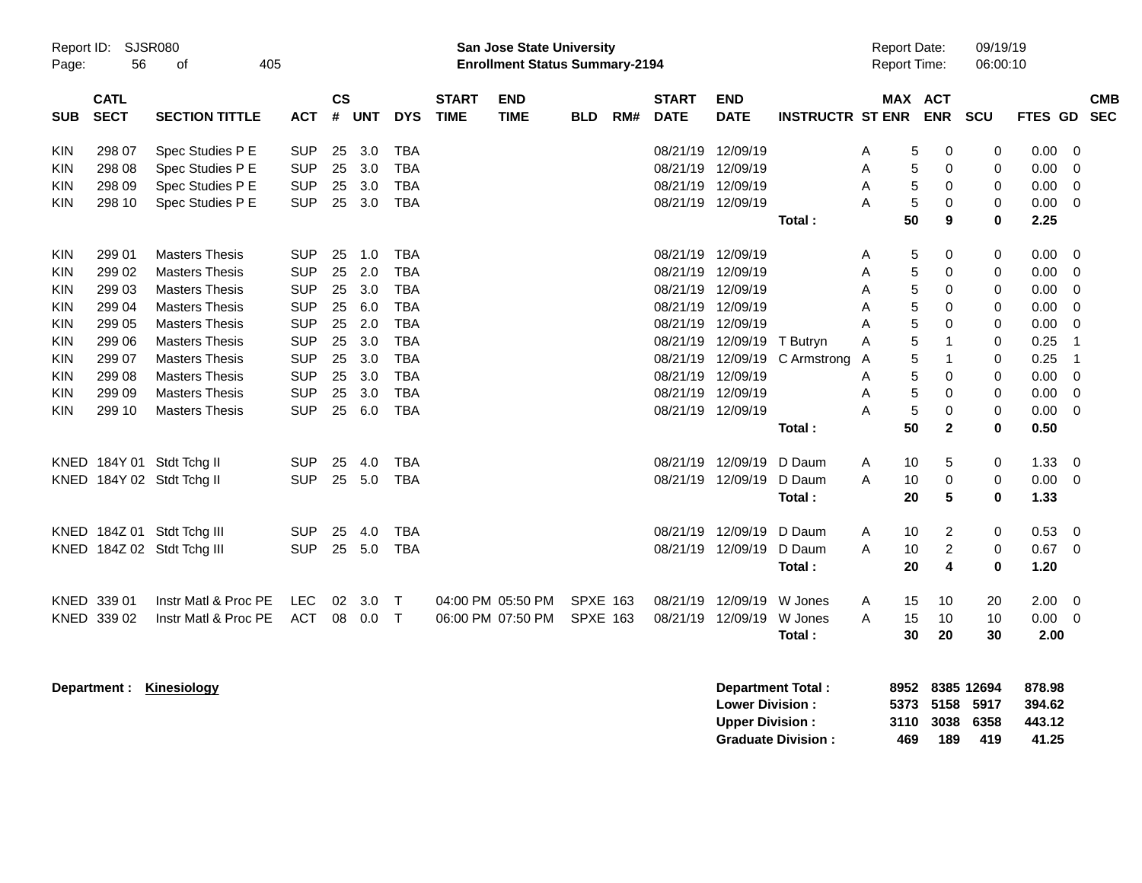|                                                                           |                                                                                                  |                                                                                                                                                                                                                                                        |                                                                                                                                          |                                                          |                                                                    |                                                                                                                                   |                             |                                                                           | <b>Preliminary Census</b>          |     |                                                                                              |                                                                                                                                        |                                                |                                                |                                                      |                                                                                                            |                                                               |                                                                                      |                                                                                                                                      |                          |
|---------------------------------------------------------------------------|--------------------------------------------------------------------------------------------------|--------------------------------------------------------------------------------------------------------------------------------------------------------------------------------------------------------------------------------------------------------|------------------------------------------------------------------------------------------------------------------------------------------|----------------------------------------------------------|--------------------------------------------------------------------|-----------------------------------------------------------------------------------------------------------------------------------|-----------------------------|---------------------------------------------------------------------------|------------------------------------|-----|----------------------------------------------------------------------------------------------|----------------------------------------------------------------------------------------------------------------------------------------|------------------------------------------------|------------------------------------------------|------------------------------------------------------|------------------------------------------------------------------------------------------------------------|---------------------------------------------------------------|--------------------------------------------------------------------------------------|--------------------------------------------------------------------------------------------------------------------------------------|--------------------------|
| Report ID:<br>Page:                                                       | 56                                                                                               | SJSR080<br>405<br>οf                                                                                                                                                                                                                                   |                                                                                                                                          |                                                          |                                                                    |                                                                                                                                   |                             | <b>San Jose State University</b><br><b>Enrollment Status Summary-2194</b> |                                    |     |                                                                                              |                                                                                                                                        |                                                |                                                | <b>Report Date:</b><br><b>Report Time:</b>           |                                                                                                            | 09/19/19<br>06:00:10                                          |                                                                                      |                                                                                                                                      |                          |
| <b>SUB</b>                                                                | <b>CATL</b><br><b>SECT</b>                                                                       | <b>SECTION TITTLE</b>                                                                                                                                                                                                                                  | <b>ACT</b>                                                                                                                               | <b>CS</b><br>#                                           | <b>UNT</b>                                                         | <b>DYS</b>                                                                                                                        | <b>START</b><br><b>TIME</b> | <b>END</b><br><b>TIME</b>                                                 | <b>BLD</b>                         | RM# | <b>START</b><br><b>DATE</b>                                                                  | <b>END</b><br><b>DATE</b>                                                                                                              | <b>INSTRUCTR ST ENR</b>                        |                                                | MAX ACT                                              | <b>ENR</b>                                                                                                 | <b>SCU</b>                                                    | <b>FTES GD</b>                                                                       |                                                                                                                                      | <b>CMB</b><br><b>SEC</b> |
| KIN<br><b>KIN</b><br>KIN<br>KIN                                           | 298 07<br>298 08<br>298 09<br>298 10                                                             | Spec Studies P E<br>Spec Studies P E<br>Spec Studies P E<br>Spec Studies P E                                                                                                                                                                           | <b>SUP</b><br><b>SUP</b><br><b>SUP</b><br><b>SUP</b>                                                                                     | 25<br>25<br>25<br>25                                     | 3.0<br>3.0<br>3.0<br>3.0                                           | <b>TBA</b><br><b>TBA</b><br><b>TBA</b><br><b>TBA</b>                                                                              |                             |                                                                           |                                    |     | 08/21/19<br>08/21/19<br>08/21/19<br>08/21/19 12/09/19                                        | 12/09/19<br>12/09/19<br>12/09/19                                                                                                       | Total:                                         | A<br>A<br>A<br>A                               | 5<br>5<br>5<br>5<br>50                               | 0<br>$\mathbf 0$<br>0<br>0<br>9                                                                            | 0<br>$\mathbf 0$<br>0<br>0<br>$\bf{0}$                        | 0.00<br>0.00<br>0.00<br>0.00<br>2.25                                                 | $\overline{0}$<br>0<br>$\overline{0}$<br>0                                                                                           |                          |
| KIN<br>KIN<br>KIN<br>KIN<br>KIN<br>KIN<br><b>KIN</b><br>KIN<br>KIN<br>KIN | 299 01<br>299 02<br>299 03<br>299 04<br>299 05<br>299 06<br>299 07<br>299 08<br>299 09<br>299 10 | <b>Masters Thesis</b><br><b>Masters Thesis</b><br><b>Masters Thesis</b><br><b>Masters Thesis</b><br><b>Masters Thesis</b><br><b>Masters Thesis</b><br><b>Masters Thesis</b><br><b>Masters Thesis</b><br><b>Masters Thesis</b><br><b>Masters Thesis</b> | <b>SUP</b><br><b>SUP</b><br><b>SUP</b><br><b>SUP</b><br><b>SUP</b><br><b>SUP</b><br><b>SUP</b><br><b>SUP</b><br><b>SUP</b><br><b>SUP</b> | 25<br>25<br>25<br>25<br>25<br>25<br>25<br>25<br>25<br>25 | 1.0<br>2.0<br>3.0<br>6.0<br>2.0<br>3.0<br>3.0<br>3.0<br>3.0<br>6.0 | TBA<br><b>TBA</b><br><b>TBA</b><br><b>TBA</b><br><b>TBA</b><br><b>TBA</b><br><b>TBA</b><br><b>TBA</b><br><b>TBA</b><br><b>TBA</b> |                             |                                                                           |                                    |     | 08/21/19<br>08/21/19<br>08/21/19<br>08/21/19<br>08/21/19<br>08/21/19<br>08/21/19<br>08/21/19 | 12/09/19<br>12/09/19<br>12/09/19<br>12/09/19<br>12/09/19<br>12/09/19<br>12/09/19<br>12/09/19<br>08/21/19 12/09/19<br>08/21/19 12/09/19 | T Butryn<br>C Armstrong<br>Total:              | A<br>A<br>A<br>A<br>Α<br>A<br>A<br>A<br>A<br>A | 5<br>5<br>5<br>5<br>5<br>5<br>5<br>5<br>5<br>5<br>50 | 0<br>0<br>0<br>0<br>0<br>$\overline{\mathbf{1}}$<br>$\overline{\mathbf{1}}$<br>0<br>0<br>0<br>$\mathbf{2}$ | 0<br>0<br>0<br>0<br>0<br>0<br>0<br>0<br>0<br>$\mathbf 0$<br>0 | 0.00<br>0.00<br>0.00<br>0.00<br>0.00<br>0.25<br>0.25<br>0.00<br>0.00<br>0.00<br>0.50 | - 0<br>$\overline{0}$<br>$\mathbf 0$<br>$\mathbf 0$<br>$\overline{0}$<br>$\overline{1}$<br>$\overline{1}$<br>$\mathbf 0$<br>0<br>- 0 |                          |
| KNED<br>KNED                                                              |                                                                                                  | 184Y 01 Stdt Tchg II<br>KNED 184Y 02 Stdt Tchg II<br>184Z 01 Stdt Tchg III<br>KNED 184Z 02 Stdt Tchg III                                                                                                                                               | <b>SUP</b><br><b>SUP</b><br><b>SUP</b><br><b>SUP</b>                                                                                     | 25<br>25<br>25<br>25                                     | 4.0<br>5.0<br>4.0<br>5.0                                           | <b>TBA</b><br><b>TBA</b><br><b>TBA</b><br><b>TBA</b>                                                                              |                             |                                                                           |                                    |     | 08/21/19<br>08/21/19<br>08/21/19                                                             | 12/09/19<br>08/21/19 12/09/19<br>12/09/19<br>12/09/19                                                                                  | D Daum<br>D Daum<br>Total:<br>D Daum<br>D Daum | Α<br>A<br>A<br>A                               | 10<br>10<br>20<br>10<br>10                           | 5<br>0<br>$5\phantom{1}$<br>$\overline{c}$<br>$\overline{c}$                                               | 0<br>0<br>$\bf{0}$<br>0<br>0                                  | 1.33<br>0.00<br>1.33<br>0.53<br>0.67                                                 | $\overline{0}$<br>$\overline{0}$<br>$\overline{0}$<br>$\overline{0}$                                                                 |                          |
|                                                                           | KNED 339 01<br>KNED 339 02                                                                       | Instr Matl & Proc PE<br>Instr Matl & Proc PE                                                                                                                                                                                                           | <b>LEC</b><br><b>ACT</b>                                                                                                                 | 02<br>08                                                 | 3.0<br>0.0                                                         | $\mathsf{T}$<br>$\mathsf{T}$                                                                                                      |                             | 04:00 PM 05:50 PM<br>06:00 PM 07:50 PM                                    | <b>SPXE 163</b><br><b>SPXE 163</b> |     | 08/21/19<br>08/21/19                                                                         | 12/09/19<br>12/09/19                                                                                                                   | Total:<br>W Jones<br>W Jones<br>Total:         | A<br>A                                         | 20<br>15<br>15<br>30                                 | 4<br>10<br>10<br>20                                                                                        | 0<br>20<br>10<br>30                                           | 1.20<br>2.00<br>0.00<br>2.00                                                         | $\overline{\mathbf{0}}$<br>- 0                                                                                                       |                          |
|                                                                           |                                                                                                  | Department: Kinesiology                                                                                                                                                                                                                                |                                                                                                                                          |                                                          |                                                                    |                                                                                                                                   |                             |                                                                           |                                    |     |                                                                                              |                                                                                                                                        | <b>Department Total:</b>                       |                                                |                                                      |                                                                                                            | 8952 8385 12694                                               | 878.98                                                                               |                                                                                                                                      |                          |

|                            |     |     |                | ------ |
|----------------------------|-----|-----|----------------|--------|
| <b>Lower Division :</b>    |     |     | 5373 5158 5917 | 394.62 |
| <b>Upper Division :</b>    |     |     | 3110 3038 6358 | 443.12 |
| <b>Graduate Division :</b> | 469 | 189 | 419            | 41.25  |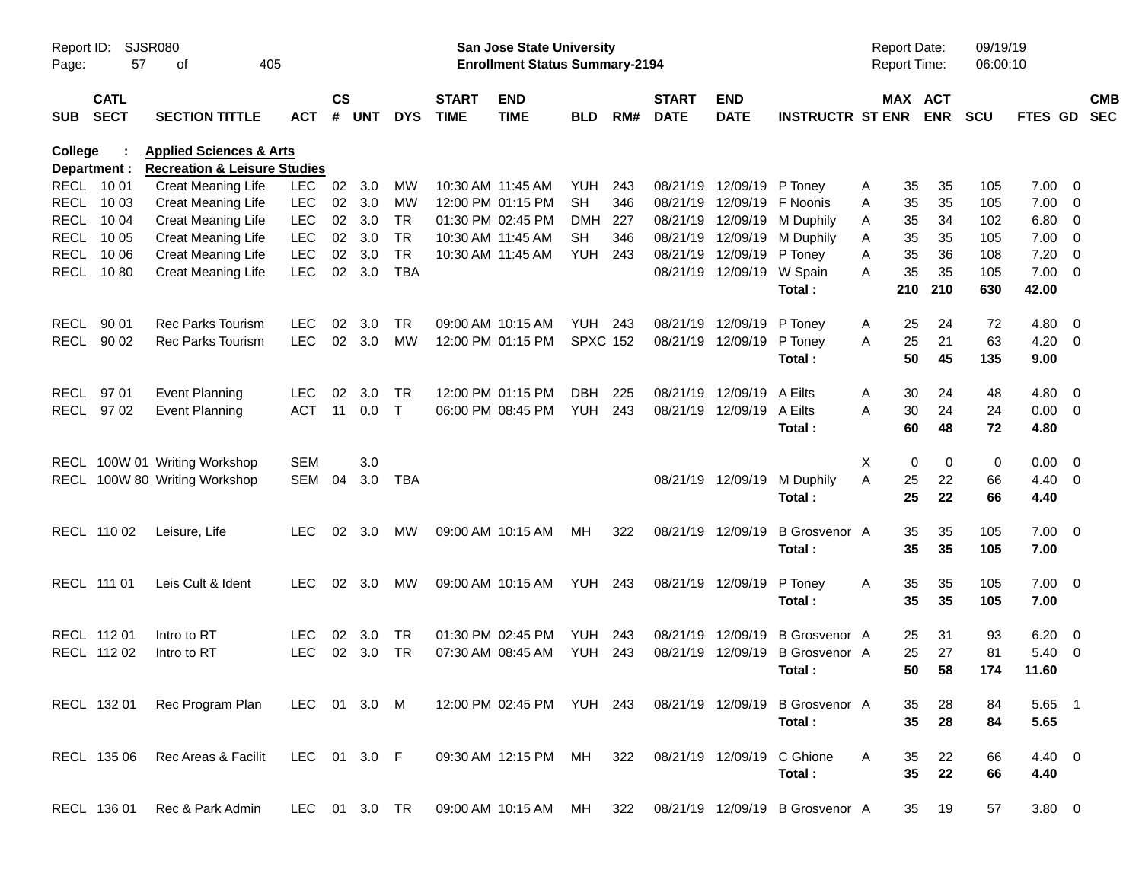|                |                            |                                         |               |               |       |              |                             |                                       | <b>Preliminary Census</b> |     |                             |                           |                                 |                     |                       |            |                      |                          |                          |
|----------------|----------------------------|-----------------------------------------|---------------|---------------|-------|--------------|-----------------------------|---------------------------------------|---------------------------|-----|-----------------------------|---------------------------|---------------------------------|---------------------|-----------------------|------------|----------------------|--------------------------|--------------------------|
| Report ID:     |                            | SJSR080                                 |               |               |       |              |                             | <b>San Jose State University</b>      |                           |     |                             |                           |                                 | <b>Report Date:</b> |                       | 09/19/19   |                      |                          |                          |
| Page:          | 57                         | 405<br>оf                               |               |               |       |              |                             | <b>Enrollment Status Summary-2194</b> |                           |     |                             |                           |                                 | Report Time:        |                       | 06:00:10   |                      |                          |                          |
| <b>SUB</b>     | <b>CATL</b><br><b>SECT</b> | <b>SECTION TITTLE</b>                   | <b>ACT</b>    | $\mathsf{cs}$ | # UNT | <b>DYS</b>   | <b>START</b><br><b>TIME</b> | <b>END</b><br><b>TIME</b>             | <b>BLD</b>                | RM# | <b>START</b><br><b>DATE</b> | <b>END</b><br><b>DATE</b> | <b>INSTRUCTR ST ENR</b>         |                     | MAX ACT<br><b>ENR</b> | <b>SCU</b> | <b>FTES GD</b>       |                          | <b>CMB</b><br><b>SEC</b> |
| <b>College</b> |                            | <b>Health &amp; Human Sciences</b>      |               |               |       |              |                             |                                       |                           |     |                             |                           |                                 |                     |                       |            |                      |                          |                          |
|                | Department :               | <b>Recreation &amp; Leisure Studies</b> |               |               |       |              |                             |                                       |                           |     |                             |                           |                                 |                     |                       |            |                      |                          |                          |
|                | RECL 10 01                 | <b>Creat Meaning Life</b>               | <b>LEC</b>    | 02            | 3.0   | MW           |                             | 10:30 AM 11:45 AM                     | YUH                       | 243 | 08/21/19                    | 12/09/19 P Toney          |                                 | 35<br>Α             | 35                    | 105        | $7.00 \t 0$          |                          |                          |
|                | RECL 10 03                 | <b>Creat Meaning Life</b>               | <b>LEC</b>    | 02            | 3.0   | MW           |                             | 12:00 PM 01:15 PM                     | <b>SH</b>                 | 346 | 08/21/19                    | 12/09/19                  | F Noonis                        | 35<br>A             | 35                    | 105        | 7.00                 | $\overline{\phantom{0}}$ |                          |
|                | <b>RECL 1004</b>           | <b>Creat Meaning Life</b>               | <b>LEC</b>    | 02            | 3.0   | <b>TR</b>    |                             | 01:30 PM 02:45 PM                     | DMH                       | 227 | 08/21/19                    | 12/09/19                  | M Duphily                       | 35<br>A             | 34                    | 102        | 6.80                 | $\overline{\phantom{0}}$ |                          |
|                | <b>RECL 1005</b>           | <b>Creat Meaning Life</b>               | <b>LEC</b>    | 02            | 3.0   | <b>TR</b>    |                             | 10:30 AM 11:45 AM                     | SН                        | 346 |                             | 08/21/19 12/09/19         | M Duphily                       | 35<br>A             | 35                    | 105        | $7.00 \t 0$          |                          |                          |
|                | RECL 10 06                 | <b>Creat Meaning Life</b>               | <b>LEC</b>    | 02            | 3.0   | <b>TR</b>    |                             | 10:30 AM 11:45 AM                     | YUH                       | 243 |                             | 08/21/19 12/09/19         | P Toney                         | 35<br>Α             | 36                    | 108        | 7.20                 | - 0                      |                          |
|                | RECL 1080                  | <b>Creat Meaning Life</b>               | <b>LEC</b>    | 02            | 3.0   | <b>TBA</b>   |                             |                                       |                           |     |                             | 08/21/19 12/09/19         | W Spain<br>Total:               | 35<br>A<br>210      | 35<br>210             | 105<br>630 | $7.00 \t 0$<br>42.00 |                          |                          |
|                | RECL 90 01                 | <b>Rec Parks Tourism</b>                | <b>LEC</b>    | 02            | 3.0   | TR           |                             | 09:00 AM 10:15 AM                     | <b>YUH 243</b>            |     | 08/21/19                    | 12/09/19                  | P Toney                         | 25<br>Α             | 24                    | 72         | $4.80\ 0$            |                          |                          |
|                | RECL 90 02                 | <b>Rec Parks Tourism</b>                | <b>LEC</b>    | 02            | 3.0   | <b>MW</b>    |                             | 12:00 PM 01:15 PM                     | <b>SPXC 152</b>           |     |                             | 08/21/19 12/09/19         | P Toney                         | 25<br>A             | 21                    | 63         | 4.20                 | $\overline{\phantom{0}}$ |                          |
|                |                            |                                         |               |               |       |              |                             |                                       |                           |     |                             |                           | Total:                          | 50                  | 45                    | 135        | 9.00                 |                          |                          |
|                | RECL 97 01                 |                                         | <b>LEC</b>    | 02            | 3.0   | TR           |                             | 12:00 PM 01:15 PM                     | DBH.                      | 225 | 08/21/19                    | 12/09/19                  | A Eilts                         | 30                  | 24                    | 48         | $4.80\ 0$            |                          |                          |
|                | RECL 97 02                 | <b>Event Planning</b>                   | <b>ACT</b>    | 11            | 0.0   | $\mathsf{T}$ |                             | 06:00 PM 08:45 PM                     | YUH                       | 243 |                             | 08/21/19 12/09/19         | A Eilts                         | Α<br>Α<br>30        | 24                    | 24         | $0.00 \t 0$          |                          |                          |
|                |                            | <b>Event Planning</b>                   |               |               |       |              |                             |                                       |                           |     |                             |                           | Total:                          | 60                  | 48                    | 72         | 4.80                 |                          |                          |
|                |                            |                                         |               |               |       |              |                             |                                       |                           |     |                             |                           |                                 |                     |                       |            |                      |                          |                          |
|                |                            | RECL 100W 01 Writing Workshop           | <b>SEM</b>    |               | 3.0   |              |                             |                                       |                           |     |                             |                           |                                 | $\mathbf 0$<br>X    | 0                     | 0          | $0.00 \t 0$          |                          |                          |
|                |                            | RECL 100W 80 Writing Workshop           | SEM           | 04            | 3.0   | TBA          |                             |                                       |                           |     |                             | 08/21/19 12/09/19         | M Duphily                       | A<br>25             | 22                    | 66         | $4.40 \ 0$           |                          |                          |
|                |                            |                                         |               |               |       |              |                             |                                       |                           |     |                             |                           | Total:                          | 25                  | 22                    | 66         | 4.40                 |                          |                          |
|                | RECL 110 02                | Leisure, Life                           | <b>LEC</b>    | 02            | 3.0   | MW           |                             | 09:00 AM 10:15 AM                     | MН                        | 322 |                             | 08/21/19 12/09/19         | <b>B</b> Grosvenor A            | 35                  | 35                    | 105        | $7.00 \t 0$          |                          |                          |
|                |                            |                                         |               |               |       |              |                             |                                       |                           |     |                             |                           | Total:                          | 35                  | 35                    | 105        | 7.00                 |                          |                          |
|                |                            |                                         |               |               |       |              |                             |                                       |                           |     |                             |                           |                                 |                     |                       |            |                      |                          |                          |
|                | RECL 111 01                | Leis Cult & Ident                       | <b>LEC</b>    | 02            | 3.0   | MW           |                             | 09:00 AM 10:15 AM                     | <b>YUH 243</b>            |     |                             | 08/21/19 12/09/19         | P Toney                         | 35<br>Α             | 35                    | 105        | $7.00 \t 0$          |                          |                          |
|                |                            |                                         |               |               |       |              |                             |                                       |                           |     |                             |                           | Total:                          | 35                  | 35                    | 105        | 7.00                 |                          |                          |
|                | RECL 112 01                | Intro to RT                             | LEC           | 02            | 3.0   | TR           |                             | 01:30 PM 02:45 PM                     | YUH                       | 243 | 08/21/19                    | 12/09/19                  | <b>B</b> Grosvenor A            | 25                  | 31                    | 93         | 6.20                 | $\overline{\phantom{0}}$ |                          |
|                | RECL 112 02                | Intro to RT                             | <b>LEC</b>    | 02            | 3.0   | TR           |                             | 07:30 AM 08:45 AM                     | YUH                       | 243 |                             |                           | 08/21/19 12/09/19 B Grosvenor A | 25                  | 27                    | 81         | 5.40                 | $\overline{\phantom{0}}$ |                          |
|                |                            |                                         |               |               |       |              |                             |                                       |                           |     |                             |                           | Total:                          |                     | 50<br>58              | 174        | 11.60                |                          |                          |
|                |                            |                                         |               |               |       |              |                             |                                       |                           |     |                             |                           |                                 |                     |                       |            |                      |                          |                          |
|                | RECL 132 01                | Rec Program Plan                        | LEC 01 3.0 M  |               |       |              |                             | 12:00 PM 02:45 PM YUH 243             |                           |     |                             | 08/21/19 12/09/19         | <b>B</b> Grosvenor A            | 35                  | 28                    | 84         | 5.65 1               |                          |                          |
|                |                            |                                         |               |               |       |              |                             |                                       |                           |     |                             |                           | Total:                          | 35                  | 28                    | 84         | 5.65                 |                          |                          |
|                | RECL 135 06                | Rec Areas & Facilit                     | LEC 01 3.0 F  |               |       |              |                             | 09:30 AM 12:15 PM MH                  |                           | 322 |                             | 08/21/19 12/09/19         | C Ghione                        | A<br>35             | 22                    | 66         | $4.40 \ 0$           |                          |                          |
|                |                            |                                         |               |               |       |              |                             |                                       |                           |     |                             |                           | Total:                          | 35                  | 22                    | 66         | 4.40                 |                          |                          |
|                |                            |                                         |               |               |       |              |                             |                                       |                           |     |                             |                           |                                 |                     |                       |            |                      |                          |                          |
|                | RECL 136 01                | Rec & Park Admin                        | LEC 01 3.0 TR |               |       |              |                             | 09:00 AM 10:15 AM MH                  |                           | 322 |                             |                           | 08/21/19 12/09/19 B Grosvenor A | 35                  | 19                    | 57         | 3.80 0               |                          |                          |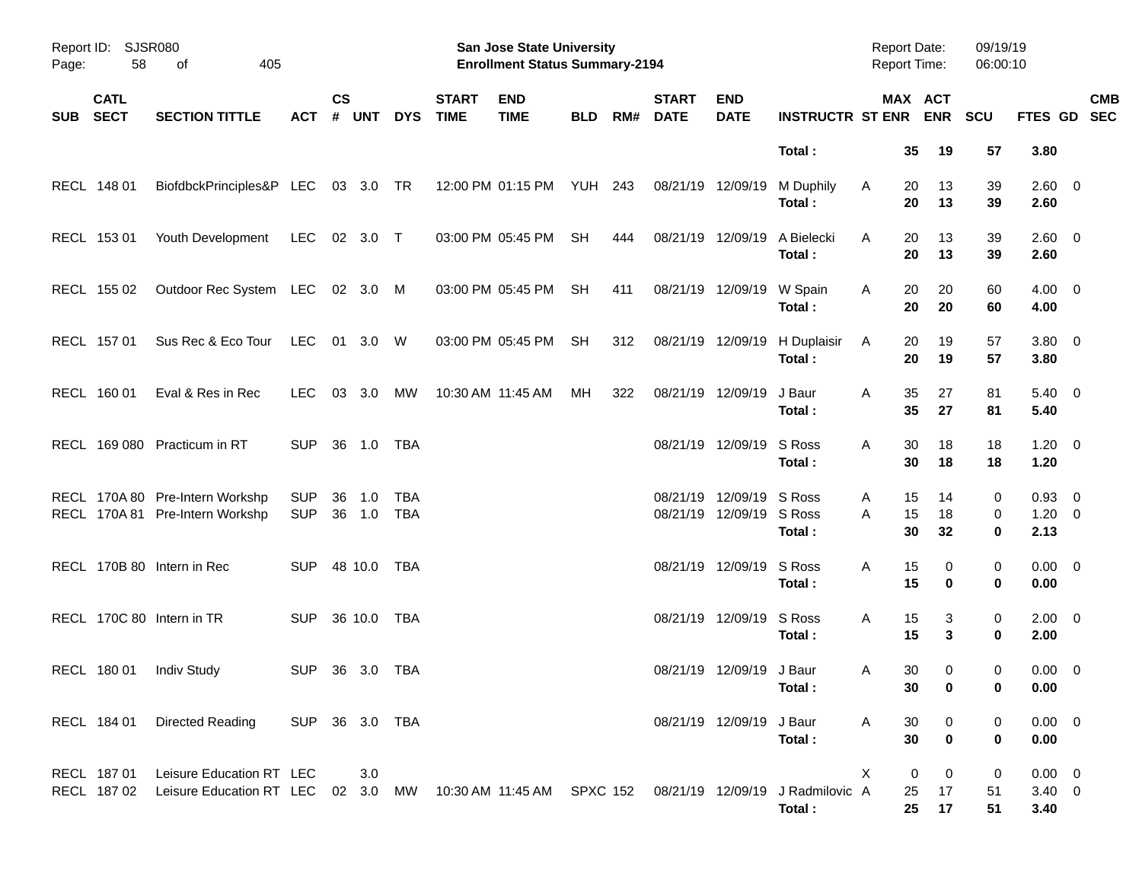|            |                            |                                                                                                                                        |                          |                    |               |            |                             | <b>Preliminary Census</b>                                          |            |     |                             |                                      |                             |                                            |                |                |                      |                                   |            |
|------------|----------------------------|----------------------------------------------------------------------------------------------------------------------------------------|--------------------------|--------------------|---------------|------------|-----------------------------|--------------------------------------------------------------------|------------|-----|-----------------------------|--------------------------------------|-----------------------------|--------------------------------------------|----------------|----------------|----------------------|-----------------------------------|------------|
| Page:      | Report ID: SJSR080<br>58   | 405<br>of                                                                                                                              |                          |                    |               |            |                             | San Jose State University<br><b>Enrollment Status Summary-2194</b> |            |     |                             |                                      |                             | <b>Report Date:</b><br><b>Report Time:</b> |                |                | 09/19/19<br>06:00:10 |                                   |            |
| <b>SUB</b> | <b>CATL</b><br><b>SECT</b> | <b>SECTION TITTLE</b>                                                                                                                  | <b>ACT</b>               | $\mathsf{cs}$<br># | <b>UNT</b>    | <b>DYS</b> | <b>START</b><br><b>TIME</b> | <b>END</b><br><b>TIME</b>                                          | <b>BLD</b> | RM# | <b>START</b><br><b>DATE</b> | <b>END</b><br><b>DATE</b>            | <b>INSTRUCTR ST ENR ENR</b> |                                            | MAX ACT        |                | <b>SCU</b>           | FTES GD SEC                       | <b>CMB</b> |
|            |                            |                                                                                                                                        |                          |                    |               |            |                             |                                                                    |            |     |                             |                                      | Total:                      |                                            | 35             | 19             | 57                   | 3.80                              |            |
|            | RECL 148 01                | BiofdbckPrinciples&P LEC 03 3.0 TR                                                                                                     |                          |                    |               |            |                             | 12:00 PM 01:15 PM YUH 243                                          |            |     | 08/21/19 12/09/19           |                                      | M Duphily<br>Total:         | Α                                          | 20<br>20       | 13<br>13       | 39<br>39             | $2.60 \t 0$<br>2.60               |            |
|            | RECL 153 01                | Youth Development                                                                                                                      | <b>LEC</b>               |                    | 02 3.0 T      |            |                             | 03:00 PM 05:45 PM                                                  | SH         | 444 | 08/21/19 12/09/19           |                                      | A Bielecki<br>Total:        | A                                          | 20<br>20       | 13<br>13       | 39<br>39             | $2.60 \t 0$<br>2.60               |            |
|            | RECL 155 02                | Outdoor Rec System LEC 02 3.0 M                                                                                                        |                          |                    |               |            |                             | 03:00 PM 05:45 PM                                                  | <b>SH</b>  | 411 | 08/21/19 12/09/19           |                                      | W Spain<br>Total:           | Α                                          | 20<br>20       | 20<br>20       | 60<br>60             | $4.00 \ 0$<br>4.00                |            |
|            | RECL 157 01                | Sus Rec & Eco Tour                                                                                                                     | <b>LEC</b>               |                    | 01 3.0 W      |            |                             | 03:00 PM 05:45 PM                                                  | <b>SH</b>  | 312 | 08/21/19 12/09/19           |                                      | H Duplaisir<br>Total:       | Α                                          | 20<br>20       | 19<br>19       | 57<br>57             | $3.80\ 0$<br>3.80                 |            |
|            | RECL 160 01                | Eval & Res in Rec                                                                                                                      | <b>LEC</b>               |                    | 03 3.0        | MW         |                             | 10:30 AM 11:45 AM                                                  | MН         | 322 | 08/21/19 12/09/19           |                                      | J Baur<br>Total:            | Α                                          | 35<br>35       | 27<br>27       | 81<br>81             | $5.40 \ 0$<br>5.40                |            |
|            |                            | RECL 169 080 Practicum in RT                                                                                                           | <b>SUP</b>               |                    | 36 1.0 TBA    |            |                             |                                                                    |            |     |                             | 08/21/19 12/09/19                    | S Ross<br>Total:            | Α                                          | 30<br>30       | 18<br>18       | 18<br>18             | $1.20 \t 0$<br>1.20               |            |
|            |                            | RECL 170A 80 Pre-Intern Workshp<br>RECL 170A 81 Pre-Intern Workshp                                                                     | <b>SUP</b><br><b>SUP</b> | 36                 | 1.0<br>36 1.0 | TBA<br>TBA |                             |                                                                    |            |     | 08/21/19                    | 12/09/19 S Ross<br>08/21/19 12/09/19 | S Ross<br>Total:            | A<br>A                                     | 15<br>15<br>30 | 14<br>18<br>32 | 0<br>0<br>0          | $0.93$ 0<br>$1.20 \t 0$<br>2.13   |            |
|            |                            | RECL 170B 80 Intern in Rec                                                                                                             | <b>SUP</b>               |                    | 48 10.0 TBA   |            |                             |                                                                    |            |     |                             | 08/21/19 12/09/19                    | S Ross<br>Total:            | Α                                          | 15<br>15       | 0<br>0         | 0<br>0               | $0.00 \t 0$<br>0.00               |            |
|            |                            | RECL 170C 80 Intern in TR                                                                                                              | <b>SUP</b>               |                    | 36 10.0       | TBA        |                             |                                                                    |            |     |                             | 08/21/19 12/09/19                    | S Ross<br>Total:            | Α                                          | 15<br>15       | 3<br>3         | 0<br>0               | $2.00 \t 0$<br>2.00               |            |
|            |                            | RECL 180 01 Indiv Study                                                                                                                | SUP 36 3.0 TBA           |                    |               |            |                             |                                                                    |            |     |                             | 08/21/19 12/09/19 J Baur             | Total:                      | Α                                          | 30<br>30       | 0              | 0<br>0               | $0.00 \t 0$<br>0.00               |            |
|            | RECL 184 01                | Directed Reading                                                                                                                       | SUP 36 3.0 TBA           |                    |               |            |                             |                                                                    |            |     |                             | 08/21/19 12/09/19 J Baur             | Total:                      | Α                                          | 30<br>30       | 0<br>0         | 0<br>0               | $0.00 \t 0$<br>0.00               |            |
|            | RECL 187 01                | Leisure Education RT LEC<br>RECL 187 02 Leisure Education RT LEC 02 3.0 MW 10:30 AM 11:45 AM SPXC 152 08/21/19 12/09/19 J Radmilovic A |                          |                    | 3.0           |            |                             |                                                                    |            |     |                             |                                      | Total:                      | X                                          | 0<br>25<br>25  | 0<br>17<br>17  | 0<br>51<br>51        | $0.00 \t 0$<br>$3.40 \ 0$<br>3.40 |            |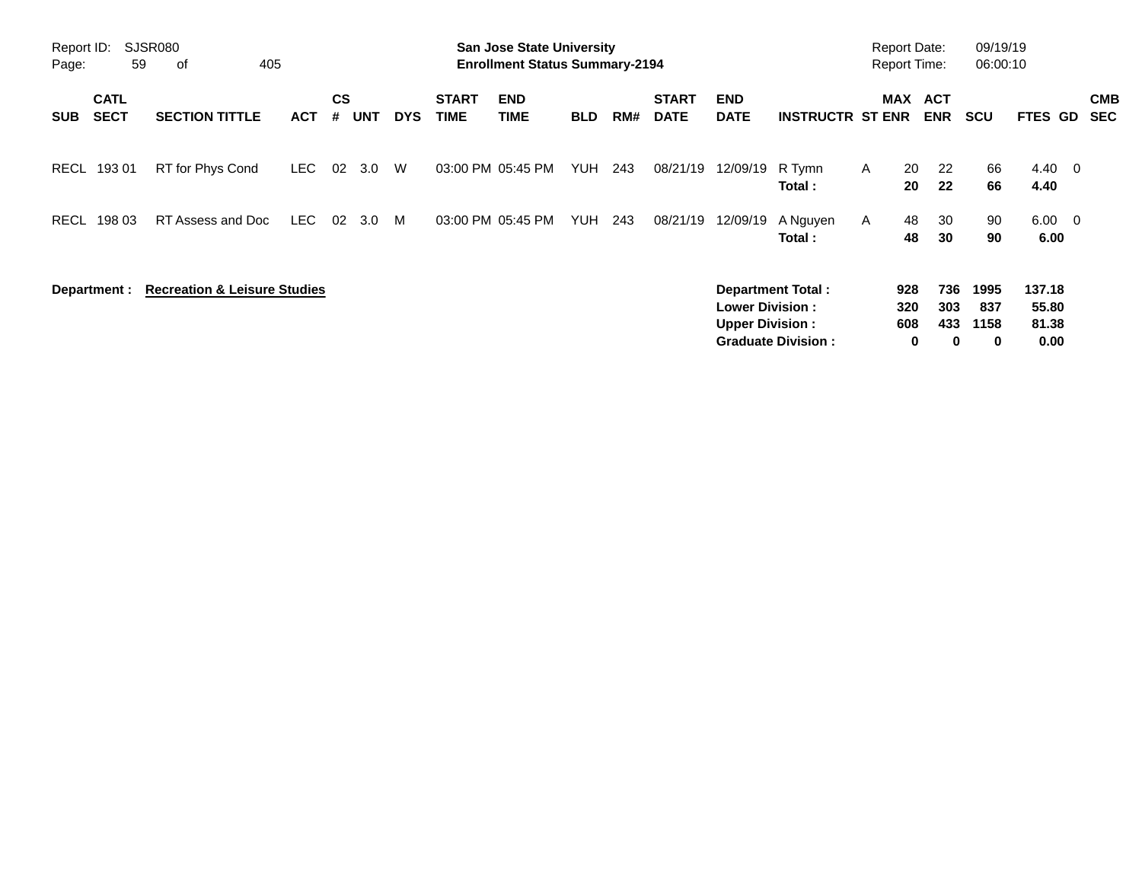|                     |                            |                                         |            |                |            |            |                             | <b>Preliminary Census</b>                                                 |            |     |                             |                                                  |                                                |                                            |                        |                          |                                    |                                  |                          |
|---------------------|----------------------------|-----------------------------------------|------------|----------------|------------|------------|-----------------------------|---------------------------------------------------------------------------|------------|-----|-----------------------------|--------------------------------------------------|------------------------------------------------|--------------------------------------------|------------------------|--------------------------|------------------------------------|----------------------------------|--------------------------|
| Report ID:<br>Page: | 59                         | SJSR080<br>οf<br>405                    |            |                |            |            |                             | <b>San Jose State University</b><br><b>Enrollment Status Summary-2194</b> |            |     |                             |                                                  |                                                | <b>Report Date:</b><br><b>Report Time:</b> |                        |                          | 09/19/19<br>06:00:10               |                                  |                          |
| <b>SUB</b>          | <b>CATL</b><br><b>SECT</b> | <b>SECTION TITTLE</b>                   | <b>ACT</b> | <b>CS</b><br># | <b>UNT</b> | <b>DYS</b> | <b>START</b><br><b>TIME</b> | <b>END</b><br><b>TIME</b>                                                 | <b>BLD</b> | RM# | <b>START</b><br><b>DATE</b> | <b>END</b><br><b>DATE</b>                        | <b>INSTRUCTR ST ENR</b>                        | <b>MAX</b>                                 |                        | <b>ACT</b><br><b>ENR</b> | <b>SCU</b>                         | <b>FTES GD</b>                   | <b>CMB</b><br><b>SEC</b> |
| RECL                | 193 01                     | RT for Phys Cond                        | LEC.       | 02             | 3.0        | W          |                             | 03:00 PM 05:45 PM                                                         | <b>YUH</b> | 243 | 08/21/19                    | 12/09/19                                         | R Tymn<br>Total :                              | $\mathsf{A}$                               | 20<br>20               | 22<br>22                 | 66<br>66                           | $4.40 \quad 0$<br>4.40           |                          |
| RECL                | 198 03                     | RT Assess and Doc                       | LEC        | 02             | 3.0        | M          | 03:00 PM 05:45 PM           |                                                                           | <b>YUH</b> | 243 | 08/21/19                    | 12/09/19                                         | A Nguyen<br>Total:                             | A                                          | 48<br>48               | 30<br>30                 | 90<br>90                           | $6.00 \t 0$<br>6.00              |                          |
|                     | Department :               | <b>Recreation &amp; Leisure Studies</b> |            |                |            |            |                             |                                                                           |            |     |                             | <b>Lower Division:</b><br><b>Upper Division:</b> | Department Total:<br><b>Graduate Division:</b> |                                            | 928<br>320<br>608<br>0 | 736<br>303<br>433<br>0   | 1995<br>837<br>1158<br>$\mathbf 0$ | 137.18<br>55.80<br>81.38<br>0.00 |                          |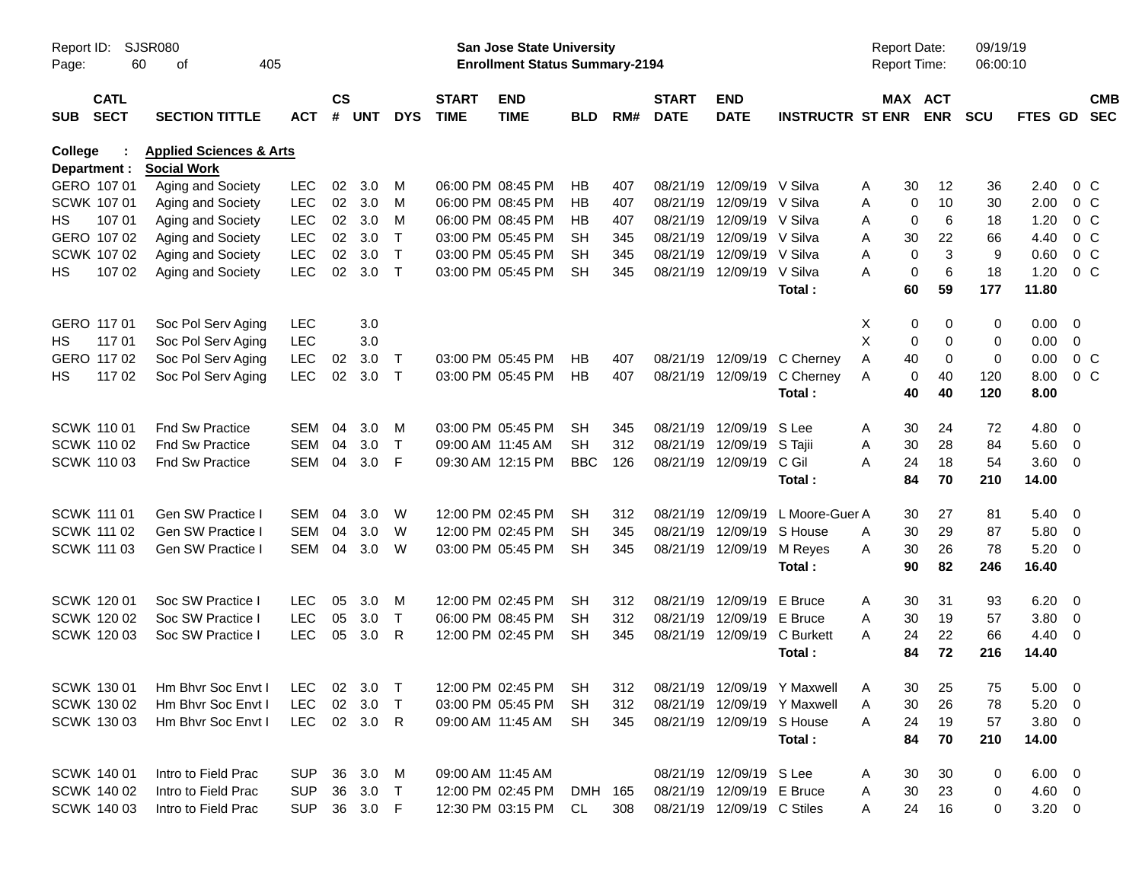|                     |                            |                                    |            |               |          |                        |                             |                                                                           | <b>Preliminary Census</b> |     |                             |                            |                             |                                     |                            |                      |               |                          |                          |
|---------------------|----------------------------|------------------------------------|------------|---------------|----------|------------------------|-----------------------------|---------------------------------------------------------------------------|---------------------------|-----|-----------------------------|----------------------------|-----------------------------|-------------------------------------|----------------------------|----------------------|---------------|--------------------------|--------------------------|
| Report ID:<br>Page: | 60                         | <b>SJSR080</b><br>405<br>of        |            |               |          |                        |                             | <b>San Jose State University</b><br><b>Enrollment Status Summary-2194</b> |                           |     |                             |                            |                             | <b>Report Date:</b><br>Report Time: |                            | 09/19/19<br>06:00:10 |               |                          |                          |
| <b>SUB</b>          | <b>CATL</b><br><b>SECT</b> | <b>SECTION TITTLE</b>              | ACT        | $\mathsf{cs}$ | # UNT    | <b>DYS</b>             | <b>START</b><br><b>TIME</b> | <b>END</b><br><b>TIME</b>                                                 | <b>BLD</b>                | RM# | <b>START</b><br><b>DATE</b> | <b>END</b><br><b>DATE</b>  | <b>INSTRUCTR ST ENR</b>     |                                     | MAX ACT<br><b>ENR</b>      | <b>SCU</b>           | FTES GD       |                          | <b>CMB</b><br><b>SEC</b> |
| College             |                            | <b>Health &amp; Human Sciences</b> |            |               |          |                        |                             |                                                                           |                           |     |                             |                            |                             |                                     |                            |                      |               |                          |                          |
| Department :        |                            | <b>Social Work</b>                 |            |               |          |                        |                             |                                                                           |                           |     |                             |                            |                             |                                     |                            |                      |               |                          |                          |
| GERO 107 01         |                            | Aging and Society                  | <b>LEC</b> | 02            | 3.0      | м                      |                             | 06:00 PM 08:45 PM                                                         | НB                        | 407 | 08/21/19                    | 12/09/19                   | V Silva                     | 30<br>Α                             | 12                         | 36                   | 2.40          | 0 <sup>o</sup>           |                          |
| <b>SCWK 107 01</b>  |                            | Aging and Society                  | <b>LEC</b> | 02            | 3.0      | M                      |                             | 06:00 PM 08:45 PM                                                         | НB                        | 407 | 08/21/19                    | 12/09/19                   | V Silva                     | Α                                   | 0<br>10                    | 30                   | 2.00          | 0 C                      |                          |
| HS.                 | 107 01                     | Aging and Society                  | <b>LEC</b> | 02            | 3.0      | M                      |                             | 06:00 PM 08:45 PM                                                         | НB                        | 407 | 08/21/19                    | 12/09/19                   | V Silva                     | Α                                   | 0<br>6                     | 18                   | 1.20          | $0\,C$                   |                          |
|                     | GERO 107 02                | Aging and Society                  | <b>LEC</b> | 02            | 3.0      | т                      |                             | 03:00 PM 05:45 PM                                                         | SН                        | 345 |                             | 08/21/19 12/09/19          | V Silva                     | A<br>30                             | 22                         | 66                   | 4.40          | 0 <sup>o</sup>           |                          |
|                     | SCWK 107 02                | Aging and Society                  | <b>LEC</b> | 02            | 3.0      | $\mathsf{T}$<br>$\top$ |                             | 03:00 PM 05:45 PM                                                         | SН                        | 345 |                             | 08/21/19 12/09/19 V Silva  | V Silva                     | Α                                   | 3<br>0<br>6<br>$\mathbf 0$ | 9                    | 0.60          | 0 <sup>o</sup><br>$0\,C$ |                          |
| HS                  | 107 02                     | Aging and Society                  | <b>LEC</b> | 02            | 3.0      |                        |                             | 03:00 PM 05:45 PM                                                         | <b>SH</b>                 | 345 |                             | 08/21/19 12/09/19          | Total:                      | Α<br>60                             | 59                         | 18<br>177            | 1.20<br>11.80 |                          |                          |
| GERO 117 01         |                            | Soc Pol Serv Aging                 | <b>LEC</b> |               | 3.0      |                        |                             |                                                                           |                           |     |                             |                            |                             | X                                   | 0<br>0                     | 0                    | $0.00 \t 0$   |                          |                          |
| HS                  | 117 01                     | Soc Pol Serv Aging                 | <b>LEC</b> |               | 3.0      |                        |                             |                                                                           |                           |     |                             |                            |                             | X                                   | 0<br>$\Omega$              | 0                    | 0.00          | $\overline{0}$           |                          |
|                     | GERO 117 02                | Soc Pol Serv Aging                 | <b>LEC</b> | 02            | 3.0      | Т                      |                             | 03:00 PM 05:45 PM                                                         | НB                        | 407 |                             | 08/21/19 12/09/19          | C Cherney                   | 40<br>Α                             | $\mathbf 0$                | 0                    | 0.00          | 0 <sup>o</sup>           |                          |
| HS                  | 117 02                     | Soc Pol Serv Aging                 | <b>LEC</b> | 02            | 3.0      | $\top$                 |                             | 03:00 PM 05:45 PM                                                         | HB                        | 407 |                             | 08/21/19 12/09/19          | C Cherney                   | Α                                   | 40<br>0                    | 120                  | 8.00          | 0 <sup>o</sup>           |                          |
|                     |                            |                                    |            |               |          |                        |                             |                                                                           |                           |     |                             |                            | Total:                      | 40                                  | 40                         | 120                  | 8.00          |                          |                          |
| <b>SCWK 11001</b>   |                            | <b>Fnd Sw Practice</b>             | SEM        | 04            | 3.0      | м                      |                             | 03:00 PM 05:45 PM                                                         | SН                        | 345 |                             | 08/21/19 12/09/19          | S Lee                       | 30<br>A                             | 24                         | 72                   | $4.80$ 0      |                          |                          |
|                     | <b>SCWK 110 02</b>         | <b>Fnd Sw Practice</b>             | <b>SEM</b> | 04            | 3.0      | $\mathsf{T}$           |                             | 09:00 AM 11:45 AM                                                         | <b>SH</b>                 | 312 | 08/21/19                    | 12/09/19                   | S Tajii                     | A<br>30                             | 28                         | 84                   | 5.60          | $\overline{\phantom{0}}$ |                          |
|                     | SCWK 110 03                | <b>Fnd Sw Practice</b>             | <b>SEM</b> | 04            | 3.0      | F                      |                             | 09:30 AM 12:15 PM                                                         | <b>BBC</b>                | 126 |                             | 08/21/19 12/09/19          | C Gil                       | 24<br>Α                             | 18                         | 54                   | 3.60 0        |                          |                          |
|                     |                            |                                    |            |               |          |                        |                             |                                                                           |                           |     |                             |                            | Total:                      | 84                                  | 70                         | 210                  | 14.00         |                          |                          |
| <b>SCWK 111 01</b>  |                            | <b>Gen SW Practice I</b>           | SEM        | 04            | 3.0      | W                      |                             | 12:00 PM 02:45 PM                                                         | SН                        | 312 |                             | 08/21/19 12/09/19          | L Moore-Guer A              | 30                                  | 27                         | 81                   | $5.40 \ 0$    |                          |                          |
| <b>SCWK 111 02</b>  |                            | Gen SW Practice I                  | <b>SEM</b> | 04            | 3.0      | W                      |                             | 12:00 PM 02:45 PM                                                         | SН                        | 345 | 08/21/19                    | 12/09/19                   | S House                     | 30<br>A                             | 29                         | 87                   | 5.80          | $\overline{\mathbf{0}}$  |                          |
| SCWK 111 03         |                            | Gen SW Practice I                  | SEM        | 04            | 3.0      | W                      |                             | 03:00 PM 05:45 PM                                                         | SН                        | 345 |                             | 08/21/19 12/09/19          | M Reyes                     | 30<br>A                             | 26                         | 78                   | 5.20          | $\overline{\phantom{0}}$ |                          |
|                     |                            |                                    |            |               |          |                        |                             |                                                                           |                           |     |                             |                            | Total:                      | 90                                  | 82                         | 246                  | 16.40         |                          |                          |
| <b>SCWK 120 01</b>  |                            | Soc SW Practice I                  | LEC        | 05            | 3.0      | м                      |                             | 12:00 PM 02:45 PM                                                         | SН                        | 312 |                             | 08/21/19 12/09/19          | E Bruce                     | 30<br>A                             | 31                         | 93                   | 6.20          | $\overline{\phantom{0}}$ |                          |
|                     | SCWK 120 02                | Soc SW Practice I                  | <b>LEC</b> | 05            | 3.0      | т                      |                             | 06:00 PM 08:45 PM                                                         | SН                        | 312 | 08/21/19                    | 12/09/19                   | E Bruce                     | 30<br>Α                             | 19                         | 57                   | 3.80          | $\overline{\mathbf{0}}$  |                          |
|                     | SCWK 120 03                | Soc SW Practice                    | <b>LEC</b> | 05            | 3.0      | R                      |                             | 12:00 PM 02:45 PM                                                         | <b>SH</b>                 | 345 |                             | 08/21/19 12/09/19          | C Burkett                   | 24<br>Α                             | 22                         | 66                   | 4.40          | - 0                      |                          |
|                     |                            |                                    |            |               |          |                        |                             |                                                                           |                           |     |                             |                            | Total:                      | 84                                  | 72                         | 216                  | 14.40         |                          |                          |
|                     | SCWK 130 01                | Hm Bhvr Soc Envt I                 | LEC.       |               | 02 3.0   | $\top$                 |                             | 12:00 PM 02:45 PM                                                         | SH                        | 312 |                             |                            | 08/21/19 12/09/19 Y Maxwell | 30<br>Α                             | 25                         | 75                   | $5.00 \t 0$   |                          |                          |
|                     | SCWK 130 02                | Hm Bhvr Soc Envt I                 | <b>LEC</b> | 02            | 3.0      | $\top$                 |                             | 03:00 PM 05:45 PM                                                         | <b>SH</b>                 | 312 |                             |                            | 08/21/19 12/09/19 Y Maxwell | 30<br>A                             | 26                         | 78                   | $5.20 \ 0$    |                          |                          |
|                     | SCWK 130 03                | Hm Bhvr Soc Envt I                 | <b>LEC</b> |               | 02 3.0   | -R                     |                             | 09:00 AM 11:45 AM                                                         | SH                        | 345 |                             | 08/21/19 12/09/19 S House  |                             | Α<br>24                             | 19                         | 57                   | $3.80\ 0$     |                          |                          |
|                     |                            |                                    |            |               |          |                        |                             |                                                                           |                           |     |                             |                            | Total:                      | 84                                  | 70                         | 210                  | 14.00         |                          |                          |
| <b>SCWK 140 01</b>  |                            | Intro to Field Prac                | <b>SUP</b> | 36            | 3.0      | M                      |                             | 09:00 AM 11:45 AM                                                         |                           |     |                             | 08/21/19 12/09/19 S Lee    |                             | 30<br>Α                             | 30                         | 0                    | $6.00 \t 0$   |                          |                          |
|                     | <b>SCWK 140 02</b>         | Intro to Field Prac                | <b>SUP</b> | 36            | 3.0      | $\top$                 |                             | 12:00 PM 02:45 PM                                                         | DMH 165                   |     |                             | 08/21/19 12/09/19 E Bruce  |                             | 30<br>A                             | 23                         | 0                    | $4.60$ 0      |                          |                          |
|                     | SCWK 140 03                | Intro to Field Prac                | <b>SUP</b> |               | 36 3.0 F |                        |                             | 12:30 PM 03:15 PM                                                         | CL                        | 308 |                             | 08/21/19 12/09/19 C Stiles |                             | 24<br>A                             | 16                         | 0                    | $3.20 \ 0$    |                          |                          |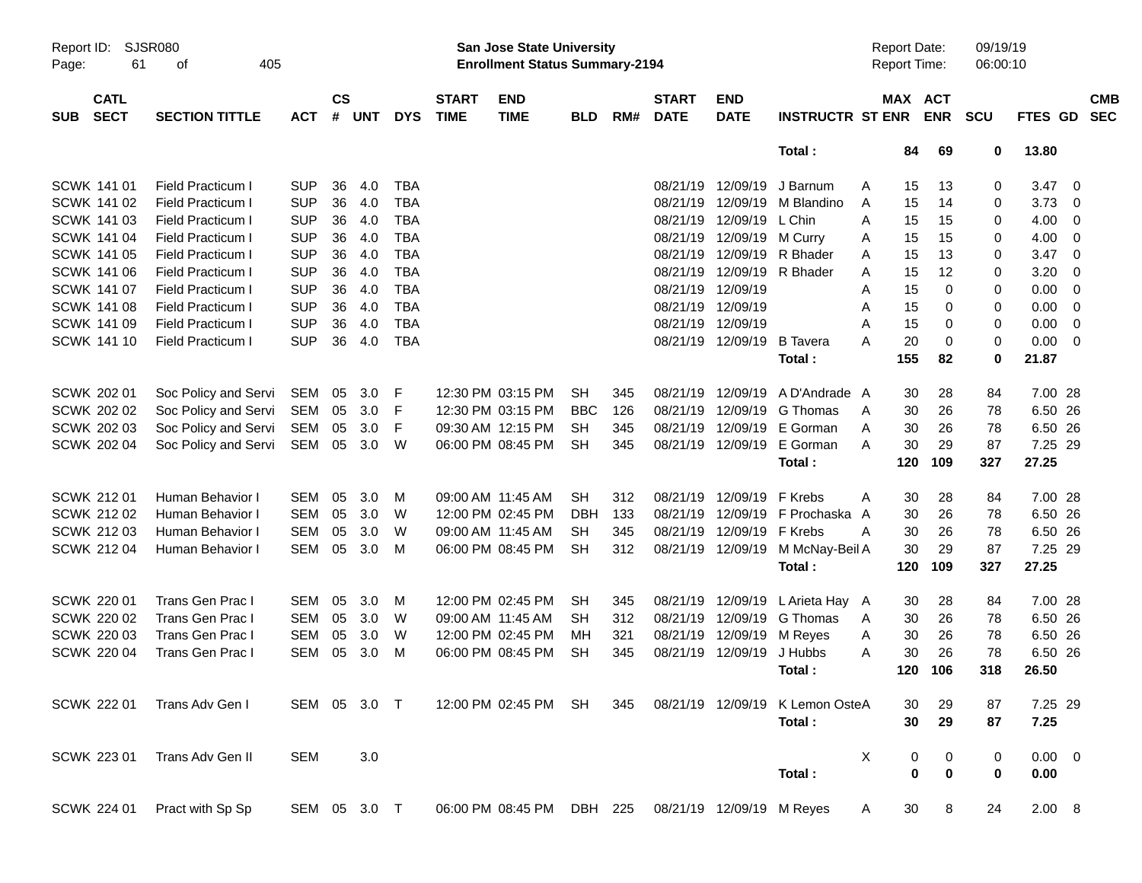|                     |                            |                             |              |                    |            |            |                             |                                                                           | <b>Preliminary Census</b> |     |                             |                           |                                  |   |     |                                     |                      |             |                          |                          |
|---------------------|----------------------------|-----------------------------|--------------|--------------------|------------|------------|-----------------------------|---------------------------------------------------------------------------|---------------------------|-----|-----------------------------|---------------------------|----------------------------------|---|-----|-------------------------------------|----------------------|-------------|--------------------------|--------------------------|
| Report ID:<br>Page: | 61                         | <b>SJSR080</b><br>405<br>οf |              |                    |            |            |                             | <b>San Jose State University</b><br><b>Enrollment Status Summary-2194</b> |                           |     |                             |                           |                                  |   |     | <b>Report Date:</b><br>Report Time: | 09/19/19<br>06:00:10 |             |                          |                          |
| <b>SUB</b>          | <b>CATL</b><br><b>SECT</b> | <b>SECTION TITTLE</b>       | <b>ACT</b>   | $\mathsf{cs}$<br># | <b>UNT</b> | <b>DYS</b> | <b>START</b><br><b>TIME</b> | <b>END</b><br><b>TIME</b>                                                 | <b>BLD</b>                | RM# | <b>START</b><br><b>DATE</b> | <b>END</b><br><b>DATE</b> | <b>INSTRUCTR ST ENR</b>          |   |     | MAX ACT<br><b>ENR</b>               | <b>SCU</b>           | FTES GD     |                          | <b>CMB</b><br><b>SEC</b> |
|                     |                            |                             |              |                    |            |            |                             |                                                                           |                           |     |                             |                           | Total:                           |   | 84  | 69                                  | 0                    | 13.80       |                          |                          |
|                     | SCWK 141 01                | <b>Field Practicum I</b>    | <b>SUP</b>   | 36                 | 4.0        | <b>TBA</b> |                             |                                                                           |                           |     |                             | 08/21/19 12/09/19         | J Barnum                         | A | 15  | 13                                  | 0                    | 3.47        | $\overline{\phantom{0}}$ |                          |
|                     | SCWK 141 02                | <b>Field Practicum I</b>    | <b>SUP</b>   | 36                 | 4.0        | <b>TBA</b> |                             |                                                                           |                           |     |                             | 08/21/19 12/09/19         | M Blandino                       | Α | 15  | 14                                  | 0                    | 3.73        | $\overline{\mathbf{0}}$  |                          |
|                     | <b>SCWK 141 03</b>         | <b>Field Practicum I</b>    | <b>SUP</b>   | 36                 | 4.0        | <b>TBA</b> |                             |                                                                           |                           |     |                             | 08/21/19 12/09/19         | L Chin                           | Α | 15  | 15                                  | 0                    | 4.00        | $\overline{\mathbf{0}}$  |                          |
|                     | SCWK 141 04                | <b>Field Practicum I</b>    | <b>SUP</b>   | 36                 | 4.0        | <b>TBA</b> |                             |                                                                           |                           |     |                             | 08/21/19 12/09/19         | M Curry                          | Α | 15  | 15                                  | 0                    | 4.00        | $\overline{0}$           |                          |
|                     | <b>SCWK 141 05</b>         | <b>Field Practicum I</b>    | <b>SUP</b>   | 36                 | 4.0        | <b>TBA</b> |                             |                                                                           |                           |     |                             | 08/21/19 12/09/19         | R Bhader                         | A | 15  | 13                                  | 0                    | 3.47        | $\overline{\mathbf{0}}$  |                          |
|                     | <b>SCWK 141 06</b>         | <b>Field Practicum I</b>    | <b>SUP</b>   | 36                 | 4.0        | <b>TBA</b> |                             |                                                                           |                           |     |                             | 08/21/19 12/09/19         | R Bhader                         | Α | 15  | 12                                  | 0                    | 3.20        | 0                        |                          |
|                     | SCWK 141 07                | <b>Field Practicum I</b>    | <b>SUP</b>   | 36                 | 4.0        | <b>TBA</b> |                             |                                                                           |                           |     |                             | 08/21/19 12/09/19         |                                  | Α | 15  | 0                                   | 0                    | 0.00        | $\overline{0}$           |                          |
|                     | <b>SCWK 141 08</b>         | <b>Field Practicum I</b>    | <b>SUP</b>   | 36                 | 4.0        | <b>TBA</b> |                             |                                                                           |                           |     |                             | 08/21/19 12/09/19         |                                  | Α | 15  | 0                                   | 0                    | 0.00        | $\overline{\mathbf{0}}$  |                          |
|                     | SCWK 141 09                | <b>Field Practicum I</b>    | <b>SUP</b>   | 36                 | 4.0        | <b>TBA</b> |                             |                                                                           |                           |     |                             | 08/21/19 12/09/19         |                                  | Α | 15  | 0                                   | 0                    | 0.00        | $\overline{0}$           |                          |
|                     | <b>SCWK 141 10</b>         | <b>Field Practicum I</b>    | <b>SUP</b>   | 36                 | 4.0        | <b>TBA</b> |                             |                                                                           |                           |     |                             | 08/21/19 12/09/19         | <b>B</b> Tavera                  | Α | 20  | 0                                   | 0                    | 0.00        | $\overline{\phantom{0}}$ |                          |
|                     |                            |                             |              |                    |            |            |                             |                                                                           |                           |     |                             |                           | Total:                           |   | 155 | 82                                  | 0                    | 21.87       |                          |                          |
|                     | SCWK 202 01                | Soc Policy and Servi        | SEM          | 05                 | 3.0        | F          |                             | 12:30 PM 03:15 PM                                                         | <b>SH</b>                 | 345 |                             | 08/21/19 12/09/19         | A D'Andrade A                    |   | 30  | 28                                  | 84                   | 7.00 28     |                          |                          |
|                     | <b>SCWK 202 02</b>         | Soc Policy and Servi        | SEM          | 05                 | 3.0        | F          |                             | 12:30 PM 03:15 PM                                                         | <b>BBC</b>                | 126 |                             | 08/21/19 12/09/19         | G Thomas                         | A | 30  | 26                                  | 78                   | 6.50 26     |                          |                          |
|                     | <b>SCWK 202 03</b>         | Soc Policy and Servi        | <b>SEM</b>   | 05                 | 3.0        | F          |                             | 09:30 AM 12:15 PM                                                         | <b>SH</b>                 | 345 |                             | 08/21/19 12/09/19         | E Gorman                         | Α | 30  | 26                                  | 78                   | 6.50 26     |                          |                          |
|                     | SCWK 202 04                | Soc Policy and Servi        | SEM          | 05                 | 3.0        | W          |                             | 06:00 PM 08:45 PM                                                         | <b>SH</b>                 | 345 |                             | 08/21/19 12/09/19         | E Gorman                         | A | 30  | 29                                  | 87                   | 7.25 29     |                          |                          |
|                     |                            |                             |              |                    |            |            |                             |                                                                           |                           |     |                             |                           | Total:                           |   | 120 | 109                                 | 327                  | 27.25       |                          |                          |
|                     | SCWK 212 01                | Human Behavior I            | <b>SEM</b>   | 05                 | 3.0        | M          |                             | 09:00 AM 11:45 AM                                                         | <b>SH</b>                 | 312 |                             | 08/21/19 12/09/19         | F Krebs                          | Α | 30  | 28                                  | 84                   | 7.00 28     |                          |                          |
|                     | <b>SCWK 212 02</b>         | Human Behavior I            | <b>SEM</b>   | 05                 | 3.0        | W          |                             | 12:00 PM 02:45 PM                                                         | <b>DBH</b>                | 133 | 08/21/19                    | 12/09/19                  | F Prochaska                      | A | 30  | 26                                  | 78                   | 6.50 26     |                          |                          |
|                     | <b>SCWK 212 03</b>         | Human Behavior I            | <b>SEM</b>   | 05                 | 3.0        | W          |                             | 09:00 AM 11:45 AM                                                         | <b>SH</b>                 | 345 |                             | 08/21/19 12/09/19         | F Krebs                          | Α | 30  | 26                                  | 78                   | 6.50 26     |                          |                          |
|                     | <b>SCWK 212 04</b>         | Human Behavior I            | <b>SEM</b>   | 05                 | 3.0        | М          |                             | 06:00 PM 08:45 PM                                                         | <b>SH</b>                 | 312 |                             |                           | 08/21/19 12/09/19 M McNay-Beil A |   | 30  | 29                                  | 87                   | 7.25 29     |                          |                          |
|                     |                            |                             |              |                    |            |            |                             |                                                                           |                           |     |                             |                           | Total:                           |   | 120 | 109                                 | 327                  | 27.25       |                          |                          |
|                     | SCWK 220 01                | Trans Gen Prac I            | <b>SEM</b>   | 05                 | 3.0        | M          |                             | 12:00 PM 02:45 PM                                                         | <b>SH</b>                 | 345 |                             | 08/21/19 12/09/19         | L Arieta Hay A                   |   | 30  | 28                                  | 84                   | 7.00 28     |                          |                          |
|                     | <b>SCWK 220 02</b>         | Trans Gen Prac I            | <b>SEM</b>   | 05                 | 3.0        | W          |                             | 09:00 AM 11:45 AM                                                         | <b>SH</b>                 | 312 | 08/21/19                    | 12/09/19                  | G Thomas                         | A | 30  | 26                                  | 78                   | 6.50 26     |                          |                          |
|                     | <b>SCWK 220 03</b>         | Trans Gen Prac I            | <b>SEM</b>   | 05                 | 3.0        | W          |                             | 12:00 PM 02:45 PM                                                         | МH                        | 321 | 08/21/19                    | 12/09/19                  | M Reyes                          | Α | 30  | 26                                  | 78                   | 6.50 26     |                          |                          |
|                     | <b>SCWK 220 04</b>         | Trans Gen Prac I            | <b>SEM</b>   | 05                 | 3.0        | M          |                             | 06:00 PM 08:45 PM                                                         | <b>SH</b>                 | 345 |                             | 08/21/19 12/09/19         | J Hubbs                          | A | 30  | 26                                  | 78                   | 6.50 26     |                          |                          |
|                     |                            |                             |              |                    |            |            |                             |                                                                           |                           |     |                             |                           | Total:                           |   |     | 120 106                             | 318                  | 26.50       |                          |                          |
|                     | <b>SCWK 222 01</b>         | Trans Adv Gen I             | SEM 05 3.0 T |                    |            |            |                             | 12:00 PM 02:45 PM SH                                                      |                           | 345 |                             | 08/21/19 12/09/19         | K Lemon OsteA                    |   | 30  | 29                                  | 87                   | 7.25 29     |                          |                          |
|                     |                            |                             |              |                    |            |            |                             |                                                                           |                           |     |                             |                           | Total:                           |   | 30  | 29                                  | 87                   | 7.25        |                          |                          |
|                     | SCWK 223 01                | Trans Adv Gen II            | <b>SEM</b>   |                    | 3.0        |            |                             |                                                                           |                           |     |                             |                           |                                  | Χ | 0   | 0                                   | $\pmb{0}$            | $0.00 \t 0$ |                          |                          |
|                     |                            |                             |              |                    |            |            |                             |                                                                           |                           |     |                             |                           | Total:                           |   | 0   | $\mathbf 0$                         | 0                    | 0.00        |                          |                          |
|                     | SCWK 224 01                | Pract with Sp Sp            | SEM 05 3.0 T |                    |            |            |                             | 06:00 PM 08:45 PM DBH 225                                                 |                           |     |                             | 08/21/19 12/09/19 M Reyes |                                  | A | 30  | 8                                   | 24                   | 2.00 8      |                          |                          |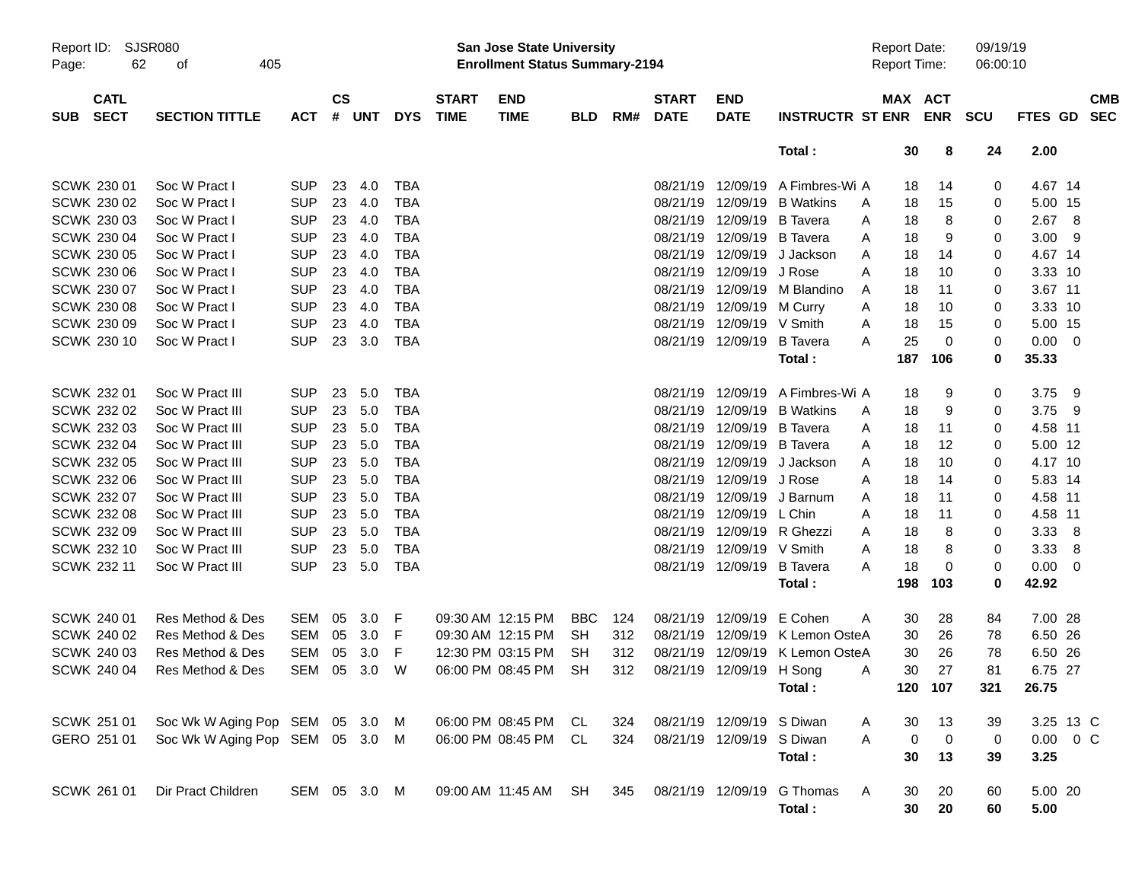|                     |                            |                                 |              |                    |            |            |                             | <b>Preliminary Census</b>                                                 |            |     |                             |                           |                            |                                     |             |                      |               |                          |
|---------------------|----------------------------|---------------------------------|--------------|--------------------|------------|------------|-----------------------------|---------------------------------------------------------------------------|------------|-----|-----------------------------|---------------------------|----------------------------|-------------------------------------|-------------|----------------------|---------------|--------------------------|
| Report ID:<br>Page: | 62                         | <b>SJSR080</b><br>405<br>0f     |              |                    |            |            |                             | <b>San Jose State University</b><br><b>Enrollment Status Summary-2194</b> |            |     |                             |                           |                            | <b>Report Date:</b><br>Report Time: |             | 09/19/19<br>06:00:10 |               |                          |
| <b>SUB</b>          | <b>CATL</b><br><b>SECT</b> | <b>SECTION TITTLE</b>           | <b>ACT</b>   | $\mathsf{cs}$<br># | <b>UNT</b> | <b>DYS</b> | <b>START</b><br><b>TIME</b> | <b>END</b><br><b>TIME</b>                                                 | <b>BLD</b> | RM# | <b>START</b><br><b>DATE</b> | <b>END</b><br><b>DATE</b> | <b>INSTRUCTR ST ENR</b>    | <b>MAX ACT</b>                      | <b>ENR</b>  | <b>SCU</b>           | FTES GD       | <b>CMB</b><br><b>SEC</b> |
|                     |                            |                                 |              |                    |            |            |                             |                                                                           |            |     |                             |                           | Total:                     | 30                                  | 8           | 24                   | 2.00          |                          |
|                     | SCWK 230 01                | Soc W Pract I                   | <b>SUP</b>   | 23                 | 4.0        | <b>TBA</b> |                             |                                                                           |            |     | 08/21/19                    | 12/09/19                  | A Fimbres-Wi A             | 18                                  | 14          | 0                    | 4.67 14       |                          |
|                     | SCWK 230 02                | Soc W Pract I                   | <b>SUP</b>   | 23                 | 4.0        | <b>TBA</b> |                             |                                                                           |            |     | 08/21/19                    | 12/09/19                  | <b>B</b> Watkins           | 18<br>A                             | 15          | 0                    | 5.00 15       |                          |
|                     | SCWK 230 03                | Soc W Pract I                   | <b>SUP</b>   | 23                 | 4.0        | <b>TBA</b> |                             |                                                                           |            |     | 08/21/19                    | 12/09/19                  | <b>B</b> Tavera            | 18<br>A                             | 8           | 0                    | 2.67          | 8                        |
|                     | SCWK 230 04                | Soc W Pract I                   | <b>SUP</b>   | 23                 | 4.0        | <b>TBA</b> |                             |                                                                           |            |     | 08/21/19                    | 12/09/19                  | <b>B</b> Tavera            | 18<br>A                             | 9           | 0                    | 3.00          | - 9                      |
|                     | <b>SCWK 230 05</b>         | Soc W Pract I                   | <b>SUP</b>   | 23                 | 4.0        | <b>TBA</b> |                             |                                                                           |            |     | 08/21/19                    | 12/09/19                  | J Jackson                  | 18<br>A                             | 14          | 0                    | 4.67 14       |                          |
|                     | <b>SCWK 230 06</b>         | Soc W Pract I                   | <b>SUP</b>   | 23                 | 4.0        | <b>TBA</b> |                             |                                                                           |            |     | 08/21/19                    | 12/09/19                  | J Rose                     | A<br>18                             | 10          | 0                    | 3.33 10       |                          |
|                     | SCWK 230 07                | Soc W Pract I                   | <b>SUP</b>   | 23                 | 4.0        | <b>TBA</b> |                             |                                                                           |            |     | 08/21/19                    | 12/09/19                  | M Blandino                 | 18<br>A                             | 11          | 0                    | 3.67 11       |                          |
|                     | <b>SCWK 230 08</b>         | Soc W Pract I                   | <b>SUP</b>   | 23                 | 4.0        | <b>TBA</b> |                             |                                                                           |            |     | 08/21/19                    | 12/09/19                  | M Curry                    | 18<br>A                             | 10          | 0                    | 3.33 10       |                          |
|                     | <b>SCWK 230 09</b>         | Soc W Pract I                   | <b>SUP</b>   | 23                 | 4.0        | <b>TBA</b> |                             |                                                                           |            |     | 08/21/19                    | 12/09/19                  | V Smith                    | 18<br>A                             | 15          | 0                    | 5.00 15       |                          |
|                     | <b>SCWK 230 10</b>         | Soc W Pract I                   | <b>SUP</b>   | 23                 | 3.0        | <b>TBA</b> |                             |                                                                           |            |     |                             | 08/21/19 12/09/19         | <b>B</b> Tavera            | 25<br>A                             | 0           | 0                    | 0.00          | $\overline{\phantom{0}}$ |
|                     |                            |                                 |              |                    |            |            |                             |                                                                           |            |     |                             |                           | Total:                     | 187                                 | 106         | 0                    | 35.33         |                          |
|                     | <b>SCWK 232 01</b>         | Soc W Pract III                 | <b>SUP</b>   | 23                 | 5.0        | <b>TBA</b> |                             |                                                                           |            |     | 08/21/19                    | 12/09/19                  | A Fimbres-Wi A             | 18                                  | 9           | 0                    | 3.75          | - 9                      |
|                     | SCWK 232 02                | Soc W Pract III                 | <b>SUP</b>   | 23                 | 5.0        | <b>TBA</b> |                             |                                                                           |            |     | 08/21/19                    | 12/09/19                  | <b>B</b> Watkins           | 18<br>A                             | 9           | 0                    | 3.75          | - 9                      |
|                     | SCWK 232 03                | Soc W Pract III                 | <b>SUP</b>   | 23                 | 5.0        | <b>TBA</b> |                             |                                                                           |            |     | 08/21/19                    | 12/09/19                  | <b>B</b> Tavera            | 18<br>A                             | 11          | 0                    | 4.58 11       |                          |
|                     | SCWK 232 04                | Soc W Pract III                 | <b>SUP</b>   | 23                 | 5.0        | <b>TBA</b> |                             |                                                                           |            |     | 08/21/19                    | 12/09/19                  | <b>B</b> Tavera            | 18<br>A                             | 12          | 0                    | 5.00 12       |                          |
|                     | <b>SCWK 232 05</b>         | Soc W Pract III                 | <b>SUP</b>   | 23                 | 5.0        | <b>TBA</b> |                             |                                                                           |            |     | 08/21/19                    | 12/09/19                  | J Jackson                  | 18<br>A                             | 10          | 0                    | 4.17 10       |                          |
|                     | SCWK 232 06                | Soc W Pract III                 | <b>SUP</b>   | 23                 | 5.0        | <b>TBA</b> |                             |                                                                           |            |     | 08/21/19                    | 12/09/19                  | J Rose                     | 18<br>A                             | 14          | 0                    | 5.83 14       |                          |
|                     | SCWK 232 07                | Soc W Pract III                 | <b>SUP</b>   | 23                 | 5.0        | <b>TBA</b> |                             |                                                                           |            |     | 08/21/19                    | 12/09/19                  | J Barnum                   | 18<br>A                             | 11          | 0                    | 4.58 11       |                          |
|                     | <b>SCWK 232 08</b>         | Soc W Pract III                 | <b>SUP</b>   | 23                 | 5.0        | <b>TBA</b> |                             |                                                                           |            |     | 08/21/19                    | 12/09/19                  | L Chin                     | 18<br>A                             | 11          | 0                    | 4.58 11       |                          |
|                     | SCWK 232 09                | Soc W Pract III                 | <b>SUP</b>   | 23                 | 5.0        | <b>TBA</b> |                             |                                                                           |            |     | 08/21/19                    | 12/09/19                  | R Ghezzi                   | 18<br>A                             | 8           | 0                    | 3.33          | 8                        |
|                     | SCWK 232 10                | Soc W Pract III                 | <b>SUP</b>   | 23                 | 5.0        | <b>TBA</b> |                             |                                                                           |            |     | 08/21/19                    | 12/09/19                  | V Smith                    | 18<br>A                             | 8           | 0                    | 3.33          | 8                        |
|                     | <b>SCWK 232 11</b>         | Soc W Pract III                 | <b>SUP</b>   | 23                 | 5.0        | <b>TBA</b> |                             |                                                                           |            |     |                             | 08/21/19 12/09/19         | <b>B</b> Tavera            | 18<br>A                             | 0           | 0                    | 0.00          | $\overline{\mathbf{0}}$  |
|                     |                            |                                 |              |                    |            |            |                             |                                                                           |            |     |                             |                           | Total:                     | 198                                 | 103         | 0                    | 42.92         |                          |
|                     | <b>SCWK 240 01</b>         | Res Method & Des                | SEM          | 05                 | 3.0        | F          |                             | 09:30 AM 12:15 PM                                                         | <b>BBC</b> | 124 | 08/21/19                    | 12/09/19                  | E Cohen                    | 30<br>A                             | 28          | 84                   | 7.00 28       |                          |
|                     | SCWK 240 02                | Res Method & Des                | <b>SEM</b>   | 05                 | 3.0        | F          |                             | 09:30 AM 12:15 PM                                                         | <b>SH</b>  | 312 | 08/21/19                    | 12/09/19                  | K Lemon OsteA              | 30                                  | 26          | 78                   | 6.50          | 26                       |
|                     | SCWK 240 03                | Res Method & Des                | SEM          | 05                 | 3.0        | F          |                             | 12:30 PM 03:15 PM                                                         | <b>SH</b>  | 312 |                             | 08/21/19 12/09/19         | K Lemon OsteA              | 30                                  | 26          | 78                   | 6.50 26       |                          |
|                     | SCWK 240 04                | Res Method & Des                | SEM 05 3.0 W |                    |            |            |                             | 06:00 PM 08:45 PM SH                                                      |            | 312 |                             | 08/21/19 12/09/19 H Song  |                            | 30<br>Α                             | 27          | 81                   | 6.75 27       |                          |
|                     |                            |                                 |              |                    |            |            |                             |                                                                           |            |     |                             |                           | Total:                     |                                     | 120 107     | 321                  | 26.75         |                          |
|                     | SCWK 251 01                | Soc Wk W Aging Pop SEM 05 3.0 M |              |                    |            |            |                             | 06:00 PM 08:45 PM CL                                                      |            | 324 |                             | 08/21/19 12/09/19 S Diwan |                            | 30<br>A                             | 13          | 39                   | 3.25 13 C     |                          |
|                     | GERO 251 01                | Soc Wk W Aging Pop SEM 05 3.0 M |              |                    |            |            |                             | 06:00 PM 08:45 PM CL                                                      |            | 324 |                             | 08/21/19 12/09/19 S Diwan |                            | 0<br>A                              | $\mathbf 0$ | 0                    | $0.00 \t 0 C$ |                          |
|                     |                            |                                 |              |                    |            |            |                             |                                                                           |            |     |                             |                           | Total:                     | 30                                  | 13          | 39                   | 3.25          |                          |
|                     | SCWK 261 01                | Dir Pract Children              | SEM 05 3.0 M |                    |            |            |                             | 09:00 AM 11:45 AM SH                                                      |            | 345 |                             |                           | 08/21/19 12/09/19 G Thomas | A<br>30                             | 20          | 60                   | 5.00 20       |                          |
|                     |                            |                                 |              |                    |            |            |                             |                                                                           |            |     |                             |                           | Total:                     | 30 <sub>o</sub>                     | 20          | 60                   | 5.00          |                          |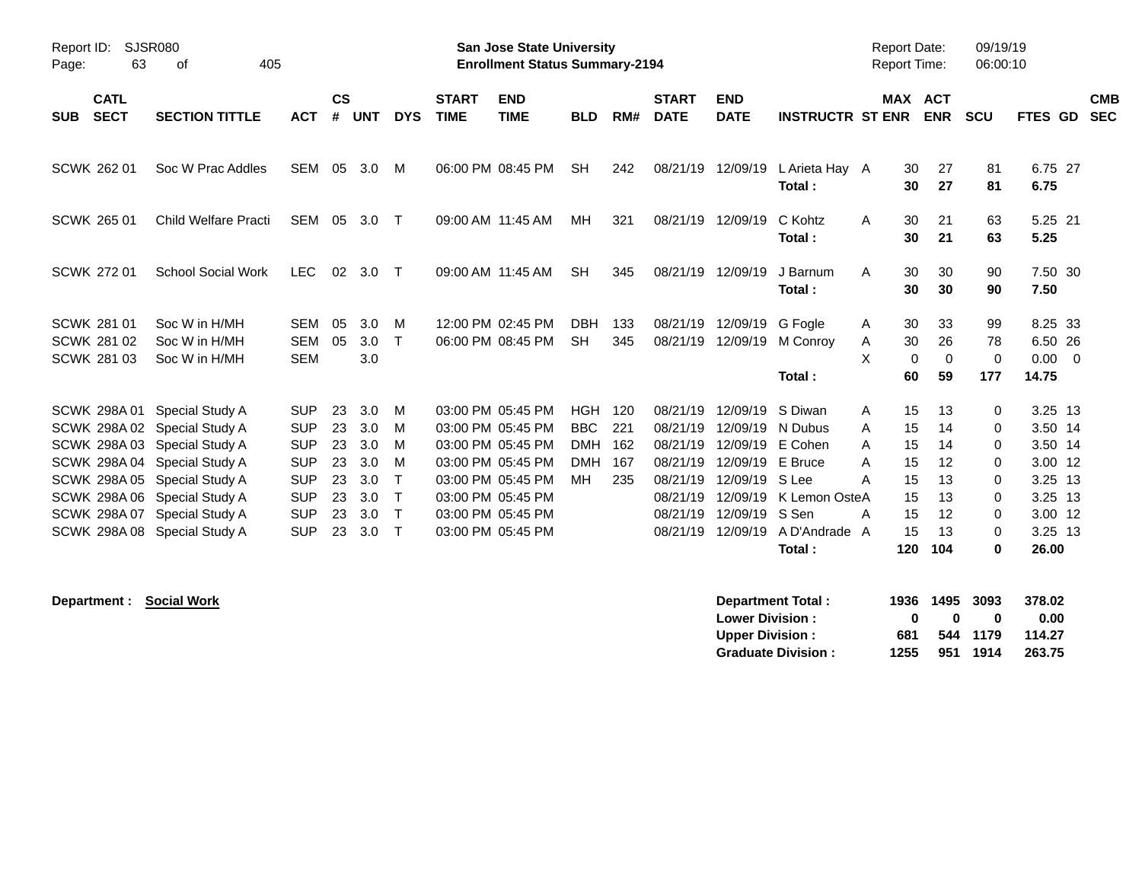|                                                                                                     |                                                                                                                                                                                             |                                                                                                              |                                              |                                                      |                                                |                             | <b>Preliminary Census</b>                                                                                                                                            |                                                                   |                                 |                                                                                              |                                                                                              |                                                                                                      |                                                                                        |                                                     |                                                                       |                                                                                                 |                          |
|-----------------------------------------------------------------------------------------------------|---------------------------------------------------------------------------------------------------------------------------------------------------------------------------------------------|--------------------------------------------------------------------------------------------------------------|----------------------------------------------|------------------------------------------------------|------------------------------------------------|-----------------------------|----------------------------------------------------------------------------------------------------------------------------------------------------------------------|-------------------------------------------------------------------|---------------------------------|----------------------------------------------------------------------------------------------|----------------------------------------------------------------------------------------------|------------------------------------------------------------------------------------------------------|----------------------------------------------------------------------------------------|-----------------------------------------------------|-----------------------------------------------------------------------|-------------------------------------------------------------------------------------------------|--------------------------|
| Report ID:<br>63<br>Page:                                                                           | <b>SJSR080</b><br>405<br>οf                                                                                                                                                                 |                                                                                                              |                                              |                                                      |                                                |                             | <b>San Jose State University</b><br><b>Enrollment Status Summary-2194</b>                                                                                            |                                                                   |                                 |                                                                                              |                                                                                              |                                                                                                      | <b>Report Date:</b><br><b>Report Time:</b>                                             |                                                     | 09/19/19<br>06:00:10                                                  |                                                                                                 |                          |
| <b>CATL</b><br><b>SECT</b><br><b>SUB</b>                                                            | <b>SECTION TITTLE</b>                                                                                                                                                                       | <b>ACT</b>                                                                                                   | <b>CS</b><br>#                               | <b>UNT</b>                                           | <b>DYS</b>                                     | <b>START</b><br><b>TIME</b> | <b>END</b><br><b>TIME</b>                                                                                                                                            | <b>BLD</b>                                                        | RM#                             | <b>START</b><br><b>DATE</b>                                                                  | <b>END</b><br><b>DATE</b>                                                                    | <b>INSTRUCTR ST ENR</b>                                                                              | <b>MAX ACT</b>                                                                         | <b>ENR</b>                                          | <b>SCU</b>                                                            | FTES GD                                                                                         | <b>CMB</b><br><b>SEC</b> |
| <b>SCWK 262 01</b>                                                                                  | Soc W Prac Addles                                                                                                                                                                           | <b>SEM</b>                                                                                                   | 05                                           | 3.0                                                  | м                                              |                             | 06:00 PM 08:45 PM                                                                                                                                                    | <b>SH</b>                                                         | 242                             | 08/21/19                                                                                     | 12/09/19                                                                                     | L Arieta Hay A<br>Total:                                                                             | 30<br>30                                                                               | 27<br>27                                            | 81<br>81                                                              | 6.75 27<br>6.75                                                                                 |                          |
| <b>SCWK 265 01</b>                                                                                  | <b>Child Welfare Practi</b>                                                                                                                                                                 | SEM                                                                                                          | 05                                           | 3.0                                                  | $\top$                                         | 09:00 AM 11:45 AM           |                                                                                                                                                                      | MН                                                                | 321                             | 08/21/19                                                                                     | 12/09/19                                                                                     | C Kohtz<br>Total:                                                                                    | 30<br>A<br>30                                                                          | 21<br>21                                            | 63<br>63                                                              | 5.25 21<br>5.25                                                                                 |                          |
| <b>SCWK 272 01</b>                                                                                  | <b>School Social Work</b>                                                                                                                                                                   | <b>LEC</b>                                                                                                   | 02                                           | 3.0                                                  | $\top$                                         |                             | 09:00 AM 11:45 AM                                                                                                                                                    | <b>SH</b>                                                         | 345                             | 08/21/19                                                                                     | 12/09/19                                                                                     | J Barnum<br>Total:                                                                                   | 30<br>A<br>30                                                                          | 30<br>30                                            | 90<br>90                                                              | 7.50 30<br>7.50                                                                                 |                          |
| SCWK 281 01<br><b>SCWK 281 02</b><br><b>SCWK 281 03</b>                                             | Soc W in H/MH<br>Soc W in H/MH<br>Soc W in H/MH                                                                                                                                             | <b>SEM</b><br><b>SEM</b><br><b>SEM</b>                                                                       | 05<br>05                                     | 3.0<br>3.0<br>3.0                                    | м<br>$\mathsf{T}$                              |                             | 12:00 PM 02:45 PM<br>06:00 PM 08:45 PM                                                                                                                               | <b>DBH</b><br><b>SH</b>                                           | 133<br>345                      | 08/21/19<br>08/21/19                                                                         | 12/09/19<br>12/09/19                                                                         | G Fogle<br>M Conroy<br>Total:                                                                        | 30<br>A<br>30<br>Α<br>X<br>$\mathbf 0$<br>60                                           | 33<br>26<br>0<br>59                                 | 99<br>78<br>$\mathbf 0$<br>177                                        | 8.25 33<br>6.50 26<br>0.00<br>$\overline{0}$<br>14.75                                           |                          |
| SCWK 298A01<br><b>SCWK 298A02</b><br><b>SCWK 298A04</b><br><b>SCWK 298A05</b><br><b>SCWK 298A08</b> | Special Study A<br>Special Study A<br>SCWK 298A 03 Special Study A<br>Special Study A<br>Special Study A<br>SCWK 298A 06 Special Study A<br>SCWK 298A 07 Special Study A<br>Special Study A | <b>SUP</b><br><b>SUP</b><br><b>SUP</b><br><b>SUP</b><br><b>SUP</b><br><b>SUP</b><br><b>SUP</b><br><b>SUP</b> | 23<br>23<br>23<br>23<br>23<br>23<br>23<br>23 | 3.0<br>3.0<br>3.0<br>3.0<br>3.0<br>3.0<br>3.0<br>3.0 | M<br>M<br>м<br>м<br>т<br>Т<br>Т<br>$\mathsf T$ |                             | 03:00 PM 05:45 PM<br>03:00 PM 05:45 PM<br>03:00 PM 05:45 PM<br>03:00 PM 05:45 PM<br>03:00 PM 05:45 PM<br>03:00 PM 05:45 PM<br>03:00 PM 05:45 PM<br>03:00 PM 05:45 PM | <b>HGH</b><br><b>BBC</b><br><b>DMH</b><br><b>DMH</b><br><b>MH</b> | 120<br>221<br>162<br>167<br>235 | 08/21/19<br>08/21/19<br>08/21/19<br>08/21/19<br>08/21/19<br>08/21/19<br>08/21/19<br>08/21/19 | 12/09/19<br>12/09/19<br>12/09/19<br>12/09/19<br>12/09/19<br>12/09/19<br>12/09/19<br>12/09/19 | S Diwan<br>N Dubus<br>E Cohen<br>E Bruce<br>S Lee<br>K Lemon OsteA<br>S Sen<br>A D'Andrade<br>Total: | 15<br>Α<br>15<br>A<br>15<br>A<br>15<br>Α<br>15<br>А<br>15<br>15<br>Α<br>15<br>A<br>120 | 13<br>14<br>14<br>12<br>13<br>13<br>12<br>13<br>104 | 0<br>0<br>$\Omega$<br>0<br>$\Omega$<br>$\Omega$<br>0<br>0<br>$\bf{0}$ | 3.25 13<br>3.50 14<br>3.50 14<br>3.00 12<br>3.25 13<br>$3.25$ 13<br>3.00 12<br>3.25 13<br>26.00 |                          |

| <b>Department:</b> | <b>Social Work</b> | Department Total:         | 1936 | 1495 | 3093 | 378.02 |
|--------------------|--------------------|---------------------------|------|------|------|--------|
|                    |                    | <b>Lower Division:</b>    |      | 0    |      | 0.00   |
|                    |                    | <b>Upper Division:</b>    | 681  | 544  | 1179 | 114.27 |
|                    |                    | <b>Graduate Division:</b> | 1255 | 951  | 1914 | 263.75 |